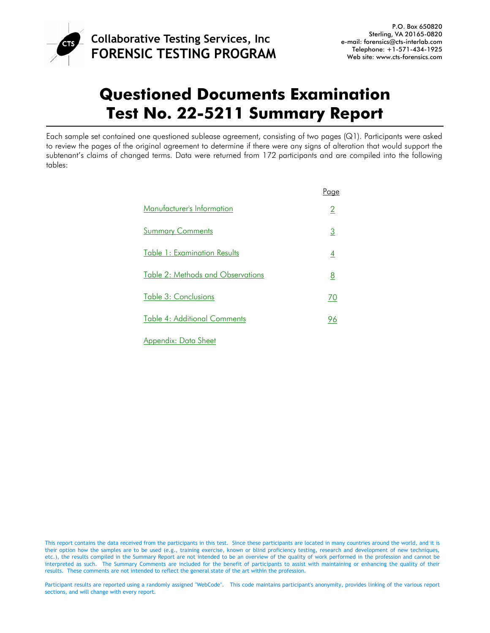

# **Questioned Documents Examination Test No. 22-5211 Summary Report**

Each sample set contained one questioned sublease agreement, consisting of two pages (Q1). Participants were asked to review the pages of the original agreement to determine if there were any signs of alteration that would support the subtenant's claims of changed terms. Data were returned from 172 participants and are compiled into the following tables:

|                                          | <u>Page</u>    |
|------------------------------------------|----------------|
| Manufacturer's Information               | $\overline{2}$ |
| <b>Summary Comments</b>                  | <u>3</u>       |
| <b>Table 1: Examination Results</b>      | $\overline{4}$ |
| <b>Table 2: Methods and Observations</b> | <u>8</u>       |
| Table 3: Conclusions                     | 70             |
| <b>Table 4: Additional Comments</b>      | 96             |
| Appendix: Data Sheet                     |                |

Participant results are reported using a randomly assigned "WebCode". This code maintains participant's anonymity, provides linking of the various report sections, and will change with every report.

This report contains the data received from the participants in this test. Since these participants are located in many countries around the world, and it is their option how the samples are to be used (e.g., training exercise, known or blind proficiency testing, research and development of new techniques, etc.), the results compiled in the Summary Report are not intended to be an overview of the quality of work performed in the profession and cannot be interpreted as such. The Summary Comments are included for the benefit of participants to assist with maintaining or enhancing the quality of their results. These comments are not intended to reflect the general state of the art within the profession.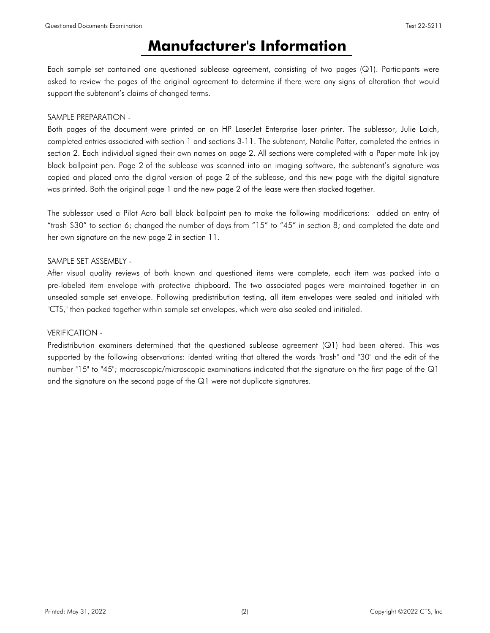## **Manufacturer's Information**

<span id="page-1-0"></span>Each sample set contained one questioned sublease agreement, consisting of two pages (Q1). Participants were asked to review the pages of the original agreement to determine if there were any signs of alteration that would support the subtenant's claims of changed terms.

### SAMPLE PREPARATION -

Both pages of the document were printed on an HP LaserJet Enterprise laser printer. The sublessor, Julie Laich, completed entries associated with section 1 and sections 3-11. The subtenant, Natalie Potter, completed the entries in section 2. Each individual signed their own names on page 2. All sections were completed with a Paper mate Ink joy black ballpoint pen. Page 2 of the sublease was scanned into an imaging software, the subtenant's signature was copied and placed onto the digital version of page 2 of the sublease, and this new page with the digital signature was printed. Both the original page 1 and the new page 2 of the lease were then stacked together.

The sublessor used a Pilot Acro ball black ballpoint pen to make the following modifications: added an entry of "trash \$30" to section 6; changed the number of days from "15" to "45" in section 8; and completed the date and her own signature on the new page 2 in section 11.

### SAMPLE SET ASSEMBLY -

After visual quality reviews of both known and questioned items were complete, each item was packed into a pre-labeled item envelope with protective chipboard. The two associated pages were maintained together in an unsealed sample set envelope. Following predistribution testing, all item envelopes were sealed and initialed with "CTS," then packed together within sample set envelopes, which were also sealed and initialed.

### VERIFICATION -

Predistribution examiners determined that the questioned sublease agreement (Q1) had been altered. This was supported by the following observations: idented writing that altered the words "trash" and "30" and the edit of the number "15" to "45"; macroscopic/microscopic examinations indicated that the signature on the first page of the Q1 and the signature on the second page of the Q1 were not duplicate signatures.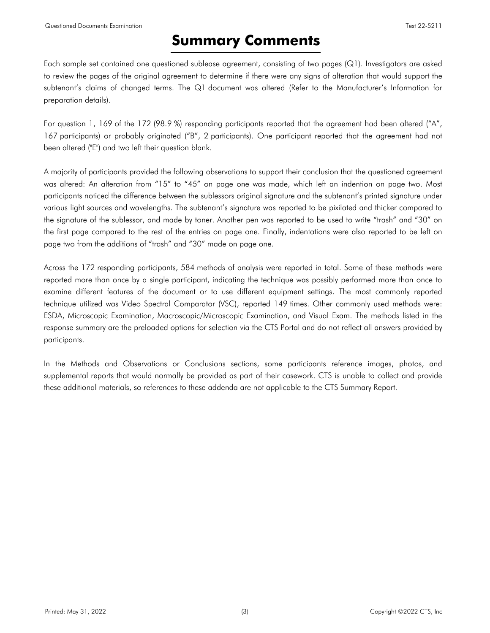# **Summary Comments**

<span id="page-2-0"></span>Each sample set contained one questioned sublease agreement, consisting of two pages (Q1). Investigators are asked to review the pages of the original agreement to determine if there were any signs of alteration that would support the subtenant's claims of changed terms. The Q1 document was altered (Refer to the Manufacturer's Information for preparation details).

For question 1, 169 of the 172 (98.9 %) responding participants reported that the agreement had been altered ("A", 167 participants) or probably originated ("B", 2 participants). One participant reported that the agreement had not been altered ("E") and two left their question blank.

A majority of participants provided the following observations to support their conclusion that the questioned agreement was altered: An alteration from "15" to "45" on page one was made, which left an indention on page two. Most participants noticed the difference between the sublessors original signature and the subtenant's printed signature under various light sources and wavelengths. The subtenant's signature was reported to be pixilated and thicker compared to the signature of the sublessor, and made by toner. Another pen was reported to be used to write "trash" and "30" on the first page compared to the rest of the entries on page one. Finally, indentations were also reported to be left on page two from the additions of "trash" and "30" made on page one.

Across the 172 responding participants, 584 methods of analysis were reported in total. Some of these methods were reported more than once by a single participant, indicating the technique was possibly performed more than once to examine different features of the document or to use different equipment settings. The most commonly reported technique utilized was Video Spectral Comparator (VSC), reported 149 times. Other commonly used methods were: ESDA, Microscopic Examination, Macroscopic/Microscopic Examination, and Visual Exam. The methods listed in the response summary are the preloaded options for selection via the CTS Portal and do not reflect all answers provided by participants.

In the Methods and Observations or Conclusions sections, some participants reference images, photos, and supplemental reports that would normally be provided as part of their casework. CTS is unable to collect and provide these additional materials, so references to these addenda are not applicable to the CTS Summary Report.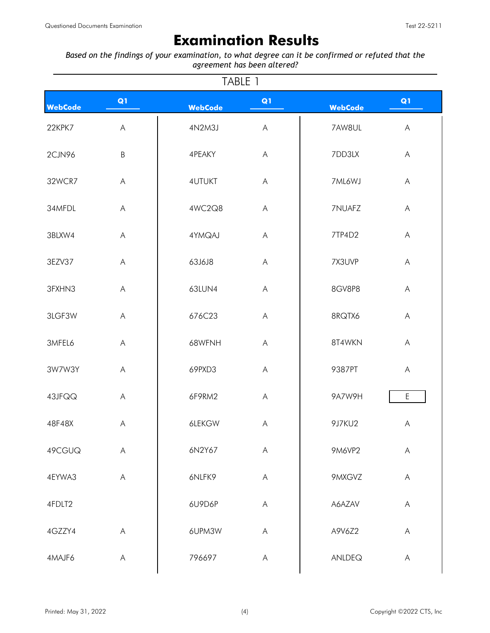## **Examination Results**

<span id="page-3-0"></span>*Based on the findings of your examination, to what degree can it be confirmed or refuted that the agreement has been altered?*

| TABLE 1        |                           |                |                                                                                                        |                |                                                                                                        |
|----------------|---------------------------|----------------|--------------------------------------------------------------------------------------------------------|----------------|--------------------------------------------------------------------------------------------------------|
| <b>WebCode</b> | Q1                        | <b>WebCode</b> | Q1                                                                                                     | <b>WebCode</b> | Q1                                                                                                     |
| 22KPK7         | $\boldsymbol{\mathsf{A}}$ | 4N2M3J         | $\mathsf{A}% _{\mathsf{A}}^{\prime}=\mathsf{A}_{\mathsf{A}}^{\prime}=\mathsf{A}_{\mathsf{A}}^{\prime}$ | 7AW8UL         | $\mathsf{A}% _{\mathsf{A}}^{\prime}=\mathsf{A}_{\mathsf{A}}^{\prime}=\mathsf{A}_{\mathsf{A}}^{\prime}$ |
| 2CJN96         | $\sf B$                   | 4PEAKY         | $\mathsf{A}% _{\mathsf{A}}^{\prime}=\mathsf{A}_{\mathsf{A}}^{\prime}=\mathsf{A}_{\mathsf{A}}^{\prime}$ | 7DD3LX         | $\boldsymbol{\mathsf{A}}$                                                                              |
| 32WCR7         | A                         | <b>4UTUKT</b>  | $\mathsf{A}% _{\mathsf{A}}^{\prime}=\mathsf{A}_{\mathsf{A}}^{\prime}=\mathsf{A}_{\mathsf{A}}^{\prime}$ | 7ML6WJ         | $\bigwedge$                                                                                            |
| 34MFDL         | $\boldsymbol{\mathsf{A}}$ | 4WC2Q8         | $\mathsf{A}$                                                                                           | 7NUAFZ         | $\mathsf{A}% _{\mathsf{A}}^{\prime}=\mathsf{A}_{\mathsf{A}}^{\prime}=\mathsf{A}_{\mathsf{A}}^{\prime}$ |
| 3BLXW4         | A                         | 4YMQAJ         | $\mathsf{A}% _{\mathsf{A}}^{\prime}=\mathsf{A}_{\mathsf{A}}^{\prime}=\mathsf{A}_{\mathsf{A}}^{\prime}$ | 7TP4D2         | $\mathsf{A}% _{\mathsf{A}}^{\prime}=\mathsf{A}_{\mathsf{A}}^{\prime}=\mathsf{A}_{\mathsf{A}}^{\prime}$ |
| 3EZV37         | A                         | 63J6J8         | $\mathsf{A}% _{\mathsf{A}}^{\prime}=\mathsf{A}_{\mathsf{A}}^{\prime}=\mathsf{A}_{\mathsf{A}}^{\prime}$ | 7X3UVP         | $\mathsf{A}% _{\mathsf{A}}^{\prime}=\mathsf{A}_{\mathsf{A}}^{\prime}=\mathsf{A}_{\mathsf{A}}^{\prime}$ |
| 3FXHN3         | A                         | 63LUN4         | $\mathsf{A}% _{\mathsf{A}}^{\prime}=\mathsf{A}_{\mathsf{A}}^{\prime}=\mathsf{A}_{\mathsf{A}}^{\prime}$ | 8GV8P8         | $\boldsymbol{\mathsf{A}}$                                                                              |
| 3LGF3W         | A                         | 676C23         | $\mathsf{A}% _{\mathsf{A}}^{\prime}=\mathsf{A}_{\mathsf{A}}^{\prime}=\mathsf{A}_{\mathsf{A}}^{\prime}$ | 8RQTX6         | $\boldsymbol{\mathsf{A}}$                                                                              |
| 3MFEL6         | $\boldsymbol{\mathsf{A}}$ | 68WFNH         | $\mathsf{A}$                                                                                           | 8T4WKN         | $\mathsf{A}% _{\mathsf{A}}^{\prime}=\mathsf{A}_{\mathsf{A}}^{\prime}=\mathsf{A}_{\mathsf{A}}^{\prime}$ |
| 3W7W3Y         | $\mathsf{A}$              | 69PXD3         | $\mathsf{A}% _{\mathsf{A}}^{\prime}=\mathsf{A}_{\mathsf{A}}^{\prime}=\mathsf{A}_{\mathsf{A}}^{\prime}$ | 9387PT         | $\bigwedge$                                                                                            |
| 43JFQQ         | A                         | 6F9RM2         | $\mathsf{A}% _{\mathsf{A}}^{\prime}=\mathsf{A}_{\mathsf{A}}^{\prime}=\mathsf{A}_{\mathsf{A}}^{\prime}$ | 9A7W9H         | $\mathsf E$                                                                                            |
| 48F48X         | A                         | 6LEKGW         | $\mathsf{A}% _{\mathsf{A}}^{\prime}=\mathsf{A}_{\mathsf{A}}^{\prime}=\mathsf{A}_{\mathsf{A}}^{\prime}$ | 9J7KU2         | A                                                                                                      |
| 49CGUQ         | $\mathsf{A}$              | 6N2Y67         | $\mathsf{A}% _{\mathsf{A}}^{\prime}=\mathsf{A}_{\mathsf{A}}^{\prime}=\mathsf{A}_{\mathsf{A}}^{\prime}$ | <b>9M6VP2</b>  | $\mathsf{A}% _{\mathsf{A}}^{\prime}=\mathsf{A}_{\mathsf{A}}^{\prime}=\mathsf{A}_{\mathsf{A}}^{\prime}$ |
| 4EYWA3         | $\mathsf{A}$              | 6NLFK9         | $\mathsf{A}% _{\mathsf{A}}^{\prime}=\mathsf{A}_{\mathsf{A}}^{\prime}=\mathsf{A}_{\mathsf{A}}^{\prime}$ | 9MXGVZ         | $\boldsymbol{\mathsf{A}}$                                                                              |
| 4FDLT2         |                           | 6U9D6P         | $\mathsf{A}% _{\mathsf{A}}^{\prime}=\mathsf{A}_{\mathsf{A}}^{\prime}$                                  | A6AZAV         | A                                                                                                      |
| 4GZZY4         | $\mathsf A$               | 6UPM3W         | $\mathsf{A}% _{\mathsf{A}}^{\prime}=\mathsf{A}_{\mathsf{A}}^{\prime}=\mathsf{A}_{\mathsf{A}}^{\prime}$ | A9V6Z2         | A                                                                                                      |
| 4MAJF6         | A                         | 796697         | A                                                                                                      | ANLDEQ         | A                                                                                                      |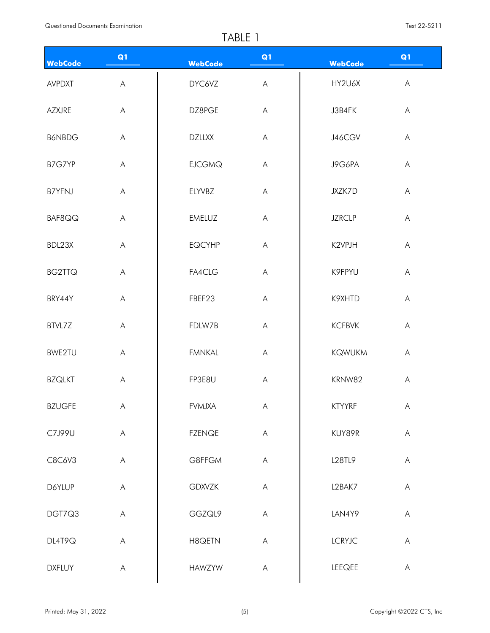|                |                                                                                                        | $I \cap L L$   |                                                                                                        |                |                                                                                                        |  |
|----------------|--------------------------------------------------------------------------------------------------------|----------------|--------------------------------------------------------------------------------------------------------|----------------|--------------------------------------------------------------------------------------------------------|--|
| <b>WebCode</b> | Q1                                                                                                     | <b>WebCode</b> | Q1                                                                                                     | <b>WebCode</b> | Q1                                                                                                     |  |
| <b>AVPDXT</b>  | $\mathsf{A}$                                                                                           | DYC6VZ         | $\overline{\mathsf{A}}$                                                                                | HY2U6X         | $\mathsf{A}$                                                                                           |  |
| AZXJRE         | $\mathsf{A}$                                                                                           | DZ8PGE         | $\mathsf{A}% _{\mathsf{A}}^{\prime}=\mathsf{A}_{\mathsf{A}}^{\prime}=\mathsf{A}_{\mathsf{A}}^{\prime}$ | J3B4FK         | A                                                                                                      |  |
| <b>B6NBDG</b>  | $\mathsf{A}$                                                                                           | <b>DZLLXX</b>  | A                                                                                                      | J46CGV         | $\mathsf{A}$                                                                                           |  |
| B7G7YP         | $\overline{\mathsf{A}}$                                                                                | <b>EJCGMQ</b>  | $\boldsymbol{\mathsf{A}}$                                                                              | J9G6PA         | $\overline{\mathsf{A}}$                                                                                |  |
| <b>B7YFNJ</b>  | $\overline{\mathsf{A}}$                                                                                | ELYVBZ         | $\overline{A}$                                                                                         | JXZK7D         | $\mathsf{A}$                                                                                           |  |
| BAF8QQ         | $\mathsf{A}$                                                                                           | <b>EMELUZ</b>  | $\overline{\mathsf{A}}$                                                                                | <b>JZRCLP</b>  | $\mathsf{A}$                                                                                           |  |
| BDL23X         | $\boldsymbol{\mathsf{A}}$                                                                              | <b>EQCYHP</b>  | $\mathsf{A}% _{\mathsf{A}}^{\prime}=\mathsf{A}_{\mathsf{A}}^{\prime}=\mathsf{A}_{\mathsf{A}}^{\prime}$ | K2VPJH         | $\mathsf{A}$                                                                                           |  |
| <b>BG2TTQ</b>  | $\mathsf{A}$                                                                                           | FA4CLG         | $\boldsymbol{\mathsf{A}}$                                                                              | K9FPYU         | A                                                                                                      |  |
| BRY44Y         | $\mathsf{A}$                                                                                           | FBEF23         | $\boldsymbol{\mathsf{A}}$                                                                              | K9XHTD         | $\bigwedge$                                                                                            |  |
| BTVL7Z         | $\mathsf{A}$                                                                                           | FDLW7B         | $\overline{\mathsf{A}}$                                                                                | <b>KCFBVK</b>  | $\mathsf{A}$                                                                                           |  |
| BWE2TU         | $\mathsf{A}$                                                                                           | <b>FMNKAL</b>  | A                                                                                                      | <b>KQWUKM</b>  | A                                                                                                      |  |
| <b>BZQLKT</b>  | $\boldsymbol{\mathsf{A}}$                                                                              | FP3E8U         | $\mathsf A$                                                                                            | KRNW82         | A                                                                                                      |  |
| <b>BZUGFE</b>  | $\boldsymbol{\mathsf{A}}$                                                                              | <b>FVMJXA</b>  | $\mathsf{A}% _{\mathsf{A}}^{\prime}=\mathsf{A}_{\mathsf{A}}^{\prime}$                                  | <b>KTYYRF</b>  | $\mathsf{A}% _{\mathsf{A}}^{\prime}=\mathsf{A}_{\mathsf{A}}^{\prime}=\mathsf{A}_{\mathsf{A}}^{\prime}$ |  |
| C7J99U         | $\mathsf{A}% _{\mathsf{A}}^{\prime}=\mathsf{A}_{\mathsf{A}}^{\prime}$                                  | <b>FZENQE</b>  | $\mathsf{A}$                                                                                           | KUY89R         | A                                                                                                      |  |
| C8C6V3         | $\mathsf{A}% _{\mathsf{A}}^{\prime}=\mathsf{A}_{\mathsf{A}}^{\prime}=\mathsf{A}_{\mathsf{A}}^{\prime}$ | G8FFGM         | $\mathsf{A}$                                                                                           | L28TL9         | A                                                                                                      |  |
| D6YLUP         | $\boldsymbol{\mathsf{A}}$                                                                              | <b>GDXVZK</b>  | A                                                                                                      | L2BAK7         | $\mathsf{A}$                                                                                           |  |
| DGT7Q3         | $\mathsf{A}$                                                                                           | GGZQL9         | $\mathsf A$                                                                                            | LAN4Y9         | $\mathsf{A}% _{\mathsf{A}}^{\prime}=\mathsf{A}_{\mathsf{A}}^{\prime}=\mathsf{A}_{\mathsf{A}}^{\prime}$ |  |
| DL4T9Q         | A                                                                                                      | H8QETN         | $\mathsf{A}$                                                                                           | <b>LCRYJC</b>  | $\mathsf{A}$                                                                                           |  |
| <b>DXFLUY</b>  | $\mathsf{A}% _{\mathsf{A}}^{\prime}=\mathsf{A}_{\mathsf{A}}^{\prime}$                                  | <b>HAWZYW</b>  | $\mathsf{A}$                                                                                           | LEEQEE         | A                                                                                                      |  |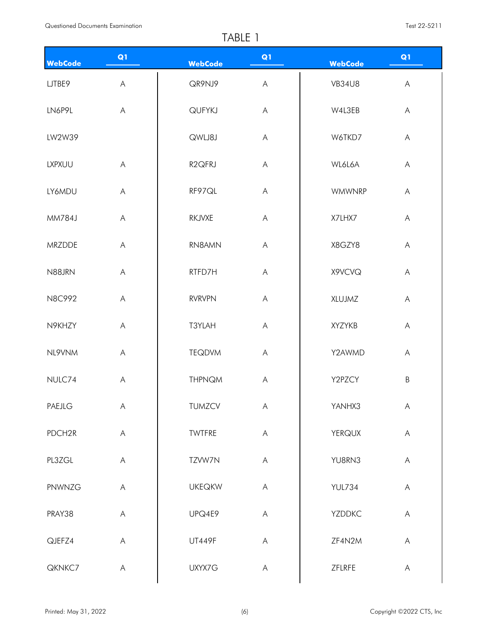| WebCode       | Q1                                                                                                     | <b>WebCode</b>      | Q1                                                                                                     | <b>WebCode</b> | Q1           |
|---------------|--------------------------------------------------------------------------------------------------------|---------------------|--------------------------------------------------------------------------------------------------------|----------------|--------------|
| LJTBE9        | $\boldsymbol{\mathsf{A}}$                                                                              | QR9NJ9              | $\mathsf{A}% _{\mathsf{A}}^{\prime}=\mathsf{A}_{\mathsf{A}}^{\prime}=\mathsf{A}_{\mathsf{A}}^{\prime}$ | <b>VB34U8</b>  | $\mathsf{A}$ |
| LN6P9L        | $\boldsymbol{\mathsf{A}}$                                                                              | QUFYKJ              | $\mathsf{A}% _{\mathsf{A}}^{\prime}=\mathsf{A}_{\mathsf{A}}^{\prime}=\mathsf{A}_{\mathsf{A}}^{\prime}$ | W4L3EB         | A            |
| LW2W39        |                                                                                                        | QWLJ8J              | $\mathsf{A}% _{\mathsf{A}}^{\prime}=\mathsf{A}_{\mathsf{A}}^{\prime}=\mathsf{A}_{\mathsf{A}}^{\prime}$ | W6TKD7         | A            |
| <b>LXPXUU</b> | $\boldsymbol{\mathsf{A}}$                                                                              | R <sub>2</sub> QFRJ | $\mathsf A$                                                                                            | WL6L6A         | A            |
| LY6MDU        | $\boldsymbol{\mathsf{A}}$                                                                              | RF97QL              | $\mathsf{A}% _{\mathsf{A}}^{\prime}=\mathsf{A}_{\mathsf{A}}^{\prime}=\mathsf{A}_{\mathsf{A}}^{\prime}$ | <b>WMWNRP</b>  | $\bigwedge$  |
| MM784J        | $\boldsymbol{\mathsf{A}}$                                                                              | RKJVXE              | $\mathsf{A}% _{\mathsf{A}}^{\prime}=\mathsf{A}_{\mathsf{A}}^{\prime}=\mathsf{A}_{\mathsf{A}}^{\prime}$ | X7LHX7         | A            |
| MRZDDE        | $\boldsymbol{\mathsf{A}}$                                                                              | RN8AMN              | $\mathsf{A}% _{\mathsf{A}}^{\prime}=\mathsf{A}_{\mathsf{A}}^{\prime}=\mathsf{A}_{\mathsf{A}}^{\prime}$ | X8GZY8         | $\mathsf{A}$ |
| N88JRN        | $\mathsf{A}% _{\mathsf{A}}^{\prime}=\mathsf{A}_{\mathsf{A}}^{\prime}=\mathsf{A}_{\mathsf{A}}^{\prime}$ | RTFD7H              | $\mathsf{A}% _{\mathsf{A}}^{\prime}=\mathsf{A}_{\mathsf{A}}^{\prime}=\mathsf{A}_{\mathsf{A}}^{\prime}$ | X9VCVQ         | A            |
| N8C992        | $\mathsf{A}% _{\mathsf{A}}^{\prime}=\mathsf{A}_{\mathsf{A}}^{\prime}=\mathsf{A}_{\mathsf{A}}^{\prime}$ | <b>RVRVPN</b>       | $\mathsf{A}% _{\mathsf{A}}^{\prime}=\mathsf{A}_{\mathsf{A}}^{\prime}=\mathsf{A}_{\mathsf{A}}^{\prime}$ | XLUJMZ         | A            |
| N9KHZY        | $\boldsymbol{\mathsf{A}}$                                                                              | T3YLAH              | $\mathsf{A}% _{\mathsf{A}}^{\prime}=\mathsf{A}_{\mathsf{A}}^{\prime}=\mathsf{A}_{\mathsf{A}}^{\prime}$ | XYZYKB         | A            |
| NL9VNM        | $\boldsymbol{\mathsf{A}}$                                                                              | <b>TEQDVM</b>       | A                                                                                                      | Y2AWMD         | A            |
| NULC74        | $\boldsymbol{\mathsf{A}}$                                                                              | <b>THPNQM</b>       | $\boldsymbol{\mathsf{A}}$                                                                              | Y2PZCY         | $\sf B$      |
| PAEJLG        | $\mathsf{A}% _{\mathsf{A}}^{\prime}=\mathsf{A}_{\mathsf{A}}^{\prime}=\mathsf{A}_{\mathsf{A}}^{\prime}$ | TUMZCV              | $\mathsf{A}% _{\mathsf{A}}^{\prime}=\mathsf{A}_{\mathsf{A}}^{\prime}=\mathsf{A}_{\mathsf{A}}^{\prime}$ | YANHX3         | A            |
| PDCH2R        | $\boldsymbol{\mathsf{A}}$                                                                              | TWTFRE              | $\mathsf{A}$                                                                                           | <b>YERQUX</b>  | A            |
| PL3ZGL        | $\boldsymbol{\mathsf{A}}$                                                                              | TZVW7N              | $\mathsf{A}% _{\mathsf{A}}^{\prime}=\mathsf{A}_{\mathsf{A}}^{\prime}$                                  | YU8RN3         | $\mathsf{A}$ |
| PNWNZG        | $\mathsf{A}% _{\mathsf{A}}^{\prime}=\mathsf{A}_{\mathsf{A}}^{\prime}=\mathsf{A}_{\mathsf{A}}^{\prime}$ | <b>UKEQKW</b>       | $\mathsf{A}$                                                                                           | <b>YUL734</b>  | A            |
| PRAY38        | $\boldsymbol{\mathsf{A}}$                                                                              | UPQ4E9              | $\mathsf{A}% _{\mathsf{A}}^{\prime}=\mathsf{A}_{\mathsf{A}}^{\prime}=\mathsf{A}_{\mathsf{A}}^{\prime}$ | <b>YZDDKC</b>  | $\mathsf{A}$ |
| QJEFZ4        | $\mathsf{A}$                                                                                           | <b>UT449F</b>       | $\mathsf{A}% _{\mathsf{A}}^{\prime}=\mathsf{A}_{\mathsf{A}}^{\prime}=\mathsf{A}_{\mathsf{A}}^{\prime}$ | ZF4N2M         | A            |
| QKNKC7        | $\mathsf{A}$                                                                                           | UXYX7G              | $\mathsf{A}$                                                                                           | ZFLRFE         | A            |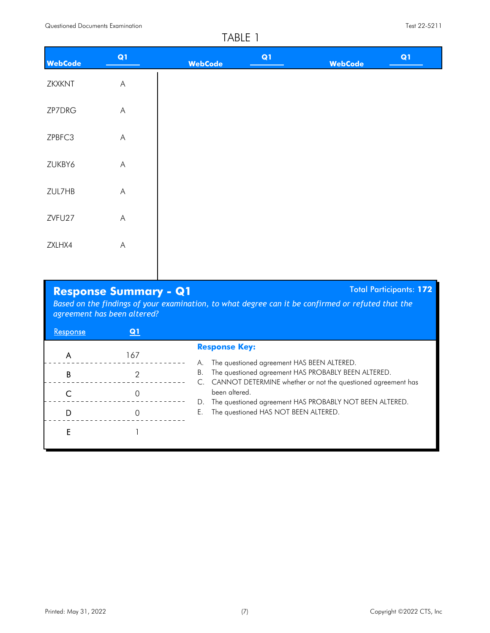| <b>WebCode</b> | Q1                                                                                                     | <b>WebCode</b> | Q1 | <b>WebCode</b> | Q1 |
|----------------|--------------------------------------------------------------------------------------------------------|----------------|----|----------------|----|
| ZKXKNT         | $\boldsymbol{\mathsf{A}}$                                                                              |                |    |                |    |
| ZP7DRG         | $\mathsf{A}$                                                                                           |                |    |                |    |
| ZPBFC3         | $\mathsf{A}% _{\mathsf{A}}^{\prime}=\mathsf{A}_{\mathsf{A}}^{\prime}$                                  |                |    |                |    |
| ZUKBY6         | $\mathsf{A}% _{\mathsf{A}}^{\prime}=\mathsf{A}_{\mathsf{A}}^{\prime}=\mathsf{A}_{\mathsf{A}}^{\prime}$ |                |    |                |    |
| ZUL7HB         | $\mathsf{A}% _{\mathsf{A}}^{\prime}=\mathsf{A}_{\mathsf{A}}^{\prime}=\mathsf{A}_{\mathsf{A}}^{\prime}$ |                |    |                |    |
| ZVFU27         | $\boldsymbol{\mathsf{A}}$                                                                              |                |    |                |    |
| ZXLHX4         | $\boldsymbol{\mathsf{A}}$                                                                              |                |    |                |    |
|                |                                                                                                        |                |    |                |    |

## **Response Summary - Q1** Total Participants: 172

*Based on the findings of your examination, to what degree can it be confirmed or refuted that the agreement has been altered?*

| <b>Kesponse</b> | Q <sub>1</sub> |                                                                                                                                                   |
|-----------------|----------------|---------------------------------------------------------------------------------------------------------------------------------------------------|
| Α<br>В          | 167            | <b>Response Key:</b><br>The questioned agreement HAS BEEN ALTERED.<br>А.<br>The questioned agreement HAS PROBABLY BEEN ALTERED.<br>В.             |
|                 |                | C. CANNOT DETERMINE whether or not the questioned agreement has<br>been altered.<br>The questioned agreement HAS PROBABLY NOT BEEN ALTERED.<br>D. |
| D               |                | The questioned HAS NOT BEEN ALTERED.<br>Е.                                                                                                        |
|                 |                |                                                                                                                                                   |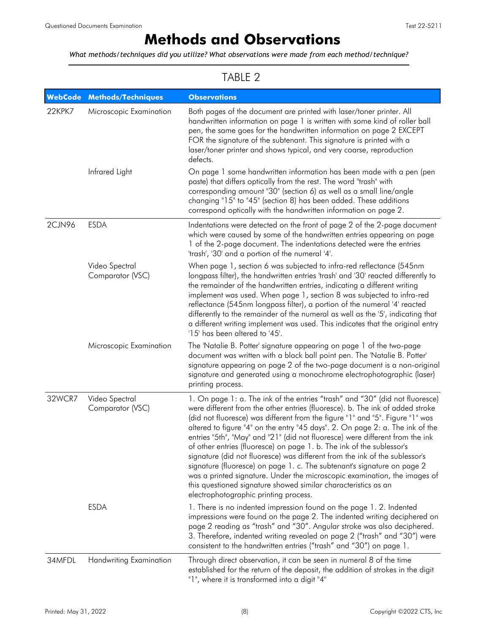# **Methods and Observations**

<span id="page-7-0"></span>*What methods/techniques did you utilize? What observations were made from each method/technique?*

| <b>WebCode</b> | <b>Methods/Techniques</b>          | <b>Observations</b>                                                                                                                                                                                                                                                                                                                                                                                                                                                                                                                                                                                                                                                                                                                                                                                                                         |
|----------------|------------------------------------|---------------------------------------------------------------------------------------------------------------------------------------------------------------------------------------------------------------------------------------------------------------------------------------------------------------------------------------------------------------------------------------------------------------------------------------------------------------------------------------------------------------------------------------------------------------------------------------------------------------------------------------------------------------------------------------------------------------------------------------------------------------------------------------------------------------------------------------------|
| 22KPK7         | Microscopic Examination            | Both pages of the document are printed with laser/toner printer. All<br>handwritten information on page 1 is written with some kind of roller ball<br>pen, the same goes for the handwritten information on page 2 EXCEPT<br>FOR the signature of the subtenant. This signature is printed with a<br>laser/toner printer and shows typical, and very coarse, reproduction<br>defects.                                                                                                                                                                                                                                                                                                                                                                                                                                                       |
|                | Infrared Light                     | On page 1 some handwritten information has been made with a pen (pen<br>paste) that differs optically from the rest. The word "trash" with<br>corresponding amount "30" (section 6) as well as a small line/angle<br>changing "15" to "45" (section 8) has been added. These additions<br>correspond optically with the handwritten information on page 2.                                                                                                                                                                                                                                                                                                                                                                                                                                                                                  |
| 2CJN96         | <b>ESDA</b>                        | Indentations were detected on the front of page 2 of the 2-page document<br>which were caused by some of the handwritten entries appearing on page<br>1 of the 2-page document. The indentations detected were the entries<br>'trash', '30' and a portion of the numeral '4'.                                                                                                                                                                                                                                                                                                                                                                                                                                                                                                                                                               |
|                | Video Spectral<br>Comparator (VSC) | When page 1, section 6 was subjected to infra-red reflectance (545nm<br>longpass filter), the handwritten entries 'trash' and '30' reacted differently to<br>the remainder of the handwritten entries, indicating a different writing<br>implement was used. When page 1, section 8 was subjected to infra-red<br>reflectance (545nm longpass filter), a portion of the numeral '4' reacted<br>differently to the remainder of the numeral as well as the '5', indicating that<br>a different writing implement was used. This indicates that the original entry<br>'15' has been altered to '45'.                                                                                                                                                                                                                                          |
|                | Microscopic Examination            | The 'Natalie B. Potter' signature appearing on page 1 of the two-page<br>document was written with a black ball point pen. The 'Natalie B. Potter'<br>signature appearing on page 2 of the two-page document is a non-original<br>signature and generated using a monochrome electrophotographic (laser)<br>printing process.                                                                                                                                                                                                                                                                                                                                                                                                                                                                                                               |
| 32WCR7         | Video Spectral<br>Comparator (VSC) | 1. On page 1: a. The ink of the entries "trash" and "30" (did not fluoresce)<br>were different from the other entries (fluoresce). b. The ink of added stroke<br>(did not fluoresce) was different from the figure "1" and "5". Figure "1" was<br>altered to figure "4" on the entry "45 days". 2. On page 2: a. The ink of the<br>entries "5th", "May" and "21" (did not fluoresce) were different from the ink<br>of other entries (fluoresce) on page 1. b. The ink of the sublessor's<br>signature (did not fluoresce) was different from the ink of the sublessor's<br>signature (fluoresce) on page 1. c. The subtenant's signature on page 2<br>was a printed signature. Under the microscopic examination, the images of<br>this questioned signature showed similar characteristics as an<br>electrophotographic printing process. |
|                | <b>ESDA</b>                        | 1. There is no indented impression found on the page 1. 2. Indented<br>impressions were found on the page 2. The indented writing deciphered on<br>page 2 reading as "trash" and "30". Angular stroke was also deciphered.<br>3. Therefore, indented writing revealed on page 2 ("trash" and "30") were<br>consistent to the handwritten entries ("trash" and "30") on page 1.                                                                                                                                                                                                                                                                                                                                                                                                                                                              |
| 34MFDL         | <b>Handwriting Examination</b>     | Through direct observation, it can be seen in numeral 8 of the time<br>established for the return of the deposit, the addition of strokes in the digit<br>"1", where it is transformed into a digit "4"                                                                                                                                                                                                                                                                                                                                                                                                                                                                                                                                                                                                                                     |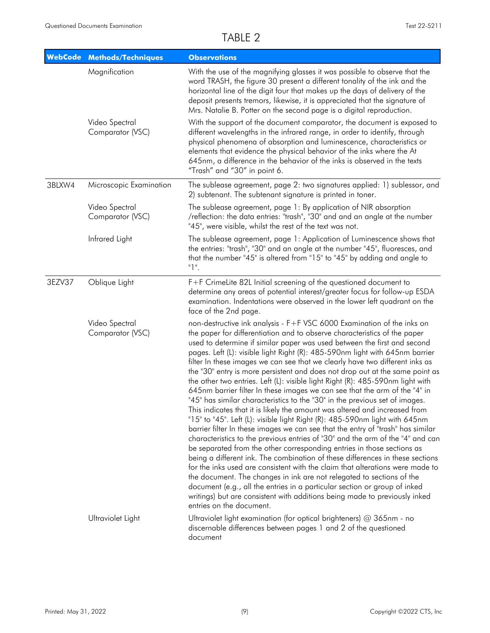| <b>WebCode</b> | <b>Methods/Techniques</b>          | <b>Observations</b>                                                                                                                                                                                                                                                                                                                                                                                                                                                                                                                                                                                                                                                                                                                                                                                                                                                                                                                                                                                                                                                                                                                                                                                                                                                                                                                                                                                                                                                                                                                                                          |
|----------------|------------------------------------|------------------------------------------------------------------------------------------------------------------------------------------------------------------------------------------------------------------------------------------------------------------------------------------------------------------------------------------------------------------------------------------------------------------------------------------------------------------------------------------------------------------------------------------------------------------------------------------------------------------------------------------------------------------------------------------------------------------------------------------------------------------------------------------------------------------------------------------------------------------------------------------------------------------------------------------------------------------------------------------------------------------------------------------------------------------------------------------------------------------------------------------------------------------------------------------------------------------------------------------------------------------------------------------------------------------------------------------------------------------------------------------------------------------------------------------------------------------------------------------------------------------------------------------------------------------------------|
|                | Magnification                      | With the use of the magnifying glasses it was possible to observe that the<br>word TRASH, the figure 30 present a different tonality of the ink and the<br>horizontal line of the digit four that makes up the days of delivery of the<br>deposit presents tremors, likewise, it is appreciated that the signature of<br>Mrs. Natalie B. Potter on the second page is a digital reproduction.                                                                                                                                                                                                                                                                                                                                                                                                                                                                                                                                                                                                                                                                                                                                                                                                                                                                                                                                                                                                                                                                                                                                                                                |
|                | Video Spectral<br>Comparator (VSC) | With the support of the document comparator, the document is exposed to<br>different wavelengths in the infrared range, in order to identify, through<br>physical phenomena of absorption and luminescence, characteristics or<br>elements that evidence the physical behavior of the inks where the At<br>645nm, a difference in the behavior of the inks is observed in the texts<br>"Trash" and "30" in point 6.                                                                                                                                                                                                                                                                                                                                                                                                                                                                                                                                                                                                                                                                                                                                                                                                                                                                                                                                                                                                                                                                                                                                                          |
| 3BLXW4         | Microscopic Examination            | The sublease agreement, page 2: two signatures applied: 1) sublessor, and<br>2) subtenant. The subtenant signature is printed in toner.                                                                                                                                                                                                                                                                                                                                                                                                                                                                                                                                                                                                                                                                                                                                                                                                                                                                                                                                                                                                                                                                                                                                                                                                                                                                                                                                                                                                                                      |
|                | Video Spectral<br>Comparator (VSC) | The sublease agreement, page 1: By application of NIR absorption<br>/reflection: the data entries: "trash", "30" and and an angle at the number<br>"45", were visible, whilst the rest of the text was not.                                                                                                                                                                                                                                                                                                                                                                                                                                                                                                                                                                                                                                                                                                                                                                                                                                                                                                                                                                                                                                                                                                                                                                                                                                                                                                                                                                  |
|                | Infrared Light                     | The sublease agreement, page 1: Application of Luminescence shows that<br>the entries: "trash", "30" and an angle at the number "45", fluoresces, and<br>that the number "45" is altered from "15" to "45" by adding and angle to<br>"1".                                                                                                                                                                                                                                                                                                                                                                                                                                                                                                                                                                                                                                                                                                                                                                                                                                                                                                                                                                                                                                                                                                                                                                                                                                                                                                                                    |
| 3EZV37         | Oblique Light                      | F+F CrimeLite 82L Initial screening of the questioned document to<br>determine any areas of potential interest/greater focus for follow-up ESDA<br>examination. Indentations were observed in the lower left quadrant on the<br>face of the 2nd page.                                                                                                                                                                                                                                                                                                                                                                                                                                                                                                                                                                                                                                                                                                                                                                                                                                                                                                                                                                                                                                                                                                                                                                                                                                                                                                                        |
|                | Video Spectral<br>Comparator (VSC) | non-destructive ink analysis - F+F VSC 6000 Examination of the inks on<br>the paper for differentiation and to observe characteristics of the paper<br>used to determine if similar paper was used between the first and second<br>pages. Left (L): visible light Right (R): 485-590nm light with 645nm barrier<br>filter In these images we can see that we clearly have two different inks as<br>the "30" entry is more persistent and does not drop out at the same point as<br>the other two entries. Left (L): visible light Right (R): 485-590nm light with<br>645nm barrier filter In these images we can see that the arm of the "4" in<br>"45" has similar characteristics to the "30" in the previous set of images.<br>This indicates that it is likely the amount was altered and increased from<br>"15" to "45". Left (L): visible light Right (R): 485-590nm light with 645nm<br>barrier filter In these images we can see that the entry of "trash" has similar<br>characteristics to the previous entries of "30" and the arm of the "4" and can<br>be separated from the other corresponding entries in those sections as<br>being a different ink. The combination of these differences in these sections<br>for the inks used are consistent with the claim that alterations were made to<br>the document. The changes in ink are not relegated to sections of the<br>document (e.g., all the entries in a particular section or group of inked<br>writings) but are consistent with additions being made to previously inked<br>entries on the document. |
|                | Ultraviolet Light                  | Ultraviolet light examination (for optical brighteners) $@365$ nm - no<br>discernable differences between pages 1 and 2 of the questioned<br>document                                                                                                                                                                                                                                                                                                                                                                                                                                                                                                                                                                                                                                                                                                                                                                                                                                                                                                                                                                                                                                                                                                                                                                                                                                                                                                                                                                                                                        |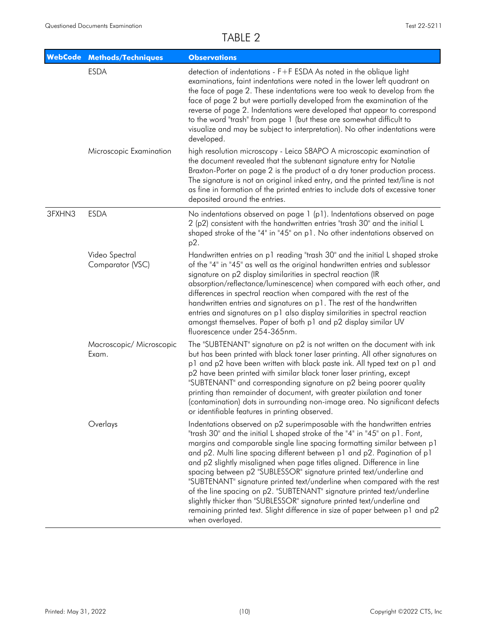| <b>WebCode</b> | <b>Methods/Techniques</b>          | <b>Observations</b>                                                                                                                                                                                                                                                                                                                                                                                                                                                                                                                                                                                                                                                                                                                                                                                 |
|----------------|------------------------------------|-----------------------------------------------------------------------------------------------------------------------------------------------------------------------------------------------------------------------------------------------------------------------------------------------------------------------------------------------------------------------------------------------------------------------------------------------------------------------------------------------------------------------------------------------------------------------------------------------------------------------------------------------------------------------------------------------------------------------------------------------------------------------------------------------------|
|                | <b>ESDA</b>                        | detection of indentations - F+F ESDA As noted in the oblique light<br>examinations, faint indentations were noted in the lower left quadrant on<br>the face of page 2. These indentations were too weak to develop from the<br>face of page 2 but were partially developed from the examination of the<br>reverse of page 2. Indentations were developed that appear to correspond<br>to the word "trash" from page 1 (but these are somewhat difficult to<br>visualize and may be subject to interpretation). No other indentations were<br>developed.                                                                                                                                                                                                                                             |
|                | Microscopic Examination            | high resolution microscopy - Leica S8APO A microscopic examination of<br>the document revealed that the subtenant signature entry for Natalie<br>Braxton-Porter on page 2 is the product of a dry toner production process.<br>The signature is not an original inked entry, and the printed text/line is not<br>as fine in formation of the printed entries to include dots of excessive toner<br>deposited around the entries.                                                                                                                                                                                                                                                                                                                                                                    |
| 3FXHN3         | <b>ESDA</b>                        | No indentations observed on page 1 (p1). Indentations observed on page<br>2 (p2) consistent with the handwritten entries "trash 30" and the initial L<br>shaped stroke of the "4" in "45" on p1. No other indentations observed on<br>p2.                                                                                                                                                                                                                                                                                                                                                                                                                                                                                                                                                           |
|                | Video Spectral<br>Comparator (VSC) | Handwritten entries on p1 reading "trash 30" and the initial L shaped stroke<br>of the "4" in "45" as well as the original handwritten entries and sublessor<br>signature on p2 display similarities in spectral reaction (IR<br>absorption/reflectance/luminescence) when compared with each other, and<br>differences in spectral reaction when compared with the rest of the<br>handwritten entries and signatures on p1. The rest of the handwritten<br>entries and signatures on p1 also display similarities in spectral reaction<br>amongst themselves. Paper of both p1 and p2 display similar UV<br>fluorescence under 254-365nm.                                                                                                                                                          |
|                | Macroscopic/ Microscopic<br>Exam.  | The "SUBTENANT" signature on p2 is not written on the document with ink<br>but has been printed with black toner laser printing. All other signatures on<br>p1 and p2 have been written with black paste ink. All typed text on p1 and<br>p2 have been printed with similar black toner laser printing, except<br>"SUBTENANT" and corresponding signature on p2 being poorer quality<br>printing than remainder of document, with greater pixilation and toner<br>(contamination) dots in surrounding non-image area. No significant defects<br>or identifiable features in printing observed.                                                                                                                                                                                                      |
|                | Overlays                           | Indentations observed on p2 superimposable with the handwritten entries<br>"trash 30" and the initial L shaped stroke of the "4" in "45" on p1. Font,<br>margins and comparable single line spacing formatting similar between p1<br>and p2. Multi line spacing different between p1 and p2. Pagination of p1<br>and p2 slightly misaligned when page titles aligned. Difference in line<br>spacing between p2 "SUBLESSOR" signature printed text/underline and<br>"SUBTENANT" signature printed text/underline when compared with the rest<br>of the line spacing on p2. "SUBTENANT" signature printed text/underline<br>slightly thicker than "SUBLESSOR" signature printed text/underline and<br>remaining printed text. Slight difference in size of paper between p1 and p2<br>when overlayed. |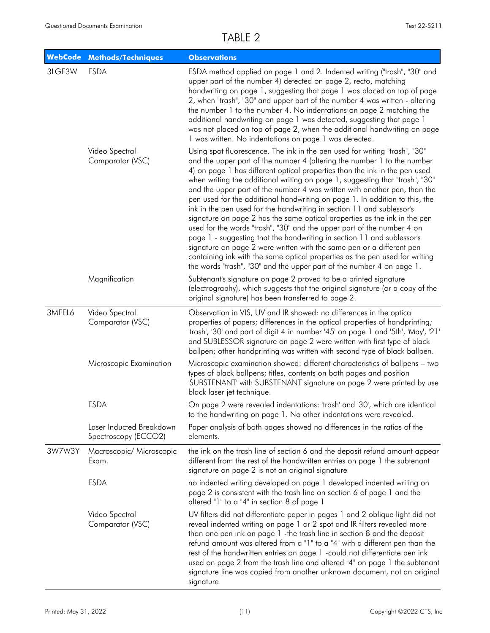|        | <b>WebCode Methods/Techniques</b>                | <b>Observations</b>                                                                                                                                                                                                                                                                                                                                                                                                                                                                                                                                                                                                                                                                                                                                                                                                                                                                                                                                                                                                        |
|--------|--------------------------------------------------|----------------------------------------------------------------------------------------------------------------------------------------------------------------------------------------------------------------------------------------------------------------------------------------------------------------------------------------------------------------------------------------------------------------------------------------------------------------------------------------------------------------------------------------------------------------------------------------------------------------------------------------------------------------------------------------------------------------------------------------------------------------------------------------------------------------------------------------------------------------------------------------------------------------------------------------------------------------------------------------------------------------------------|
| 3LGF3W | <b>ESDA</b>                                      | ESDA method applied on page 1 and 2. Indented writing ("trash", "30" and<br>upper part of the number 4) detected on page 2, recto, matching<br>handwriting on page 1, suggesting that page 1 was placed on top of page<br>2, when "trash", "30" and upper part of the number 4 was written - altering<br>the number 1 to the number 4. No indentations on page 2 matching the<br>additional handwriting on page 1 was detected, suggesting that page 1<br>was not placed on top of page 2, when the additional handwriting on page<br>1 was written. No indentations on page 1 was detected.                                                                                                                                                                                                                                                                                                                                                                                                                               |
|        | Video Spectral<br>Comparator (VSC)               | Using spot fluorescence. The ink in the pen used for writing "trash", "30"<br>and the upper part of the number 4 (altering the number 1 to the number<br>4) on page 1 has different optical properties than the ink in the pen used<br>when writing the additional writing on page 1, suggesting that "trash", "30"<br>and the upper part of the number 4 was written with another pen, than the<br>pen used for the additional handwriting on page 1. In addition to this, the<br>ink in the pen used for the handwriting in section 11 and sublessor's<br>signature on page 2 has the same optical properties as the ink in the pen<br>used for the words "trash", "30" and the upper part of the number 4 on<br>page 1 - suggesting that the handwriting in section 11 and sublessor's<br>signature on page 2 were written with the same pen or a different pen<br>containing ink with the same optical properties as the pen used for writing<br>the words "trash", "30" and the upper part of the number 4 on page 1. |
|        | Magnification                                    | Subtenant's signature on page 2 proved to be a printed signature<br>(electrography), which suggests that the original signature (or a copy of the<br>original signature) has been transferred to page 2.                                                                                                                                                                                                                                                                                                                                                                                                                                                                                                                                                                                                                                                                                                                                                                                                                   |
| 3MFEL6 | Video Spectral<br>Comparator (VSC)               | Observation in VIS, UV and IR showed: no differences in the optical<br>properties of papers; differences in the optical properties of handprinting;<br>'trash', '30' and part of digit 4 in number '45' on page 1 and '5th', 'May', '21'<br>and SUBLESSOR signature on page 2 were written with first type of black<br>ballpen; other handprinting was written with second type of black ballpen.                                                                                                                                                                                                                                                                                                                                                                                                                                                                                                                                                                                                                          |
|        | Microscopic Examination                          | Microscopic examination showed: different characteristics of ballpens - two<br>types of black ballpens; titles, contents on both pages and position<br>'SUBSTENANT' with SUBSTENANT signature on page 2 were printed by use<br>black laser jet technique.                                                                                                                                                                                                                                                                                                                                                                                                                                                                                                                                                                                                                                                                                                                                                                  |
|        | <b>ESDA</b>                                      | On page 2 were revealed indentations: 'trash' and '30', which are identical<br>to the handwriting on page 1. No other indentations were revealed.                                                                                                                                                                                                                                                                                                                                                                                                                                                                                                                                                                                                                                                                                                                                                                                                                                                                          |
|        | Laser Inducted Breakdown<br>Spectroscopy (ECCO2) | Paper analysis of both pages showed no differences in the ratios of the<br>elements.                                                                                                                                                                                                                                                                                                                                                                                                                                                                                                                                                                                                                                                                                                                                                                                                                                                                                                                                       |
| 3W7W3Y | Macroscopic/ Microscopic<br>Exam.                | the ink on the trash line of section 6 and the deposit refund amount appear<br>different from the rest of the handwritten entries on page 1 the subtenant<br>signature on page 2 is not an original signature                                                                                                                                                                                                                                                                                                                                                                                                                                                                                                                                                                                                                                                                                                                                                                                                              |
|        | <b>ESDA</b>                                      | no indented writing developed on page 1 developed indented writing on<br>page 2 is consistent with the trash line on section 6 of page 1 and the<br>altered "1" to a "4" in section 8 of page 1                                                                                                                                                                                                                                                                                                                                                                                                                                                                                                                                                                                                                                                                                                                                                                                                                            |
|        | Video Spectral<br>Comparator (VSC)               | UV filters did not differentiate paper in pages 1 and 2 oblique light did not<br>reveal indented writing on page 1 or 2 spot and IR filters revealed more<br>than one pen ink on page 1 -the trash line in section 8 and the deposit<br>refund amount was altered from a "1" to a "4" with a different pen than the<br>rest of the handwritten entries on page 1 - could not differentiate pen ink<br>used on page 2 from the trash line and altered "4" on page 1 the subtenant<br>signature line was copied from another unknown document, not an original<br>signature                                                                                                                                                                                                                                                                                                                                                                                                                                                  |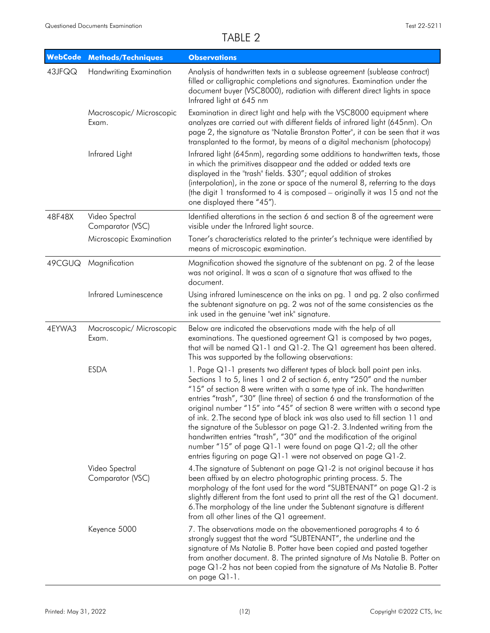| <b>WebCode</b> | <b>Methods/Techniques</b>          | <b>Observations</b>                                                                                                                                                                                                                                                                                                                                                                                                                                                                                                                                                                                                                                                                                                                                                              |
|----------------|------------------------------------|----------------------------------------------------------------------------------------------------------------------------------------------------------------------------------------------------------------------------------------------------------------------------------------------------------------------------------------------------------------------------------------------------------------------------------------------------------------------------------------------------------------------------------------------------------------------------------------------------------------------------------------------------------------------------------------------------------------------------------------------------------------------------------|
| 43JFQQ         | <b>Handwriting Examination</b>     | Analysis of handwritten texts in a sublease agreement (sublease contract)<br>filled or calligraphic completions and signatures. Examination under the<br>document buyer (VSC8000), radiation with different direct lights in space<br>Infrared light at 645 nm                                                                                                                                                                                                                                                                                                                                                                                                                                                                                                                   |
|                | Macroscopic/ Microscopic<br>Exam.  | Examination in direct light and help with the VSC8000 equipment where<br>analyzes are carried out with different fields of infrared light (645nm). On<br>page 2, the signature as "Natalie Branston Potter", it can be seen that it was<br>transplanted to the format, by means of a digital mechanism (photocopy)                                                                                                                                                                                                                                                                                                                                                                                                                                                               |
|                | Infrared Light                     | Infrared light (645nm), regarding some additions to handwritten texts, those<br>in which the primitives disappear and the added or added texts are<br>displayed in the "trash" fields. \$30"; equal addition of strokes<br>(interpolation), in the zone or space of the numeral 8, referring to the days<br>(the digit 1 transformed to 4 is composed – originally it was 15 and not the<br>one displayed there "45").                                                                                                                                                                                                                                                                                                                                                           |
| 48F48X         | Video Spectral<br>Comparator (VSC) | Identified alterations in the section 6 and section 8 of the agreement were<br>visible under the Infrared light source.                                                                                                                                                                                                                                                                                                                                                                                                                                                                                                                                                                                                                                                          |
|                | Microscopic Examination            | Toner's characteristics related to the printer's technique were identified by<br>means of microscopic examination.                                                                                                                                                                                                                                                                                                                                                                                                                                                                                                                                                                                                                                                               |
| 49CGUQ         | Magnification                      | Magnification showed the signature of the subtenant on pg. 2 of the lease<br>was not original. It was a scan of a signature that was affixed to the<br>document.                                                                                                                                                                                                                                                                                                                                                                                                                                                                                                                                                                                                                 |
|                | Infrared Luminescence              | Using infrared luminescence on the inks on pg. 1 and pg. 2 also confirmed<br>the subtenant signature on pg. 2 was not of the same consistencies as the<br>ink used in the genuine "wet ink" signature.                                                                                                                                                                                                                                                                                                                                                                                                                                                                                                                                                                           |
| 4EYWA3         | Macroscopic/ Microscopic<br>Exam.  | Below are indicated the observations made with the help of all<br>examinations. The questioned agreement Q1 is composed by two pages,<br>that will be named $Q1-1$ and $Q1-2$ . The $Q1$ agreement has been altered.<br>This was supported by the following observations:                                                                                                                                                                                                                                                                                                                                                                                                                                                                                                        |
|                | <b>ESDA</b>                        | 1. Page Q1-1 presents two different types of black ball point pen inks.<br>Sections 1 to 5, lines 1 and 2 of section 6, entry "250" and the number<br>"15" of section 8 were written with a same type of ink. The handwritten<br>entries "trash", "30" (line three) of section 6 and the transformation of the<br>original number "15" into "45" of section 8 were written with a second type<br>of ink. 2. The second type of black ink was also used to fill section 11 and<br>the signature of the Sublessor on page $Q1-2$ . 3. Indented writing from the<br>handwritten entries "trash", "30" and the modification of the original<br>number "15" of page $Q1-1$ were found on page $Q1-2$ ; all the other<br>entries figuring on page Q1-1 were not observed on page Q1-2. |
|                | Video Spectral<br>Comparator (VSC) | 4. The signature of Subtenant on page Q1-2 is not original because it has<br>been affixed by an electro photographic printing process. 5. The<br>morphology of the font used for the word "SUBTENANT" on page Q1-2 is<br>slightly different from the font used to print all the rest of the Q1 document.<br>6. The morphology of the line under the Subtenant signature is different<br>from all other lines of the Q1 agreement.                                                                                                                                                                                                                                                                                                                                                |
|                | Keyence 5000                       | 7. The observations made on the abovementioned paragraphs 4 to 6<br>strongly suggest that the word "SUBTENANT", the underline and the<br>signature of Ms Natalie B. Potter have been copied and pasted together<br>from another document. 8. The printed signature of Ms Natalie B. Potter on<br>page $Q1-2$ has not been copied from the signature of Ms Natalie B. Potter<br>on page Q1-1.                                                                                                                                                                                                                                                                                                                                                                                     |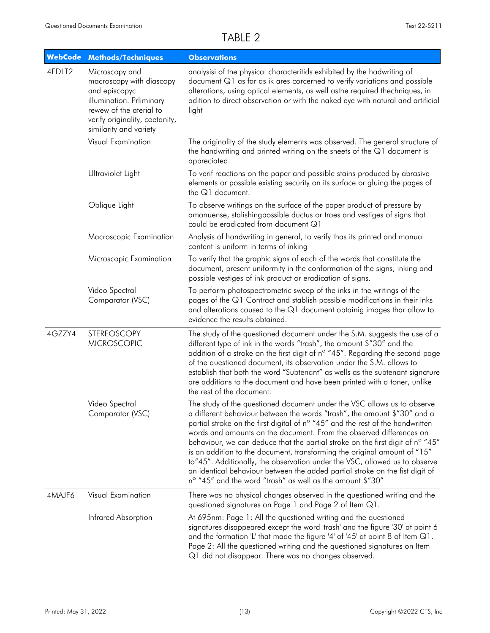| <b>WebCode</b> | <b>Methods/Techniques</b>                                                                                                                                                      | <b>Observations</b>                                                                                                                                                                                                                                                                                                                                                                                                                                                                                                                                                                                                                                                                                   |
|----------------|--------------------------------------------------------------------------------------------------------------------------------------------------------------------------------|-------------------------------------------------------------------------------------------------------------------------------------------------------------------------------------------------------------------------------------------------------------------------------------------------------------------------------------------------------------------------------------------------------------------------------------------------------------------------------------------------------------------------------------------------------------------------------------------------------------------------------------------------------------------------------------------------------|
| 4FDLT2         | Microscopy and<br>macroscopy with diascopy<br>and episcopyc<br>illumination. Prliminary<br>rewew of the aterial to<br>verify originality, coetanity,<br>similarity and variety | analysisi of the physical characteritids exhibited by the hadwriting of<br>document Q1 as far as ik ares corcerned to verify variations and possible<br>alterations, using optical elements, as well asthe required thechniques, in<br>adition to direct observation or with the naked eye with natural and artificial<br>light                                                                                                                                                                                                                                                                                                                                                                       |
|                | Visual Examination                                                                                                                                                             | The originality of the study elements was observed. The general structure of<br>the handwriting and printed writing on the sheets of the Q1 document is<br>appreciated.                                                                                                                                                                                                                                                                                                                                                                                                                                                                                                                               |
|                | Ultraviolet Light                                                                                                                                                              | To verif reactions on the paper and possible stains produced by abrasive<br>elements or possible existing security on its surface or gluing the pages of<br>the Q1 document.                                                                                                                                                                                                                                                                                                                                                                                                                                                                                                                          |
|                | Oblique Light                                                                                                                                                                  | To observe writings on the surface of the paper product of pressure by<br>amanuense, stalishingpossible ductus or traes and vestiges of signs that<br>could be eradicated from document Q1                                                                                                                                                                                                                                                                                                                                                                                                                                                                                                            |
|                | Macroscopic Examination                                                                                                                                                        | Analysis of handwriting in general, to verify thas its printed and manual<br>content is uniform in terms of inking                                                                                                                                                                                                                                                                                                                                                                                                                                                                                                                                                                                    |
|                | Microscopic Examination                                                                                                                                                        | To verify that the graphic signs of each of the words that constitute the<br>document, present uniformity in the conformation of the signs, inking and<br>possible vestiges of ink product or eradication of signs.                                                                                                                                                                                                                                                                                                                                                                                                                                                                                   |
|                | Video Spectral<br>Comparator (VSC)                                                                                                                                             | To perform photospectrometric sweep of the inks in the writings of the<br>pages of the Q1 Contract and stablish possible modifications in their inks<br>and alterations caused to the Q1 document obtainig images thar allow to<br>evidence the results obtained.                                                                                                                                                                                                                                                                                                                                                                                                                                     |
| 4GZZY4         | <b>STEREOSCOPY</b><br><b>MICROSCOPIC</b>                                                                                                                                       | The study of the questioned document under the S.M. suggests the use of a<br>different type of ink in the words "trash", the amount \$"30" and the<br>addition of a stroke on the first digit of n° "45". Regarding the second page<br>of the questioned document, its observation under the S.M. allows to<br>establish that both the word "Subtenant" as wells as the subtenant signature<br>are additions to the document and have been printed with a toner, unlike<br>the rest of the document.                                                                                                                                                                                                  |
|                | Video Spectral<br>Comparator (VSC)                                                                                                                                             | The study of the questioned document under the VSC allows us to observe<br>a different behaviour between the words "trash", the amount \$"30" and a<br>partial stroke on the first digital of n° "45" and the rest of the handwritten<br>words and amounts on the document. From the observed differences on<br>behaviour, we can deduce that the partial stroke on the first digit of n° "45"<br>is an addition to the document, transforming the original amount of "15"<br>to"45". Additionally, the observation under the VSC, allowed us to observe<br>an identical behaviour between the added partial stroke on the fist digit of<br>nº "45" and the word "trash" as well as the amount \$"30" |
| 4MAJF6         | Visual Examination                                                                                                                                                             | There was no physical changes observed in the questioned writing and the<br>questioned signatures on Page 1 and Page 2 of Item Q1.                                                                                                                                                                                                                                                                                                                                                                                                                                                                                                                                                                    |
|                | Infrared Absorption                                                                                                                                                            | At 695nm: Page 1: All the questioned writing and the questioned<br>signatures disappeared except the word 'trash' and the figure '30' at point 6<br>and the formation 'L' that made the figure '4' of '45' at point 8 of Item Q1.<br>Page 2: All the questioned writing and the questioned signatures on Item<br>Q1 did not disappear. There was no changes observed.                                                                                                                                                                                                                                                                                                                                 |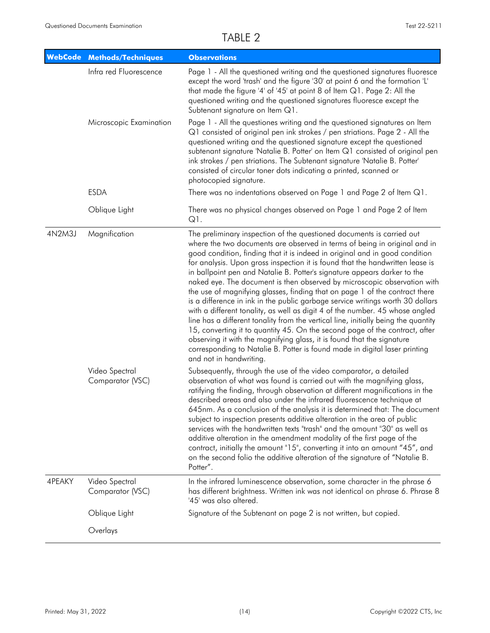|        | <b>WebCode Methods/Techniques</b>  | <b>Observations</b>                                                                                                                                                                                                                                                                                                                                                                                                                                                                                                                                                                                                                                                                                                                                                                                                                                                                                                                                                                                                                                                                 |
|--------|------------------------------------|-------------------------------------------------------------------------------------------------------------------------------------------------------------------------------------------------------------------------------------------------------------------------------------------------------------------------------------------------------------------------------------------------------------------------------------------------------------------------------------------------------------------------------------------------------------------------------------------------------------------------------------------------------------------------------------------------------------------------------------------------------------------------------------------------------------------------------------------------------------------------------------------------------------------------------------------------------------------------------------------------------------------------------------------------------------------------------------|
|        | Infra red Fluorescence             | Page 1 - All the questioned writing and the questioned signatures fluoresce<br>except the word 'trash' and the figure '30' at point 6 and the formation 'L'<br>that made the figure '4' of '45' at point 8 of Item Q1. Page 2: All the<br>questioned writing and the questioned signatures fluoresce except the<br>Subtenant signature on Item Q1.                                                                                                                                                                                                                                                                                                                                                                                                                                                                                                                                                                                                                                                                                                                                  |
|        | Microscopic Examination            | Page 1 - All the questiones writing and the questioned signatures on Item<br>Q1 consisted of original pen ink strokes / pen striations. Page 2 - All the<br>questioned writing and the questioned signature except the questioned<br>subtenant signature 'Natalie B. Potter' on Item Q1 consisted of original pen<br>ink strokes / pen striations. The Subtenant signature 'Natalie B. Potter'<br>consisted of circular toner dots indicating a printed, scanned or<br>photocopied signature.                                                                                                                                                                                                                                                                                                                                                                                                                                                                                                                                                                                       |
|        | <b>ESDA</b>                        | There was no indentations observed on Page 1 and Page 2 of Item Q1.                                                                                                                                                                                                                                                                                                                                                                                                                                                                                                                                                                                                                                                                                                                                                                                                                                                                                                                                                                                                                 |
|        | Oblique Light                      | There was no physical changes observed on Page 1 and Page 2 of Item<br>Q1.                                                                                                                                                                                                                                                                                                                                                                                                                                                                                                                                                                                                                                                                                                                                                                                                                                                                                                                                                                                                          |
| 4N2M3J | Magnification                      | The preliminary inspection of the questioned documents is carried out<br>where the two documents are observed in terms of being in original and in<br>good condition, finding that it is indeed in original and in good condition<br>for analysis. Upon gross inspection it is found that the handwritten lease is<br>in ballpoint pen and Natalie B. Potter's signature appears darker to the<br>naked eye. The document is then observed by microscopic observation with<br>the use of magnifying glasses, finding that on page 1 of the contract there<br>is a difference in ink in the public garbage service writings worth 30 dollars<br>with a different tonality, as well as digit 4 of the number. 45 whose angled<br>line has a different tonality from the vertical line, initially being the quantity<br>15, converting it to quantity 45. On the second page of the contract, after<br>observing it with the magnifying glass, it is found that the signature<br>corresponding to Natalie B. Potter is found made in digital laser printing<br>and not in handwriting. |
|        | Video Spectral<br>Comparator (VSC) | Subsequently, through the use of the video comparator, a detailed<br>observation of what was found is carried out with the magnifying glass,<br>ratifying the finding, through observation at different magnifications in the<br>described areas and also under the infrared fluorescence technique at<br>645nm. As a conclusion of the analysis it is determined that: The document<br>subject to inspection presents additive alteration in the area of public<br>services with the handwritten texts "trash" and the amount "30" as well as<br>additive alteration in the amendment modality of the first page of the<br>contract, initially the amount "15", converting it into an amount "45", and<br>on the second folio the additive alteration of the signature of "Natalie B.<br>Potter".                                                                                                                                                                                                                                                                                  |
| 4PEAKY | Video Spectral<br>Comparator (VSC) | In the infrared luminescence observation, some character in the phrase 6<br>has different brightness. Written ink was not identical on phrase 6. Phrase 8<br>'45' was also altered.                                                                                                                                                                                                                                                                                                                                                                                                                                                                                                                                                                                                                                                                                                                                                                                                                                                                                                 |
|        | Oblique Light                      | Signature of the Subtenant on page 2 is not written, but copied.                                                                                                                                                                                                                                                                                                                                                                                                                                                                                                                                                                                                                                                                                                                                                                                                                                                                                                                                                                                                                    |
|        | Overlays                           |                                                                                                                                                                                                                                                                                                                                                                                                                                                                                                                                                                                                                                                                                                                                                                                                                                                                                                                                                                                                                                                                                     |
|        |                                    |                                                                                                                                                                                                                                                                                                                                                                                                                                                                                                                                                                                                                                                                                                                                                                                                                                                                                                                                                                                                                                                                                     |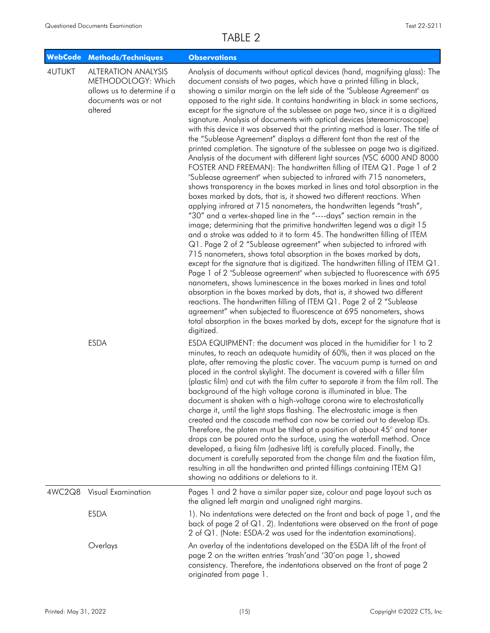| <b>WebCode</b> | <b>Methods/Techniques</b>                                                                                          | <b>Observations</b>                                                                                                                                                                                                                                                                                                                                                                                                                                                                                                                                                                                                                                                                                                                                                                                                                                                                                                                                                                                                                                                                                                                                                                                                                                                                                                                                                                                                                                                                                                                                                                                                                                                                                                                                                                                                                                                                                                                                                                                                                                                                                                                            |
|----------------|--------------------------------------------------------------------------------------------------------------------|------------------------------------------------------------------------------------------------------------------------------------------------------------------------------------------------------------------------------------------------------------------------------------------------------------------------------------------------------------------------------------------------------------------------------------------------------------------------------------------------------------------------------------------------------------------------------------------------------------------------------------------------------------------------------------------------------------------------------------------------------------------------------------------------------------------------------------------------------------------------------------------------------------------------------------------------------------------------------------------------------------------------------------------------------------------------------------------------------------------------------------------------------------------------------------------------------------------------------------------------------------------------------------------------------------------------------------------------------------------------------------------------------------------------------------------------------------------------------------------------------------------------------------------------------------------------------------------------------------------------------------------------------------------------------------------------------------------------------------------------------------------------------------------------------------------------------------------------------------------------------------------------------------------------------------------------------------------------------------------------------------------------------------------------------------------------------------------------------------------------------------------------|
| <b>4UTUKT</b>  | <b>ALTERATION ANALYSIS</b><br>METHODOLOGY: Which<br>allows us to determine if a<br>documents was or not<br>altered | Analysis of documents without optical devices (hand, magnifying glass): The<br>document consists of two pages, which have a printed filling in black,<br>showing a similar margin on the left side of the "Sublease Agreement" as<br>opposed to the right side. It contains handwriting in black in some sections,<br>except for the signature of the sublessee on page two, since it is a digitized<br>signature. Analysis of documents with optical devices (stereomicroscope)<br>with this device it was observed that the printing method is laser. The title of<br>the "Sublease Agreement" displays a different font than the rest of the<br>printed completion. The signature of the sublessee on page two is digitized.<br>Analysis of the document with different light sources (VSC 6000 AND 8000<br>FOSTER AND FREEMAN): The handwritten filling of ITEM Q1. Page 1 of 2<br>"Sublease agreement" when subjected to infrared with 715 nanometers,<br>shows transparency in the boxes marked in lines and total absorption in the<br>boxes marked by dots, that is, it showed two different reactions. When<br>applying infrared at 715 nanometers, the handwritten legends "trash",<br>"30" and a vertex-shaped line in the "----days" section remain in the<br>image; determining that the primitive handwritten legend was a digit 15<br>and a stroke was added to it to form 45. The handwritten filling of ITEM<br>Q1. Page 2 of 2 "Sublease agreement" when subjected to infrared with<br>715 nanometers, shows total absorption in the boxes marked by dots,<br>except for the signature that is digitized. The handwritten filling of ITEM Q1.<br>Page 1 of 2 "Sublease agreement" when subjected to fluorescence with 695<br>nanometers, shows luminescence in the boxes marked in lines and total<br>absorption in the boxes marked by dots, that is, it showed two different<br>reactions. The handwritten filling of ITEM Q1. Page 2 of 2 "Sublease<br>agreement" when subjected to fluorescence at 695 nanometers, shows<br>total absorption in the boxes marked by dots, except for the signature that is<br>digitized. |
|                | <b>ESDA</b>                                                                                                        | ESDA EQUIPMENT: the document was placed in the humidifier for 1 to 2<br>minutes, to reach an adequate humidity of 60%, then it was placed on the<br>plate, after removing the plastic cover. The vacuum pump is turned on and<br>placed in the control skylight. The document is covered with a filler film<br>(plastic film) and cut with the film cutter to separate it from the film roll. The<br>background of the high voltage corona is illuminated in blue. The<br>document is shaken with a high-voltage corona wire to electrostatically<br>charge it, until the light stops flashing. The electrostatic image is then<br>created and the cascade method can now be carried out to develop IDs.<br>Therefore, the platen must be tilted at a position of about 45° and toner<br>drops can be poured onto the surface, using the waterfall method. Once<br>developed, a fixing film (adhesive lift) is carefully placed. Finally, the<br>document is carefully separated from the change film and the fixation film,<br>resulting in all the handwritten and printed fillings containing ITEM Q1<br>showing no additions or deletions to it.                                                                                                                                                                                                                                                                                                                                                                                                                                                                                                                                                                                                                                                                                                                                                                                                                                                                                                                                                                                           |
| 4WC2Q8         | <b>Visual Examination</b>                                                                                          | Pages 1 and 2 have a similar paper size, colour and page layout such as<br>the aligned left margin and unaligned right margins.                                                                                                                                                                                                                                                                                                                                                                                                                                                                                                                                                                                                                                                                                                                                                                                                                                                                                                                                                                                                                                                                                                                                                                                                                                                                                                                                                                                                                                                                                                                                                                                                                                                                                                                                                                                                                                                                                                                                                                                                                |
|                | <b>ESDA</b>                                                                                                        | 1). No indentations were detected on the front and back of page 1, and the<br>back of page 2 of $Q1$ . 2). Indentations were observed on the front of page<br>2 of Q1. (Note: ESDA-2 was used for the indentation examinations).                                                                                                                                                                                                                                                                                                                                                                                                                                                                                                                                                                                                                                                                                                                                                                                                                                                                                                                                                                                                                                                                                                                                                                                                                                                                                                                                                                                                                                                                                                                                                                                                                                                                                                                                                                                                                                                                                                               |
|                | Overlays                                                                                                           | An overlay of the indentations developed on the ESDA lift of the front of<br>page 2 on the written entries 'trash'and '30'on page 1, showed<br>consistency. Therefore, the indentations observed on the front of page 2<br>originated from page 1.                                                                                                                                                                                                                                                                                                                                                                                                                                                                                                                                                                                                                                                                                                                                                                                                                                                                                                                                                                                                                                                                                                                                                                                                                                                                                                                                                                                                                                                                                                                                                                                                                                                                                                                                                                                                                                                                                             |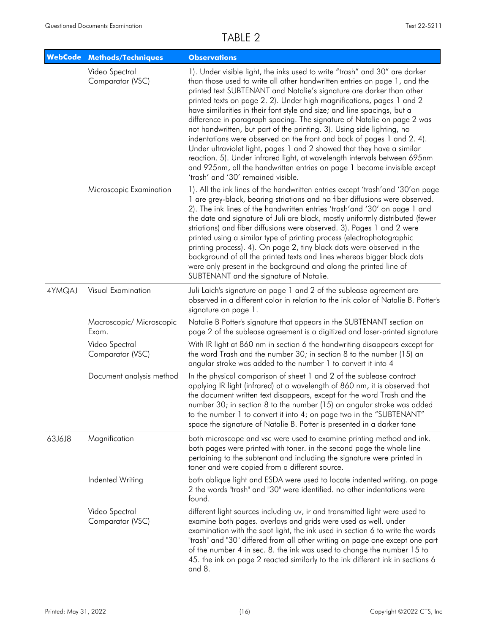| <b>WebCode</b> | <b>Methods/Techniques</b>          | <b>Observations</b>                                                                                                                                                                                                                                                                                                                                                                                                                                                                                                                                                                                                                                                                                                                                                                                                                                                                         |
|----------------|------------------------------------|---------------------------------------------------------------------------------------------------------------------------------------------------------------------------------------------------------------------------------------------------------------------------------------------------------------------------------------------------------------------------------------------------------------------------------------------------------------------------------------------------------------------------------------------------------------------------------------------------------------------------------------------------------------------------------------------------------------------------------------------------------------------------------------------------------------------------------------------------------------------------------------------|
|                | Video Spectral<br>Comparator (VSC) | 1). Under visible light, the inks used to write "trash" and 30" are darker<br>than those used to write all other handwritten entries on page 1, and the<br>printed text SUBTENANT and Natalie's signature are darker than other<br>printed texts on page 2. 2). Under high magnifications, pages 1 and 2<br>have similarities in their font style and size; and line spacings, but a<br>difference in paragraph spacing. The signature of Natalie on page 2 was<br>not handwritten, but part of the printing. 3). Using side lighting, no<br>indentations were observed on the front and back of pages 1 and 2.4).<br>Under ultraviolet light, pages 1 and 2 showed that they have a similar<br>reaction. 5). Under infrared light, at wavelength intervals between 695nm<br>and 925nm, all the handwritten entries on page 1 became invisible except<br>'trash' and '30' remained visible. |
|                | Microscopic Examination            | 1). All the ink lines of the handwritten entries except 'trash'and '30'on page<br>1 are grey-black, bearing striations and no fiber diffusions were observed.<br>2). The ink lines of the handwritten entries 'trash' and '30' on page 1 and<br>the date and signature of Juli are black, mostly uniformly distributed (fewer<br>striations) and fiber diffusions were observed. 3). Pages 1 and 2 were<br>printed using a similar type of printing process (electrophotographic<br>printing process). 4). On page 2, tiny black dots were observed in the<br>background of all the printed texts and lines whereas bigger black dots<br>were only present in the background and along the printed line of<br>SUBTENANT and the signature of Natalie.                                                                                                                                       |
| 4YMQAJ         | Visual Examination                 | Juli Laich's signature on page 1 and 2 of the sublease agreement are<br>observed in a different color in relation to the ink color of Natalie B. Potter's<br>signature on page 1.                                                                                                                                                                                                                                                                                                                                                                                                                                                                                                                                                                                                                                                                                                           |
|                | Macroscopic/ Microscopic<br>Exam.  | Natalie B Potter's signature that appears in the SUBTENANT section on<br>page 2 of the sublease agreement is a digitized and laser-printed signature                                                                                                                                                                                                                                                                                                                                                                                                                                                                                                                                                                                                                                                                                                                                        |
|                | Video Spectral<br>Comparator (VSC) | With IR light at 860 nm in section 6 the handwriting disappears except for<br>the word Trash and the number 30; in section 8 to the number (15) an<br>angular stroke was added to the number 1 to convert it into 4                                                                                                                                                                                                                                                                                                                                                                                                                                                                                                                                                                                                                                                                         |
|                | Document analysis method           | In the physical comparison of sheet 1 and 2 of the sublease contract<br>applying IR light (infrared) at a wavelength of 860 nm, it is observed that<br>the document written text disappears, except for the word Trash and the<br>number 30; in section 8 to the number (15) an angular stroke was added<br>to the number 1 to convert it into 4; on page two in the "SUBTENANT"<br>space the signature of Natalie B. Potter is presented in a darker tone                                                                                                                                                                                                                                                                                                                                                                                                                                  |
| 63J6J8         | Magnification                      | both microscope and vsc were used to examine printing method and ink.<br>both pages were printed with toner. in the second page the whole line<br>pertaining to the subtenant and including the signature were printed in<br>toner and were copied from a different source.                                                                                                                                                                                                                                                                                                                                                                                                                                                                                                                                                                                                                 |
|                | Indented Writing                   | both oblique light and ESDA were used to locate indented writing. on page<br>2 the words "trash" and "30" were identified. no other indentations were<br>found.                                                                                                                                                                                                                                                                                                                                                                                                                                                                                                                                                                                                                                                                                                                             |
|                | Video Spectral<br>Comparator (VSC) | different light sources including uv, ir and transmitted light were used to<br>examine both pages. overlays and grids were used as well. under<br>examination with the spot light, the ink used in section 6 to write the words<br>"trash" and "30" differed from all other writing on page one except one part<br>of the number 4 in sec. 8. the ink was used to change the number 15 to<br>45. the ink on page 2 reacted similarly to the ink different ink in sections 6<br>and 8.                                                                                                                                                                                                                                                                                                                                                                                                       |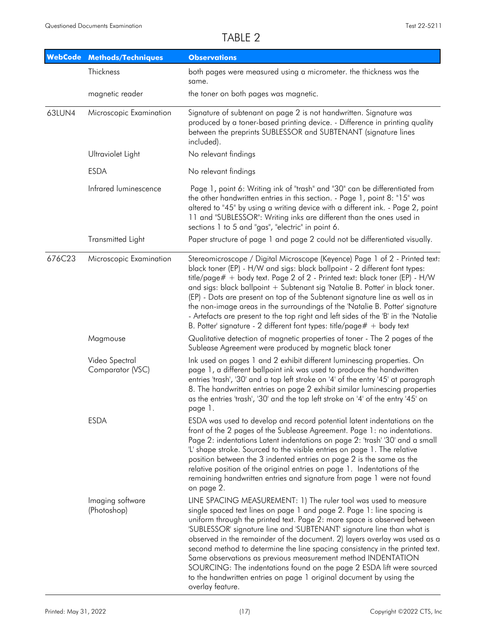| <b>WebCode</b> | <b>Methods/Techniques</b>          | <b>Observations</b>                                                                                                                                                                                                                                                                                                                                                                                                                                                                                                                                                                                                                                                                               |
|----------------|------------------------------------|---------------------------------------------------------------------------------------------------------------------------------------------------------------------------------------------------------------------------------------------------------------------------------------------------------------------------------------------------------------------------------------------------------------------------------------------------------------------------------------------------------------------------------------------------------------------------------------------------------------------------------------------------------------------------------------------------|
|                | Thickness                          | both pages were measured using a micrometer. the thickness was the<br>same.                                                                                                                                                                                                                                                                                                                                                                                                                                                                                                                                                                                                                       |
|                | magnetic reader                    | the toner on both pages was magnetic.                                                                                                                                                                                                                                                                                                                                                                                                                                                                                                                                                                                                                                                             |
| 63LUN4         | Microscopic Examination            | Signature of subtenant on page 2 is not handwritten. Signature was<br>produced by a toner-based printing device. - Difference in printing quality<br>between the preprints SUBLESSOR and SUBTENANT (signature lines<br>included).                                                                                                                                                                                                                                                                                                                                                                                                                                                                 |
|                | Ultraviolet Light                  | No relevant findings                                                                                                                                                                                                                                                                                                                                                                                                                                                                                                                                                                                                                                                                              |
|                | <b>ESDA</b>                        | No relevant findings                                                                                                                                                                                                                                                                                                                                                                                                                                                                                                                                                                                                                                                                              |
|                | Infrared luminescence              | Page 1, point 6: Writing ink of "trash" and "30" can be differentiated from<br>the other handwritten entries in this section. - Page 1, point 8: "15" was<br>altered to "45" by using a writing device with a different ink. - Page 2, point<br>11 and "SUBLESSOR": Writing inks are different than the ones used in<br>sections 1 to 5 and "gas", "electric" in point 6.                                                                                                                                                                                                                                                                                                                         |
|                | Transmitted Light                  | Paper structure of page 1 and page 2 could not be differentiated visually.                                                                                                                                                                                                                                                                                                                                                                                                                                                                                                                                                                                                                        |
| 676C23         | Microscopic Examination            | Stereomicroscope / Digital Microscope (Keyence) Page 1 of 2 - Printed text:<br>black toner (EP) - H/W and sigs: black ballpoint - 2 different font types:<br>title/page# + body text. Page 2 of 2 - Printed text: black toner (EP) - H/W<br>and sigs: black ballpoint + Subtenant sig 'Natalie B. Potter' in black toner.<br>(EP) - Dots are present on top of the Subtenant signature line as well as in<br>the non-image areas in the surroundings of the 'Natalie B. Potter' signature<br>- Artefacts are present to the top right and left sides of the 'B' in the 'Natalie<br>B. Potter' signature - 2 different font types: title/page# + body text                                         |
|                | Magmouse                           | Qualitative detection of magnetic properties of toner - The 2 pages of the<br>Sublease Agreement were produced by magnetic black toner                                                                                                                                                                                                                                                                                                                                                                                                                                                                                                                                                            |
|                | Video Spectral<br>Comparator (VSC) | Ink used on pages 1 and 2 exhibit different luminescing properties. On<br>page 1, a different ballpoint ink was used to produce the handwritten<br>entries 'trash', '30' and a top left stroke on '4' of the entry '45' at paragraph<br>8. The handwritten entries on page 2 exhibit similar luminescing properties<br>as the entries 'trash', '30' and the top left stroke on '4' of the entry '45' on<br>page 1.                                                                                                                                                                                                                                                                                |
|                | <b>ESDA</b>                        | ESDA was used to develop and record potential latent indentations on the<br>front of the 2 pages of the Sublease Agreement. Page 1: no indentations.<br>Page 2: indentations Latent indentations on page 2: 'trash' '30' and a small<br>'L' shape stroke. Sourced to the visible entries on page 1. The relative<br>position between the 3 indented entries on page 2 is the same as the<br>relative position of the original entries on page 1. Indentations of the<br>remaining handwritten entries and signature from page 1 were not found<br>on page 2.                                                                                                                                      |
|                | Imaging software<br>(Photoshop)    | LINE SPACING MEASUREMENT: 1) The ruler tool was used to measure<br>single spaced text lines on page 1 and page 2. Page 1: line spacing is<br>uniform through the printed text. Page 2: more space is observed between<br>'SUBLESSOR' signature line and 'SUBTENANT' signature line than what is<br>observed in the remainder of the document. 2) layers overlay was used as a<br>second method to determine the line spacing consistency in the printed text.<br>Same observations as previous measurement method INDENTATION<br>SOURCING: The indentations found on the page 2 ESDA lift were sourced<br>to the handwritten entries on page 1 original document by using the<br>overlay feature. |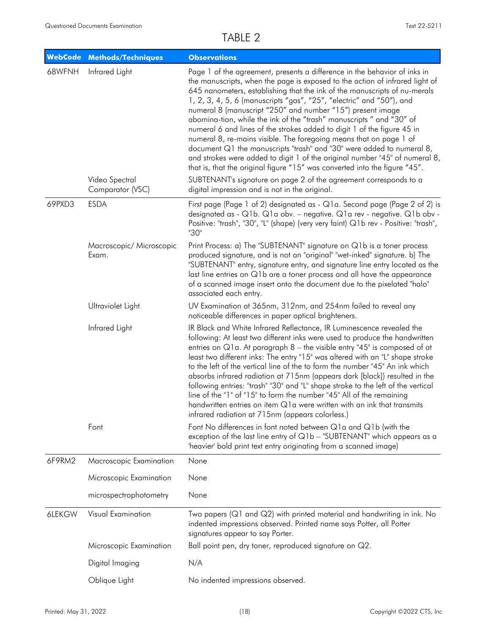| <b>WebCode</b> | <b>Methods/Techniques</b>          | <b>Observations</b>                                                                                                                                                                                                                                                                                                                                                                                                                                                                                                                                                                                                                                                                                                                                                                                                                         |
|----------------|------------------------------------|---------------------------------------------------------------------------------------------------------------------------------------------------------------------------------------------------------------------------------------------------------------------------------------------------------------------------------------------------------------------------------------------------------------------------------------------------------------------------------------------------------------------------------------------------------------------------------------------------------------------------------------------------------------------------------------------------------------------------------------------------------------------------------------------------------------------------------------------|
| 68WFNH         | Infrared Light                     | Page 1 of the agreement, presents a difference in the behavior of inks in<br>the manuscripts, when the page is exposed to the action of infrared light of<br>645 nanometers, establishing that the ink of the manuscripts of nu-merals<br>1, 2, 3, 4, 5, 6 (manuscripts "gas", "25", "electric" and "50"), and<br>numeral 8 (manuscript "250" and number "15") present image<br>abomina-tion, while the ink of the "trash" manuscripts " and "30" of<br>numeral 6 and lines of the strokes added to digit 1 of the figure 45 in<br>numeral 8, re-mains visible. The foregoing means that on page 1 of<br>document Q1 the manuscripts "trash" and "30" were added to numeral 8,<br>and strokes were added to digit 1 of the original number "45" of numeral 8,<br>that is, that the original figure "15" was converted into the figure "45". |
|                | Video Spectral<br>Comparator (VSC) | SUBTENANT's signature on page 2 of the agreement corresponds to a<br>digital impression and is not in the original.                                                                                                                                                                                                                                                                                                                                                                                                                                                                                                                                                                                                                                                                                                                         |
| 69PXD3         | <b>ESDA</b>                        | First page (Page 1 of 2) designated as - Q1 a. Second page (Page 2 of 2) is<br>designated as - Q1b. Q1a obv. - negative. Q1a rev - negative. Q1b obv -<br>Positive: "trash", "30", "L" (shape) (very very faint) Q1b rev - Positive: "trash",<br>"30"                                                                                                                                                                                                                                                                                                                                                                                                                                                                                                                                                                                       |
|                | Macroscopic/ Microscopic<br>Exam.  | Print Process: a) The "SUBTENANT" signature on Q1b is a toner process<br>produced signature, and is not an "original" "wet-inked" signature. b) The<br>"SUBTENANT" entry, signature entry, and signature line entry located as the<br>last line entries on Q1b are a toner process and all have the appearance<br>of a scanned image insert onto the document due to the pixelated "halo"<br>associated each entry.                                                                                                                                                                                                                                                                                                                                                                                                                         |
|                | Ultraviolet Light                  | UV Examination at 365nm, 312nm, and 254nm failed to reveal any<br>noticeable differences in paper optical brighteners.                                                                                                                                                                                                                                                                                                                                                                                                                                                                                                                                                                                                                                                                                                                      |
|                | Infrared Light                     | IR Black and White Infrared Reflectance, IR Luminescence revealed the<br>following: At least two different inks were used to produce the handwritten<br>entries on $Q1a$ . At paragraph $8$ – the visible entry "45" is composed of at<br>least two different inks: The entry "15" was altered with an "L" shape stroke<br>to the left of the vertical line of the to form the number "45" An ink which<br>absorbs infrared radiation at 715nm (appears dark [black]) resulted in the<br>following entries: "trash" "30" and "L" shape stroke to the left of the vertical<br>line of the "1" of "15" to form the number "45" All of the remaining<br>handwritten entries on item Q1a were written with an ink that transmits<br>infrared radiation at 715nm (appears colorless.)                                                            |
|                | Font                               | Font No differences in font noted between Q1a and Q1b (with the<br>exception of the last line entry of Q1b - "SUBTENANT" which appears as a<br>'heavier' bold print text entry originating from a scanned image)                                                                                                                                                                                                                                                                                                                                                                                                                                                                                                                                                                                                                            |
| 6F9RM2         | Macroscopic Examination            | None                                                                                                                                                                                                                                                                                                                                                                                                                                                                                                                                                                                                                                                                                                                                                                                                                                        |
|                | Microscopic Examination            | None                                                                                                                                                                                                                                                                                                                                                                                                                                                                                                                                                                                                                                                                                                                                                                                                                                        |
|                | microspectrophotometry             | None                                                                                                                                                                                                                                                                                                                                                                                                                                                                                                                                                                                                                                                                                                                                                                                                                                        |
| 6LEKGW         | Visual Examination                 | Two papers (Q1 and Q2) with printed material and handwriting in ink. No<br>indented impressions observed. Printed name says Potter, all Potter<br>signatures appear to say Porter.                                                                                                                                                                                                                                                                                                                                                                                                                                                                                                                                                                                                                                                          |
|                | Microscopic Examination            | Ball point pen, dry toner, reproduced signature on Q2.                                                                                                                                                                                                                                                                                                                                                                                                                                                                                                                                                                                                                                                                                                                                                                                      |
|                | Digital Imaging                    | N/A                                                                                                                                                                                                                                                                                                                                                                                                                                                                                                                                                                                                                                                                                                                                                                                                                                         |
|                | Oblique Light                      | No indented impressions observed.                                                                                                                                                                                                                                                                                                                                                                                                                                                                                                                                                                                                                                                                                                                                                                                                           |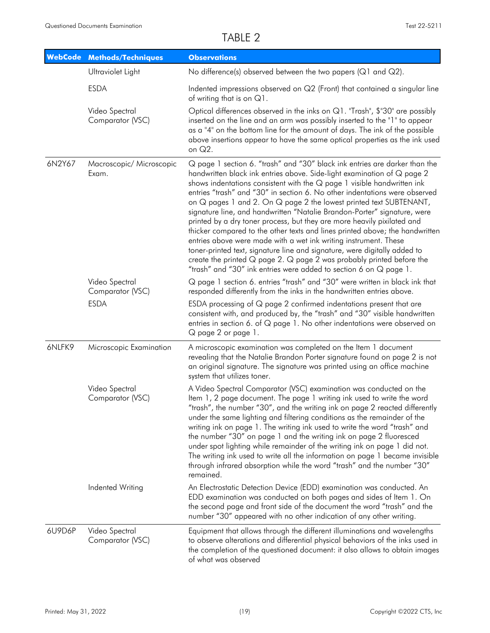| <b>WebCode</b> | <b>Methods/Techniques</b>                         | <b>Observations</b>                                                                                                                                                                                                                                                                                                                                                                                                                                                                                                                                                                                                                                                                                                                                                                                                                                                                                                              |
|----------------|---------------------------------------------------|----------------------------------------------------------------------------------------------------------------------------------------------------------------------------------------------------------------------------------------------------------------------------------------------------------------------------------------------------------------------------------------------------------------------------------------------------------------------------------------------------------------------------------------------------------------------------------------------------------------------------------------------------------------------------------------------------------------------------------------------------------------------------------------------------------------------------------------------------------------------------------------------------------------------------------|
|                | Ultraviolet Light                                 | No difference(s) observed between the two papers (Q1 and Q2).                                                                                                                                                                                                                                                                                                                                                                                                                                                                                                                                                                                                                                                                                                                                                                                                                                                                    |
|                | <b>ESDA</b>                                       | Indented impressions observed on Q2 (Front) that contained a singular line<br>of writing that is on $Q1$ .                                                                                                                                                                                                                                                                                                                                                                                                                                                                                                                                                                                                                                                                                                                                                                                                                       |
|                | Video Spectral<br>Comparator (VSC)                | Optical differences observed in the inks on Q1. "Trash", \$"30" are possibly<br>inserted on the line and an arm was possibly inserted to the "1" to appear<br>as a "4" on the bottom line for the amount of days. The ink of the possible<br>above insertions appear to have the same optical properties as the ink used<br>on Q2.                                                                                                                                                                                                                                                                                                                                                                                                                                                                                                                                                                                               |
| 6N2Y67         | Macroscopic/ Microscopic<br>Exam.                 | Q page 1 section 6. "trash" and "30" black ink entries are darker than the<br>handwritten black ink entries above. Side-light examination of Q page 2<br>shows indentations consistent with the $Q$ page 1 visible handwritten ink<br>entries "trash" and "30" in section 6. No other indentations were observed<br>on Q pages 1 and 2. On Q page 2 the lowest printed text SUBTENANT,<br>signature line, and handwritten "Natalie Brandon-Porter" signature, were<br>printed by a dry toner process, but they are more heavily pixilated and<br>thicker compared to the other texts and lines printed above; the handwritten<br>entries above were made with a wet ink writing instrument. These<br>toner-printed text, signature line and signature, were digitally added to<br>create the printed $Q$ page 2. $Q$ page 2 was probably printed before the<br>"trash" and "30" ink entries were added to section 6 on Q page 1. |
|                | Video Spectral<br>Comparator (VSC)<br><b>ESDA</b> | Q page 1 section 6. entries "trash" and "30" were written in black ink that<br>responded differently from the inks in the handwritten entries above.<br>ESDA processing of Q page 2 confirmed indentations present that are<br>consistent with, and produced by, the "trash" and "30" visible handwritten<br>entries in section 6. of Q page 1. No other indentations were observed on<br>Q page 2 or page 1.                                                                                                                                                                                                                                                                                                                                                                                                                                                                                                                    |
| 6NLFK9         | Microscopic Examination                           | A microscopic examination was completed on the Item 1 document<br>revealing that the Natalie Brandon Porter signature found on page 2 is not<br>an original signature. The signature was printed using an office machine<br>system that utilizes toner.                                                                                                                                                                                                                                                                                                                                                                                                                                                                                                                                                                                                                                                                          |
|                | Video Spectral<br>Comparator (VSC)                | A Video Spectral Comparator (VSC) examination was conducted on the<br>Item 1, 2 page document. The page 1 writing ink used to write the word<br>"trash", the number "30", and the writing ink on page 2 reacted differently<br>under the same lighting and filtering conditions as the remainder of the<br>writing ink on page 1. The writing ink used to write the word "trash" and<br>the number "30" on page 1 and the writing ink on page 2 fluoresced<br>under spot lighting while remainder of the writing ink on page 1 did not.<br>The writing ink used to write all the information on page 1 became invisible<br>through infrared absorption while the word "trash" and the number "30"<br>remained.                                                                                                                                                                                                                   |
|                | Indented Writing                                  | An Electrostatic Detection Device (EDD) examination was conducted. An<br>EDD examination was conducted on both pages and sides of Item 1. On<br>the second page and front side of the document the word "trash" and the<br>number "30" appeared with no other indication of any other writing.                                                                                                                                                                                                                                                                                                                                                                                                                                                                                                                                                                                                                                   |
| 6U9D6P         | Video Spectral<br>Comparator (VSC)                | Equipment that allows through the different illuminations and wavelengths<br>to observe alterations and differential physical behaviors of the inks used in<br>the completion of the questioned document: it also allows to obtain images<br>of what was observed                                                                                                                                                                                                                                                                                                                                                                                                                                                                                                                                                                                                                                                                |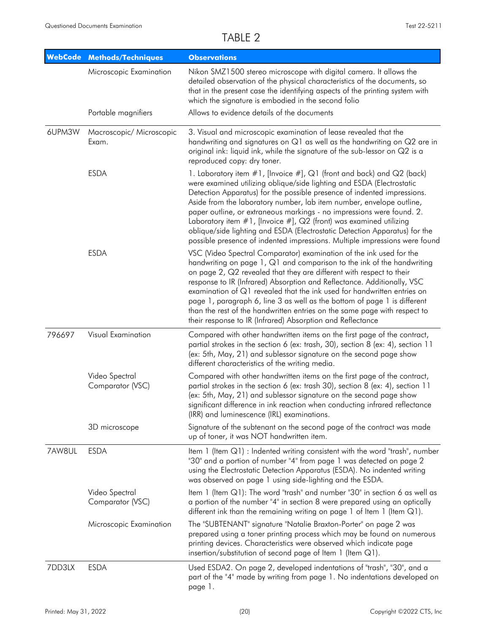|        | <b>WebCode Methods/Techniques</b>  | <b>Observations</b>                                                                                                                                                                                                                                                                                                                                                                                                                                                                                                                                                                                                |
|--------|------------------------------------|--------------------------------------------------------------------------------------------------------------------------------------------------------------------------------------------------------------------------------------------------------------------------------------------------------------------------------------------------------------------------------------------------------------------------------------------------------------------------------------------------------------------------------------------------------------------------------------------------------------------|
|        | Microscopic Examination            | Nikon SMZ1500 stereo microscope with digital camera. It allows the<br>detailed observation of the physical characteristics of the documents, so<br>that in the present case the identifying aspects of the printing system with<br>which the signature is embodied in the second folio                                                                                                                                                                                                                                                                                                                             |
|        | Portable magnifiers                | Allows to evidence details of the documents                                                                                                                                                                                                                                                                                                                                                                                                                                                                                                                                                                        |
| 6UPM3W | Macroscopic/ Microscopic<br>Exam.  | 3. Visual and microscopic examination of lease revealed that the<br>handwriting and signatures on $Q1$ as well as the handwriting on $Q2$ are in<br>original ink: liquid ink, while the signature of the sub-lessor on Q2 is a<br>reproduced copy: dry toner.                                                                                                                                                                                                                                                                                                                                                      |
|        | <b>ESDA</b>                        | 1. Laboratory item #1, [Invoice #], Q1 (front and back) and Q2 (back)<br>were examined utilizing oblique/side lighting and ESDA (Electrostatic<br>Detection Apparatus) for the possible presence of indented impressions.<br>Aside from the laboratory number, lab item number, envelope outline,<br>paper outline, or extraneous markings - no impressions were found. 2.<br>Laboratory item $#1$ , [Invoice $#$ ], Q2 (front) was examined utilizing<br>oblique/side lighting and ESDA (Electrostatic Detection Apparatus) for the<br>possible presence of indented impressions. Multiple impressions were found |
|        | <b>ESDA</b>                        | VSC (Video Spectral Comparator) examination of the ink used for the<br>handwriting on page 1, Q1 and comparison to the ink of the handwriting<br>on page 2, Q2 revealed that they are different with respect to their<br>response to IR (Infrared) Absorption and Reflectance. Additionally, VSC<br>examination of Q1 revealed that the ink used for handwritten entries on<br>page 1, paragraph 6, line 3 as well as the bottom of page 1 is different<br>than the rest of the handwritten entries on the same page with respect to<br>their response to IR (Infrared) Absorption and Reflectance                 |
| 796697 | Visual Examination                 | Compared with other handwritten items on the first page of the contract,<br>partial strokes in the section 6 (ex: trash, 30), section 8 (ex: 4), section 11<br>(ex: 5th, May, 21) and sublessor signature on the second page show<br>different characteristics of the writing media.                                                                                                                                                                                                                                                                                                                               |
|        | Video Spectral<br>Comparator (VSC) | Compared with other handwritten items on the first page of the contract,<br>partial strokes in the section 6 (ex: trash 30), section 8 (ex: 4), section 11<br>(ex: 5th, May, 21) and sublessor signature on the second page show<br>significant difference in ink reaction when conducting infrared reflectance<br>(IRR) and luminescence (IRL) examinations.                                                                                                                                                                                                                                                      |
|        | 3D microscope                      | Signature of the subtenant on the second page of the contract was made<br>up of toner, it was NOT handwritten item.                                                                                                                                                                                                                                                                                                                                                                                                                                                                                                |
| 7AW8UL | <b>ESDA</b>                        | Item 1 (Item Q1) : Indented writing consistent with the word "trash", number<br>"30" and a portion of number "4" from page 1 was detected on page 2<br>using the Electrostatic Detection Apparatus (ESDA). No indented writing<br>was observed on page 1 using side-lighting and the ESDA.                                                                                                                                                                                                                                                                                                                         |
|        | Video Spectral<br>Comparator (VSC) | Item 1 (Item Q1): The word "trash" and number "30" in section 6 as well as<br>a portion of the number "4" in section 8 were prepared using an optically<br>different ink than the remaining writing on page 1 of Item 1 (Item $Q1$ ).                                                                                                                                                                                                                                                                                                                                                                              |
|        | Microscopic Examination            | The "SUBTENANT" signature "Natalie Braxton-Porter" on page 2 was<br>prepared using a toner printing process which may be found on numerous<br>printing devices. Characteristics were observed which indicate page<br>insertion/substitution of second page of Item $1$ (Item $Q1$ ).                                                                                                                                                                                                                                                                                                                               |
| 7DD3LX | <b>ESDA</b>                        | Used ESDA2. On page 2, developed indentations of "trash", "30", and a<br>part of the "4" made by writing from page 1. No indentations developed on<br>page 1.                                                                                                                                                                                                                                                                                                                                                                                                                                                      |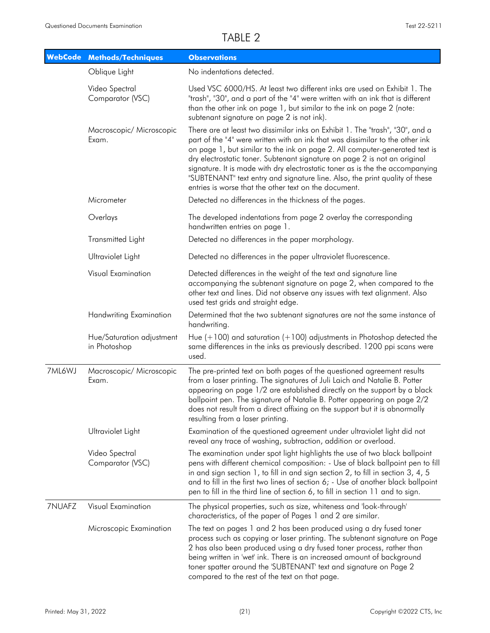| <b>WebCode</b> | <b>Methods/Techniques</b>                 | <b>Observations</b>                                                                                                                                                                                                                                                                                                                                                                                                                                                                                                                                 |
|----------------|-------------------------------------------|-----------------------------------------------------------------------------------------------------------------------------------------------------------------------------------------------------------------------------------------------------------------------------------------------------------------------------------------------------------------------------------------------------------------------------------------------------------------------------------------------------------------------------------------------------|
|                | Oblique Light                             | No indentations detected.                                                                                                                                                                                                                                                                                                                                                                                                                                                                                                                           |
|                | Video Spectral<br>Comparator (VSC)        | Used VSC 6000/HS. At least two different inks are used on Exhibit 1. The<br>"trash", "30", and a part of the "4" were written with an ink that is different<br>than the other ink on page 1, but similar to the ink on page 2 (note:<br>subtenant signature on page 2 is not ink).                                                                                                                                                                                                                                                                  |
|                | Macroscopic/ Microscopic<br>Exam.         | There are at least two dissimilar inks on Exhibit 1. The "trash", "30", and a<br>part of the "4" were written with an ink that was dissimilar to the other ink<br>on page 1, but similar to the ink on page 2. All computer-generated text is<br>dry electrostatic toner. Subtenant signature on page 2 is not an original<br>signature. It is made with dry electrostatic toner as is the the accompanying<br>"SUBTENANT" text entry and signature line. Also, the print quality of these<br>entries is worse that the other text on the document. |
|                | Micrometer                                | Detected no differences in the thickness of the pages.                                                                                                                                                                                                                                                                                                                                                                                                                                                                                              |
|                | Overlays                                  | The developed indentations from page 2 overlay the corresponding<br>handwritten entries on page 1.                                                                                                                                                                                                                                                                                                                                                                                                                                                  |
|                | <b>Transmitted Light</b>                  | Detected no differences in the paper morphology.                                                                                                                                                                                                                                                                                                                                                                                                                                                                                                    |
|                | Ultraviolet Light                         | Detected no differences in the paper ultraviolet fluorescence.                                                                                                                                                                                                                                                                                                                                                                                                                                                                                      |
|                | Visual Examination                        | Detected differences in the weight of the text and signature line<br>accompanying the subtenant signature on page 2, when compared to the<br>other text and lines. Did not observe any issues with text alignment. Also<br>used test grids and straight edge.                                                                                                                                                                                                                                                                                       |
|                | Handwriting Examination                   | Determined that the two subtenant signatures are not the same instance of<br>handwriting.                                                                                                                                                                                                                                                                                                                                                                                                                                                           |
|                | Hue/Saturation adjustment<br>in Photoshop | Hue $(+100)$ and saturation $(+100)$ adjustments in Photoshop detected the<br>same differences in the inks as previously described. 1200 ppi scans were<br>used.                                                                                                                                                                                                                                                                                                                                                                                    |
| 7ML6WJ         | Macroscopic/ Microscopic<br>Exam.         | The pre-printed text on both pages of the questioned agreement results<br>from a laser printing. The signatures of Juli Laich and Natalie B. Potter<br>appearing on page 1/2 are established directly on the support by a black<br>ballpoint pen. The signature of Natalie B. Potter appearing on page 2/2<br>does not result from a direct affixing on the support but it is abnormally<br>resulting from a laser printing.                                                                                                                        |
|                | Ultraviolet Light                         | Examination of the questioned agreement under ultraviolet light did not<br>reveal any trace of washing, subtraction, addition or overload.                                                                                                                                                                                                                                                                                                                                                                                                          |
|                | Video Spectral<br>Comparator (VSC)        | The examination under spot light highlights the use of two black ballpoint<br>pens with different chemical composition: - Use of black ballpoint pen to fill<br>in and sign section 1, to fill in and sign section 2, to fill in section 3, 4, 5<br>and to fill in the first two lines of section 6; - Use of another black ballpoint<br>pen to fill in the third line of section 6, to fill in section 11 and to sign.                                                                                                                             |
| 7NUAFZ         | Visual Examination                        | The physical properties, such as size, whiteness and 'look-through'<br>characteristics, of the paper of Pages 1 and 2 are similar.                                                                                                                                                                                                                                                                                                                                                                                                                  |
|                | Microscopic Examination                   | The text on pages 1 and 2 has been produced using a dry fused toner<br>process such as copying or laser printing. The subtenant signature on Page<br>2 has also been produced using a dry fused toner process, rather than<br>being written in 'wet' ink. There is an increased amount of background<br>toner spatter around the 'SUBTENANT' text and signature on Page 2<br>compared to the rest of the text on that page.                                                                                                                         |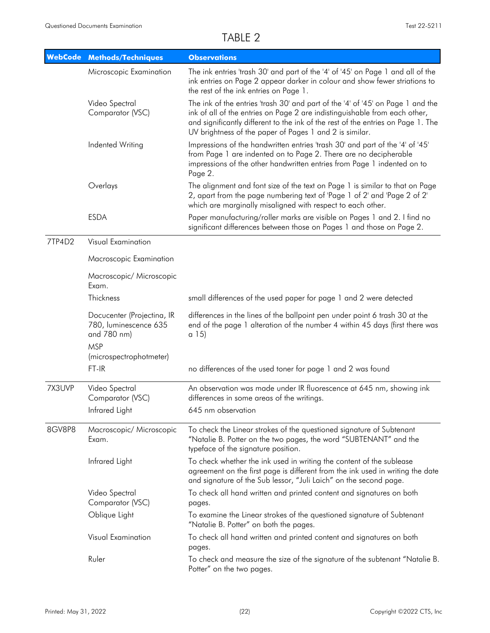|        | <b>WebCode Methods/Techniques</b>                                  | <b>Observations</b>                                                                                                                                                                                                                                                                                          |
|--------|--------------------------------------------------------------------|--------------------------------------------------------------------------------------------------------------------------------------------------------------------------------------------------------------------------------------------------------------------------------------------------------------|
|        | Microscopic Examination                                            | The ink entries 'trash 30' and part of the '4' of '45' on Page 1 and all of the<br>ink entries on Page 2 appear darker in colour and show fewer striations to<br>the rest of the ink entries on Page 1.                                                                                                      |
|        | Video Spectral<br>Comparator (VSC)                                 | The ink of the entries 'trash 30' and part of the '4' of '45' on Page 1 and the<br>ink of all of the entries on Page 2 are indistinguishable from each other,<br>and significantly different to the ink of the rest of the entries on Page 1. The<br>UV brightness of the paper of Pages 1 and 2 is similar. |
|        | Indented Writing                                                   | Impressions of the handwritten entries 'trash 30' and part of the '4' of '45'<br>from Page 1 are indented on to Page 2. There are no decipherable<br>impressions of the other handwritten entries from Page 1 indented on to<br>Page 2.                                                                      |
|        | Overlays                                                           | The alignment and font size of the text on Page 1 is similar to that on Page<br>2, apart from the page numbering text of 'Page 1 of 2' and 'Page 2 of 2'<br>which are marginally misaligned with respect to each other.                                                                                      |
|        | <b>ESDA</b>                                                        | Paper manufacturing/roller marks are visible on Pages 1 and 2. I find no<br>significant differences between those on Pages 1 and those on Page 2.                                                                                                                                                            |
| 7TP4D2 | Visual Examination                                                 |                                                                                                                                                                                                                                                                                                              |
|        | Macroscopic Examination                                            |                                                                                                                                                                                                                                                                                                              |
|        | Macroscopic/ Microscopic<br>Exam.                                  |                                                                                                                                                                                                                                                                                                              |
|        | Thickness                                                          | small differences of the used paper for page 1 and 2 were detected                                                                                                                                                                                                                                           |
|        | Docucenter (Projectina, IR<br>780, luminescence 635<br>and 780 nm) | differences in the lines of the ballpoint pen under point 6 trash 30 at the<br>end of the page 1 alteration of the number 4 within 45 days (first there was<br>a 15)                                                                                                                                         |
|        | <b>MSP</b><br>(microspectrophotmeter)                              |                                                                                                                                                                                                                                                                                                              |
|        | FT-IR                                                              | no differences of the used toner for page 1 and 2 was found                                                                                                                                                                                                                                                  |
| 7X3UVP | Video Spectral<br>Comparator (VSC)                                 | An observation was made under IR fluorescence at 645 nm, showing ink<br>differences in some areas of the writings.                                                                                                                                                                                           |
|        | Infrared Light                                                     | 645 nm observation                                                                                                                                                                                                                                                                                           |
| 8GV8P8 | Macroscopic/ Microscopic<br>Exam.                                  | To check the Linear strokes of the questioned signature of Subtenant<br>"Natalie B. Potter on the two pages, the word "SUBTENANT" and the<br>typeface of the signature position.                                                                                                                             |
|        | Infrared Light                                                     | To check whether the ink used in writing the content of the sublease<br>agreement on the first page is different from the ink used in writing the date<br>and signature of the Sub lessor, "Juli Laich" on the second page.                                                                                  |
|        | Video Spectral<br>Comparator (VSC)                                 | To check all hand written and printed content and signatures on both<br>pages.                                                                                                                                                                                                                               |
|        | Oblique Light                                                      | To examine the Linear strokes of the questioned signature of Subtenant<br>"Natalie B. Potter" on both the pages.                                                                                                                                                                                             |
|        | Visual Examination                                                 | To check all hand written and printed content and signatures on both<br>pages.                                                                                                                                                                                                                               |
|        | Ruler                                                              | To check and measure the size of the signature of the subtenant "Natalie B.<br>Potter" on the two pages.                                                                                                                                                                                                     |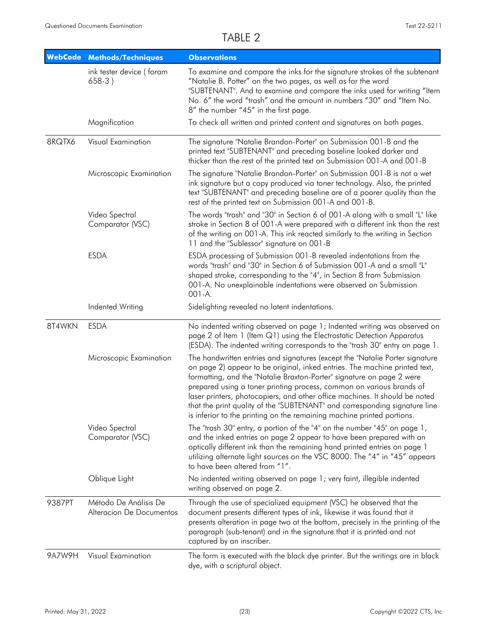| <b>WebCode</b> | <b>Methods/Techniques</b>                         | <b>Observations</b>                                                                                                                                                                                                                                                                                                                                                                                                                                                                                                                                |
|----------------|---------------------------------------------------|----------------------------------------------------------------------------------------------------------------------------------------------------------------------------------------------------------------------------------------------------------------------------------------------------------------------------------------------------------------------------------------------------------------------------------------------------------------------------------------------------------------------------------------------------|
|                | ink tester device (foram<br>$658-3)$              | To examine and compare the inks for the signature strokes of the subtenant<br>"Natalie B. Potter" on the two pages, as well as for the word<br>"SUBTENANT". And to examine and compare the inks used for writing "Item<br>No. 6" the word "trash" and the amount in numbers "30" and "Item No.<br>8" the number "45" in the first page.                                                                                                                                                                                                            |
|                | Magnification                                     | To check all written and printed content and signatures on both pages.                                                                                                                                                                                                                                                                                                                                                                                                                                                                             |
| 8RQTX6         | Visual Examination                                | The signature "Natalie Brandon-Porter" on Submission 001-B and the<br>printed text "SUBTENANT" and preceding baseline looked darker and<br>thicker than the rest of the printed text on Submission 001-A and 001-B                                                                                                                                                                                                                                                                                                                                 |
|                | Microscopic Examination                           | The signature "Natalie Brandon-Porter" on Submission 001-B is not a wet<br>ink signature but a copy produced via toner technology. Also, the printed<br>text "SUBTENANT" and preceding baseline are of a poorer quality than the<br>rest of the printed text on Submission 001-A and 001-B.                                                                                                                                                                                                                                                        |
|                | Video Spectral<br>Comparator (VSC)                | The words "trash" and "30" in Section 6 of 001-A along with a small "L" like<br>stroke in Section 8 of 001-A were prepared with a different ink than the rest<br>of the writing on 001-A. This ink reacted similarly to the writing in Section<br>11 and the "Sublessor" signature on 001-B                                                                                                                                                                                                                                                        |
|                | <b>ESDA</b>                                       | ESDA processing of Submission 001-B revealed indentations from the<br>words "trash" and "30" in Section 6 of Submission 001-A and a small "L"<br>shaped stroke, corresponding to the "4", in Section 8 from Submission<br>001-A. No unexplainable indentations were observed on Submission<br>001-A.                                                                                                                                                                                                                                               |
|                | Indented Writing                                  | Sidelighting revealed no latent indentations.                                                                                                                                                                                                                                                                                                                                                                                                                                                                                                      |
| 8T4WKN         | <b>ESDA</b>                                       | No indented writing observed on page 1; Indented writing was observed on<br>page 2 of Item 1 (Item Q1) using the Electrostatic Detection Apparatus<br>(ESDA). The indented writing corresponds to the "trash 30" entry on page 1.                                                                                                                                                                                                                                                                                                                  |
|                | Microscopic Examination                           | The handwritten entries and signatures (except the "Natalie Porter signature<br>on page 2) appear to be original, inked entries. The machine printed text,<br>formatting, and the "Natalie Braxton-Porter" signature on page 2 were<br>prepared using a toner printing process, common on various brands of<br>laser printers, photocopiers, and other office machines. It should be noted<br>that the print quality of the "SUBTENANT" and corresponding signature line<br>is inferior to the printing on the remaining machine printed portions. |
|                | Video Spectral<br>Comparator (VSC)                | The "trash 30" entry, a portion of the "4" on the number "45" on page 1,<br>and the inked entries on page 2 appear to have been prepared with an<br>optically different ink than the remaining hand printed entries on page 1<br>utilizing alternate light sources on the VSC 8000. The "4" in "45" appears<br>to have been altered from "1".                                                                                                                                                                                                      |
|                | Oblique Light                                     | No indented writing observed on page 1; very faint, illegible indented<br>writing observed on page 2.                                                                                                                                                                                                                                                                                                                                                                                                                                              |
| 9387PT         | Método De Análisis De<br>Alteracion De Documentos | Through the use of specialized equipment (VSC) he observed that the<br>document presents different types of ink, likewise it was found that it<br>presents alteration in page two at the bottom, precisely in the printing of the<br>paragraph (sub-tenant) and in the signature that it is printed and not<br>captured by an inscriber.                                                                                                                                                                                                           |
| 9A7W9H         | Visual Examination                                | The form is executed with the black dye printer. But the writings are in black<br>dye, with a scriptural object.                                                                                                                                                                                                                                                                                                                                                                                                                                   |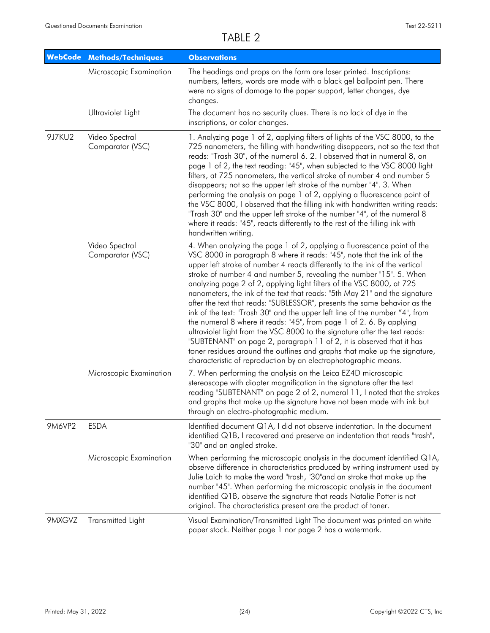|        | <b>WebCode Methods/Techniques</b>  | <b>Observations</b>                                                                                                                                                                                                                                                                                                                                                                                                                                                                                                                                                                                                                                                                                                                                                                                                                                                                                                                                                                                      |
|--------|------------------------------------|----------------------------------------------------------------------------------------------------------------------------------------------------------------------------------------------------------------------------------------------------------------------------------------------------------------------------------------------------------------------------------------------------------------------------------------------------------------------------------------------------------------------------------------------------------------------------------------------------------------------------------------------------------------------------------------------------------------------------------------------------------------------------------------------------------------------------------------------------------------------------------------------------------------------------------------------------------------------------------------------------------|
|        | Microscopic Examination            | The headings and props on the form are laser printed. Inscriptions:<br>numbers, letters, words are made with a black gel ballpoint pen. There<br>were no signs of damage to the paper support, letter changes, dye<br>changes.                                                                                                                                                                                                                                                                                                                                                                                                                                                                                                                                                                                                                                                                                                                                                                           |
|        | Ultraviolet Light                  | The document has no security clues. There is no lack of dye in the<br>inscriptions, or color changes.                                                                                                                                                                                                                                                                                                                                                                                                                                                                                                                                                                                                                                                                                                                                                                                                                                                                                                    |
| 9J7KU2 | Video Spectral<br>Comparator (VSC) | 1. Analyzing page 1 of 2, applying filters of lights of the VSC 8000, to the<br>725 nanometers, the filling with handwriting disappears, not so the text that<br>reads: "Trash 30", of the numeral 6. 2. I observed that in numeral 8, on<br>page 1 of 2, the text reading: "45", when subjected to the VSC 8000 light<br>filters, at 725 nanometers, the vertical stroke of number 4 and number 5<br>disappears; not so the upper left stroke of the number "4". 3. When<br>performing the analysis on page 1 of 2, applying a fluorescence point of<br>the VSC 8000, I observed that the filling ink with handwritten writing reads:<br>"Trash 30" and the upper left stroke of the number "4", of the numeral 8<br>where it reads: "45", reacts differently to the rest of the filling ink with<br>handwritten writing.                                                                                                                                                                               |
|        | Video Spectral<br>Comparator (VSC) | 4. When analyzing the page 1 of 2, applying a fluorescence point of the<br>VSC 8000 in paragraph 8 where it reads: "45", note that the ink of the<br>upper left stroke of number 4 reacts differently to the ink of the vertical<br>stroke of number 4 and number 5, revealing the number "15". 5. When<br>analyzing page 2 of 2, applying light filters of the VSC 8000, at 725<br>nanometers, the ink of the text that reads: "5th May 21" and the signature<br>after the text that reads: "SUBLESSOR", presents the same behavior as the<br>ink of the text: "Trash 30" and the upper left line of the number "4", from<br>the numeral 8 where it reads: "45", from page 1 of 2. 6. By applying<br>ultraviolet light from the VSC 8000 to the signature after the text reads:<br>"SUBTENANT" on page 2, paragraph 11 of 2, it is observed that it has<br>toner residues around the outlines and graphs that make up the signature,<br>characteristic of reproduction by an electrophotographic means. |
|        | Microscopic Examination            | 7. When performing the analysis on the Leica EZ4D microscopic<br>stereoscope with diopter magnification in the signature after the text<br>reading "SUBTENANT" on page 2 of 2, numeral 11, I noted that the strokes<br>and graphs that make up the signature have not been made with ink but<br>through an electro-photographic medium.                                                                                                                                                                                                                                                                                                                                                                                                                                                                                                                                                                                                                                                                  |
| 9M6VP2 | <b>ESDA</b>                        | Identified document Q1A, I did not observe indentation. In the document<br>identified Q1B, I recovered and preserve an indentation that reads "trash",<br>"30" and an angled stroke.                                                                                                                                                                                                                                                                                                                                                                                                                                                                                                                                                                                                                                                                                                                                                                                                                     |
|        | Microscopic Examination            | When performing the microscopic analysis in the document identified Q1A,<br>observe difference in characteristics produced by writing instrument used by<br>Julie Laich to make the word "trash, "30" and an stroke that make up the<br>number "45". When performing the microscopic analysis in the document<br>identified Q1B, observe the signature that reads Natalie Potter is not<br>original. The characteristics present are the product of toner.                                                                                                                                                                                                                                                                                                                                                                                                                                                                                                                                               |
| 9MXGVZ | Transmitted Light                  | Visual Examination/Transmitted Light The document was printed on white<br>paper stock. Neither page 1 nor page 2 has a watermark.                                                                                                                                                                                                                                                                                                                                                                                                                                                                                                                                                                                                                                                                                                                                                                                                                                                                        |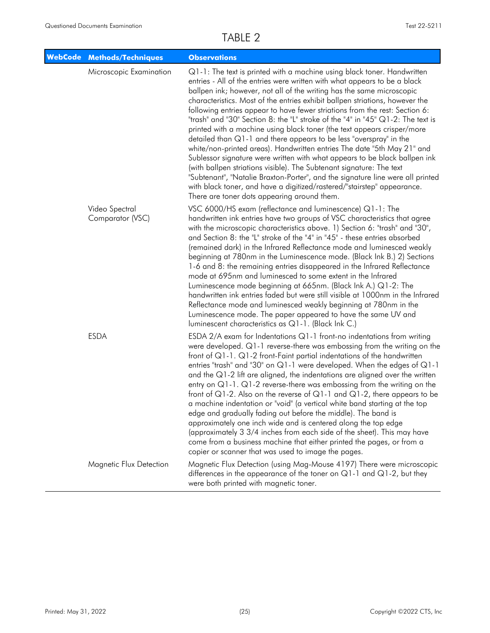| <b>WebCode Methods/Techniques</b>      | <b>Observations</b>                                                                                                                                                                                                                                                                                                                                                                                                                                                                                                                                                                                                                                                                                                                                                                                                                                                                                                                                                                                                                                                           |
|----------------------------------------|-------------------------------------------------------------------------------------------------------------------------------------------------------------------------------------------------------------------------------------------------------------------------------------------------------------------------------------------------------------------------------------------------------------------------------------------------------------------------------------------------------------------------------------------------------------------------------------------------------------------------------------------------------------------------------------------------------------------------------------------------------------------------------------------------------------------------------------------------------------------------------------------------------------------------------------------------------------------------------------------------------------------------------------------------------------------------------|
| Microscopic Examination                | Q1-1: The text is printed with a machine using black toner. Handwritten<br>entries - All of the entries were written with what appears to be a black<br>ballpen ink; however, not all of the writing has the same microscopic<br>characteristics. Most of the entries exhibit ballpen striations, however the<br>following entries appear to have fewer striations from the rest: Section 6:<br>"trash" and "30" Section 8: the "L" stroke of the "4" in "45" Q1-2: The text is<br>printed with a machine using black toner (the text appears crisper/more<br>detailed than Q1-1 and there appears to be less "overspray" in the<br>white/non-printed areas). Handwritten entries The date "5th May 21" and<br>Sublessor signature were written with what appears to be black ballpen ink<br>(with ballpen striations visible). The Subtenant signature: The text<br>"Subtenant", "Natalie Braxton-Porter", and the signature line were all printed<br>with black toner, and have a digitized/rastered/"stairstep" appearance.<br>There are toner dots appearing around them. |
| Video Spectral<br>Comparator (VSC)     | VSC 6000/HS exam (reflectance and luminescence) Q1-1: The<br>handwritten ink entries have two groups of VSC characteristics that agree<br>with the microscopic characteristics above. 1) Section 6: "trash" and "30",<br>and Section 8: the "L" stroke of the "4" in "45" - these entries absorbed<br>(remained dark) in the Infrared Reflectance mode and luminesced weakly<br>beginning at 780nm in the Luminescence mode. (Black Ink B.) 2) Sections<br>1-6 and 8: the remaining entries disappeared in the Infrared Reflectance<br>mode at 695nm and luminesced to some extent in the Infrared<br>Luminescence mode beginning at 665nm. (Black Ink A.) Q1-2: The<br>handwritten ink entries faded but were still visible at 1000nm in the Infrared<br>Reflectance mode and luminesced weakly beginning at 780nm in the<br>Luminescence mode. The paper appeared to have the same UV and<br>luminescent characteristics as Q1-1. (Black Ink C.)                                                                                                                            |
| <b>ESDA</b><br>Magnetic Flux Detection | ESDA 2/A exam for Indentations $Q1-1$ front-no indentations from writing<br>were developed. Q1-1 reverse-there was embossing from the writing on the<br>front of $Q1-1$ . $Q1-2$ front-Faint partial indentations of the handwritten<br>entries "trash" and "30" on Q1-1 were developed. When the edges of Q1-1<br>and the $Q1-2$ lift are aligned, the indentations are aligned over the written<br>entry on $Q1-1$ . $Q1-2$ reverse-there was embossing from the writing on the<br>front of Q1-2. Also on the reverse of Q1-1 and Q1-2, there appears to be<br>a machine indentation or "void" (a vertical white band starting at the top<br>edge and gradually fading out before the middle). The band is<br>approximately one inch wide and is centered along the top edge<br>(approximately 3 3/4 inches from each side of the sheet). This may have<br>come from a business machine that either printed the pages, or from a<br>copier or scanner that was used to image the pages.<br>Magnetic Flux Detection (using Mag-Mouse 4197) There were microscopic            |
|                                        | differences in the appearance of the toner on $Q1-1$ and $Q1-2$ , but they<br>were both printed with magnetic toner.                                                                                                                                                                                                                                                                                                                                                                                                                                                                                                                                                                                                                                                                                                                                                                                                                                                                                                                                                          |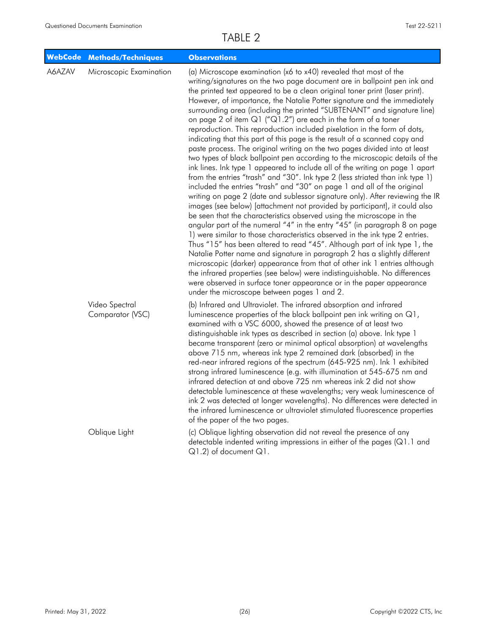| WebCode | <b>Methods/Techniques</b>          | <b>Observations</b>                                                                                                                                                                                                                                                                                                                                                                                                                                                                                                                                                                                                                                                                                                                                                                                                                                                                                                                                                                                                                                                                                                                                                                                                                                                                                                                                                                                                                                                                                                                                                                                                                                                                                                                                                                                                                                                            |
|---------|------------------------------------|--------------------------------------------------------------------------------------------------------------------------------------------------------------------------------------------------------------------------------------------------------------------------------------------------------------------------------------------------------------------------------------------------------------------------------------------------------------------------------------------------------------------------------------------------------------------------------------------------------------------------------------------------------------------------------------------------------------------------------------------------------------------------------------------------------------------------------------------------------------------------------------------------------------------------------------------------------------------------------------------------------------------------------------------------------------------------------------------------------------------------------------------------------------------------------------------------------------------------------------------------------------------------------------------------------------------------------------------------------------------------------------------------------------------------------------------------------------------------------------------------------------------------------------------------------------------------------------------------------------------------------------------------------------------------------------------------------------------------------------------------------------------------------------------------------------------------------------------------------------------------------|
| A6AZAV  | Microscopic Examination            | (a) Microscope examination (x6 to x40) revealed that most of the<br>writing/signatures on the two page document are in ballpoint pen ink and<br>the printed text appeared to be a clean original toner print (laser print).<br>However, of importance, the Natalie Potter signature and the immediately<br>surrounding area (including the printed "SUBTENANT" and signature line)<br>on page 2 of item $Q1$ (" $Q1.2$ ") are each in the form of a toner<br>reproduction. This reproduction included pixelation in the form of dots,<br>indicating that this part of this page is the result of a scanned copy and<br>paste process. The original writing on the two pages divided into at least<br>two types of black ballpoint pen according to the microscopic details of the<br>ink lines. Ink type 1 appeared to include all of the writing on page 1 apart<br>from the entries "trash" and "30". Ink type 2 (less striated than ink type 1)<br>included the entries "trash" and "30" on page 1 and all of the original<br>writing on page 2 (date and sublessor signature only). After reviewing the IR<br>images (see below) [attachment not provided by participant], it could also<br>be seen that the characteristics observed using the microscope in the<br>angular part of the numeral "4" in the entry "45" (in paragraph 8 on page<br>1) were similar to those characteristics observed in the ink type 2 entries.<br>Thus "15" has been altered to read "45". Although part of ink type 1, the<br>Natalie Potter name and signature in paragraph 2 has a slightly different<br>microscopic (darker) appearance from that of other ink 1 entries although<br>the infrared properties (see below) were indistinguishable. No differences<br>were observed in surface toner appearance or in the paper appearance<br>under the microscope between pages 1 and 2. |
|         | Video Spectral<br>Comparator (VSC) | (b) Infrared and Ultraviolet. The infrared absorption and infrared<br>luminescence properties of the black ballpoint pen ink writing on Q1,<br>examined with a VSC 6000, showed the presence of at least two<br>distinguishable ink types as described in section (a) above. Ink type 1<br>became transparent (zero or minimal optical absorption) at wavelengths<br>above 715 nm, whereas ink type 2 remained dark (absorbed) in the<br>red-near infrared regions of the spectrum (645-925 nm). Ink 1 exhibited<br>strong infrared luminescence (e.g. with illumination at 545-675 nm and<br>infrared detection at and above 725 nm whereas ink 2 did not show<br>detectable luminescence at these wavelengths; very weak luminescence of<br>ink 2 was detected at longer wavelengths). No differences were detected in<br>the infrared luminescence or ultraviolet stimulated fluorescence properties<br>of the paper of the two pages.                                                                                                                                                                                                                                                                                                                                                                                                                                                                                                                                                                                                                                                                                                                                                                                                                                                                                                                                      |
|         | Oblique Light                      | (c) Oblique lighting observation did not reveal the presence of any<br>detectable indented writing impressions in either of the pages $(Q1.1$ and<br>$Q1.2$ ) of document $Q1$ .                                                                                                                                                                                                                                                                                                                                                                                                                                                                                                                                                                                                                                                                                                                                                                                                                                                                                                                                                                                                                                                                                                                                                                                                                                                                                                                                                                                                                                                                                                                                                                                                                                                                                               |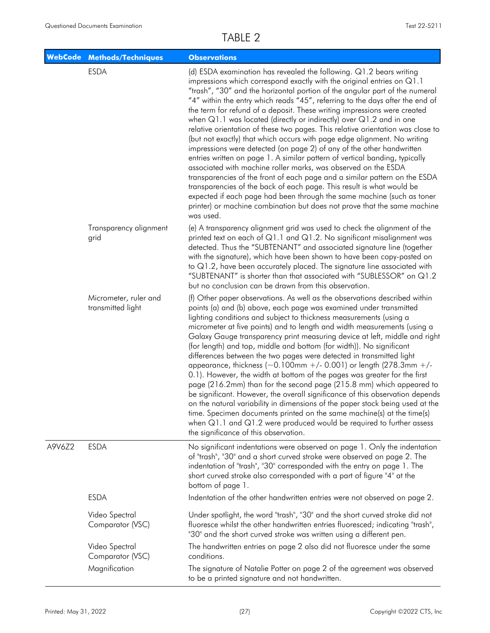|        | <b>WebCode Methods/Techniques</b>          | <b>Observations</b>                                                                                                                                                                                                                                                                                                                                                                                                                                                                                                                                                                                                                                                                                                                                                                                                                                                                                                                                                                                                                                                                                                                                                                     |
|--------|--------------------------------------------|-----------------------------------------------------------------------------------------------------------------------------------------------------------------------------------------------------------------------------------------------------------------------------------------------------------------------------------------------------------------------------------------------------------------------------------------------------------------------------------------------------------------------------------------------------------------------------------------------------------------------------------------------------------------------------------------------------------------------------------------------------------------------------------------------------------------------------------------------------------------------------------------------------------------------------------------------------------------------------------------------------------------------------------------------------------------------------------------------------------------------------------------------------------------------------------------|
|        | <b>ESDA</b>                                | (d) ESDA examination has revealed the following. Q1.2 bears writing<br>impressions which correspond exactly with the original entries on Q1.1<br>"trash", "30" and the horizontal portion of the angular part of the numeral<br>"4" within the entry which reads "45", referring to the days after the end of<br>the term for refund of a deposit. These writing impressions were created<br>when $Q1.1$ was located (directly or indirectly) over $Q1.2$ and in one<br>relative orientation of these two pages. This relative orientation was close to<br>(but not exactly) that which occurs with page edge alignment. No writing<br>impressions were detected (on page 2) of any of the other handwritten<br>entries written on page 1. A similar pattern of vertical banding, typically<br>associated with machine roller marks, was observed on the ESDA<br>transparencies of the front of each page and a similar pattern on the ESDA<br>transparencies of the back of each page. This result is what would be<br>expected if each page had been through the same machine (such as toner<br>printer) or machine combination but does not prove that the same machine<br>was used. |
|        | Transparency alignment<br>grid             | (e) A transparency alignment grid was used to check the alignment of the<br>printed text on each of $Q1.1$ and $Q1.2$ . No significant misalignment was<br>detected. Thus the "SUBTENANT" and associated signature line (together<br>with the signature), which have been shown to have been copy-pasted on<br>to Q1.2, have been accurately placed. The signature line associated with<br>"SUBTENANT" is shorter than that associated with "SUBLESSOR" on Q1.2<br>but no conclusion can be drawn from this observation.                                                                                                                                                                                                                                                                                                                                                                                                                                                                                                                                                                                                                                                                |
|        | Micrometer, ruler and<br>transmitted light | (f) Other paper observations. As well as the observations described within<br>points (a) and (b) above, each page was examined under transmitted<br>lighting conditions and subject to thickness measurements (using a<br>micrometer at five points) and to length and width measurements (using a<br>Galaxy Gauge transparency print measuring device at left, middle and right<br>(for length) and top, middle and bottom (for width)). No significant<br>differences between the two pages were detected in transmitted light<br>appearance, thickness ( $\sim$ 0.100mm +/- 0.001) or length (278.3mm +/-<br>0.1). However, the width at bottom of the pages was greater for the first<br>page (216.2mm) than for the second page (215.8 mm) which appeared to<br>be significant. However, the overall significance of this observation depends<br>on the natural variability in dimensions of the paper stock being used at the<br>time. Specimen documents printed on the same machine(s) at the time(s)<br>when $Q1.1$ and $Q1.2$ were produced would be required to further assess<br>the significance of this observation.                                                      |
| A9V6Z2 | <b>ESDA</b>                                | No significant indentations were observed on page 1. Only the indentation<br>of "trash", "30" and a short curved stroke were observed on page 2. The<br>indentation of "trash", "30" corresponded with the entry on page 1. The<br>short curved stroke also corresponded with a part of figure "4" at the<br>bottom of page 1.                                                                                                                                                                                                                                                                                                                                                                                                                                                                                                                                                                                                                                                                                                                                                                                                                                                          |
|        | <b>ESDA</b>                                | Indentation of the other handwritten entries were not observed on page 2.                                                                                                                                                                                                                                                                                                                                                                                                                                                                                                                                                                                                                                                                                                                                                                                                                                                                                                                                                                                                                                                                                                               |
|        | Video Spectral<br>Comparator (VSC)         | Under spotlight, the word "trash", "30" and the short curved stroke did not<br>fluoresce whilst the other handwritten entries fluoresced; indicating "trash",<br>"30" and the short curved stroke was written using a different pen.                                                                                                                                                                                                                                                                                                                                                                                                                                                                                                                                                                                                                                                                                                                                                                                                                                                                                                                                                    |
|        | Video Spectral<br>Comparator (VSC)         | The handwritten entries on page 2 also did not fluoresce under the same<br>conditions.                                                                                                                                                                                                                                                                                                                                                                                                                                                                                                                                                                                                                                                                                                                                                                                                                                                                                                                                                                                                                                                                                                  |
|        | Magnification                              | The signature of Natalie Potter on page 2 of the agreement was observed<br>to be a printed signature and not handwritten.                                                                                                                                                                                                                                                                                                                                                                                                                                                                                                                                                                                                                                                                                                                                                                                                                                                                                                                                                                                                                                                               |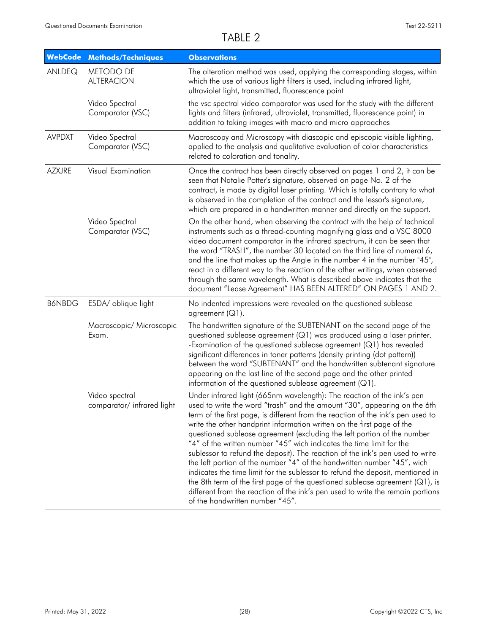| <b>WebCode</b> | <b>Methods/Techniques</b>                    | <b>Observations</b>                                                                                                                                                                                                                                                                                                                                                                                                                                                                                                                                                                                                                                                                                                                                                                                                                                                                                                       |
|----------------|----------------------------------------------|---------------------------------------------------------------------------------------------------------------------------------------------------------------------------------------------------------------------------------------------------------------------------------------------------------------------------------------------------------------------------------------------------------------------------------------------------------------------------------------------------------------------------------------------------------------------------------------------------------------------------------------------------------------------------------------------------------------------------------------------------------------------------------------------------------------------------------------------------------------------------------------------------------------------------|
| ANLDEQ         | METODO DE<br><b>ALTERACION</b>               | The alteration method was used, applying the corresponding stages, within<br>which the use of various light filters is used, including infrared light,<br>ultraviolet light, transmitted, fluorescence point                                                                                                                                                                                                                                                                                                                                                                                                                                                                                                                                                                                                                                                                                                              |
|                | Video Spectral<br>Comparator (VSC)           | the vsc spectral video comparator was used for the study with the different<br>lights and filters (infrared, ultraviolet, transmitted, fluorescence point) in<br>addition to taking images with macro and micro approaches                                                                                                                                                                                                                                                                                                                                                                                                                                                                                                                                                                                                                                                                                                |
| <b>AVPDXT</b>  | Video Spectral<br>Comparator (VSC)           | Macroscopy and Microscopy with diascopic and episcopic visible lighting,<br>applied to the analysis and qualitative evaluation of color characteristics<br>related to coloration and tonality.                                                                                                                                                                                                                                                                                                                                                                                                                                                                                                                                                                                                                                                                                                                            |
| <b>AZXJRE</b>  | Visual Examination                           | Once the contract has been directly observed on pages 1 and 2, it can be<br>seen that Natalie Potter's signature, observed on page No. 2 of the<br>contract, is made by digital laser printing. Which is totally contrary to what<br>is observed in the completion of the contract and the lessor's signature,<br>which are prepared in a handwritten manner and directly on the support.                                                                                                                                                                                                                                                                                                                                                                                                                                                                                                                                 |
|                | Video Spectral<br>Comparator (VSC)           | On the other hand, when observing the contract with the help of technical<br>instruments such as a thread-counting magnifying glass and a VSC 8000<br>video document comparator in the infrared spectrum, it can be seen that<br>the word "TRASH", the number 30 located on the third line of numeral 6,<br>and the line that makes up the Angle in the number 4 in the number "45",<br>react in a different way to the reaction of the other writings, when observed<br>through the same wavelength. What is described above indicates that the<br>document "Lease Agreement" HAS BEEN ALTERED" ON PAGES 1 AND 2.                                                                                                                                                                                                                                                                                                        |
| <b>B6NBDG</b>  | ESDA/ oblique light                          | No indented impressions were revealed on the questioned sublease<br>agreement (Q1).                                                                                                                                                                                                                                                                                                                                                                                                                                                                                                                                                                                                                                                                                                                                                                                                                                       |
|                | Macroscopic/ Microscopic<br>Exam.            | The handwritten signature of the SUBTENANT on the second page of the<br>questioned sublease agreement (Q1) was produced using a laser printer.<br>-Examination of the questioned sublease agreement (Q1) has revealed<br>significant differences in toner patterns (density printing (dot pattern))<br>between the word "SUBTENANT" and the handwritten subtenant signature<br>appearing on the last line of the second page and the other printed<br>information of the questioned sublease agreement $(Q1)$ .                                                                                                                                                                                                                                                                                                                                                                                                           |
|                | Video spectral<br>comparator/ infrared light | Under infrared light (665nm wavelength): The reaction of the ink's pen<br>used to write the word "trash" and the amount "30", appearing on the 6th<br>term of the first page, is different from the reaction of the ink's pen used to<br>write the other handprint information written on the first page of the<br>questioned sublease agreement (excluding the left portion of the number<br>"4" of the written number "45" wich indicates the time limit for the<br>sublessor to refund the deposit). The reaction of the ink's pen used to write<br>the left portion of the number "4" of the handwritten number "45", wich<br>indicates the time limit for the sublessor to refund the deposit, mentioned in<br>the 8th term of the first page of the questioned sublease agreement $(Q_1)$ , is<br>different from the reaction of the ink's pen used to write the remain portions<br>of the handwritten number "45". |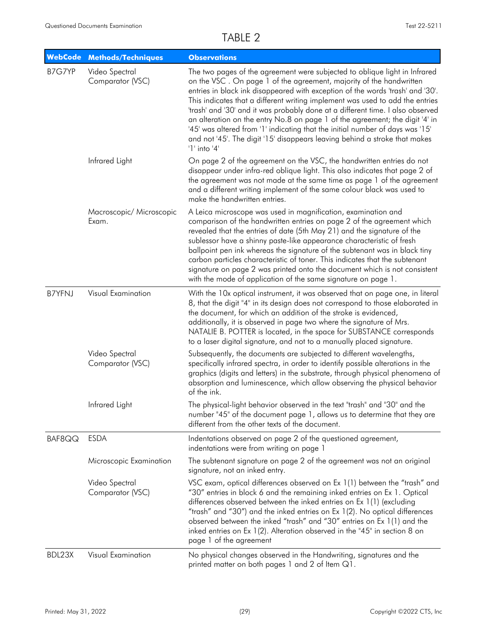| <b>WebCode</b> | <b>Methods/Techniques</b>          | <b>Observations</b>                                                                                                                                                                                                                                                                                                                                                                                                                                                                                                                                                                                                                                                       |
|----------------|------------------------------------|---------------------------------------------------------------------------------------------------------------------------------------------------------------------------------------------------------------------------------------------------------------------------------------------------------------------------------------------------------------------------------------------------------------------------------------------------------------------------------------------------------------------------------------------------------------------------------------------------------------------------------------------------------------------------|
| B7G7YP         | Video Spectral<br>Comparator (VSC) | The two pages of the agreement were subjected to oblique light in Infrared<br>on the VSC. On page 1 of the agreement, majority of the handwritten<br>entries in black ink disappeared with exception of the words 'trash' and '30'.<br>This indicates that a different writing implement was used to add the entries<br>'trash' and '30' and it was probably done at a different time. I also observed<br>an alteration on the entry No.8 on page 1 of the agreement; the digit '4' in<br>'45' was altered from '1' indicating that the initial number of days was '15'<br>and not '45'. The digit '15' disappears leaving behind a stroke that makes<br>$'1'$ into $'4'$ |
|                | Infrared Light                     | On page 2 of the agreement on the VSC, the handwritten entries do not<br>disappear under infra-red oblique light. This also indicates that page 2 of<br>the agreement was not made at the same time as page 1 of the agreement<br>and a different writing implement of the same colour black was used to<br>make the handwritten entries.                                                                                                                                                                                                                                                                                                                                 |
|                | Macroscopic/ Microscopic<br>Exam.  | A Leica microscope was used in magnification, examination and<br>comparison of the handwritten entries on page 2 of the agreement which<br>revealed that the entries of date (5th May 21) and the signature of the<br>sublessor have a shinny paste-like appearance characteristic of fresh<br>ballpoint pen ink whereas the signature of the subtenant was in black tiny<br>carbon particles characteristic of toner. This indicates that the subtenant<br>signature on page 2 was printed onto the document which is not consistent<br>with the mode of application of the same signature on page 1.                                                                    |
| <b>B7YFNJ</b>  | Visual Examination                 | With the 10x optical instrument, it was observed that on page one, in literal<br>8, that the digit "4" in its design does not correspond to those elaborated in<br>the document, for which an addition of the stroke is evidenced,<br>additionally, it is observed in page two where the signature of Mrs.<br>NATALIE B. POTTER is located, in the space for SUBSTANCE corresponds<br>to a laser digital signature, and not to a manually placed signature.                                                                                                                                                                                                               |
|                | Video Spectral<br>Comparator (VSC) | Subsequently, the documents are subjected to different wavelengths,<br>specifically infrared spectra, in order to identify possible alterations in the<br>graphics (digits and letters) in the substrate, through physical phenomena of<br>absorption and luminescence, which allow observing the physical behavior<br>of the ink.                                                                                                                                                                                                                                                                                                                                        |
|                | Infrared Light                     | The physical-light behavior observed in the text "trash" and "30" and the<br>number "45" of the document page 1, allows us to determine that they are<br>different from the other texts of the document.                                                                                                                                                                                                                                                                                                                                                                                                                                                                  |
| BAF8QQ         | <b>ESDA</b>                        | Indentations observed on page 2 of the questioned agreement,<br>indentations were from writing on page 1                                                                                                                                                                                                                                                                                                                                                                                                                                                                                                                                                                  |
|                | Microscopic Examination            | The subtenant signature on page 2 of the agreement was not an original<br>signature, not an inked entry.                                                                                                                                                                                                                                                                                                                                                                                                                                                                                                                                                                  |
|                | Video Spectral<br>Comparator (VSC) | VSC exam, optical differences observed on Ex 1(1) between the "trash" and<br>"30" entries in block 6 and the remaining inked entries on Ex 1. Optical<br>differences observed between the inked entries on Ex 1(1) (excluding<br>"trash" and "30") and the inked entries on Ex 1(2). No optical differences<br>observed between the inked "trash" and "30" entries on Ex 1(1) and the<br>inked entries on Ex 1(2). Alteration observed in the "45" in section 8 on<br>page 1 of the agreement                                                                                                                                                                             |
| BDL23X         | Visual Examination                 | No physical changes observed in the Handwriting, signatures and the<br>printed matter on both pages 1 and 2 of Item Q1.                                                                                                                                                                                                                                                                                                                                                                                                                                                                                                                                                   |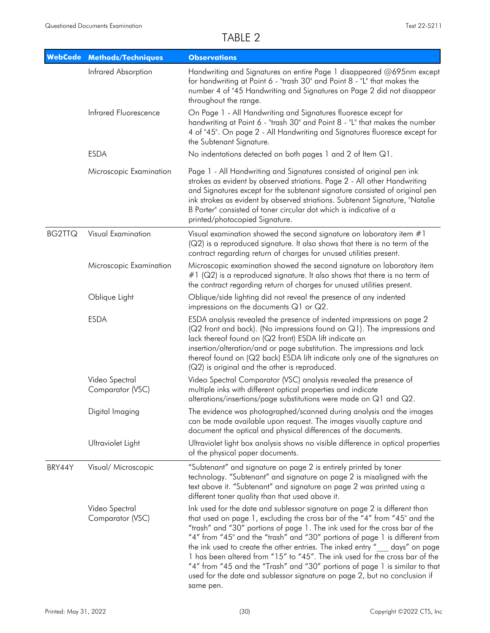|               | <b>WebCode Methods/Techniques</b>  | <b>Observations</b>                                                                                                                                                                                                                                                                                                                                                                                                                                                                                                                                                                                                                                        |
|---------------|------------------------------------|------------------------------------------------------------------------------------------------------------------------------------------------------------------------------------------------------------------------------------------------------------------------------------------------------------------------------------------------------------------------------------------------------------------------------------------------------------------------------------------------------------------------------------------------------------------------------------------------------------------------------------------------------------|
|               | Infrared Absorption                | Handwriting and Signatures on entire Page 1 disappeared @695nm except<br>for handwriting at Point 6 - "trash 30" and Point 8 - "L" that makes the<br>number 4 of "45 Handwriting and Signatures on Page 2 did not disappear<br>throughout the range.                                                                                                                                                                                                                                                                                                                                                                                                       |
|               | Infrared Fluorescence              | On Page 1 - All Handwriting and Signatures fluoresce except for<br>handwriting at Point 6 - "trash 30" and Point 8 - "L" that makes the number<br>4 of "45". On page 2 - All Handwriting and Signatures fluoresce except for<br>the Subtenant Signature.                                                                                                                                                                                                                                                                                                                                                                                                   |
|               | <b>ESDA</b>                        | No indentations detected on both pages 1 and 2 of Item Q1.                                                                                                                                                                                                                                                                                                                                                                                                                                                                                                                                                                                                 |
|               | Microscopic Examination            | Page 1 - All Handwriting and Signatures consisted of original pen ink<br>strokes as evident by observed striations. Page 2 - All other Handwriting<br>and Signatures except for the subtenant signature consisted of original pen<br>ink strokes as evident by observed striations. Subtenant Signature, "Natalie<br>B Porter" consisted of toner circular dot which is indicative of a<br>printed/photocopied Signature.                                                                                                                                                                                                                                  |
| <b>BG2TTQ</b> | <b>Visual Examination</b>          | Visual examination showed the second signature on laboratory item #1<br>(Q2) is a reproduced signature. It also shows that there is no term of the<br>contract regarding return of charges for unused utilities present.                                                                                                                                                                                                                                                                                                                                                                                                                                   |
|               | Microscopic Examination            | Microscopic examination showed the second signature on laboratory item<br>$#1$ (Q2) is a reproduced signature. It also shows that there is no term of<br>the contract regarding return of charges for unused utilities present.                                                                                                                                                                                                                                                                                                                                                                                                                            |
|               | Oblique Light                      | Oblique/side lighting did not reveal the presence of any indented<br>impressions on the documents $Q1$ or $Q2$ .                                                                                                                                                                                                                                                                                                                                                                                                                                                                                                                                           |
|               | <b>ESDA</b>                        | ESDA analysis revealed the presence of indented impressions on page 2<br>(Q2 front and back). (No impressions found on Q1). The impressions and<br>lack thereof found on (Q2 front) ESDA lift indicate an<br>insertion/alteration/and or page substitution. The impressions and lack<br>thereof found on (Q2 back) ESDA lift indicate only one of the signatures on<br>(Q2) is original and the other is reproduced.                                                                                                                                                                                                                                       |
|               | Video Spectral<br>Comparator (VSC) | Video Spectral Comparator (VSC) analysis revealed the presence of<br>multiple inks with different optical properties and indicate<br>alterations/insertions/page substitutions were made on Q1 and Q2.                                                                                                                                                                                                                                                                                                                                                                                                                                                     |
|               | Digital Imaging                    | The evidence was photographed/scanned during analysis and the images<br>can be made available upon request. The images visually capture and<br>document the optical and physical differences of the documents.                                                                                                                                                                                                                                                                                                                                                                                                                                             |
|               | Ultraviolet Light                  | Ultraviolet light box analysis shows no visible difference in optical properties<br>of the physical paper documents.                                                                                                                                                                                                                                                                                                                                                                                                                                                                                                                                       |
| BRY44Y        | Visual/ Microscopic                | "Subtenant" and signature on page 2 is entirely printed by toner<br>technology. "Subtenant" and signature on page 2 is misaligned with the<br>text above it. "Subtenant" and signature on page 2 was printed using a<br>different toner quality than that used above it.                                                                                                                                                                                                                                                                                                                                                                                   |
|               | Video Spectral<br>Comparator (VSC) | Ink used for the date and sublessor signature on page 2 is different than<br>that used on page 1, excluding the cross bar of the "4" from "45" and the<br>"trash" and "30" portions of page 1. The ink used for the cross bar of the<br>"4" from "45" and the "trash" and "30" portions of page 1 is different from<br>the ink used to create the other entries. The inked entry "__ days" on page<br>1 has been altered from "15" to "45". The ink used for the cross bar of the<br>"4" from "45 and the "Trash" and "30" portions of page 1 is similar to that<br>used for the date and sublessor signature on page 2, but no conclusion if<br>same pen. |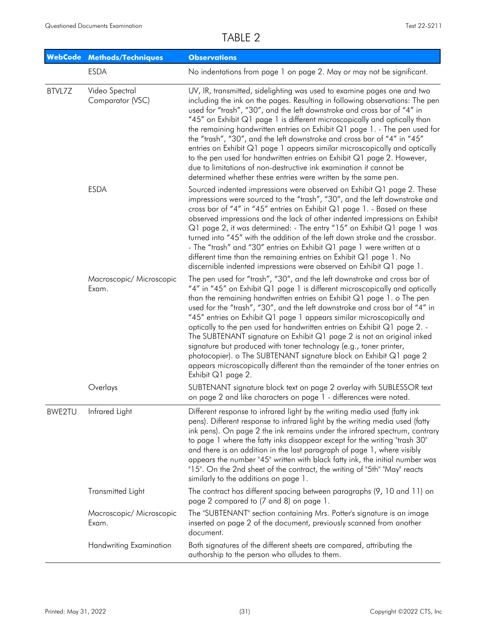|        | WebCode Methods/Techniques         | <b>Observations</b>                                                                                                                                                                                                                                                                                                                                                                                                                                                                                                                                                                                                                                                                                                                                                                               |
|--------|------------------------------------|---------------------------------------------------------------------------------------------------------------------------------------------------------------------------------------------------------------------------------------------------------------------------------------------------------------------------------------------------------------------------------------------------------------------------------------------------------------------------------------------------------------------------------------------------------------------------------------------------------------------------------------------------------------------------------------------------------------------------------------------------------------------------------------------------|
|        | <b>ESDA</b>                        | No indentations from page 1 on page 2. May or may not be significant.                                                                                                                                                                                                                                                                                                                                                                                                                                                                                                                                                                                                                                                                                                                             |
| BTVL7Z | Video Spectral<br>Comparator (VSC) | UV, IR, transmitted, sidelighting was used to examine pages one and two<br>including the ink on the pages. Resulting in following observations: The pen<br>used for "trash", "30", and the left downstroke and cross bar of "4" in<br>"45" on Exhibit Q1 page 1 is different microscopically and optically than<br>the remaining handwritten entries on Exhibit Q1 page 1. - The pen used for<br>the "trash", "30", and the left downstroke and cross bar of "4" in "45"<br>entries on Exhibit Q1 page 1 appears similar microscopically and optically<br>to the pen used for handwritten entries on Exhibit Q1 page 2. However,<br>due to limitations of non-destructive ink examination it cannot be<br>determined whether these entries were written by the same pen.                          |
|        | <b>ESDA</b>                        | Sourced indented impressions were observed on Exhibit Q1 page 2. These<br>impressions were sourced to the "trash", "30", and the left downstroke and<br>cross bar of "4" in "45" entries on Exhibit Q1 page 1. - Based on these<br>observed impressions and the lack of other indented impressions on Exhibit<br>Q1 page 2, it was determined: - The entry "15" on Exhibit Q1 page 1 was<br>turned into "45" with the addition of the left down stroke and the crossbar.<br>- The "trash" and "30" entries on Exhibit Q1 page 1 were written at a<br>different time than the remaining entries on Exhibit $Q1$ page 1. No<br>discernible indented impressions were observed on Exhibit Q1 page 1.                                                                                                 |
|        | Macroscopic/ Microscopic<br>Exam.  | The pen used for "trash", "30", and the left downstroke and cross bar of<br>"4" in "45" on Exhibit Q1 page 1 is different microscopically and optically<br>than the remaining handwritten entries on Exhibit Q1 page 1. o The pen<br>used for the "trash", "30", and the left downstroke and cross bar of "4" in<br>"45" entries on Exhibit Q1 page 1 appears similar microscopically and<br>optically to the pen used for handwritten entries on Exhibit Q1 page 2. -<br>The SUBTENANT signature on Exhibit Q1 page 2 is not an original inked<br>signature but produced with toner technology (e.g., toner printer,<br>photocopier). o The SUBTENANT signature block on Exhibit Q1 page 2<br>appears microscopically different than the remainder of the toner entries on<br>Exhibit Q1 page 2. |
|        | Overlays                           | SUBTENANT signature block text on page 2 overlay with SUBLESSOR text<br>on page 2 and like characters on page 1 - differences were noted.                                                                                                                                                                                                                                                                                                                                                                                                                                                                                                                                                                                                                                                         |
| BWE2TU | Infrared Light                     | Different response to infrared light by the writing media used (fatty ink<br>pens). Different response to infrared light by the writing media used (fatty<br>ink pens). On page 2 the ink remains under the infrared spectrum, contrary<br>to page 1 where the fatty inks disappear except for the writing "trash 30"<br>and there is an addition in the last paragraph of page 1, where visibly<br>appears the number "45" written with black fatty ink, the initial number was<br>"15". On the 2nd sheet of the contract, the writing of "5th" "May" reacts<br>similarly to the additions on page 1.                                                                                                                                                                                            |
|        | Transmitted Light                  | The contract has different spacing between paragraphs (9, 10 and 11) on<br>page 2 compared to (7 and 8) on page 1.                                                                                                                                                                                                                                                                                                                                                                                                                                                                                                                                                                                                                                                                                |
|        | Macroscopic/ Microscopic<br>Exam.  | The "SUBTENANT" section containing Mrs. Potter's signature is an image<br>inserted on page 2 of the document, previously scanned from another<br>document.                                                                                                                                                                                                                                                                                                                                                                                                                                                                                                                                                                                                                                        |
|        | Handwriting Examination            | Both signatures of the different sheets are compared, attributing the<br>authorship to the person who alludes to them.                                                                                                                                                                                                                                                                                                                                                                                                                                                                                                                                                                                                                                                                            |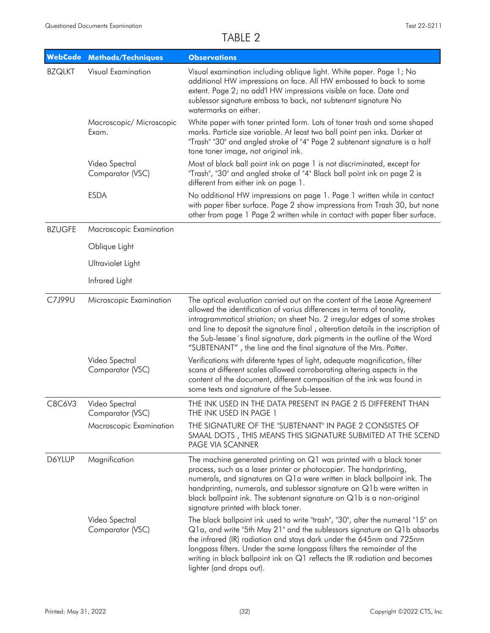|               | WebCode Methods/Techniques         | <b>Observations</b>                                                                                                                                                                                                                                                                                                                                                                                                                                                      |
|---------------|------------------------------------|--------------------------------------------------------------------------------------------------------------------------------------------------------------------------------------------------------------------------------------------------------------------------------------------------------------------------------------------------------------------------------------------------------------------------------------------------------------------------|
| <b>BZQLKT</b> | Visual Examination                 | Visual examination including oblique light. White paper. Page 1; No<br>additional HW impressions on face. All HW embossed to back to some<br>extent. Page 2; no add'l HW impressions visible on face. Date and<br>sublessor signature emboss to back, not subtenant signature No<br>watermarks on either.                                                                                                                                                                |
|               | Macroscopic/ Microscopic<br>Exam.  | White paper with toner printed form. Lots of toner trash and some shaped<br>marks. Particle size variable. At least two ball point pen inks. Darker at<br>"Trash" "30" and angled stroke of "4" Page 2 subtenant signature is a half<br>tone toner image, not original ink.                                                                                                                                                                                              |
|               | Video Spectral<br>Comparator (VSC) | Most of black ball point ink on page 1 is not discriminated, except for<br>"Trash", "30" and angled stroke of "4" Black ball point ink on page 2 is<br>different from either ink on page 1.                                                                                                                                                                                                                                                                              |
|               | <b>ESDA</b>                        | No additional HW impressions on page 1. Page 1 written while in contact<br>with paper fiber surface. Page 2 show impressions from Trash 30, but none<br>other from page 1 Page 2 written while in contact with paper fiber surface.                                                                                                                                                                                                                                      |
| <b>BZUGFE</b> | Macroscopic Examination            |                                                                                                                                                                                                                                                                                                                                                                                                                                                                          |
|               | Oblique Light                      |                                                                                                                                                                                                                                                                                                                                                                                                                                                                          |
|               | Ultraviolet Light                  |                                                                                                                                                                                                                                                                                                                                                                                                                                                                          |
|               | Infrared Light                     |                                                                                                                                                                                                                                                                                                                                                                                                                                                                          |
| C7J99U        | Microscopic Examination            | The optical evaluation carried out on the content of the Lease Agreement<br>allowed the identification of varius differences in terms of tonality,<br>intragrammatical striation; on sheet No. 2 irregular edges of some strokes<br>and line to deposit the signature final, alteration details in the inscription of<br>the Sub-lessee's final signature, dark pigments in the outline of the Word<br>"SUBTENANT", the line and the final signature of the Mrs. Potter. |
|               | Video Spectral<br>Comparator (VSC) | Verifications with diferente types of light, adequate magnification, filter<br>scans at different scales allowed corroborating altering aspects in the<br>content of the document, different composition of the ink was found in<br>some texts and signature of the Sub-lessee.                                                                                                                                                                                          |
| C8C6V3        | Video Spectral<br>Comparator (VSC) | THE INK USED IN THE DATA PRESENT IN PAGE 2 IS DIFFERENT THAN<br>THE INK USED IN PAGE 1                                                                                                                                                                                                                                                                                                                                                                                   |
|               | Macroscopic Examination            | THE SIGNATURE OF THE "SUBTENANT" IN PAGE 2 CONSISTES OF<br>SMAAL DOTS, THIS MEANS THIS SIGNATURE SUBMITED AT THE SCEND<br>PAGE VIA SCANNER                                                                                                                                                                                                                                                                                                                               |
| D6YLUP        | Magnification                      | The machine generated printing on Q1 was printed with a black toner<br>process, such as a laser printer or photocopier. The handprinting,<br>numerals, and signatures on Q1a were written in black ballpoint ink. The<br>handprinting, numerals, and sublessor signature on Q1b were written in<br>black ballpoint ink. The subtenant signature on Q1b is a non-original<br>signature printed with black toner.                                                          |
|               | Video Spectral<br>Comparator (VSC) | The black ballpoint ink used to write "trash", "30", alter the numeral "15" on<br>Q1a, and write "5th May 21" and the sublessors signature on Q1b absorbs<br>the infrared (IR) radiation and stays dark under the 645nm and 725nm<br>longpass filters. Under the same longpass filters the remainder of the<br>writing in black ballpoint ink on Q1 reflects the IR radiation and becomes<br>lighter (and drops out).                                                    |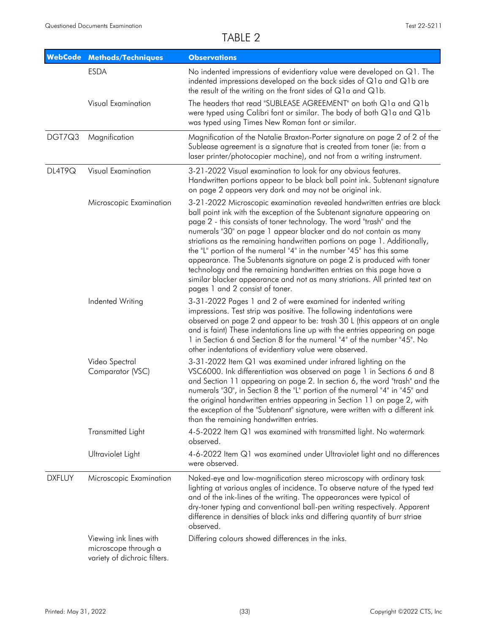|               | WebCode Methods/Techniques                                                     | <b>Observations</b>                                                                                                                                                                                                                                                                                                                                                                                                                                                                                                                                                                                                                                                                                                      |
|---------------|--------------------------------------------------------------------------------|--------------------------------------------------------------------------------------------------------------------------------------------------------------------------------------------------------------------------------------------------------------------------------------------------------------------------------------------------------------------------------------------------------------------------------------------------------------------------------------------------------------------------------------------------------------------------------------------------------------------------------------------------------------------------------------------------------------------------|
|               | <b>ESDA</b>                                                                    | No indented impressions of evidentiary value were developed on Q1. The<br>indented impressions developed on the back sides of Q1a and Q1b are<br>the result of the writing on the front sides of $Q1a$ and $Q1b$ .                                                                                                                                                                                                                                                                                                                                                                                                                                                                                                       |
|               | Visual Examination                                                             | The headers that read "SUBLEASE AGREEMENT" on both Q1a and Q1b<br>were typed using Calibri font or similar. The body of both Q1a and Q1b<br>was typed using Times New Roman font or similar.                                                                                                                                                                                                                                                                                                                                                                                                                                                                                                                             |
| DGT7Q3        | Magnification                                                                  | Magnification of the Natalie Braxton-Porter signature on page 2 of 2 of the<br>Sublease agreement is a signature that is created from toner (ie: from a<br>laser printer/photocopier machine), and not from a writing instrument.                                                                                                                                                                                                                                                                                                                                                                                                                                                                                        |
| DL4T9Q        | Visual Examination                                                             | 3-21-2022 Visual examination to look for any obvious features.<br>Handwritten portions appear to be black ball point ink. Subtenant signature<br>on page 2 appears very dark and may not be original ink.                                                                                                                                                                                                                                                                                                                                                                                                                                                                                                                |
|               | Microscopic Examination                                                        | 3-21-2022 Microscopic examination revealed handwritten entries are black<br>ball point ink with the exception of the Subtenant signature appearing on<br>page 2 - this consists of toner technology. The word "trash" and the<br>numerals "30" on page 1 appear blacker and do not contain as many<br>striations as the remaining handwritten portions on page 1. Additionally,<br>the "L" portion of the numeral "4" in the number "45" has this same<br>appearance. The Subtenants signature on page 2 is produced with toner<br>technology and the remaining handwritten entries on this page have a<br>similar blacker appearance and not as many striations. All printed text on<br>pages 1 and 2 consist of toner. |
|               | Indented Writing                                                               | 3-31-2022 Pages 1 and 2 of were examined for indented writing<br>impressions. Test strip was positive. The following indentations were<br>observed on page 2 and appear to be: trash 30 L (this appears at an angle<br>and is faint) These indentations line up with the entries appearing on page<br>1 in Section 6 and Section 8 for the numeral "4" of the number "45". No<br>other indentations of evidentiary value were observed.                                                                                                                                                                                                                                                                                  |
|               | Video Spectral<br>Comparator (VSC)                                             | 3-31-2022 Item Q1 was examined under infrared lighting on the<br>VSC6000. Ink differentiation was observed on page 1 in Sections 6 and 8<br>and Section 11 appearing on page 2. In section 6, the word "trash" and the<br>numerals "30", in Section 8 the "L" portion of the numeral "4" in "45" and<br>the original handwritten entries appearing in Section 11 on page 2, with<br>the exception of the "Subtenant" signature, were written with a different ink<br>than the remaining handwritten entries.                                                                                                                                                                                                             |
|               | Transmitted Light                                                              | 4-5-2022 Item Q1 was examined with transmitted light. No watermark<br>observed.                                                                                                                                                                                                                                                                                                                                                                                                                                                                                                                                                                                                                                          |
|               | Ultraviolet Light                                                              | 4-6-2022 Item Q1 was examined under Ultraviolet light and no differences<br>were observed.                                                                                                                                                                                                                                                                                                                                                                                                                                                                                                                                                                                                                               |
| <b>DXFLUY</b> | Microscopic Examination                                                        | Naked-eye and low-magnification stereo microscopy with ordinary task<br>lighting at various angles of incidence. To observe nature of the typed text<br>and of the ink-lines of the writing. The appearances were typical of<br>dry-toner typing and conventional ball-pen writing respectively. Apparent<br>difference in densities of black inks and differing quantity of burr striae<br>observed.                                                                                                                                                                                                                                                                                                                    |
|               | Viewing ink lines with<br>microscope through a<br>variety of dichroic filters. | Differing colours showed differences in the inks.                                                                                                                                                                                                                                                                                                                                                                                                                                                                                                                                                                                                                                                                        |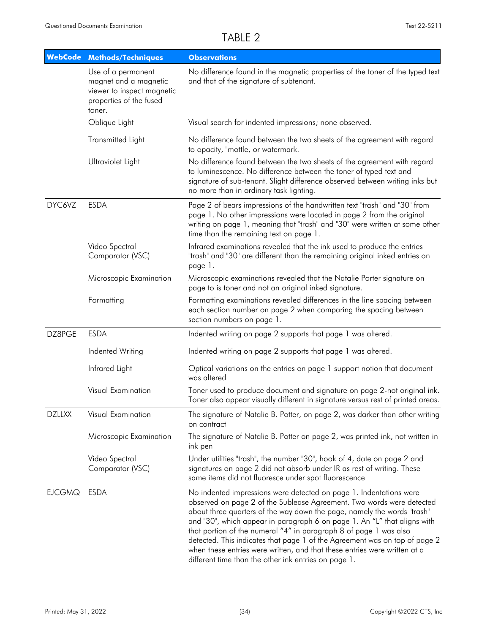|               | <b>WebCode Methods/Techniques</b>                                                                              | <b>Observations</b>                                                                                                                                                                                                                                                                                                                                                                                                                                                                                                                                                                        |
|---------------|----------------------------------------------------------------------------------------------------------------|--------------------------------------------------------------------------------------------------------------------------------------------------------------------------------------------------------------------------------------------------------------------------------------------------------------------------------------------------------------------------------------------------------------------------------------------------------------------------------------------------------------------------------------------------------------------------------------------|
|               | Use of a permanent<br>magnet and a magnetic<br>viewer to inspect magnetic<br>properties of the fused<br>toner. | No difference found in the magnetic properties of the toner of the typed text<br>and that of the signature of subtenant.                                                                                                                                                                                                                                                                                                                                                                                                                                                                   |
|               | Oblique Light                                                                                                  | Visual search for indented impressions; none observed.                                                                                                                                                                                                                                                                                                                                                                                                                                                                                                                                     |
|               | Transmitted Light                                                                                              | No difference found between the two sheets of the agreement with regard<br>to opacity, "mottle, or watermark.                                                                                                                                                                                                                                                                                                                                                                                                                                                                              |
|               | Ultraviolet Light                                                                                              | No difference found between the two sheets of the agreement with regard<br>to luminescence. No difference between the toner of typed text and<br>signature of sub-tenant. Slight difference observed between writing inks but<br>no more than in ordinary task lighting.                                                                                                                                                                                                                                                                                                                   |
| DYC6VZ        | <b>ESDA</b>                                                                                                    | Page 2 of bears impressions of the handwritten text "trash" and "30" from<br>page 1. No other impressions were located in page 2 from the original<br>writing on page 1, meaning that "trash" and "30" were written at some other<br>time than the remaining text on page 1.                                                                                                                                                                                                                                                                                                               |
|               | Video Spectral<br>Comparator (VSC)                                                                             | Infrared examinations revealed that the ink used to produce the entries<br>"trash" and "30" are different than the remaining original inked entries on<br>page 1.                                                                                                                                                                                                                                                                                                                                                                                                                          |
|               | Microscopic Examination                                                                                        | Microscopic examinations revealed that the Natalie Porter signature on<br>page to is toner and not an original inked signature.                                                                                                                                                                                                                                                                                                                                                                                                                                                            |
|               | Formatting                                                                                                     | Formatting examinations revealed differences in the line spacing between<br>each section number on page 2 when comparing the spacing between<br>section numbers on page 1.                                                                                                                                                                                                                                                                                                                                                                                                                 |
| DZ8PGE        | <b>ESDA</b>                                                                                                    | Indented writing on page 2 supports that page 1 was altered.                                                                                                                                                                                                                                                                                                                                                                                                                                                                                                                               |
|               | Indented Writing                                                                                               | Indented writing on page 2 supports that page 1 was altered.                                                                                                                                                                                                                                                                                                                                                                                                                                                                                                                               |
|               | Infrared Light                                                                                                 | Optical variations on the entries on page 1 support notion that document<br>was altered                                                                                                                                                                                                                                                                                                                                                                                                                                                                                                    |
|               | Visual Examination                                                                                             | Toner used to produce document and signature on page 2-not original ink.<br>Toner also appear visually different in signature versus rest of printed areas.                                                                                                                                                                                                                                                                                                                                                                                                                                |
| <b>DZLLXX</b> | Visual Examination                                                                                             | The signature of Natalie B. Potter, on page 2, was darker than other writing<br>on contract                                                                                                                                                                                                                                                                                                                                                                                                                                                                                                |
|               | Microscopic Examination                                                                                        | The signature of Natalie B. Potter on page 2, was printed ink, not written in<br>ink pen                                                                                                                                                                                                                                                                                                                                                                                                                                                                                                   |
|               | Video Spectral<br>Comparator (VSC)                                                                             | Under utilities "trash", the number "30", hook of 4, date on page 2 and<br>signatures on page 2 did not absorb under IR as rest of writing. These<br>same items did not fluoresce under spot fluorescence                                                                                                                                                                                                                                                                                                                                                                                  |
| <b>EJCGMQ</b> | <b>ESDA</b>                                                                                                    | No indented impressions were detected on page 1. Indentations were<br>observed on page 2 of the Sublease Agreement. Two words were detected<br>about three quarters of the way down the page, namely the words "trash"<br>and "30", which appear in paragraph 6 on page 1. An "L" that aligns with<br>that portion of the numeral "4" in paragraph 8 of page 1 was also<br>detected. This indicates that page 1 of the Agreement was on top of page 2<br>when these entries were written, and that these entries were written at a<br>different time than the other ink entries on page 1. |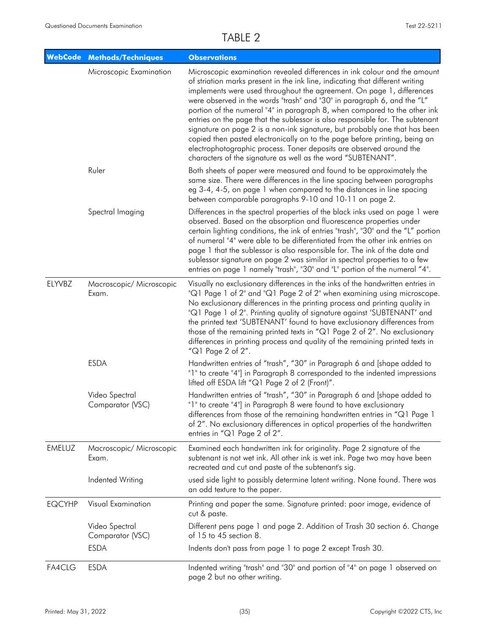|               | <b>WebCode Methods/Techniques</b>  | <b>Observations</b>                                                                                                                                                                                                                                                                                                                                                                                                                                                                                                                                                                                                                                                                                                                                                             |
|---------------|------------------------------------|---------------------------------------------------------------------------------------------------------------------------------------------------------------------------------------------------------------------------------------------------------------------------------------------------------------------------------------------------------------------------------------------------------------------------------------------------------------------------------------------------------------------------------------------------------------------------------------------------------------------------------------------------------------------------------------------------------------------------------------------------------------------------------|
|               | Microscopic Examination            | Microscopic examination revealed differences in ink colour and the amount<br>of striation marks present in the ink line, indicating that different writing<br>implements were used throughout the agreement. On page 1, differences<br>were observed in the words "trash" and "30" in paragraph 6, and the "L"<br>portion of the numeral "4" in paragraph 8, when compared to the other ink<br>entries on the page that the sublessor is also responsible for. The subtenant<br>signature on page 2 is a non-ink signature, but probably one that has been<br>copied then pasted electronically on to the page before printing, being an<br>electrophotographic process. Toner deposits are observed around the<br>characters of the signature as well as the word "SUBTENANT". |
|               | Ruler                              | Both sheets of paper were measured and found to be approximately the<br>same size. There were differences in the line spacing between paragraphs<br>eg 3-4, 4-5, on page 1 when compared to the distances in line spacing<br>between comparable paragraphs 9-10 and 10-11 on page 2.                                                                                                                                                                                                                                                                                                                                                                                                                                                                                            |
|               | Spectral Imaging                   | Differences in the spectral properties of the black inks used on page 1 were<br>observed. Based on the absorption and fluorescence properties under<br>certain lighting conditions, the ink of entries "trash", "30" and the "L" portion<br>of numeral "4" were able to be differentiated from the other ink entries on<br>page 1 that the sublessor is also responsible for. The ink of the date and<br>sublessor signature on page 2 was similar in spectral properties to a few<br>entries on page 1 namely "trash", "30" and "L" portion of the numeral "4".                                                                                                                                                                                                                |
| ELYVBZ        | Macroscopic/ Microscopic<br>Exam.  | Visually no exclusionary differences in the inks of the handwritten entries in<br>"Q1 Page 1 of 2" and "Q1 Page 2 of 2" when examining using microscope.<br>No exclusionary differences in the printing process and printing quality in<br>"Q1 Page 1 of 2". Printing quality of signature against 'SUBTENANT' and<br>the printed text 'SUBTENANT' found to have exclusionary differences from<br>those of the remaining printed texts in "Q1 Page 2 of 2". No exclusionary<br>differences in printing process and quality of the remaining printed texts in<br>" $Q1$ Page 2 of 2".                                                                                                                                                                                            |
|               | <b>ESDA</b>                        | Handwritten entries of "trash", "30" in Paragraph 6 and [shape added to<br>"1" to create "4"] in Paragraph 8 corresponded to the indented impressions<br>lifted off ESDA lift "Q1 Page 2 of 2 (Front)".                                                                                                                                                                                                                                                                                                                                                                                                                                                                                                                                                                         |
|               | Video Spectral<br>Comparator (VSC) | Handwritten entries of "trash", "30" in Paragraph 6 and [shape added to<br>"1" to create "4"] in Paragraph 8 were found to have exclusionary<br>differences from those of the remaining handwritten entries in "Q1 Page 1<br>of 2". No exclusionary differences in optical properties of the handwritten<br>entries in "Q1 Page 2 of 2".                                                                                                                                                                                                                                                                                                                                                                                                                                        |
| <b>EMELUZ</b> | Macroscopic/ Microscopic<br>Exam.  | Examined each handwritten ink for originality. Page 2 signature of the<br>subtenant is not wet ink. All other ink is wet ink. Page two may have been<br>recreated and cut and paste of the subtenant's sig.                                                                                                                                                                                                                                                                                                                                                                                                                                                                                                                                                                     |
|               | Indented Writing                   | used side light to possibly determine latent writing. None found. There was<br>an odd texture to the paper.                                                                                                                                                                                                                                                                                                                                                                                                                                                                                                                                                                                                                                                                     |
| <b>EQCYHP</b> | Visual Examination                 | Printing and paper the same. Signature printed: poor image, evidence of<br>cut & paste.                                                                                                                                                                                                                                                                                                                                                                                                                                                                                                                                                                                                                                                                                         |
|               | Video Spectral<br>Comparator (VSC) | Different pens page 1 and page 2. Addition of Trash 30 section 6. Change<br>of 15 to 45 section 8.                                                                                                                                                                                                                                                                                                                                                                                                                                                                                                                                                                                                                                                                              |
|               | <b>ESDA</b>                        | Indents don't pass from page 1 to page 2 except Trash 30.                                                                                                                                                                                                                                                                                                                                                                                                                                                                                                                                                                                                                                                                                                                       |
| FA4CLG        | <b>ESDA</b>                        | Indented writing "trash" and "30" and portion of "4" on page 1 observed on<br>page 2 but no other writing.                                                                                                                                                                                                                                                                                                                                                                                                                                                                                                                                                                                                                                                                      |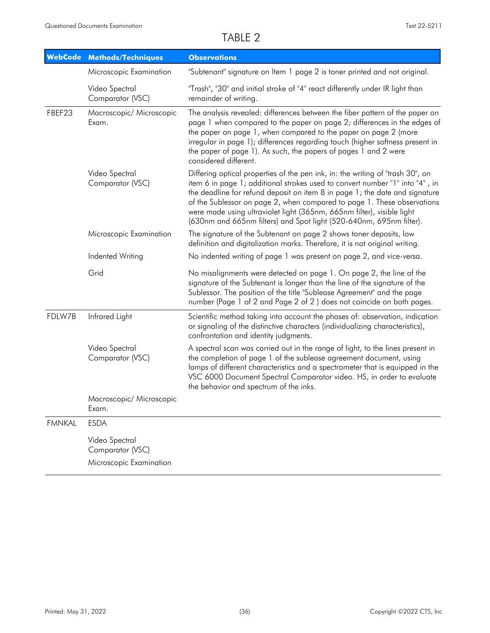| <b>WebCode</b> | <b>Methods/Techniques</b>                                     | <b>Observations</b>                                                                                                                                                                                                                                                                                                                                                                                                                                                       |
|----------------|---------------------------------------------------------------|---------------------------------------------------------------------------------------------------------------------------------------------------------------------------------------------------------------------------------------------------------------------------------------------------------------------------------------------------------------------------------------------------------------------------------------------------------------------------|
|                | Microscopic Examination                                       | "Subtenant" signature on Item 1 page 2 is toner printed and not original.                                                                                                                                                                                                                                                                                                                                                                                                 |
|                | Video Spectral<br>Comparator (VSC)                            | "Trash", "30" and initial stroke of "4" react differently under IR light than<br>remainder of writing.                                                                                                                                                                                                                                                                                                                                                                    |
| FBEF23         | Macroscopic/ Microscopic<br>Exam.                             | The analysis revealed: differences between the fiber pattern of the paper on<br>page 1 when compared to the paper on page 2; differences in the edges of<br>the paper on page 1, when compared to the paper on page 2 (more<br>irregular in page 1); differences regarding touch (higher softness present in<br>the paper of page 1). As such, the papers of pages 1 and 2 were<br>considered different.                                                                  |
|                | Video Spectral<br>Comparator (VSC)                            | Differing optical properties of the pen ink, in: the writing of "trash 30", on<br>item 6 in page 1; additional strokes used to convert number "1" into "4", in<br>the deadline for refund deposit on item 8 in page 1; the date and signature<br>of the Sublessor on page 2, when compared to page 1. These observations<br>were made using ultraviolet light (365nm, 665nm filter), visible light<br>(630nm and 665nm filters) and Spot light (520-640nm, 695nm filter). |
|                | Microscopic Examination                                       | The signature of the Subtenant on page 2 shows toner deposits, low<br>definition and digitalization marks. Therefore, it is not original writing.                                                                                                                                                                                                                                                                                                                         |
|                | Indented Writing                                              | No indented writing of page 1 was present on page 2, and vice-versa.                                                                                                                                                                                                                                                                                                                                                                                                      |
|                | Grid                                                          | No misalignments were detected on page 1. On page 2, the line of the<br>signature of the Subtenant is longer than the line of the signature of the<br>Sublessor. The position of the title "Sublease Agreement" and the page<br>number (Page 1 of 2 and Page 2 of 2) does not coincide on both pages.                                                                                                                                                                     |
| FDLW7B         | Infrared Light                                                | Scientific method taking into account the phases of: observation, indication<br>or signaling of the distinctive characters (individualizing characteristics),<br>confrontation and identity judgments.                                                                                                                                                                                                                                                                    |
|                | Video Spectral<br>Comparator (VSC)                            | A spectral scan was carried out in the range of light, to the lines present in<br>the completion of page 1 of the sublease agreement document, using<br>lamps of different characteristics and a spectrometer that is equipped in the<br>VSC 6000 Document Spectral Comparator video. HS, in order to evaluate<br>the behavior and spectrum of the inks.                                                                                                                  |
|                | Macroscopic/ Microscopic<br>Exam.                             |                                                                                                                                                                                                                                                                                                                                                                                                                                                                           |
| <b>FMNKAL</b>  | <b>ESDA</b>                                                   |                                                                                                                                                                                                                                                                                                                                                                                                                                                                           |
|                | Video Spectral<br>Comparator (VSC)<br>Microscopic Examination |                                                                                                                                                                                                                                                                                                                                                                                                                                                                           |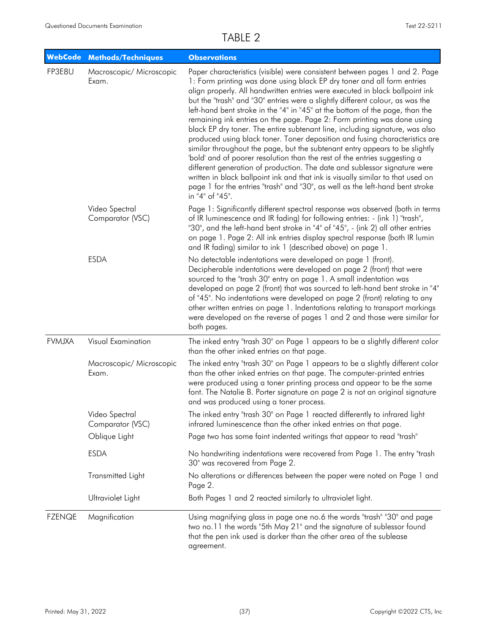| <b>WebCode</b> | <b>Methods/Techniques</b>          | <b>Observations</b>                                                                                                                                                                                                                                                                                                                                                                                                                                                                                                                                                                                                                                                                                                                                                                                                                                                                                                                                                                                                                                                               |
|----------------|------------------------------------|-----------------------------------------------------------------------------------------------------------------------------------------------------------------------------------------------------------------------------------------------------------------------------------------------------------------------------------------------------------------------------------------------------------------------------------------------------------------------------------------------------------------------------------------------------------------------------------------------------------------------------------------------------------------------------------------------------------------------------------------------------------------------------------------------------------------------------------------------------------------------------------------------------------------------------------------------------------------------------------------------------------------------------------------------------------------------------------|
| FP3E8U         | Macroscopic/ Microscopic<br>Exam.  | Paper characteristics (visible) were consistent between pages 1 and 2. Page<br>1: Form printing was done using black EP dry toner and all form entries<br>align properly. All handwritten entries were executed in black ballpoint ink<br>but the "trash" and "30" entries were a slightly different colour, as was the<br>left-hand bent stroke in the "4" in "45" at the bottom of the page, than the<br>remaining ink entries on the page. Page 2: Form printing was done using<br>black EP dry toner. The entire subtenant line, including signature, was also<br>produced using black toner. Toner deposition and fusing characteristics are<br>similar throughout the page, but the subtenant entry appears to be slightly<br>'bold' and of poorer resolution than the rest of the entries suggesting a<br>different generation of production. The date and sublessor signature were<br>written in black ballpoint ink and that ink is visually similar to that used on<br>page 1 for the entries "trash" and "30", as well as the left-hand bent stroke<br>in "4" of "45". |
|                | Video Spectral<br>Comparator (VSC) | Page 1: Significantly different spectral response was observed (both in terms<br>of IR luminescence and IR fading) for following entries: - (ink 1) "trash",<br>"30", and the left-hand bent stroke in "4" of "45", - (ink 2) all other entries<br>on page 1. Page 2: All ink entries display spectral response (both IR lumin<br>and IR fading) similar to ink 1 (described above) on page 1.                                                                                                                                                                                                                                                                                                                                                                                                                                                                                                                                                                                                                                                                                    |
|                | <b>ESDA</b>                        | No detectable indentations were developed on page 1 (front).<br>Decipherable indentations were developed on page 2 (front) that were<br>sourced to the "trash 30" entry on page 1. A small indentation was<br>developed on page 2 (front) that was sourced to left-hand bent stroke in "4"<br>of "45". No indentations were developed on page 2 (front) relating to any<br>other written entries on page 1. Indentations relating to transport markings<br>were developed on the reverse of pages 1 and 2 and those were similar for<br>both pages.                                                                                                                                                                                                                                                                                                                                                                                                                                                                                                                               |
| <b>FVMJXA</b>  | Visual Examination                 | The inked entry "trash 30" on Page 1 appears to be a slightly different color<br>than the other inked entries on that page.                                                                                                                                                                                                                                                                                                                                                                                                                                                                                                                                                                                                                                                                                                                                                                                                                                                                                                                                                       |
|                | Macroscopic/ Microscopic<br>Exam.  | The inked entry "trash 30" on Page 1 appears to be a slightly different color<br>than the other inked entries on that page. The computer-printed entries<br>were produced using a toner printing process and appear to be the same<br>font. The Natalie B. Porter signature on page 2 is not an original signature<br>and was produced using a toner process.                                                                                                                                                                                                                                                                                                                                                                                                                                                                                                                                                                                                                                                                                                                     |
|                | Video Spectral<br>Comparator (VSC) | The inked entry "trash 30" on Page 1 reacted differently to infrared light<br>infrared luminescence than the other inked entries on that page.                                                                                                                                                                                                                                                                                                                                                                                                                                                                                                                                                                                                                                                                                                                                                                                                                                                                                                                                    |
|                | Oblique Light                      | Page two has some faint indented writings that appear to read "trash"                                                                                                                                                                                                                                                                                                                                                                                                                                                                                                                                                                                                                                                                                                                                                                                                                                                                                                                                                                                                             |
|                | <b>ESDA</b>                        | No handwriting indentations were recovered from Page 1. The entry "trash<br>30" was recovered from Page 2.                                                                                                                                                                                                                                                                                                                                                                                                                                                                                                                                                                                                                                                                                                                                                                                                                                                                                                                                                                        |
|                | Transmitted Light                  | No alterations or differences between the paper were noted on Page 1 and<br>Page 2.                                                                                                                                                                                                                                                                                                                                                                                                                                                                                                                                                                                                                                                                                                                                                                                                                                                                                                                                                                                               |
|                | Ultraviolet Light                  | Both Pages 1 and 2 reacted similarly to ultraviolet light.                                                                                                                                                                                                                                                                                                                                                                                                                                                                                                                                                                                                                                                                                                                                                                                                                                                                                                                                                                                                                        |
| <b>FZENQE</b>  | Magnification                      | Using magnifying glass in page one no.6 the words "trash" "30" and page<br>two no.11 the words "5th May 21" and the signature of sublessor found<br>that the pen ink used is darker than the other area of the sublease<br>agreement.                                                                                                                                                                                                                                                                                                                                                                                                                                                                                                                                                                                                                                                                                                                                                                                                                                             |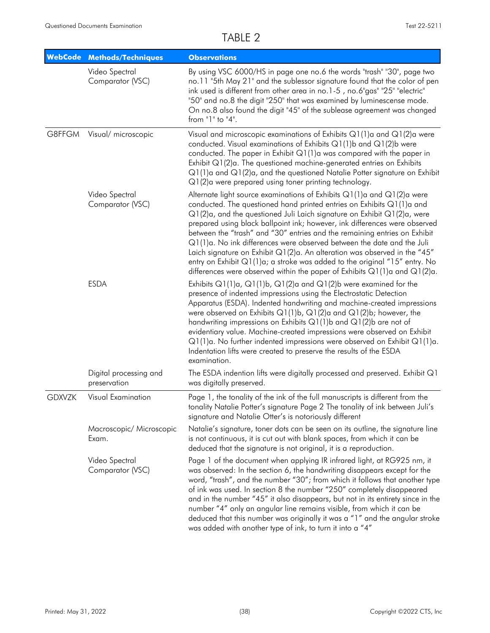| <b>WebCode</b> | <b>Methods/Techniques</b>              | <b>Observations</b>                                                                                                                                                                                                                                                                                                                                                                                                                                                                                                                                                                                                                                                                                                          |
|----------------|----------------------------------------|------------------------------------------------------------------------------------------------------------------------------------------------------------------------------------------------------------------------------------------------------------------------------------------------------------------------------------------------------------------------------------------------------------------------------------------------------------------------------------------------------------------------------------------------------------------------------------------------------------------------------------------------------------------------------------------------------------------------------|
|                | Video Spectral<br>Comparator (VSC)     | By using VSC 6000/HS in page one no.6 the words "trash" "30", page two<br>no.11 "5th May 21" and the sublessor signature found that the color of pen<br>ink used is different from other area in no.1-5, no.6"gas" "25" "electric"<br>"50" and no.8 the digit "250" that was examined by luminescense mode.<br>On no.8 also found the digit "45" of the sublease agreement was changed<br>from $"1"$ to $"4"$ .                                                                                                                                                                                                                                                                                                              |
| G8FFGM         | Visual/ microscopic                    | Visual and microscopic examinations of Exhibits $Q1(1)$ a and $Q1(2)$ a were<br>conducted. Visual examinations of Exhibits $Q1(1)$ b and $Q1(2)$ b were<br>conducted. The paper in Exhibit $Q1(1)$ a was compared with the paper in<br>Exhibit Q1(2)a. The questioned machine-generated entries on Exhibits<br>$Q1(1)$ a and $Q1(2)$ a, and the questioned Natalie Potter signature on Exhibit<br>Q1(2)a were prepared using toner printing technology.                                                                                                                                                                                                                                                                      |
|                | Video Spectral<br>Comparator (VSC)     | Alternate light source examinations of Exhibits $Q1(1)$ a and $Q1(2)$ a were<br>conducted. The questioned hand printed entries on Exhibits Q1(1)a and<br>$Q1(2)$ a, and the questioned Juli Laich signature on Exhibit $Q1(2)$ a, were<br>prepared using black ballpoint ink; however, ink differences were observed<br>between the "trash" and "30" entries and the remaining entries on Exhibit<br>Q1(1)a. No ink differences were observed between the date and the Juli<br>Laich signature on Exhibit Q1(2)a. An alteration was observed in the "45"<br>entry on Exhibit $Q1(1)a$ ; a stroke was added to the original "15" entry. No<br>differences were observed within the paper of Exhibits $Q1(1)$ a and $Q1(2)$ a. |
|                | <b>ESDA</b>                            | Exhibits $Q1(1)a$ , $Q1(1)b$ , $Q1(2)a$ and $Q1(2)b$ were examined for the<br>presence of indented impressions using the Electrostatic Detection<br>Apparatus (ESDA). Indented handwriting and machine-created impressions<br>were observed on Exhibits $Q1(1)b$ , $Q1(2)a$ and $Q1(2)b$ ; however, the<br>handwriting impressions on Exhibits $Q1(1)$ b and $Q1(2)$ b are not of<br>evidentiary value. Machine-created impressions were observed on Exhibit<br>$Q1(1)a$ . No further indented impressions were observed on Exhibit $Q1(1)a$ .<br>Indentation lifts were created to preserve the results of the ESDA<br>examination.                                                                                         |
|                | Digital processing and<br>preservation | The ESDA indention lifts were digitally processed and preserved. Exhibit Q1<br>was digitally preserved.                                                                                                                                                                                                                                                                                                                                                                                                                                                                                                                                                                                                                      |
| <b>GDXVZK</b>  | Visual Examination                     | Page 1, the tonality of the ink of the full manuscripts is different from the<br>tonality Natalie Potter's signature Page 2 The tonality of ink between Juli's<br>signature and Natalie Otter's is notoriously different                                                                                                                                                                                                                                                                                                                                                                                                                                                                                                     |
|                | Macroscopic/ Microscopic<br>Exam.      | Natalie's signature, toner dots can be seen on its outline, the signature line<br>is not continuous, it is cut out with blank spaces, from which it can be<br>deduced that the signature is not original, it is a reproduction.                                                                                                                                                                                                                                                                                                                                                                                                                                                                                              |
|                | Video Spectral<br>Comparator (VSC)     | Page 1 of the document when applying IR infrared light, at RG925 nm, it<br>was observed: In the section 6, the handwriting disappears except for the<br>word, "trash", and the number "30"; from which it follows that another type<br>of ink was used. In section 8 the number "250" completely disappeared<br>and in the number "45" it also disappears, but not in its entirety since in the<br>number "4" only an angular line remains visible, from which it can be<br>deduced that this number was originally it was a "1" and the angular stroke<br>was added with another type of ink, to turn it into a "4"                                                                                                         |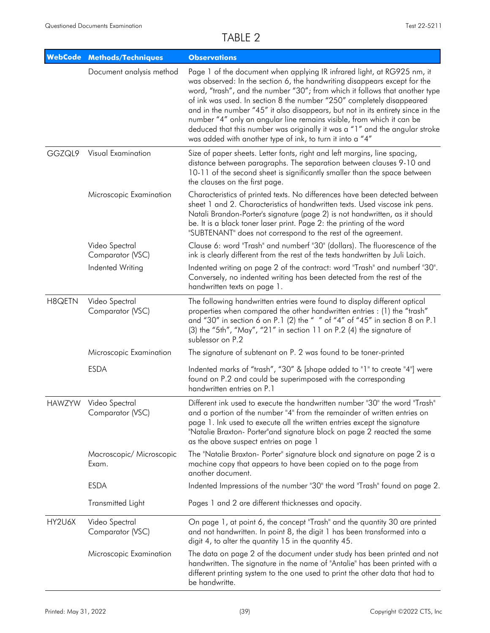|        | <b>WebCode Methods/Techniques</b>         | <b>Observations</b>                                                                                                                                                                                                                                                                                                                                                                                                                                                                                                                                                                                                  |
|--------|-------------------------------------------|----------------------------------------------------------------------------------------------------------------------------------------------------------------------------------------------------------------------------------------------------------------------------------------------------------------------------------------------------------------------------------------------------------------------------------------------------------------------------------------------------------------------------------------------------------------------------------------------------------------------|
|        | Document analysis method                  | Page 1 of the document when applying IR infrared light, at RG925 nm, it<br>was observed: In the section 6, the handwriting disappears except for the<br>word, "trash", and the number "30"; from which it follows that another type<br>of ink was used. In section 8 the number "250" completely disappeared<br>and in the number "45" it also disappears, but not in its entirety since in the<br>number "4" only an angular line remains visible, from which it can be<br>deduced that this number was originally it was a "1" and the angular stroke<br>was added with another type of ink, to turn it into a "4" |
| GGZQL9 | Visual Examination                        | Size of paper sheets. Letter fonts, right and left margins, line spacing,<br>distance between paragraphs. The separation between clauses 9-10 and<br>10-11 of the second sheet is significantly smaller than the space between<br>the clauses on the first page.                                                                                                                                                                                                                                                                                                                                                     |
|        | Microscopic Examination                   | Characteristics of printed texts. No differences have been detected between<br>sheet 1 and 2. Characteristics of handwritten texts. Used viscose ink pens.<br>Natali Brandon-Porter's signature (page 2) is not handwritten, as it should<br>be. It is a black toner laser print. Page 2: the printing of the word<br>"SUBTENANT" does not correspond to the rest of the agreement.                                                                                                                                                                                                                                  |
|        | Video Spectral<br>Comparator (VSC)        | Clause 6: word "Trash" and numberf "30" (dollars). The fluorescence of the<br>ink is clearly different from the rest of the texts handwritten by Juli Laich.                                                                                                                                                                                                                                                                                                                                                                                                                                                         |
|        | Indented Writing                          | Indented writing on page 2 of the contract: word "Trash" and numberf "30".<br>Conversely, no indented writing has been detected from the rest of the<br>handwritten texts on page 1.                                                                                                                                                                                                                                                                                                                                                                                                                                 |
| H8QETN | Video Spectral<br>Comparator (VSC)        | The following handwritten entries were found to display different optical<br>properties when compared the other handwritten entries : (1) the "trash"<br>and "30" in section 6 on P.1 (2) the " " of "4" of "45" in section 8 on P.1<br>(3) the "5th", "May", "21" in section 11 on P.2 (4) the signature of<br>sublessor on P.2                                                                                                                                                                                                                                                                                     |
|        | Microscopic Examination                   | The signature of subtenant on P. 2 was found to be toner-printed                                                                                                                                                                                                                                                                                                                                                                                                                                                                                                                                                     |
|        | <b>ESDA</b>                               | Indented marks of "trash", "30" & [shape added to "1" to create "4"] were<br>found on P.2 and could be superimposed with the corresponding<br>handwritten entries on P.1                                                                                                                                                                                                                                                                                                                                                                                                                                             |
|        | HAWZYW Video Spectral<br>Comparator (VSC) | Different ink used to execute the handwritten number "30" the word "Trash"<br>and a portion of the number "4" from the remainder of written entries on<br>page 1. Ink used to execute all the written entries except the signature<br>"Natalie Braxton- Porter"and signature block on page 2 reacted the same<br>as the above suspect entries on page 1                                                                                                                                                                                                                                                              |
|        | Macroscopic/ Microscopic<br>Exam.         | The "Natalie Braxton- Porter" signature block and signature on page 2 is a<br>machine copy that appears to have been copied on to the page from<br>another document.                                                                                                                                                                                                                                                                                                                                                                                                                                                 |
|        | <b>ESDA</b>                               | Indented Impressions of the number "30" the word "Trash" found on page 2.                                                                                                                                                                                                                                                                                                                                                                                                                                                                                                                                            |
|        | Transmitted Light                         | Pages 1 and 2 are different thicknesses and opacity.                                                                                                                                                                                                                                                                                                                                                                                                                                                                                                                                                                 |
| HY2U6X | Video Spectral<br>Comparator (VSC)        | On page 1, at point 6, the concept "Trash" and the quantity 30 are printed<br>and not handwritten. In point 8, the digit 1 has been transformed into a<br>digit 4, to alter the quantity 15 in the quantity 45.                                                                                                                                                                                                                                                                                                                                                                                                      |
|        | Microscopic Examination                   | The data on page 2 of the document under study has been printed and not<br>handwritten. The signature in the name of "Antalie" has been printed with a<br>different printing system to the one used to print the other data that had to<br>be handwritte.                                                                                                                                                                                                                                                                                                                                                            |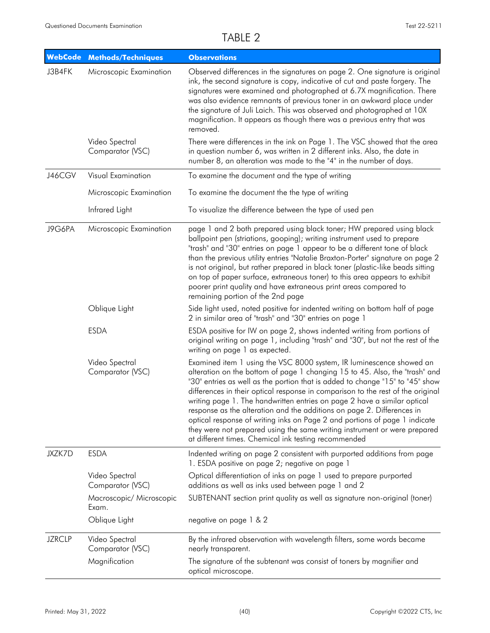|               | WebCode Methods/Techniques         | <b>Observations</b>                                                                                                                                                                                                                                                                                                                                                                                                                                                                                                                                                                                                                                                                              |
|---------------|------------------------------------|--------------------------------------------------------------------------------------------------------------------------------------------------------------------------------------------------------------------------------------------------------------------------------------------------------------------------------------------------------------------------------------------------------------------------------------------------------------------------------------------------------------------------------------------------------------------------------------------------------------------------------------------------------------------------------------------------|
| J3B4FK        | Microscopic Examination            | Observed differences in the signatures on page 2. One signature is original<br>ink, the second signature is copy, indicative of cut and paste forgery. The<br>signatures were examined and photographed at 6.7X magnification. There<br>was also evidence remnants of previous toner in an awkward place under<br>the signature of Juli Laich. This was observed and photographed at 10X<br>magnification. It appears as though there was a previous entry that was<br>removed.                                                                                                                                                                                                                  |
|               | Video Spectral<br>Comparator (VSC) | There were differences in the ink on Page 1. The VSC showed that the area<br>in question number 6, was written in 2 different inks. Also, the date in<br>number 8, an alteration was made to the "4" in the number of days.                                                                                                                                                                                                                                                                                                                                                                                                                                                                      |
| J46CGV        | Visual Examination                 | To examine the document and the type of writing                                                                                                                                                                                                                                                                                                                                                                                                                                                                                                                                                                                                                                                  |
|               | Microscopic Examination            | To examine the document the the type of writing                                                                                                                                                                                                                                                                                                                                                                                                                                                                                                                                                                                                                                                  |
|               | Infrared Light                     | To visualize the difference between the type of used pen                                                                                                                                                                                                                                                                                                                                                                                                                                                                                                                                                                                                                                         |
| J9G6PA        | Microscopic Examination            | page 1 and 2 both prepared using black toner; HW prepared using black<br>ballpoint pen (striations, gooping); writing instrument used to prepare<br>"trash" and "30" entries on page 1 appear to be a different tone of black<br>than the previous utility entries "Natalie Braxton-Porter" signature on page 2<br>is not original, but rather prepared in black toner (plastic-like beads sitting<br>on top of paper surface, extraneous toner) to this area appears to exhibit<br>poorer print quality and have extraneous print areas compared to<br>remaining portion of the 2nd page                                                                                                        |
|               | Oblique Light                      | Side light used, noted positive for indented writing on bottom half of page<br>2 in similar area of "trash" and "30" entries on page 1                                                                                                                                                                                                                                                                                                                                                                                                                                                                                                                                                           |
|               | <b>ESDA</b>                        | ESDA positive for IW on page 2, shows indented writing from portions of<br>original writing on page 1, including "trash" and "30", but not the rest of the<br>writing on page 1 as expected.                                                                                                                                                                                                                                                                                                                                                                                                                                                                                                     |
|               | Video Spectral<br>Comparator (VSC) | Examined item 1 using the VSC 8000 system, IR luminescence showed an<br>alteration on the bottom of page 1 changing 15 to 45. Also, the "trash" and<br>"30" entries as well as the portion that is added to change "15" to "45" show<br>differences in their optical response in comparison to the rest of the original<br>writing page 1. The handwritten entries on page 2 have a similar optical<br>response as the alteration and the additions on page 2. Differences in<br>optical response of writing inks on Page 2 and portions of page 1 indicate<br>they were not prepared using the same writing instrument or were prepared<br>at different times. Chemical ink testing recommended |
| JXZK7D        | <b>ESDA</b>                        | Indented writing on page 2 consistent with purported additions from page<br>1. ESDA positive on page 2; negative on page 1                                                                                                                                                                                                                                                                                                                                                                                                                                                                                                                                                                       |
|               | Video Spectral<br>Comparator (VSC) | Optical differentiation of inks on page 1 used to prepare purported<br>additions as well as inks used between page 1 and 2                                                                                                                                                                                                                                                                                                                                                                                                                                                                                                                                                                       |
|               | Macroscopic/ Microscopic<br>Exam.  | SUBTENANT section print quality as well as signature non-original (toner)                                                                                                                                                                                                                                                                                                                                                                                                                                                                                                                                                                                                                        |
|               | Oblique Light                      | negative on page 1 & 2                                                                                                                                                                                                                                                                                                                                                                                                                                                                                                                                                                                                                                                                           |
| <b>JZRCLP</b> | Video Spectral<br>Comparator (VSC) | By the infrared observation with wavelength filters, some words became<br>nearly transparent.                                                                                                                                                                                                                                                                                                                                                                                                                                                                                                                                                                                                    |
|               | Magnification                      | The signature of the subtenant was consist of toners by magnifier and<br>optical microscope.                                                                                                                                                                                                                                                                                                                                                                                                                                                                                                                                                                                                     |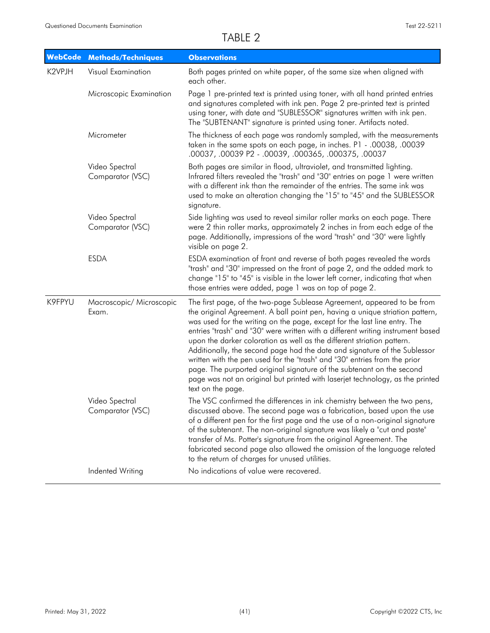| <b>WebCode</b> | <b>Methods/Techniques</b>          | <b>Observations</b>                                                                                                                                                                                                                                                                                                                                                                                                                                                                                                                                                                                                                                                                                                                        |
|----------------|------------------------------------|--------------------------------------------------------------------------------------------------------------------------------------------------------------------------------------------------------------------------------------------------------------------------------------------------------------------------------------------------------------------------------------------------------------------------------------------------------------------------------------------------------------------------------------------------------------------------------------------------------------------------------------------------------------------------------------------------------------------------------------------|
| K2VPJH         | Visual Examination                 | Both pages printed on white paper, of the same size when aligned with<br>each other.                                                                                                                                                                                                                                                                                                                                                                                                                                                                                                                                                                                                                                                       |
|                | Microscopic Examination            | Page 1 pre-printed text is printed using toner, with all hand printed entries<br>and signatures completed with ink pen. Page 2 pre-printed text is printed<br>using toner, with date and "SUBLESSOR" signatures written with ink pen.<br>The "SUBTENANT" signature is printed using toner. Artifacts noted.                                                                                                                                                                                                                                                                                                                                                                                                                                |
|                | Micrometer                         | The thickness of each page was randomly sampled, with the measurements<br>taken in the same spots on each page, in inches. P1 - .00038, .00039<br>.00037, .00039 P2 - .00039, .000365, .000375, .00037                                                                                                                                                                                                                                                                                                                                                                                                                                                                                                                                     |
|                | Video Spectral<br>Comparator (VSC) | Both pages are similar in flood, ultraviolet, and transmitted lighting.<br>Infrared filters revealed the "trash" and "30" entries on page 1 were written<br>with a different ink than the remainder of the entries. The same ink was<br>used to make an alteration changing the "15" to "45" and the SUBLESSOR<br>signature.                                                                                                                                                                                                                                                                                                                                                                                                               |
|                | Video Spectral<br>Comparator (VSC) | Side lighting was used to reveal similar roller marks on each page. There<br>were 2 thin roller marks, approximately 2 inches in from each edge of the<br>page. Additionally, impressions of the word "trash" and "30" were lightly<br>visible on page 2.                                                                                                                                                                                                                                                                                                                                                                                                                                                                                  |
|                | <b>ESDA</b>                        | ESDA examination of front and reverse of both pages revealed the words<br>"trash" and "30" impressed on the front of page 2, and the added mark to<br>change "15" to "45" is visible in the lower left corner, indicating that when<br>those entries were added, page 1 was on top of page 2.                                                                                                                                                                                                                                                                                                                                                                                                                                              |
| K9FPYU         | Macroscopic/ Microscopic<br>Exam.  | The first page, of the two-page Sublease Agreement, appeared to be from<br>the original Agreement. A ball point pen, having a unique striation pattern,<br>was used for the writing on the page, except for the last line entry. The<br>entries "trash" and "30" were written with a different writing instrument based<br>upon the darker coloration as well as the different striation pattern.<br>Additionally, the second page had the date and signature of the Sublessor<br>written with the pen used for the "trash" and "30" entries from the prior<br>page. The purported original signature of the subtenant on the second<br>page was not an original but printed with laserjet technology, as the printed<br>text on the page. |
|                | Video Spectral<br>Comparator (VSC) | The VSC confirmed the differences in ink chemistry between the two pens,<br>discussed above. The second page was a fabrication, based upon the use<br>of a different pen for the first page and the use of a non-original signature<br>of the subtenant. The non-original signature was likely a "cut and paste"<br>transfer of Ms. Potter's signature from the original Agreement. The<br>fabricated second page also allowed the omission of the language related<br>to the return of charges for unused utilities.                                                                                                                                                                                                                      |
|                | Indented Writing                   | No indications of value were recovered.                                                                                                                                                                                                                                                                                                                                                                                                                                                                                                                                                                                                                                                                                                    |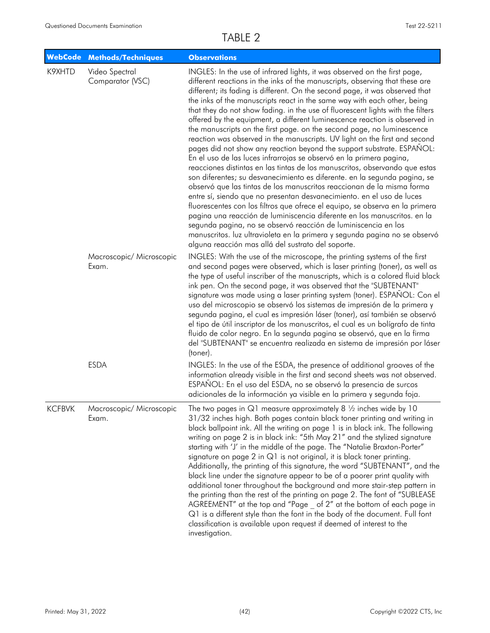|               | WebCode Methods/Techniques         | <b>Observations</b>                                                                                                                                                                                                                                                                                                                                                                                                                                                                                                                                                                                                                                                                                                                                                                                                                                                                                                                                                                                                                                                                                                                                                                                                                                                                                                                                                                                                                                                              |
|---------------|------------------------------------|----------------------------------------------------------------------------------------------------------------------------------------------------------------------------------------------------------------------------------------------------------------------------------------------------------------------------------------------------------------------------------------------------------------------------------------------------------------------------------------------------------------------------------------------------------------------------------------------------------------------------------------------------------------------------------------------------------------------------------------------------------------------------------------------------------------------------------------------------------------------------------------------------------------------------------------------------------------------------------------------------------------------------------------------------------------------------------------------------------------------------------------------------------------------------------------------------------------------------------------------------------------------------------------------------------------------------------------------------------------------------------------------------------------------------------------------------------------------------------|
| K9XHTD        | Video Spectral<br>Comparator (VSC) | INGLES: In the use of infrared lights, it was observed on the first page,<br>different reactions in the inks of the manuscripts, observing that these are<br>different; its fading is different. On the second page, it was observed that<br>the inks of the manuscripts react in the same way with each other, being<br>that they do not show fading. in the use of fluorescent lights with the filters<br>offered by the equipment, a different luminescence reaction is observed in<br>the manuscripts on the first page. on the second page, no luminescence<br>reaction was observed in the manuscripts. UV light on the first and second<br>pages did not show any reaction beyond the support substrate. ESPANOL:<br>En el uso de las luces infrarrojas se observó en la primera pagina,<br>reacciones distintas en las tintas de los manuscritos, observando que estas<br>son diferentes; su desvanecimiento es diferente. en la segunda pagina, se<br>observó que las tintas de los manuscritos reaccionan de la misma forma<br>entre sí, siendo que no presentan desvanecimiento. en el uso de luces<br>fluorescentes con los filtros que ofrece el equipo, se observa en la primera<br>pagina una reacción de luminiscencia diferente en los manuscritos. en la<br>segunda pagina, no se observó reacción de luminiscencia en los<br>manuscritos. luz ultravioleta en la primera y segunda pagina no se observó<br>alguna reacción mas allá del sustrato del soporte. |
|               | Macroscopic/ Microscopic<br>Exam.  | INGLES: With the use of the microscope, the printing systems of the first<br>and second pages were observed, which is laser printing (toner), as well as<br>the type of useful inscriber of the manuscripts, which is a colored fluid black<br>ink pen. On the second page, it was observed that the "SUBTENANT"<br>signature was made using a laser printing system (toner). ESPAÑOL: Con el<br>uso del microscopio se observó los sistemas de impresión de la primera y<br>segunda pagina, el cual es impresión láser (toner), así también se observó<br>el tipo de útil inscriptor de los manuscritos, el cual es un bolígrafo de tinta<br>fluido de color negro. En la segunda pagina se observó, que en la firma<br>del "SUBTENANT" se encuentra realizada en sistema de impresión por láser<br>(toner).                                                                                                                                                                                                                                                                                                                                                                                                                                                                                                                                                                                                                                                                    |
|               | <b>ESDA</b>                        | INGLES: In the use of the ESDA, the presence of additional grooves of the<br>information already visible in the first and second sheets was not observed.<br>ESPAÑOL: En el uso del ESDA, no se observó la presencia de surcos<br>adicionales de la información ya visible en la primera y segunda foja.                                                                                                                                                                                                                                                                                                                                                                                                                                                                                                                                                                                                                                                                                                                                                                                                                                                                                                                                                                                                                                                                                                                                                                         |
| <b>KCFBVK</b> | Macroscopic/ Microscopic<br>Exam.  | The two pages in $Q1$ measure approximately 8 $\frac{1}{2}$ inches wide by 10<br>31/32 inches high. Both pages contain black toner printing and writing in<br>black ballpoint ink. All the writing on page 1 is in black ink. The following<br>writing on page 2 is in black ink: "5th May 21" and the stylized signature<br>starting with 'J' in the middle of the page. The "Natalie Braxton-Porter"<br>signature on page 2 in Q1 is not original, it is black toner printing.<br>Additionally, the printing of this signature, the word "SUBTENANT", and the<br>black line under the signature appear to be of a poorer print quality with<br>additional toner throughout the background and more stair-step pattern in<br>the printing than the rest of the printing on page 2. The font of "SUBLEASE<br>AGREEMENT" at the top and "Page _ of 2" at the bottom of each page in<br>Q1 is a different style than the font in the body of the document. Full font<br>classification is available upon request if deemed of interest to the<br>investigation.                                                                                                                                                                                                                                                                                                                                                                                                                    |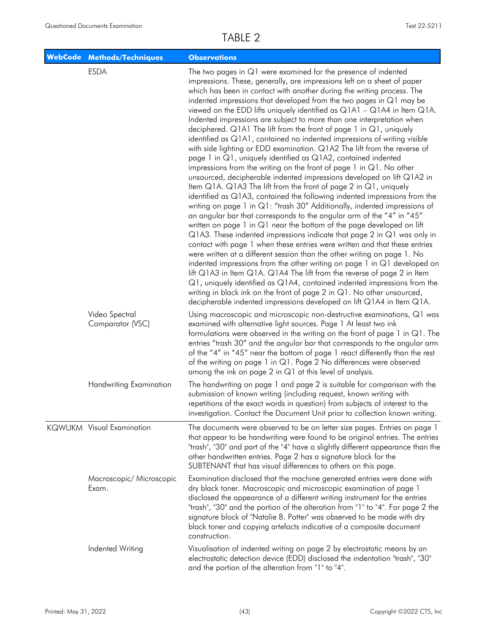|  | <b>WebCode Methods/Techniques</b>  | <b>Observations</b>                                                                                                                                                                                                                                                                                                                                                                                                                                                                                                                                                                                                                                                                                                                                                                                                                                                                                                                                                                                                                                                                                                                                                                                                                                                                                                                                                                                                                                                                                                                                                                                                                                                                                                                                                                                                                                                                                                           |
|--|------------------------------------|-------------------------------------------------------------------------------------------------------------------------------------------------------------------------------------------------------------------------------------------------------------------------------------------------------------------------------------------------------------------------------------------------------------------------------------------------------------------------------------------------------------------------------------------------------------------------------------------------------------------------------------------------------------------------------------------------------------------------------------------------------------------------------------------------------------------------------------------------------------------------------------------------------------------------------------------------------------------------------------------------------------------------------------------------------------------------------------------------------------------------------------------------------------------------------------------------------------------------------------------------------------------------------------------------------------------------------------------------------------------------------------------------------------------------------------------------------------------------------------------------------------------------------------------------------------------------------------------------------------------------------------------------------------------------------------------------------------------------------------------------------------------------------------------------------------------------------------------------------------------------------------------------------------------------------|
|  | <b>ESDA</b>                        | The two pages in $Q1$ were examined for the presence of indented<br>impressions. These, generally, are impressions left on a sheet of paper<br>which has been in contact with another during the writing process. The<br>indented impressions that developed from the two pages in Q1 may be<br>viewed on the EDD lifts uniquely identified as $Q1A1 - Q1A4$ in Item $Q1A$ .<br>Indented impressions are subject to more than one interpretation when<br>deciphered. Q1A1 The lift from the front of page 1 in Q1, uniquely<br>identified as Q1A1, contained no indented impressions of writing visible<br>with side lighting or EDD examination. Q1A2 The lift from the reverse of<br>page 1 in Q1, uniquely identified as Q1A2, contained indented<br>impressions from the writing on the front of page $1$ in $Q1$ . No other<br>unsourced, decipherable indented impressions developed on lift Q1A2 in<br>Item Q1A. Q1A3 The lift from the front of page 2 in Q1, uniquely<br>identified as Q1A3, contained the following indented impressions from the<br>writing on page 1 in Q1: "trash 30" Additionally, indented impressions of<br>an angular bar that corresponds to the angular arm of the "4" in "45"<br>written on page 1 in Q1 near the bottom of the page developed on lift<br>$Q$ 1A3. These indented impressions indicate that page 2 in $Q$ 1 was only in<br>contact with page 1 when these entries were written and that these entries<br>were written at a different session than the other writing on page 1. No<br>indented impressions from the other writing on page 1 in $Q1$ developed on<br>lift Q1A3 in Item Q1A. Q1A4 The lift from the reverse of page 2 in Item<br>Q1, uniquely identified as Q1A4, contained indented impressions from the<br>writing in black ink on the front of page 2 in Q1. No other unsourced,<br>decipherable indented impressions developed on lift Q1A4 in Item Q1A. |
|  | Video Spectral<br>Comparator (VSC) | Using macroscopic and microscopic non-destructive examinations, Q1 was<br>examined with alternative light sources. Page 1 At least two ink<br>formulations were observed in the writing on the front of page 1 in Q1. The<br>entries "trash 30" and the angular bar that corresponds to the angular arm<br>of the "4" in "45" near the bottom of page 1 react differently than the rest<br>of the writing on page 1 in Q1. Page 2 No differences were observed<br>among the ink on page 2 in $Q1$ at this level of analysis.                                                                                                                                                                                                                                                                                                                                                                                                                                                                                                                                                                                                                                                                                                                                                                                                                                                                                                                                                                                                                                                                                                                                                                                                                                                                                                                                                                                                  |
|  | Handwriting Examination            | The handwriting on page 1 and page 2 is suitable for comparison with the<br>submission of known writing (including request, known writing with<br>repetitions of the exact words in question) from subjects of interest to the<br>investigation. Contact the Document Unit prior to collection known writing.                                                                                                                                                                                                                                                                                                                                                                                                                                                                                                                                                                                                                                                                                                                                                                                                                                                                                                                                                                                                                                                                                                                                                                                                                                                                                                                                                                                                                                                                                                                                                                                                                 |
|  | <b>KQWUKM</b> Visual Examination   | The documents were observed to be on letter size pages. Entries on page 1<br>that appear to be handwriting were found to be original entries. The entries<br>"trash", "30" and part of the "4" have a slightly different appearance than the<br>other handwritten entries. Page 2 has a signature block for the<br>SUBTENANT that has visual differences to others on this page.                                                                                                                                                                                                                                                                                                                                                                                                                                                                                                                                                                                                                                                                                                                                                                                                                                                                                                                                                                                                                                                                                                                                                                                                                                                                                                                                                                                                                                                                                                                                              |
|  | Macroscopic/ Microscopic<br>Exam.  | Examination disclosed that the machine generated entries were done with<br>dry black toner. Macroscopic and microscopic examination of page 1<br>disclosed the appearance of a different writing instrument for the entries<br>"trash", "30" and the portion of the alteration from "1" to "4". For page 2 the<br>signature block of "Natalie B. Potter" was observed to be made with dry<br>black toner and copying artefacts indicative of a composite document<br>construction.                                                                                                                                                                                                                                                                                                                                                                                                                                                                                                                                                                                                                                                                                                                                                                                                                                                                                                                                                                                                                                                                                                                                                                                                                                                                                                                                                                                                                                            |
|  | Indented Writing                   | Visualisation of indented writing on page 2 by electrostatic means by an<br>electrostatic detection device (EDD) disclosed the indentation "trash", "30"<br>and the portion of the alteration from "1" to "4".                                                                                                                                                                                                                                                                                                                                                                                                                                                                                                                                                                                                                                                                                                                                                                                                                                                                                                                                                                                                                                                                                                                                                                                                                                                                                                                                                                                                                                                                                                                                                                                                                                                                                                                |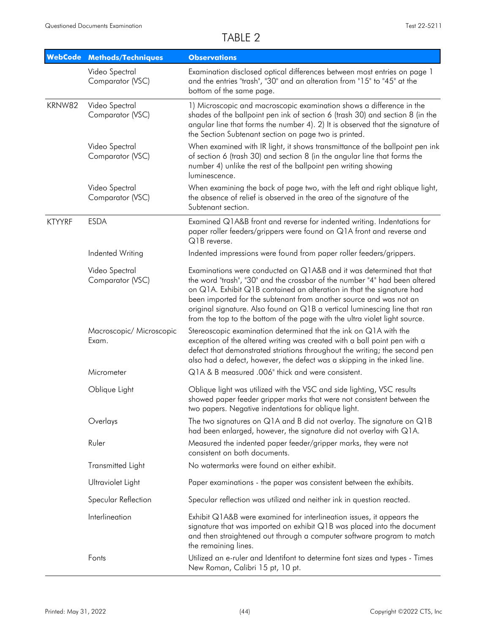| <b>WebCode</b> | <b>Methods/Techniques</b>          | <b>Observations</b>                                                                                                                                                                                                                                                                                                                                                                                                                                           |
|----------------|------------------------------------|---------------------------------------------------------------------------------------------------------------------------------------------------------------------------------------------------------------------------------------------------------------------------------------------------------------------------------------------------------------------------------------------------------------------------------------------------------------|
|                | Video Spectral<br>Comparator (VSC) | Examination disclosed optical differences between most entries on page 1<br>and the entries "trash", "30" and an alteration from "15" to "45" at the<br>bottom of the same page.                                                                                                                                                                                                                                                                              |
| KRNW82         | Video Spectral<br>Comparator (VSC) | 1) Microscopic and macroscopic examination shows a difference in the<br>shades of the ballpoint pen ink of section 6 (trash 30) and section 8 (in the<br>angular line that forms the number 4). 2) It is observed that the signature of<br>the Section Subtenant section on page two is printed.                                                                                                                                                              |
|                | Video Spectral<br>Comparator (VSC) | When examined with IR light, it shows transmittance of the ballpoint pen ink<br>of section 6 (trash 30) and section 8 (in the angular line that forms the<br>number 4) unlike the rest of the ballpoint pen writing showing<br>luminescence.                                                                                                                                                                                                                  |
|                | Video Spectral<br>Comparator (VSC) | When examining the back of page two, with the left and right oblique light,<br>the absence of relief is observed in the area of the signature of the<br>Subtenant section.                                                                                                                                                                                                                                                                                    |
| <b>KTYYRF</b>  | <b>ESDA</b>                        | Examined Q1A&B front and reverse for indented writing. Indentations for<br>paper roller feeders/grippers were found on Q1A front and reverse and<br>Q1B reverse.                                                                                                                                                                                                                                                                                              |
|                | Indented Writing                   | Indented impressions were found from paper roller feeders/grippers.                                                                                                                                                                                                                                                                                                                                                                                           |
|                | Video Spectral<br>Comparator (VSC) | Examinations were conducted on Q1A&B and it was determined that that<br>the word "trash", "30" and the crossbar of the number "4" had been altered<br>on Q1A. Exhibit Q1B contained an alteration in that the signature had<br>been imported for the subtenant from another source and was not an<br>original signature. Also found on Q1B a vertical luminescing line that ran<br>from the top to the bottom of the page with the ultra violet light source. |
|                | Macroscopic/ Microscopic<br>Exam.  | Stereoscopic examination determined that the ink on Q1A with the<br>exception of the altered writing was created with a ball point pen with a<br>defect that demonstrated striations throughout the writing; the second pen<br>also had a defect, however, the defect was a skipping in the inked line.                                                                                                                                                       |
|                | Micrometer                         | Q1A & B measured .006" thick and were consistent.                                                                                                                                                                                                                                                                                                                                                                                                             |
|                | Oblique Light                      | Oblique light was utilized with the VSC and side lighting, VSC results<br>showed paper feeder gripper marks that were not consistent between the<br>two papers. Negative indentations for oblique light.                                                                                                                                                                                                                                                      |
|                | Overlays                           | The two signatures on Q1A and B did not overlay. The signature on Q1B<br>had been enlarged, however, the signature did not overlay with Q1A.                                                                                                                                                                                                                                                                                                                  |
|                | Ruler                              | Measured the indented paper feeder/gripper marks, they were not<br>consistent on both documents.                                                                                                                                                                                                                                                                                                                                                              |
|                | Transmitted Light                  | No watermarks were found on either exhibit.                                                                                                                                                                                                                                                                                                                                                                                                                   |
|                | Ultraviolet Light                  | Paper examinations - the paper was consistent between the exhibits.                                                                                                                                                                                                                                                                                                                                                                                           |
|                | Specular Reflection                | Specular reflection was utilized and neither ink in question reacted.                                                                                                                                                                                                                                                                                                                                                                                         |
|                | Interlineation                     | Exhibit Q1A&B were examined for interlineation issues, it appears the<br>signature that was imported on exhibit Q1B was placed into the document<br>and then straightened out through a computer software program to match<br>the remaining lines.                                                                                                                                                                                                            |
|                | Fonts                              | Utilized an e-ruler and Identifont to determine font sizes and types - Times<br>New Roman, Calibri 15 pt, 10 pt.                                                                                                                                                                                                                                                                                                                                              |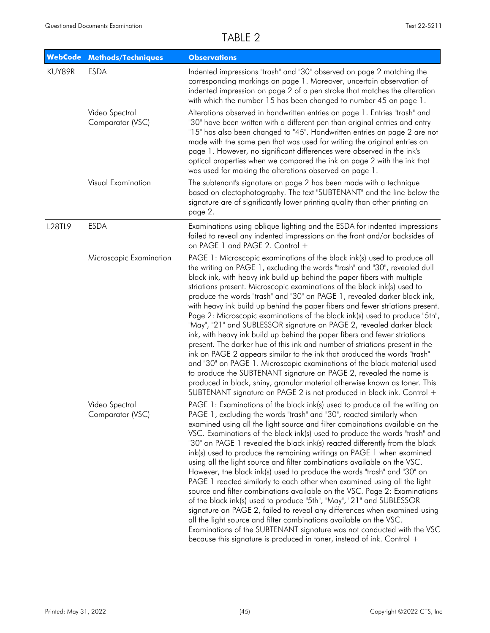| <b>WebCode</b> | <b>Methods/Techniques</b>          | <b>Observations</b>                                                                                                                                                                                                                                                                                                                                                                                                                                                                                                                                                                                                                                                                                                                                                                                                                                                                                                                                                                                                                                                                                                                                                                |
|----------------|------------------------------------|------------------------------------------------------------------------------------------------------------------------------------------------------------------------------------------------------------------------------------------------------------------------------------------------------------------------------------------------------------------------------------------------------------------------------------------------------------------------------------------------------------------------------------------------------------------------------------------------------------------------------------------------------------------------------------------------------------------------------------------------------------------------------------------------------------------------------------------------------------------------------------------------------------------------------------------------------------------------------------------------------------------------------------------------------------------------------------------------------------------------------------------------------------------------------------|
| KUY89R         | <b>ESDA</b>                        | Indented impressions "trash" and "30" observed on page 2 matching the<br>corresponding markings on page 1. Moreover, uncertain observation of<br>indented impression on page 2 of a pen stroke that matches the alteration<br>with which the number 15 has been changed to number 45 on page 1.                                                                                                                                                                                                                                                                                                                                                                                                                                                                                                                                                                                                                                                                                                                                                                                                                                                                                    |
|                | Video Spectral<br>Comparator (VSC) | Alterations observed in handwritten entries on page 1. Entries "trash" and<br>"30" have been written with a different pen than original entries and entry<br>"15" has also been changed to "45". Handwritten entries on page 2 are not<br>made with the same pen that was used for writing the original entries on<br>page 1. However, no significant differences were observed in the ink's<br>optical properties when we compared the ink on page 2 with the ink that<br>was used for making the alterations observed on page 1.                                                                                                                                                                                                                                                                                                                                                                                                                                                                                                                                                                                                                                                 |
|                | Visual Examination                 | The subtenant's signature on page 2 has been made with a technique<br>based on electophotography. The text "SUBTENANT" and the line below the<br>signature are of significantly lower printing quality than other printing on<br>page 2.                                                                                                                                                                                                                                                                                                                                                                                                                                                                                                                                                                                                                                                                                                                                                                                                                                                                                                                                           |
| L28TL9         | <b>ESDA</b>                        | Examinations using oblique lighting and the ESDA for indented impressions<br>failed to reveal any indented impressions on the front and/or backsides of<br>on PAGE 1 and PAGE 2. Control +                                                                                                                                                                                                                                                                                                                                                                                                                                                                                                                                                                                                                                                                                                                                                                                                                                                                                                                                                                                         |
|                | Microscopic Examination            | PAGE 1: Microscopic examinations of the black ink(s) used to produce all<br>the writing on PAGE 1, excluding the words "trash" and "30", revealed dull<br>black ink, with heavy ink build up behind the paper fibers with multiple<br>striations present. Microscopic examinations of the black ink(s) used to<br>produce the words "trash" and "30" on PAGE 1, revealed darker black ink,<br>with heavy ink build up behind the paper fibers and fewer striations present.<br>Page 2: Microscopic examinations of the black ink(s) used to produce "5th",<br>"May", "21" and SUBLESSOR signature on PAGE 2, revealed darker black<br>ink, with heavy ink build up behind the paper fibers and fewer striations<br>present. The darker hue of this ink and number of striations present in the<br>ink on PAGE 2 appears similar to the ink that produced the words "trash"<br>and "30" on PAGE 1. Microscopic examinations of the black material used<br>to produce the SUBTENANT signature on PAGE 2, revealed the name is<br>produced in black, shiny, granular material otherwise known as toner. This<br>SUBTENANT signature on PAGE 2 is not produced in black ink. Control + |
|                | Video Spectral<br>Comparator (VSC) | PAGE 1: Examinations of the black ink(s) used to produce all the writing on<br>PAGE 1, excluding the words "trash" and "30", reacted similarly when<br>examined using all the light source and filter combinations available on the<br>VSC. Examinations of the black ink(s) used to produce the words "trash" and<br>"30" on PAGE 1 revealed the black ink(s) reacted differently from the black<br>ink(s) used to produce the remaining writings on PAGE 1 when examined<br>using all the light source and filter combinations available on the VSC.<br>However, the black ink(s) used to produce the words "trash" and "30" on<br>PAGE 1 reacted similarly to each other when examined using all the light<br>source and filter combinations available on the VSC. Page 2: Examinations<br>of the black ink(s) used to produce "5th", "May", "21" and SUBLESSOR<br>signature on PAGE 2, failed to reveal any differences when examined using<br>all the light source and filter combinations available on the VSC.<br>Examinations of the SUBTENANT signature was not conducted with the VSC<br>because this signature is produced in toner, instead of ink. Control +          |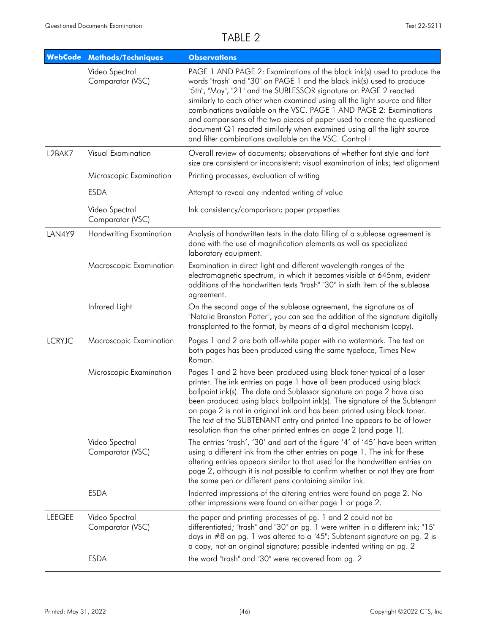| <b>WebCode</b> | <b>Methods/Techniques</b>          | <b>Observations</b>                                                                                                                                                                                                                                                                                                                                                                                                                                                                                                                                                                       |
|----------------|------------------------------------|-------------------------------------------------------------------------------------------------------------------------------------------------------------------------------------------------------------------------------------------------------------------------------------------------------------------------------------------------------------------------------------------------------------------------------------------------------------------------------------------------------------------------------------------------------------------------------------------|
|                | Video Spectral<br>Comparator (VSC) | PAGE 1 AND PAGE 2: Examinations of the black ink(s) used to produce the<br>words "trash" and "30" on PAGE 1 and the black ink(s) used to produce<br>"5th", "May", "21" and the SUBLESSOR signature on PAGE 2 reacted<br>similarly to each other when examined using all the light source and filter<br>combinations available on the VSC. PAGE 1 AND PAGE 2: Examinations<br>and comparisons of the two pieces of paper used to create the questioned<br>document Q1 reacted similarly when examined using all the light source<br>and filter combinations available on the VSC. Control+ |
| L2BAK7         | Visual Examination                 | Overall review of documents; observations of whether font style and font<br>size are consistent or inconsistent; visual examination of inks; text alignment                                                                                                                                                                                                                                                                                                                                                                                                                               |
|                | Microscopic Examination            | Printing processes, evaluation of writing                                                                                                                                                                                                                                                                                                                                                                                                                                                                                                                                                 |
|                | <b>ESDA</b>                        | Attempt to reveal any indented writing of value                                                                                                                                                                                                                                                                                                                                                                                                                                                                                                                                           |
|                | Video Spectral<br>Comparator (VSC) | Ink consistency/comparison; paper properties                                                                                                                                                                                                                                                                                                                                                                                                                                                                                                                                              |
| LAN4Y9         | <b>Handwriting Examination</b>     | Analysis of handwritten texts in the data filling of a sublease agreement is<br>done with the use of magnification elements as well as specialized<br>laboratory equipment.                                                                                                                                                                                                                                                                                                                                                                                                               |
|                | Macroscopic Examination            | Examination in direct light and different wavelength ranges of the<br>electromagnetic spectrum, in which it becomes visible at 645nm, evident<br>additions of the handwritten texts "trash" "30" in sixth item of the sublease<br>agreement.                                                                                                                                                                                                                                                                                                                                              |
|                | Infrared Light                     | On the second page of the sublease agreement, the signature as of<br>"Natalie Branston Potter", you can see the addition of the signature digitally<br>transplanted to the format, by means of a digital mechanism (copy).                                                                                                                                                                                                                                                                                                                                                                |
| <b>LCRYJC</b>  | Macroscopic Examination            | Pages 1 and 2 are both off-white paper with no watermark. The text on<br>both pages has been produced using the same typeface, Times New<br>Roman.                                                                                                                                                                                                                                                                                                                                                                                                                                        |
|                | Microscopic Examination            | Pages 1 and 2 have been produced using black toner typical of a laser<br>printer. The ink entries on page 1 have all been produced using black<br>ballpoint ink(s). The date and Sublessor signature on page 2 have also<br>been produced using black ballpoint ink(s). The signature of the Subtenant<br>on page 2 is not in original ink and has been printed using black toner.<br>The text of the SUBTENANT entry and printed line appears to be of lower<br>resolution than the other printed entries on page 2 (and page 1).                                                        |
|                | Video Spectral<br>Comparator (VSC) | The entries 'trash', '30' and part of the figure '4' of '45' have been written<br>using a different ink from the other entries on page 1. The ink for these<br>altering entries appears similar to that used for the handwritten entries on<br>page 2, although it is not possible to confirm whether or not they are from<br>the same pen or different pens containing similar ink.                                                                                                                                                                                                      |
|                | <b>ESDA</b>                        | Indented impressions of the altering entries were found on page 2. No<br>other impressions were found on either page 1 or page 2.                                                                                                                                                                                                                                                                                                                                                                                                                                                         |
| <b>LEEQEE</b>  | Video Spectral<br>Comparator (VSC) | the paper and printing processes of pg. 1 and 2 could not be<br>differentiated; "trash" and "30" on pg. 1 were written in a different ink; "15"<br>days in #8 on pg. 1 was altered to a "45"; Subtenant signature on pg. 2 is<br>a copy, not an original signature; possible indented writing on pg. 2                                                                                                                                                                                                                                                                                    |
|                | <b>ESDA</b>                        | the word "trash" and "30" were recovered from pg. 2                                                                                                                                                                                                                                                                                                                                                                                                                                                                                                                                       |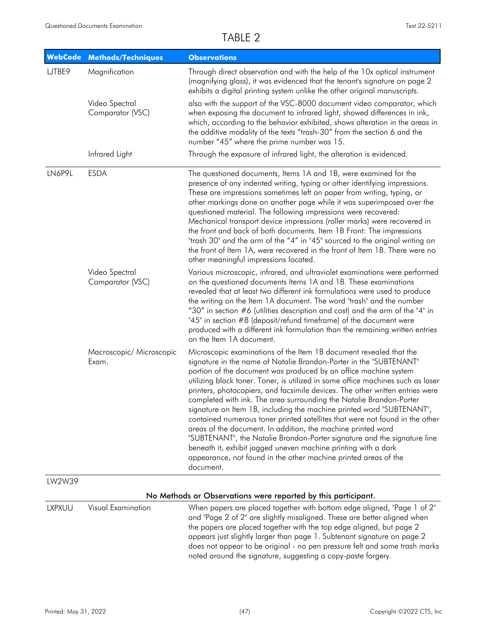| <b>WebCode</b> | <b>Methods/Techniques</b>          | <b>Observations</b>                                                                                                                                                                                                                                                                                                                                                                                                                                                                                                                                                                                                                                                                                                                                                                                                                                                                                            |
|----------------|------------------------------------|----------------------------------------------------------------------------------------------------------------------------------------------------------------------------------------------------------------------------------------------------------------------------------------------------------------------------------------------------------------------------------------------------------------------------------------------------------------------------------------------------------------------------------------------------------------------------------------------------------------------------------------------------------------------------------------------------------------------------------------------------------------------------------------------------------------------------------------------------------------------------------------------------------------|
| LJTBE9         | Magnification                      | Through direct observation and with the help of the 10x optical instrument<br>(magnifying glass), it was evidenced that the tenant's signature on page 2<br>exhibits a digital printing system unlike the other original manuscripts.                                                                                                                                                                                                                                                                                                                                                                                                                                                                                                                                                                                                                                                                          |
|                | Video Spectral<br>Comparator (VSC) | also with the support of the VSC-8000 document video comparator, which<br>when exposing the document to infrared light, showed differences in ink,<br>which, according to the behavior exhibited, shows alteration in the areas in<br>the additive modality of the texts "trash-30" from the section 6 and the<br>number "45" where the prime number was 15.                                                                                                                                                                                                                                                                                                                                                                                                                                                                                                                                                   |
|                | Infrared Light                     | Through the exposure of infrared light, the alteration is evidenced.                                                                                                                                                                                                                                                                                                                                                                                                                                                                                                                                                                                                                                                                                                                                                                                                                                           |
| LN6P9L         | <b>ESDA</b>                        | The questioned documents, Items 1A and 1B, were examined for the<br>presence of any indented writing, typing or other identifying impressions.<br>These are impressions sometimes left on paper from writing, typing, or<br>other markings done on another page while it was superimposed over the<br>questioned material. The following impressions were recovered:<br>Mechanical transport device impressions (roller marks) were recovered in<br>the front and back of both documents. Item 1B Front: The impressions<br>"trash 30" and the arm of the "4" in "45" sourced to the original writing on<br>the front of Item 1A, were recovered in the front of Item 1B. There were no<br>other meaningful impressions located.                                                                                                                                                                               |
|                | Video Spectral<br>Comparator (VSC) | Various microscopic, infrared, and ultraviolet examinations were performed<br>on the questioned documents Items 1A and 1B. These examinations<br>revealed that at least two different ink formulations were used to produce<br>the writing on the Item 1A document. The word "trash" and the number<br>"30" in section #6 (utilities description and cost) and the arm of the "4" in<br>"45" in section #8 (deposit/refund timeframe) of the document were<br>produced with a different ink formulation than the remaining written entries<br>on the Item 1A document.                                                                                                                                                                                                                                                                                                                                         |
|                | Macroscopic/ Microscopic<br>Exam.  | Microscopic examinations of the Item 1B document revealed that the<br>signature in the name of Natalie Brandon-Porter in the "SUBTENANT"<br>portion of the document was produced by an office machine system<br>utilizing black toner. Toner, is utilized in some office machines such as laser<br>printers, photocopiers, and facsimile devices. The other written entries were<br>completed with ink. The area surrounding the Natalie Brandon-Porter<br>signature on Item 1B, including the machine printed word "SUBTENANT",<br>contained numerous toner printed satellites that were not found in the other<br>areas of the document. In addition, the machine printed word<br>"SUBTENANT", the Natalie Brandon-Porter signature and the signature line<br>beneath it, exhibit jagged uneven machine printing with a dark<br>appearance, not found in the other machine printed areas of the<br>document. |
| LW2W39         |                                    |                                                                                                                                                                                                                                                                                                                                                                                                                                                                                                                                                                                                                                                                                                                                                                                                                                                                                                                |
|                |                                    | No Methods or Observations were reported by this participant.                                                                                                                                                                                                                                                                                                                                                                                                                                                                                                                                                                                                                                                                                                                                                                                                                                                  |
| <b>LXPXUU</b>  | Visual Examination                 | When papers are placed together with bottom edge aligned, "Page 1 of 2"<br>and "Page 2 of 2" are slightly misaligned. These are better aligned when<br>the papers are placed together with the top edge aligned, but page 2<br>appears just slightly larger than page 1. Subtenant signature on page 2<br>does not appear to be original - no pen pressure felt and some trash marks                                                                                                                                                                                                                                                                                                                                                                                                                                                                                                                           |

noted around the signature, suggesting a copy-paste forgery.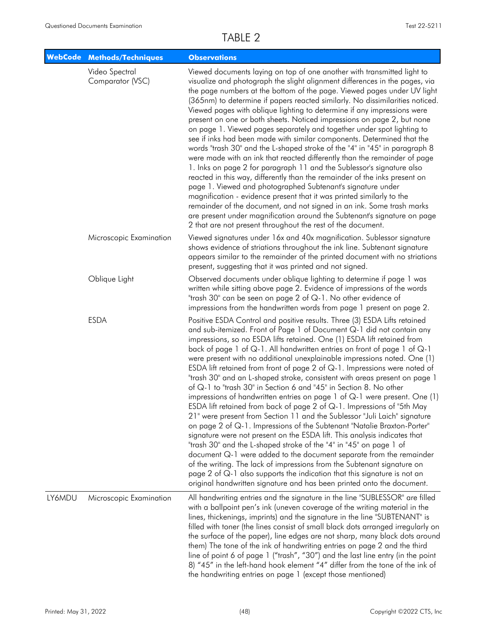| <b>WebCode</b> | <b>Methods/Techniques</b>          | <b>Observations</b>                                                                                                                                                                                                                                                                                                                                                                                                                                                                                                                                                                                                                                                                                                                                                                                                                                                                                                                                                                                                                                                                                                                                                                                                                                                                                                                                                                                     |
|----------------|------------------------------------|---------------------------------------------------------------------------------------------------------------------------------------------------------------------------------------------------------------------------------------------------------------------------------------------------------------------------------------------------------------------------------------------------------------------------------------------------------------------------------------------------------------------------------------------------------------------------------------------------------------------------------------------------------------------------------------------------------------------------------------------------------------------------------------------------------------------------------------------------------------------------------------------------------------------------------------------------------------------------------------------------------------------------------------------------------------------------------------------------------------------------------------------------------------------------------------------------------------------------------------------------------------------------------------------------------------------------------------------------------------------------------------------------------|
|                | Video Spectral<br>Comparator (VSC) | Viewed documents laying on top of one another with transmitted light to<br>visualize and photograph the slight alignment differences in the pages, via<br>the page numbers at the bottom of the page. Viewed pages under UV light<br>(365nm) to determine if papers reacted similarly. No dissimilarities noticed.<br>Viewed pages with oblique lighting to determine if any impressions were<br>present on one or both sheets. Noticed impressions on page 2, but none<br>on page 1. Viewed pages separately and together under spot lighting to<br>see if inks had been made with similar components. Determined that the<br>words "trash 30" and the L-shaped stroke of the "4" in "45" in paragraph 8<br>were made with an ink that reacted differently than the remainder of page<br>1. Inks on page 2 for paragraph 11 and the Sublessor's signature also<br>reacted in this way, differently than the remainder of the inks present on<br>page 1. Viewed and photographed Subtenant's signature under<br>magnification - evidence present that it was printed similarly to the<br>remainder of the document, and not signed in an ink. Some trash marks<br>are present under magnification around the Subtenant's signature on page<br>2 that are not present throughout the rest of the document.                                                                                               |
|                | Microscopic Examination            | Viewed signatures under 16x and 40x magnification. Sublessor signature<br>shows evidence of striations throughout the ink line. Subtenant signature<br>appears similar to the remainder of the printed document with no striations<br>present, suggesting that it was printed and not signed.                                                                                                                                                                                                                                                                                                                                                                                                                                                                                                                                                                                                                                                                                                                                                                                                                                                                                                                                                                                                                                                                                                           |
|                | Oblique Light                      | Observed documents under oblique lighting to determine if page 1 was<br>written while sitting above page 2. Evidence of impressions of the words<br>"trash 30" can be seen on page 2 of Q-1. No other evidence of<br>impressions from the handwritten words from page 1 present on page 2.                                                                                                                                                                                                                                                                                                                                                                                                                                                                                                                                                                                                                                                                                                                                                                                                                                                                                                                                                                                                                                                                                                              |
|                | <b>ESDA</b>                        | Positive ESDA Control and positive results. Three (3) ESDA Lifts retained<br>and sub-itemized. Front of Page 1 of Document Q-1 did not contain any<br>impressions, so no ESDA lifts retained. One (1) ESDA lift retained from<br>back of page 1 of Q-1. All handwritten entries on front of page 1 of Q-1<br>were present with no additional unexplainable impressions noted. One (1)<br>ESDA lift retained from front of page 2 of $Q-1$ . Impressions were noted of<br>"trash 30" and an L-shaped stroke, consistent with areas present on page 1<br>of Q-1 to "trash 30" in Section 6 and "45" in Section 8. No other<br>impressions of handwritten entries on page 1 of $Q-1$ were present. One (1)<br>ESDA lift retained from back of page 2 of Q-1. Impressions of "5th May<br>21" were present from Section 11 and the Sublessor "Juli Laich" signature<br>on page 2 of Q-1. Impressions of the Subtenant "Natalie Braxton-Porter"<br>signature were not present on the ESDA lift. This analysis indicates that<br>"trash 30" and the L-shaped stroke of the "4" in "45" on page 1 of<br>document Q-1 were added to the document separate from the remainder<br>of the writing. The lack of impressions from the Subtenant signature on<br>page 2 of $Q$ -1 also supports the indication that this signature is not an<br>original handwritten signature and has been printed onto the document. |
| LY6MDU         | Microscopic Examination            | All handwriting entries and the signature in the line "SUBLESSOR" are filled<br>with a ballpoint pen's ink (uneven coverage of the writing material in the<br>lines, thickenings, imprints) and the signature in the line "SUBTENANT" is<br>filled with toner (the lines consist of small black dots arranged irregularly on<br>the surface of the paper), line edges are not sharp, many black dots around<br>them) The tone of the ink of handwriting entries on page 2 and the third<br>line of point 6 of page 1 ("trash", "30") and the last line entry (in the point<br>8) "45" in the left-hand hook element "4" differ from the tone of the ink of<br>the handwriting entries on page 1 (except those mentioned)                                                                                                                                                                                                                                                                                                                                                                                                                                                                                                                                                                                                                                                                                |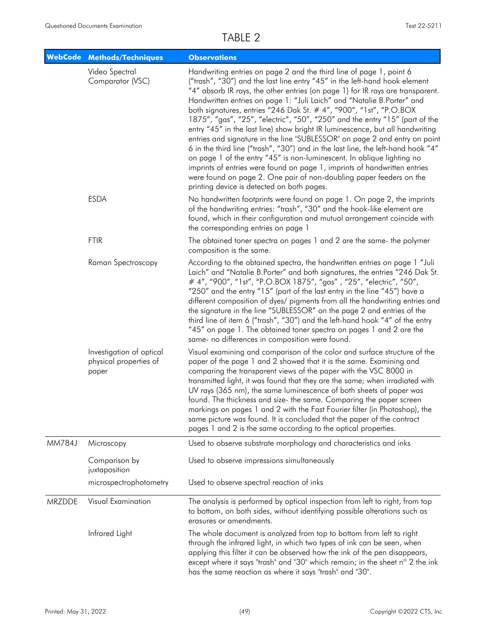|               | WebCode Methods/Techniques                                  | <b>Observations</b>                                                                                                                                                                                                                                                                                                                                                                                                                                                                                                                                                                                                                                                                                                                                                                                                                                                                                                                                                                               |
|---------------|-------------------------------------------------------------|---------------------------------------------------------------------------------------------------------------------------------------------------------------------------------------------------------------------------------------------------------------------------------------------------------------------------------------------------------------------------------------------------------------------------------------------------------------------------------------------------------------------------------------------------------------------------------------------------------------------------------------------------------------------------------------------------------------------------------------------------------------------------------------------------------------------------------------------------------------------------------------------------------------------------------------------------------------------------------------------------|
|               | Video Spectral<br>Comparator (VSC)                          | Handwriting entries on page 2 and the third line of page 1, point 6<br>("trash", "30") and the last line entry "45" in the left-hand hook element<br>"4" absorb IR rays, the other entries (on page 1) for IR rays are transparent.<br>Handwritten entries on page 1: "Juli Laich" and "Natalie B.Porter" and<br>both signatures, entries "246 Dak St. # 4", "900", "1st", "P.O.BOX<br>1875", "gas", "25", "electric", "50", "250" and the entry "15" (part of the<br>entry "45" in the last line) show bright IR luminescence, but all handwriting<br>entries and signature in the line "SUBLESSOR" on page 2 and entry on point<br>6 in the third line ("trash", "30") and in the last line, the left-hand hook "4"<br>on page 1 of the entry "45" is non-luminescent. In oblique lighting no<br>imprints of entries were found on page 1, imprints of handwritten entries<br>were found on page 2. One pair of non-doubling paper feeders on the<br>printing device is detected on both pages. |
|               | <b>ESDA</b>                                                 | No handwritten footprints were found on page 1. On page 2, the imprints<br>of the handwriting entries: "trash", "30" and the hook-like element are<br>found, which in their configuration and mutual arrangement coincide with<br>the corresponding entries on page 1                                                                                                                                                                                                                                                                                                                                                                                                                                                                                                                                                                                                                                                                                                                             |
|               | <b>FTIR</b>                                                 | The obtained toner spectra on pages 1 and 2 are the same- the polymer<br>composition is the same.                                                                                                                                                                                                                                                                                                                                                                                                                                                                                                                                                                                                                                                                                                                                                                                                                                                                                                 |
|               | Raman Spectroscopy                                          | According to the obtained spectra, the handwritten entries on page 1 "Juli<br>Laich" and "Natalie B.Porter" and both signatures, the entries "246 Dak St.<br># 4", "900", "1st", "P.O.BOX 1875", "gas", "25", "electric", "50",<br>"250" and the entry "15" (part of the last entry in the line "45") have a<br>different composition of dyes/ pigments from all the handwriting entries and<br>the signature in the line "SUBLESSOR" on the page 2 and entries of the<br>third line of item 6 ("trash", "30") and the left-hand hook "4" of the entry<br>"45" on page 1. The obtained toner spectra on pages 1 and 2 are the<br>same- no differences in composition were found.                                                                                                                                                                                                                                                                                                                  |
|               | Investigation of optical<br>physical properties of<br>paper | Visual examining and comparison of the color and surface structure of the<br>paper of the page 1 and 2 showed that it is the same. Examining and<br>comparing the transparent views of the paper with the VSC 8000 in<br>transmitted light, it was found that they are the same; when irradiated with<br>UV rays (365 nm), the same luminescence of both sheets of paper was<br>found. The thickness and size- the same. Comparing the paper screen<br>markings on pages 1 and 2 with the Fast Fourier filter (in Photoshop), the<br>same picture was found. It is concluded that the paper of the contract<br>pages 1 and 2 is the same according to the optical properties.                                                                                                                                                                                                                                                                                                                     |
| <b>MM784J</b> | Microscopy                                                  | Used to observe substrate morphology and characteristics and inks                                                                                                                                                                                                                                                                                                                                                                                                                                                                                                                                                                                                                                                                                                                                                                                                                                                                                                                                 |
|               | Comparison by<br>juxtaposition                              | Used to observe impressions simultaneously                                                                                                                                                                                                                                                                                                                                                                                                                                                                                                                                                                                                                                                                                                                                                                                                                                                                                                                                                        |
|               | microspectrophotometry                                      | Used to observe spectral reaction of inks                                                                                                                                                                                                                                                                                                                                                                                                                                                                                                                                                                                                                                                                                                                                                                                                                                                                                                                                                         |
| MRZDDE        | Visual Examination                                          | The analysis is performed by optical inspection from left to right, from top<br>to bottom, on both sides, without identifying possible alterations such as<br>erasures or amendments.                                                                                                                                                                                                                                                                                                                                                                                                                                                                                                                                                                                                                                                                                                                                                                                                             |
|               | Infrared Light                                              | The whole document is analyzed from top to bottom from left to right<br>through the infrared light, in which two types of ink can be seen, when<br>applying this filter it can be observed how the ink of the pen disappears,<br>except where it says "trash" and "30" which remain; in the sheet n° 2 the ink<br>has the same reaction as where it says "trash" and "30".                                                                                                                                                                                                                                                                                                                                                                                                                                                                                                                                                                                                                        |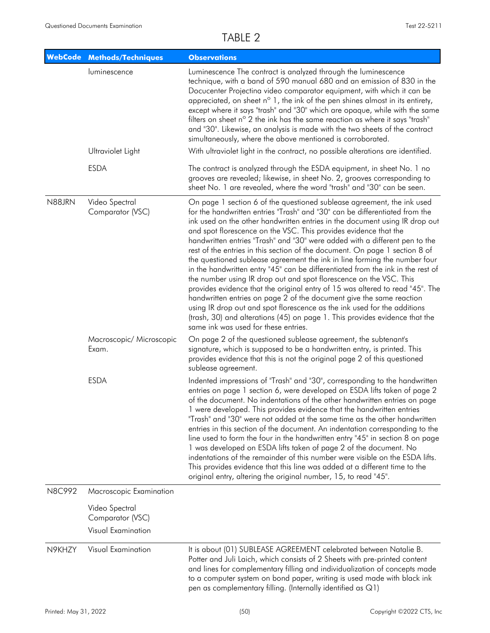| <b>WebCode</b> | <b>Methods/Techniques</b>          | <b>Observations</b>                                                                                                                                                                                                                                                                                                                                                                                                                                                                                                                                                                                                                                                                                                                                                                                                                                                                                                                                                                                                                                                      |
|----------------|------------------------------------|--------------------------------------------------------------------------------------------------------------------------------------------------------------------------------------------------------------------------------------------------------------------------------------------------------------------------------------------------------------------------------------------------------------------------------------------------------------------------------------------------------------------------------------------------------------------------------------------------------------------------------------------------------------------------------------------------------------------------------------------------------------------------------------------------------------------------------------------------------------------------------------------------------------------------------------------------------------------------------------------------------------------------------------------------------------------------|
|                | luminescence                       | Luminescence The contract is analyzed through the luminescence<br>technique, with a band of 590 manual 680 and an emission of 830 in the<br>Docucenter Projectina video comparator equipment, with which it can be<br>appreciated, on sheet n <sup>o</sup> 1, the ink of the pen shines almost in its entirety,<br>except where it says "trash" and "30" which are opaque, while with the same<br>filters on sheet n° 2 the ink has the same reaction as where it says "trash"<br>and "30". Likewise, an analysis is made with the two sheets of the contract<br>simultaneously, where the above mentioned is corroborated.                                                                                                                                                                                                                                                                                                                                                                                                                                              |
|                | Ultraviolet Light                  | With ultraviolet light in the contract, no possible alterations are identified.                                                                                                                                                                                                                                                                                                                                                                                                                                                                                                                                                                                                                                                                                                                                                                                                                                                                                                                                                                                          |
|                | <b>ESDA</b>                        | The contract is analyzed through the ESDA equipment, in sheet No. 1 no<br>grooves are revealed; likewise, in sheet No. 2, grooves corresponding to<br>sheet No. 1 are revealed, where the word "trash" and "30" can be seen.                                                                                                                                                                                                                                                                                                                                                                                                                                                                                                                                                                                                                                                                                                                                                                                                                                             |
| N88JRN         | Video Spectral<br>Comparator (VSC) | On page 1 section 6 of the questioned sublease agreement, the ink used<br>for the handwritten entries "Trash" and "30" can be differentiated from the<br>ink used on the other handwritten entries in the document using IR drop out<br>and spot florescence on the VSC. This provides evidence that the<br>handwritten entries "Trash" and "30" were added with a different pen to the<br>rest of the entries in this section of the document. On page 1 section 8 of<br>the questioned sublease agreement the ink in line forming the number four<br>in the handwritten entry "45" can be differentiated from the ink in the rest of<br>the number using IR drop out and spot florescence on the VSC. This<br>provides evidence that the original entry of 15 was altered to read "45". The<br>handwritten entries on page 2 of the document give the same reaction<br>using IR drop out and spot florescence as the ink used for the additions<br>(trash, 30) and alterations (45) on page 1. This provides evidence that the<br>same ink was used for these entries. |
|                | Macroscopic/ Microscopic<br>Exam.  | On page 2 of the questioned sublease agreement, the subtenant's<br>signature, which is supposed to be a handwritten entry, is printed. This<br>provides evidence that this is not the original page 2 of this questioned<br>sublease agreement.                                                                                                                                                                                                                                                                                                                                                                                                                                                                                                                                                                                                                                                                                                                                                                                                                          |
|                | <b>ESDA</b>                        | Indented impressions of "Trash" and "30", corresponding to the handwritten<br>entries on page 1 section 6, were developed on ESDA lifts taken of page 2<br>of the document. No indentations of the other handwritten entries on page<br>1 were developed. This provides evidence that the handwritten entries<br>"Trash" and "30" were not added at the same time as the other handwritten<br>entries in this section of the document. An indentation corresponding to the<br>line used to form the four in the handwritten entry "45" in section 8 on page<br>1 was developed on ESDA lifts taken of page 2 of the document. No<br>indentations of the remainder of this number were visible on the ESDA lifts.<br>This provides evidence that this line was added at a different time to the<br>original entry, altering the original number, 15, to read "45".                                                                                                                                                                                                        |
| N8C992         | Macroscopic Examination            |                                                                                                                                                                                                                                                                                                                                                                                                                                                                                                                                                                                                                                                                                                                                                                                                                                                                                                                                                                                                                                                                          |
|                | Video Spectral<br>Comparator (VSC) |                                                                                                                                                                                                                                                                                                                                                                                                                                                                                                                                                                                                                                                                                                                                                                                                                                                                                                                                                                                                                                                                          |
|                | Visual Examination                 |                                                                                                                                                                                                                                                                                                                                                                                                                                                                                                                                                                                                                                                                                                                                                                                                                                                                                                                                                                                                                                                                          |
| N9KHZY         | Visual Examination                 | It is about (01) SUBLEASE AGREEMENT celebrated between Natalie B.<br>Potter and Juli Laich, which consists of 2 Sheets with pre-printed content<br>and lines for complementary filling and individualization of concepts made<br>to a computer system on bond paper, writing is used made with black ink<br>pen as complementary filling. (Internally identified as $Q1$ )                                                                                                                                                                                                                                                                                                                                                                                                                                                                                                                                                                                                                                                                                               |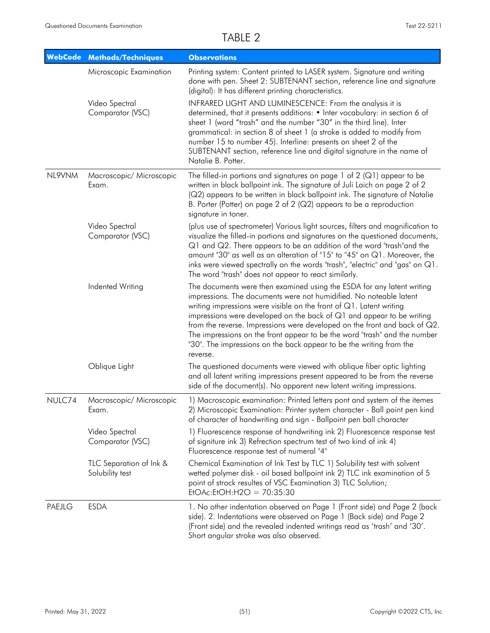|        | <b>WebCode Methods/Techniques</b>          | <b>Observations</b>                                                                                                                                                                                                                                                                                                                                                                                                                                                                                                                            |
|--------|--------------------------------------------|------------------------------------------------------------------------------------------------------------------------------------------------------------------------------------------------------------------------------------------------------------------------------------------------------------------------------------------------------------------------------------------------------------------------------------------------------------------------------------------------------------------------------------------------|
|        | Microscopic Examination                    | Printing system: Content printed to LASER system. Signature and writing<br>done with pen. Sheet 2: SUBTENANT section, reference line and signature<br>(digital): It has different printing characteristics.                                                                                                                                                                                                                                                                                                                                    |
|        | Video Spectral<br>Comparator (VSC)         | INFRARED LIGHT AND LUMINESCENCE: From the analysis it is<br>determined, that it presents additions: • Inter vocabulary: in section 6 of<br>sheet 1 (word "trash" and the number "30" in the third line). Inter<br>grammatical: in section 8 of sheet 1 (a stroke is added to modify from<br>number 15 to number 45). Interline: presents on sheet 2 of the<br>SUBTENANT section, reference line and digital signature in the name of<br>Natalie B. Potter.                                                                                     |
| NL9VNM | Macroscopic/ Microscopic<br>Exam.          | The filled-in portions and signatures on page 1 of 2 ( $Q1$ ) appear to be<br>written in black ballpoint ink. The signature of Juli Laich on page 2 of 2<br>(Q2) appears to be written in black ballpoint ink. The signature of Natalie<br>B. Porter (Potter) on page 2 of 2 (Q2) appears to be a reproduction<br>signature in toner.                                                                                                                                                                                                          |
|        | Video Spectral<br>Comparator (VSC)         | (plus use of spectrometer) Various light sources, filters and magnification to<br>visualize the filled-in portions and signatures on the questioned documents,<br>Q1 and Q2. There appears to be an addition of the word "trash" and the<br>amount "30" as well as an alteration of "15" to "45" on Q1. Moreover, the<br>inks were viewed spectrally on the words "trash", "electric" and "gas" on Q1.<br>The word "trash" does not appear to react similarly.                                                                                 |
|        | Indented Writing                           | The documents were then examined using the ESDA for any latent writing<br>impressions. The documents were not humidified. No noteable latent<br>writing impressions were visible on the front of $Q1$ . Latent writing<br>impressions were developed on the back of $Q1$ and appear to be writing<br>from the reverse. Impressions were developed on the front and back of Q2.<br>The impressions on the front appear to be the word "trash" and the number<br>"30". The impressions on the back appear to be the writing from the<br>reverse. |
|        | Oblique Light                              | The questioned documents were viewed with oblique fiber optic lighting<br>and all latent writing impressions present appeared to be from the reverse<br>side of the document(s). No apparent new latent writing impressions.                                                                                                                                                                                                                                                                                                                   |
| NULC74 | Macroscopic/ Microscopic<br>Exam.          | 1) Macroscopic examination: Printed letters pont and system of the itemes<br>2) Microscopic Examination: Printer system character - Ball point pen kind<br>of character of handwriting and sign - Ballpoint pen ball character                                                                                                                                                                                                                                                                                                                 |
|        | Video Spectral<br>Comparator (VSC)         | 1) Fluorescence response of handwriting ink 2) Fluorescence response test<br>of signiture ink 3) Refrection spectrum test of two kind of ink 4)<br>Fluorescence response test of numeral "4"                                                                                                                                                                                                                                                                                                                                                   |
|        | TLC Separation of Ink &<br>Solubility test | Chemical Examination of Ink Test by TLC 1) Solubility test with solvent<br>wetted polymer disk - oil based ballpoint ink 2) TLC ink examination of 5<br>point of strock resultes of VSC Examination 3) TLC Solution;<br>$EtOAc:EtOH:H2O = 70:35:30$                                                                                                                                                                                                                                                                                            |
| PAEJLG | <b>ESDA</b>                                | 1. No other indentation observed on Page 1 (Front side) and Page 2 (back<br>side). 2. Indentations were observed on Page 1 (Back side) and Page 2<br>(Front side) and the revealed indented writings read as 'trash' and '30'.<br>Short angular stroke was also observed.                                                                                                                                                                                                                                                                      |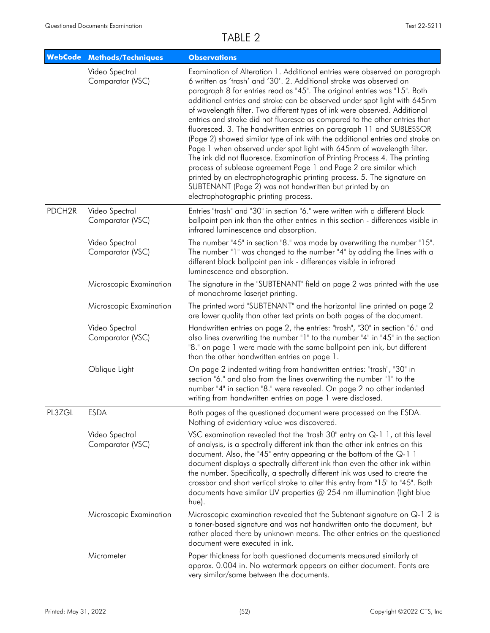|                    | <b>WebCode Methods/Techniques</b>  | <b>Observations</b>                                                                                                                                                                                                                                                                                                                                                                                                                                                                                                                                                                                                                                                                                                                                                                                                                                                                                                                                                                                                                           |
|--------------------|------------------------------------|-----------------------------------------------------------------------------------------------------------------------------------------------------------------------------------------------------------------------------------------------------------------------------------------------------------------------------------------------------------------------------------------------------------------------------------------------------------------------------------------------------------------------------------------------------------------------------------------------------------------------------------------------------------------------------------------------------------------------------------------------------------------------------------------------------------------------------------------------------------------------------------------------------------------------------------------------------------------------------------------------------------------------------------------------|
|                    | Video Spectral<br>Comparator (VSC) | Examination of Alteration 1. Additional entries were observed on paragraph<br>6 written as 'trash' and '30'. 2. Additional stroke was observed on<br>paragraph 8 for entries read as "45". The original entries was "15". Both<br>additional entries and stroke can be observed under spot light with 645nm<br>of wavelength filter. Two different types of ink were observed. Additional<br>entries and stroke did not fluoresce as compared to the other entries that<br>fluoresced. 3. The handwritten entries on paragraph 11 and SUBLESSOR<br>(Page 2) showed similar type of ink with the additional entries and stroke on<br>Page 1 when observed under spot light with 645nm of wavelength filter.<br>The ink did not fluoresce. Examination of Printing Process 4. The printing<br>process of sublease agreement Page 1 and Page 2 are similar which<br>printed by an electrophotographic printing process. 5. The signature on<br>SUBTENANT (Page 2) was not handwritten but printed by an<br>electrophotographic printing process. |
| PDCH <sub>2R</sub> | Video Spectral<br>Comparator (VSC) | Entries "trash" and "30" in section "6." were written with a different black<br>ballpoint pen ink than the other entries in this section - differences visible in<br>infrared luminescence and absorption.                                                                                                                                                                                                                                                                                                                                                                                                                                                                                                                                                                                                                                                                                                                                                                                                                                    |
|                    | Video Spectral<br>Comparator (VSC) | The number "45" in section "8." was made by overwriting the number "15".<br>The number "1" was changed to the number "4" by adding the lines with a<br>different black ballpoint pen ink - differences visible in infrared<br>luminescence and absorption.                                                                                                                                                                                                                                                                                                                                                                                                                                                                                                                                                                                                                                                                                                                                                                                    |
|                    | Microscopic Examination            | The signature in the "SUBTENANT" field on page 2 was printed with the use<br>of monochrome laserjet printing.                                                                                                                                                                                                                                                                                                                                                                                                                                                                                                                                                                                                                                                                                                                                                                                                                                                                                                                                 |
|                    | Microscopic Examination            | The printed word "SUBTENANT" and the horizontal line printed on page 2<br>are lower quality than other text prints on both pages of the document.                                                                                                                                                                                                                                                                                                                                                                                                                                                                                                                                                                                                                                                                                                                                                                                                                                                                                             |
|                    | Video Spectral<br>Comparator (VSC) | Handwritten entries on page 2, the entries: "trash", "30" in section "6." and<br>also lines overwriting the number "1" to the number "4" in "45" in the section<br>"8." on page 1 were made with the same ballpoint pen ink, but different<br>than the other handwritten entries on page 1.                                                                                                                                                                                                                                                                                                                                                                                                                                                                                                                                                                                                                                                                                                                                                   |
|                    | Oblique Light                      | On page 2 indented writing from handwritten entries: "trash", "30" in<br>section "6." and also from the lines overwriting the number "1" to the<br>number "4" in section "8." were revealed. On page 2 no other indented<br>writing from handwritten entries on page 1 were disclosed.                                                                                                                                                                                                                                                                                                                                                                                                                                                                                                                                                                                                                                                                                                                                                        |
| PL3ZGL             | <b>ESDA</b>                        | Both pages of the questioned document were processed on the ESDA.<br>Nothing of evidentiary value was discovered.                                                                                                                                                                                                                                                                                                                                                                                                                                                                                                                                                                                                                                                                                                                                                                                                                                                                                                                             |
|                    | Video Spectral<br>Comparator (VSC) | VSC examination revealed that the "trash $30^{\circ}$ entry on $Q-1$ 1, at this level<br>of analysis, is a spectrally different ink than the other ink entries on this<br>document. Also, the "45" entry appearing at the bottom of the Q-1 1<br>document displays a spectrally different ink than even the other ink within<br>the number. Specifically, a spectrally different ink was used to create the<br>crossbar and short vertical stroke to alter this entry from "15" to "45". Both<br>documents have similar UV properties $@$ 254 nm illumination (light blue<br>hue).                                                                                                                                                                                                                                                                                                                                                                                                                                                            |
|                    | Microscopic Examination            | Microscopic examination revealed that the Subtenant signature on Q-1 2 is<br>a toner-based signature and was not handwritten onto the document, but<br>rather placed there by unknown means. The other entries on the questioned<br>document were executed in ink.                                                                                                                                                                                                                                                                                                                                                                                                                                                                                                                                                                                                                                                                                                                                                                            |
|                    | Micrometer                         | Paper thickness for both questioned documents measured similarly at<br>approx. 0.004 in. No watermark appears on either document. Fonts are<br>very similar/same between the documents.                                                                                                                                                                                                                                                                                                                                                                                                                                                                                                                                                                                                                                                                                                                                                                                                                                                       |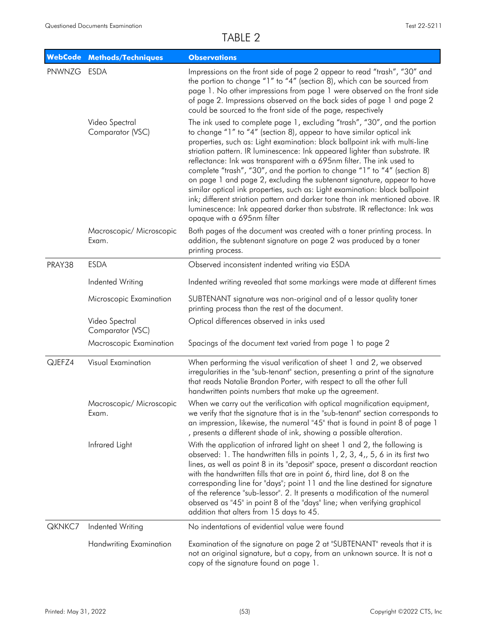| <b>WebCode</b> | <b>Methods/Techniques</b>          | <b>Observations</b>                                                                                                                                                                                                                                                                                                                                                                                                                                                                                                                                                                                                                                                                                                                                                                                                        |
|----------------|------------------------------------|----------------------------------------------------------------------------------------------------------------------------------------------------------------------------------------------------------------------------------------------------------------------------------------------------------------------------------------------------------------------------------------------------------------------------------------------------------------------------------------------------------------------------------------------------------------------------------------------------------------------------------------------------------------------------------------------------------------------------------------------------------------------------------------------------------------------------|
| PNWNZG ESDA    |                                    | Impressions on the front side of page 2 appear to read "trash", "30" and<br>the portion to change "1" to "4" (section 8), which can be sourced from<br>page 1. No other impressions from page 1 were observed on the front side<br>of page 2. Impressions observed on the back sides of page 1 and page 2<br>could be sourced to the front side of the page, respectively                                                                                                                                                                                                                                                                                                                                                                                                                                                  |
|                | Video Spectral<br>Comparator (VSC) | The ink used to complete page 1, excluding "trash", "30", and the portion<br>to change "1" to "4" (section 8), appear to have similar optical ink<br>properties, such as: Light examination: black ballpoint ink with multi-line<br>striation pattern. IR luminescence: Ink appeared lighter than substrate. IR<br>reflectance: Ink was transparent with a 695nm filter. The ink used to<br>complete "trash", "30", and the portion to change "1" to "4" (section 8)<br>on page 1 and page 2, excluding the subtenant signature, appear to have<br>similar optical ink properties, such as: Light examination: black ballpoint<br>ink; different striation pattern and darker tone than ink mentioned above. IR<br>luminescence: Ink appeared darker than substrate. IR reflectance: Ink was<br>opaque with a 695nm filter |
|                | Macroscopic/ Microscopic<br>Exam.  | Both pages of the document was created with a toner printing process. In<br>addition, the subtenant signature on page 2 was produced by a toner<br>printing process.                                                                                                                                                                                                                                                                                                                                                                                                                                                                                                                                                                                                                                                       |
| PRAY38         | <b>ESDA</b>                        | Observed inconsistent indented writing via ESDA                                                                                                                                                                                                                                                                                                                                                                                                                                                                                                                                                                                                                                                                                                                                                                            |
|                | Indented Writing                   | Indented writing revealed that some markings were made at different times                                                                                                                                                                                                                                                                                                                                                                                                                                                                                                                                                                                                                                                                                                                                                  |
|                | Microscopic Examination            | SUBTENANT signature was non-original and of a lessor quality toner<br>printing process than the rest of the document.                                                                                                                                                                                                                                                                                                                                                                                                                                                                                                                                                                                                                                                                                                      |
|                | Video Spectral<br>Comparator (VSC) | Optical differences observed in inks used                                                                                                                                                                                                                                                                                                                                                                                                                                                                                                                                                                                                                                                                                                                                                                                  |
|                | Macroscopic Examination            | Spacings of the document text varied from page 1 to page 2                                                                                                                                                                                                                                                                                                                                                                                                                                                                                                                                                                                                                                                                                                                                                                 |
| QJEFZ4         | <b>Visual Examination</b>          | When performing the visual verification of sheet 1 and 2, we observed<br>irregularities in the "sub-tenant" section, presenting a print of the signature<br>that reads Natalie Brandon Porter, with respect to all the other full<br>handwritten points numbers that make up the agreement.                                                                                                                                                                                                                                                                                                                                                                                                                                                                                                                                |
|                | Macroscopic/ Microscopic<br>Exam.  | When we carry out the verification with optical magnification equipment,<br>we verify that the signature that is in the "sub-tenant" section corresponds to<br>an impression, likewise, the numeral "45" that is found in point 8 of page 1<br>, presents a different shade of ink, showing a possible alteration.                                                                                                                                                                                                                                                                                                                                                                                                                                                                                                         |
|                | Infrared Light                     | With the application of infrared light on sheet 1 and 2, the following is<br>observed: 1. The handwritten fills in points 1, 2, 3, 4,, 5, 6 in its first two<br>lines, as well as point 8 in its "deposit" space, present a discordant reaction<br>with the handwritten fills that are in point 6, third line, dot 8 on the<br>corresponding line for "days"; point 11 and the line destined for signature<br>of the reference "sub-lessor". 2. It presents a modification of the numeral<br>observed as "45" in point 8 of the "days" line; when verifying graphical<br>addition that alters from 15 days to 45.                                                                                                                                                                                                          |
| QKNKC7         | Indented Writing                   | No indentations of evidential value were found                                                                                                                                                                                                                                                                                                                                                                                                                                                                                                                                                                                                                                                                                                                                                                             |
|                | <b>Handwriting Examination</b>     | Examination of the signature on page 2 at "SUBTENANT" reveals that it is<br>not an original signature, but a copy, from an unknown source. It is not a<br>copy of the signature found on page 1.                                                                                                                                                                                                                                                                                                                                                                                                                                                                                                                                                                                                                           |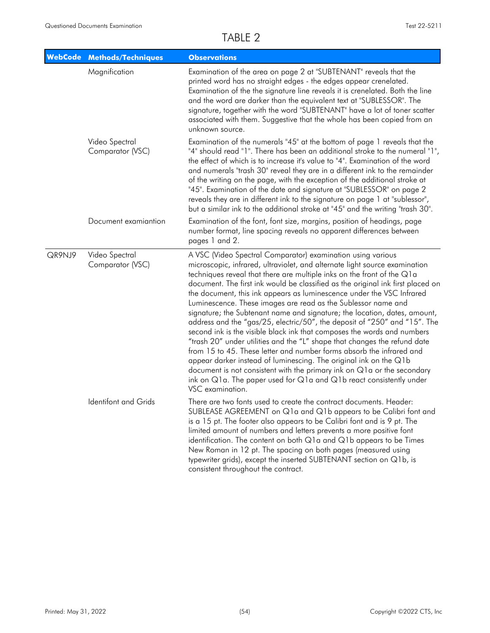|        | <b>WebCode Methods/Techniques</b>  | <b>Observations</b>                                                                                                                                                                                                                                                                                                                                                                                                                                                                                                                                                                                                                                                                                                                                                                                                                                                                                                                                                                                                                                                                   |
|--------|------------------------------------|---------------------------------------------------------------------------------------------------------------------------------------------------------------------------------------------------------------------------------------------------------------------------------------------------------------------------------------------------------------------------------------------------------------------------------------------------------------------------------------------------------------------------------------------------------------------------------------------------------------------------------------------------------------------------------------------------------------------------------------------------------------------------------------------------------------------------------------------------------------------------------------------------------------------------------------------------------------------------------------------------------------------------------------------------------------------------------------|
|        | Magnification                      | Examination of the area on page 2 at "SUBTENANT" reveals that the<br>printed word has no straight edges - the edges appear crenelated.<br>Examination of the the signature line reveals it is crenelated. Both the line<br>and the word are darker than the equivalent text at "SUBLESSOR". The<br>signature, together with the word "SUBTENANT" have a lot of toner scatter<br>associated with them. Suggestive that the whole has been copied from an<br>unknown source.                                                                                                                                                                                                                                                                                                                                                                                                                                                                                                                                                                                                            |
|        | Video Spectral<br>Comparator (VSC) | Examination of the numerals "45" at the bottom of page 1 reveals that the<br>"4" should read "1". There has been an additional stroke to the numeral "1",<br>the effect of which is to increase it's value to "4". Examination of the word<br>and numerals "trash 30" reveal they are in a different ink to the remainder<br>of the writing on the page, with the exception of the additional stroke at<br>"45". Examination of the date and signature at "SUBLESSOR" on page 2<br>reveals they are in different ink to the signature on page 1 at "sublessor",<br>but a similar ink to the additional stroke at "45" and the writing "trash 30".                                                                                                                                                                                                                                                                                                                                                                                                                                     |
|        | Document examiantion               | Examination of the font, font size, margins, position of headings, page<br>number format, line spacing reveals no apparent differences between<br>pages 1 and 2.                                                                                                                                                                                                                                                                                                                                                                                                                                                                                                                                                                                                                                                                                                                                                                                                                                                                                                                      |
| QR9NJ9 | Video Spectral<br>Comparator (VSC) | A VSC (Video Spectral Comparator) examination using various<br>microscopic, infrared, ultraviolet, and alternate light source examination<br>techniques reveal that there are multiple inks on the front of the Q1a<br>document. The first ink would be classified as the original ink first placed on<br>the document, this ink appears as luminescence under the VSC Infrared<br>Luminescence. These images are read as the Sublessor name and<br>signature; the Subtenant name and signature; the location, dates, amount,<br>address and the "gas/25, electric/50", the deposit of "250" and "15". The<br>second ink is the visible black ink that composes the words and numbers<br>"trash 20" under utilities and the "L" shape that changes the refund date<br>from 15 to 45. These letter and number forms absorb the infrared and<br>appear darker instead of luminescing. The original ink on the Q1b<br>document is not consistent with the primary ink on Q1a or the secondary<br>ink on Q1a. The paper used for Q1a and Q1b react consistently under<br>VSC examination. |
|        | Identifont and Grids               | There are two fonts used to create the contract documents. Header:<br>SUBLEASE AGREEMENT on Q1a and Q1b appears to be Calibri font and<br>is a 15 pt. The footer also appears to be Calibri font and is 9 pt. The<br>limited amount of numbers and letters prevents a more positive font<br>identification. The content on both $Q1a$ and $Q1b$ appears to be Times<br>New Roman in 12 pt. The spacing on both pages (measured using<br>typewriter grids), except the inserted SUBTENANT section on Q1b, is<br>consistent throughout the contract.                                                                                                                                                                                                                                                                                                                                                                                                                                                                                                                                    |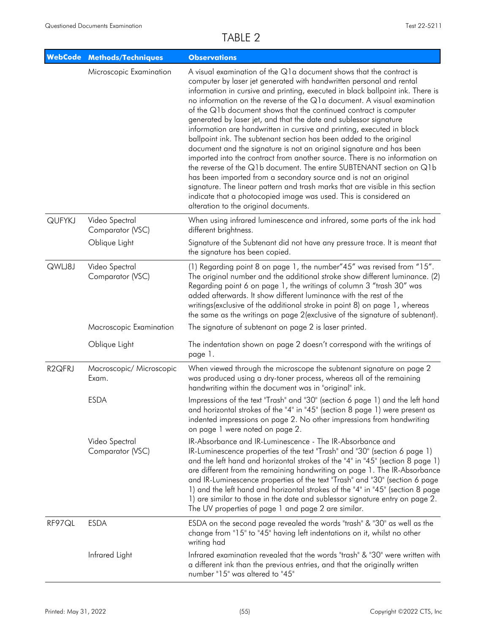|                     | <b>WebCode Methods/Techniques</b>  | <b>Observations</b>                                                                                                                                                                                                                                                                                                                                                                                                                                                                                                                                                                                                                                                                                                                                                                                                                                                                                                                                                                                                                                                                                   |
|---------------------|------------------------------------|-------------------------------------------------------------------------------------------------------------------------------------------------------------------------------------------------------------------------------------------------------------------------------------------------------------------------------------------------------------------------------------------------------------------------------------------------------------------------------------------------------------------------------------------------------------------------------------------------------------------------------------------------------------------------------------------------------------------------------------------------------------------------------------------------------------------------------------------------------------------------------------------------------------------------------------------------------------------------------------------------------------------------------------------------------------------------------------------------------|
|                     | Microscopic Examination            | A visual examination of the Q1a document shows that the contract is<br>computer by laser jet generated with handwritten personal and rental<br>information in cursive and printing, executed in black ballpoint ink. There is<br>no information on the reverse of the Q1a document. A visual examination<br>of the Q1b document shows that the continued contract is computer<br>generated by laser jet, and that the date and sublessor signature<br>information are handwritten in cursive and printing, executed in black<br>ballpoint ink. The subtenant section has been added to the original<br>document and the signature is not an original signature and has been<br>imported into the contract from another source. There is no information on<br>the reverse of the Q1b document. The entire SUBTENANT section on Q1b<br>has been imported from a secondary source and is not an original<br>signature. The linear pattern and trash marks that are visible in this section<br>indicate that a photocopied image was used. This is considered an<br>alteration to the original documents. |
| <b>QUFYKJ</b>       | Video Spectral<br>Comparator (VSC) | When using infrared luminescence and infrared, some parts of the ink had<br>different brightness.                                                                                                                                                                                                                                                                                                                                                                                                                                                                                                                                                                                                                                                                                                                                                                                                                                                                                                                                                                                                     |
|                     | Oblique Light                      | Signature of the Subtenant did not have any pressure trace. It is meant that<br>the signature has been copied.                                                                                                                                                                                                                                                                                                                                                                                                                                                                                                                                                                                                                                                                                                                                                                                                                                                                                                                                                                                        |
| QWLJ8J              | Video Spectral<br>Comparator (VSC) | (1) Regarding point 8 on page 1, the number"45" was revised from "15".<br>The original number and the additional stroke show different luminance. (2)<br>Regarding point 6 on page 1, the writings of column 3 "trash 30" was<br>added afterwards. It show different luminance with the rest of the<br>writings(exclusive of the additional stroke in point 8) on page 1, whereas<br>the same as the writings on page 2 (exclusive of the signature of subtenant).                                                                                                                                                                                                                                                                                                                                                                                                                                                                                                                                                                                                                                    |
|                     | Macroscopic Examination            | The signature of subtenant on page 2 is laser printed.                                                                                                                                                                                                                                                                                                                                                                                                                                                                                                                                                                                                                                                                                                                                                                                                                                                                                                                                                                                                                                                |
|                     | Oblique Light                      | The indentation shown on page 2 doesn't correspond with the writings of<br>page 1.                                                                                                                                                                                                                                                                                                                                                                                                                                                                                                                                                                                                                                                                                                                                                                                                                                                                                                                                                                                                                    |
| R <sub>2</sub> QFRJ | Macroscopic/ Microscopic<br>Exam.  | When viewed through the microscope the subtenant signature on page 2<br>was produced using a dry-toner process, whereas all of the remaining<br>handwriting within the document was in "original" ink.                                                                                                                                                                                                                                                                                                                                                                                                                                                                                                                                                                                                                                                                                                                                                                                                                                                                                                |
|                     | <b>ESDA</b>                        | Impressions of the text "Trash" and "30" (section 6 page 1) and the left hand<br>and horizontal strokes of the "4" in "45" (section 8 page 1) were present as<br>indented impressions on page 2. No other impressions from handwriting<br>on page 1 were noted on page 2.                                                                                                                                                                                                                                                                                                                                                                                                                                                                                                                                                                                                                                                                                                                                                                                                                             |
|                     | Video Spectral<br>Comparator (VSC) | IR-Absorbance and IR-Luminescence - The IR-Absorbance and<br>IR-Luminescence properties of the text "Trash" and "30" (section 6 page 1)<br>and the left hand and horizontal strokes of the "4" in "45" (section 8 page 1)<br>are different from the remaining handwriting on page 1. The IR-Absorbance<br>and IR-Luminescence properties of the text "Trash" and "30" (section 6 page<br>1) and the left hand and horizontal strokes of the "4" in "45" (section 8 page<br>1) are similar to those in the date and sublessor signature entry on page 2.<br>The UV properties of page 1 and page 2 are similar.                                                                                                                                                                                                                                                                                                                                                                                                                                                                                        |
| RF97QL              | <b>ESDA</b>                        | ESDA on the second page revealed the words "trash" & "30" as well as the<br>change from "15" to "45" having left indentations on it, whilst no other<br>writing had                                                                                                                                                                                                                                                                                                                                                                                                                                                                                                                                                                                                                                                                                                                                                                                                                                                                                                                                   |
|                     | Infrared Light                     | Infrared examination revealed that the words "trash" & "30" were written with<br>a different ink than the previous entries, and that the originally written<br>number "15" was altered to "45"                                                                                                                                                                                                                                                                                                                                                                                                                                                                                                                                                                                                                                                                                                                                                                                                                                                                                                        |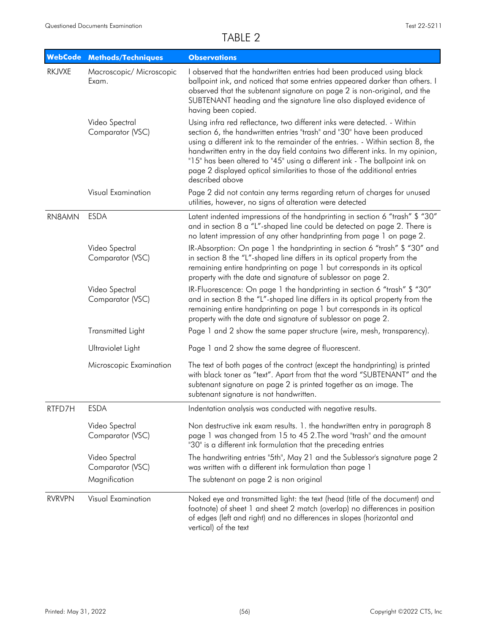| <b>WebCode</b> | <b>Methods/Techniques</b>          | <b>Observations</b>                                                                                                                                                                                                                                                                                                                                                                                                                                                                                |
|----------------|------------------------------------|----------------------------------------------------------------------------------------------------------------------------------------------------------------------------------------------------------------------------------------------------------------------------------------------------------------------------------------------------------------------------------------------------------------------------------------------------------------------------------------------------|
| <b>RKJVXE</b>  | Macroscopic/ Microscopic<br>Exam.  | I observed that the handwritten entries had been produced using black<br>ballpoint ink, and noticed that some entries appeared darker than others. I<br>observed that the subtenant signature on page 2 is non-original, and the<br>SUBTENANT heading and the signature line also displayed evidence of<br>having been copied.                                                                                                                                                                     |
|                | Video Spectral<br>Comparator (VSC) | Using infra red reflectance, two different inks were detected. - Within<br>section 6, the handwritten entries "trash" and "30" have been produced<br>using a different ink to the remainder of the entries. - Within section 8, the<br>handwritten entry in the day field contains two different inks. In my opinion,<br>"15" has been altered to "45" using a different ink - The ballpoint ink on<br>page 2 displayed optical similarities to those of the additional entries<br>described above |
|                | Visual Examination                 | Page 2 did not contain any terms regarding return of charges for unused<br>utilities, however, no signs of alteration were detected                                                                                                                                                                                                                                                                                                                                                                |
| RN8AMN         | <b>ESDA</b>                        | Latent indented impressions of the handprinting in section 6 "trash" \$ "30"<br>and in section 8 a "L"-shaped line could be detected on page 2. There is<br>no latent impression of any other handprinting from page 1 on page 2.                                                                                                                                                                                                                                                                  |
|                | Video Spectral<br>Comparator (VSC) | IR-Absorption: On page 1 the handprinting in section 6 "trash" \$ "30" and<br>in section 8 the "L"-shaped line differs in its optical property from the<br>remaining entire handprinting on page 1 but corresponds in its optical<br>property with the date and signature of sublessor on page 2.                                                                                                                                                                                                  |
|                | Video Spectral<br>Comparator (VSC) | IR-Fluorescence: On page 1 the handprinting in section 6 "trash" \$ "30"<br>and in section 8 the "L"-shaped line differs in its optical property from the<br>remaining entire handprinting on page 1 but corresponds in its optical<br>property with the date and signature of sublessor on page 2.                                                                                                                                                                                                |
|                | <b>Transmitted Light</b>           | Page 1 and 2 show the same paper structure (wire, mesh, transparency).                                                                                                                                                                                                                                                                                                                                                                                                                             |
|                | Ultraviolet Light                  | Page 1 and 2 show the same degree of fluorescent.                                                                                                                                                                                                                                                                                                                                                                                                                                                  |
|                | Microscopic Examination            | The text of both pages of the contract (except the handprinting) is printed<br>with black toner as "text". Apart from that the word "SUBTENANT" and the<br>subtenant signature on page 2 is printed together as an image. The<br>subtenant signature is not handwritten.                                                                                                                                                                                                                           |
| RTFD7H         | <b>ESDA</b>                        | Indentation analysis was conducted with negative results.                                                                                                                                                                                                                                                                                                                                                                                                                                          |
|                | Video Spectral<br>Comparator (VSC) | Non destructive ink exam results. 1. the handwritten entry in paragraph 8<br>page 1 was changed from 15 to 45 2. The word "trash" and the amount<br>"30" is a different ink formulation that the preceding entries                                                                                                                                                                                                                                                                                 |
|                | Video Spectral<br>Comparator (VSC) | The handwriting entries "5th", May 21 and the Sublessor's signature page 2<br>was written with a different ink formulation than page 1                                                                                                                                                                                                                                                                                                                                                             |
|                | Magnification                      | The subtenant on page 2 is non original                                                                                                                                                                                                                                                                                                                                                                                                                                                            |
| <b>RVRVPN</b>  | Visual Examination                 | Naked eye and transmitted light: the text (head (title of the document) and<br>footnote) of sheet 1 and sheet 2 match (overlap) no differences in position<br>of edges (left and right) and no differences in slopes (horizontal and<br>vertical) of the text                                                                                                                                                                                                                                      |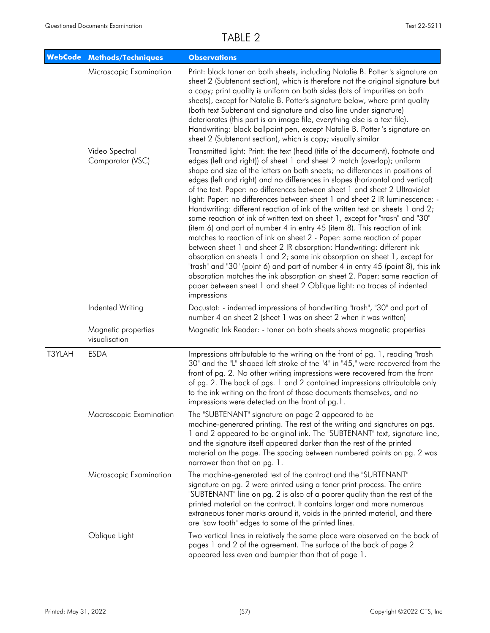|        | WebCode Methods/Techniques           | <b>Observations</b>                                                                                                                                                                                                                                                                                                                                                                                                                                                                                                                                                                                                                                                                                                                                                                                                                                                                                                                                                                                                                                                                                                                                                                                                         |
|--------|--------------------------------------|-----------------------------------------------------------------------------------------------------------------------------------------------------------------------------------------------------------------------------------------------------------------------------------------------------------------------------------------------------------------------------------------------------------------------------------------------------------------------------------------------------------------------------------------------------------------------------------------------------------------------------------------------------------------------------------------------------------------------------------------------------------------------------------------------------------------------------------------------------------------------------------------------------------------------------------------------------------------------------------------------------------------------------------------------------------------------------------------------------------------------------------------------------------------------------------------------------------------------------|
|        | Microscopic Examination              | Print: black toner on both sheets, including Natalie B. Potter 's signature on<br>sheet 2 (Subtenant section), which is therefore not the original signature but<br>a copy; print quality is uniform on both sides (lots of impurities on both<br>sheets), except for Natalie B. Potter's signature below, where print quality<br>(both text Subtenant and signature and also line under signature)<br>deteriorates (this part is an image file, everything else is a text file).<br>Handwriting: black ballpoint pen, except Natalie B. Potter 's signature on<br>sheet 2 (Subtenant section), which is copy; visually similar                                                                                                                                                                                                                                                                                                                                                                                                                                                                                                                                                                                             |
|        | Video Spectral<br>Comparator (VSC)   | Transmitted light: Print: the text (head (title of the document), footnote and<br>edges (left and right)) of sheet 1 and sheet 2 match (overlap); uniform<br>shape and size of the letters on both sheets; no differences in positions of<br>edges (left and right) and no differences in slopes (horizontal and vertical)<br>of the text. Paper: no differences between sheet 1 and sheet 2 Ultraviolet<br>light: Paper: no differences between sheet 1 and sheet 2 IR luminescence: -<br>Handwriting: different reaction of ink of the written text on sheets 1 and 2;<br>same reaction of ink of written text on sheet 1, except for "trash" and "30"<br>(item 6) and part of number 4 in entry 45 (item 8). This reaction of ink<br>matches to reaction of ink on sheet 2 - Paper: same reaction of paper<br>between sheet 1 and sheet 2 IR absorption: Handwriting: different ink<br>absorption on sheets 1 and 2; same ink absorption on sheet 1, except for<br>"trash" and "30" (point 6) and part of number 4 in entry 45 (point 8), this ink<br>absorption matches the ink absorption on sheet 2. Paper: same reaction of<br>paper between sheet 1 and sheet 2 Oblique light: no traces of indented<br>impressions |
|        | Indented Writing                     | Docustat: - indented impressions of handwriting "trash", "30" and part of<br>number 4 on sheet 2 (sheet 1 was on sheet 2 when it was written)                                                                                                                                                                                                                                                                                                                                                                                                                                                                                                                                                                                                                                                                                                                                                                                                                                                                                                                                                                                                                                                                               |
|        | Magnetic properties<br>visualisation | Magnetic Ink Reader: - toner on both sheets shows magnetic properties                                                                                                                                                                                                                                                                                                                                                                                                                                                                                                                                                                                                                                                                                                                                                                                                                                                                                                                                                                                                                                                                                                                                                       |
| T3YLAH | <b>ESDA</b>                          | Impressions attributable to the writing on the front of pg. 1, reading "trash<br>30" and the "L" shaped left stroke of the "4" in "45," were recovered from the<br>front of pg. 2. No other writing impressions were recovered from the front<br>of pg. 2. The back of pgs. 1 and 2 contained impressions attributable only<br>to the ink writing on the front of those documents themselves, and no<br>impressions were detected on the front of pg.1.                                                                                                                                                                                                                                                                                                                                                                                                                                                                                                                                                                                                                                                                                                                                                                     |
|        | Macroscopic Examination              | The "SUBTENANT" signature on page 2 appeared to be<br>machine-generated printing. The rest of the writing and signatures on pgs.<br>1 and 2 appeared to be original ink. The "SUBTENANT" text, signature line,<br>and the signature itself appeared darker than the rest of the printed<br>material on the page. The spacing between numbered points on pg. 2 was<br>narrower than that on pg. 1.                                                                                                                                                                                                                                                                                                                                                                                                                                                                                                                                                                                                                                                                                                                                                                                                                           |
|        | Microscopic Examination              | The machine-generated text of the contract and the "SUBTENANT"<br>signature on pg. 2 were printed using a toner print process. The entire<br>"SUBTENANT" line on pg. 2 is also of a poorer quality than the rest of the<br>printed material on the contract. It contains larger and more numerous<br>extraneous toner marks around it, voids in the printed material, and there<br>are "saw tooth" edges to some of the printed lines.                                                                                                                                                                                                                                                                                                                                                                                                                                                                                                                                                                                                                                                                                                                                                                                      |
|        | Oblique Light                        | Two vertical lines in relatively the same place were observed on the back of<br>pages 1 and 2 of the agreement. The surface of the back of page 2<br>appeared less even and bumpier than that of page 1.                                                                                                                                                                                                                                                                                                                                                                                                                                                                                                                                                                                                                                                                                                                                                                                                                                                                                                                                                                                                                    |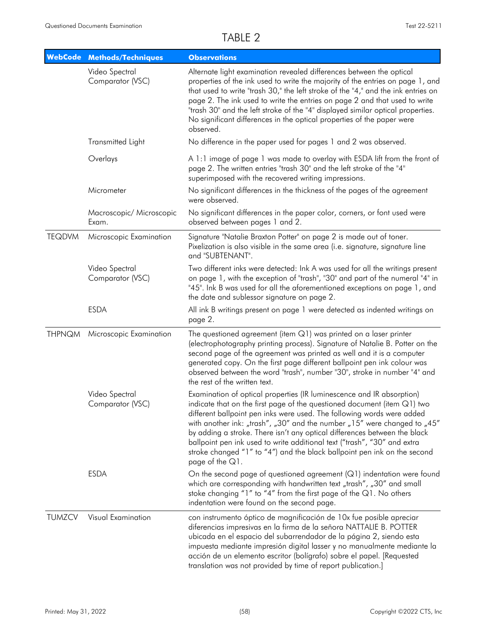| <b>WebCode</b> | <b>Methods/Techniques</b>          | <b>Observations</b>                                                                                                                                                                                                                                                                                                                                                                                                                                                                                                                                                |
|----------------|------------------------------------|--------------------------------------------------------------------------------------------------------------------------------------------------------------------------------------------------------------------------------------------------------------------------------------------------------------------------------------------------------------------------------------------------------------------------------------------------------------------------------------------------------------------------------------------------------------------|
|                | Video Spectral<br>Comparator (VSC) | Alternate light examination revealed differences between the optical<br>properties of the ink used to write the majority of the entries on page 1, and<br>that used to write "trash 30," the left stroke of the "4," and the ink entries on<br>page 2. The ink used to write the entries on page 2 and that used to write<br>"trash 30" and the left stroke of the "4" displayed similar optical properties.<br>No significant differences in the optical properties of the paper were<br>observed.                                                                |
|                | Transmitted Light                  | No difference in the paper used for pages 1 and 2 was observed.                                                                                                                                                                                                                                                                                                                                                                                                                                                                                                    |
|                | Overlays                           | A 1:1 image of page 1 was made to overlay with ESDA lift from the front of<br>page 2. The written entries "trash 30" and the left stroke of the "4"<br>superimposed with the recovered writing impressions.                                                                                                                                                                                                                                                                                                                                                        |
|                | Micrometer                         | No significant differences in the thickness of the pages of the agreement<br>were observed.                                                                                                                                                                                                                                                                                                                                                                                                                                                                        |
|                | Macroscopic/ Microscopic<br>Exam.  | No significant differences in the paper color, corners, or font used were<br>observed between pages 1 and 2.                                                                                                                                                                                                                                                                                                                                                                                                                                                       |
| <b>TEQDVM</b>  | Microscopic Examination            | Signature "Natalie Braxton Potter" on page 2 is made out of toner.<br>Pixelization is also visible in the same area (i.e. signature, signature line<br>and "SUBTENANT".                                                                                                                                                                                                                                                                                                                                                                                            |
|                | Video Spectral<br>Comparator (VSC) | Two different inks were detected: Ink A was used for all the writings present<br>on page 1, with the exception of "trash", "30" and part of the numeral "4" in<br>"45". Ink B was used for all the aforementioned exceptions on page 1, and<br>the date and sublessor signature on page 2.                                                                                                                                                                                                                                                                         |
|                | <b>ESDA</b>                        | All ink B writings present on page 1 were detected as indented writings on<br>page 2.                                                                                                                                                                                                                                                                                                                                                                                                                                                                              |
| <b>THPNQM</b>  | Microscopic Examination            | The questioned agreement (item $Q1$ ) was printed on a laser printer<br>(electrophotography printing process). Signature of Natalie B. Potter on the<br>second page of the agreement was printed as well and it is a computer<br>generated copy. On the first page different ballpoint pen ink colour was<br>observed between the word "trash", number "30", stroke in number "4" and<br>the rest of the written text.                                                                                                                                             |
|                | Video Spectral<br>Comparator (VSC) | Examination of optical properties (IR luminescence and IR absorption)<br>indicate that on the first page of the questioned document (item $Q1$ ) two<br>different ballpoint pen inks were used. The following words were added<br>with another ink: "trash", "30" and the number "15" were changed to "45"<br>by adding a stroke. There isn't any optical differences between the black<br>ballpoint pen ink used to write additional text ("trash", "30" and extra<br>stroke changed "1" to "4") and the black ballpoint pen ink on the second<br>page of the Q1. |
|                | <b>ESDA</b>                        | On the second page of questioned agreement $(Q1)$ indentation were found<br>which are corresponding with handwritten text "trash", "30" and small<br>stoke changing "1" to "4" from the first page of the Q1. No others<br>indentation were found on the second page.                                                                                                                                                                                                                                                                                              |
| <b>TUMZCV</b>  | Visual Examination                 | con instrumento óptico de magnificación de 10x fue posible apreciar<br>diferencias impresivas en la firma de la señora NATTALIE B. POTTER<br>ubicada en el espacio del subarrendador de la página 2, siendo esta<br>impuesta mediante impresión digital lasser y no manualmente mediante la<br>acción de un elemento escritor (bolígrafo) sobre el papel. [Requested<br>translation was not provided by time of report publication.]                                                                                                                               |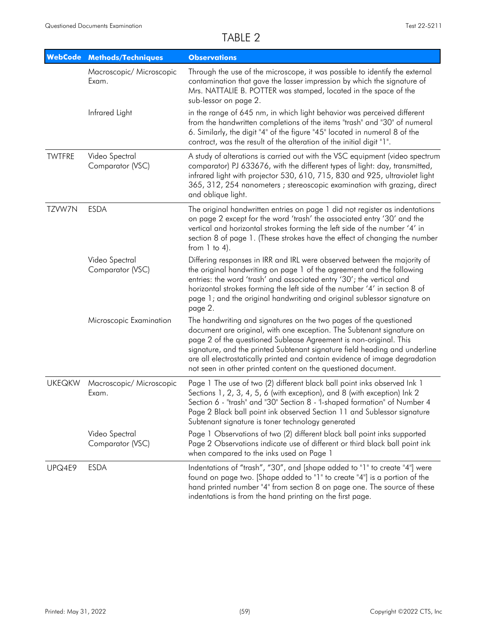| <b>WebCode</b> | <b>Methods/Techniques</b>          | <b>Observations</b>                                                                                                                                                                                                                                                                                                                                                                                                                           |
|----------------|------------------------------------|-----------------------------------------------------------------------------------------------------------------------------------------------------------------------------------------------------------------------------------------------------------------------------------------------------------------------------------------------------------------------------------------------------------------------------------------------|
|                | Macroscopic/ Microscopic<br>Exam.  | Through the use of the microscope, it was possible to identify the external<br>contamination that gave the lasser impression by which the signature of<br>Mrs. NATTALIE B. POTTER was stamped, located in the space of the<br>sub-lessor on page 2.                                                                                                                                                                                           |
|                | Infrared Light                     | in the range of 645 nm, in which light behavior was perceived different<br>from the handwritten completions of the items "trash" and "30" of numeral<br>6. Similarly, the digit "4" of the figure "45" located in numeral 8 of the<br>contract, was the result of the alteration of the initial digit "1".                                                                                                                                    |
| <b>TWTFRE</b>  | Video Spectral<br>Comparator (VSC) | A study of alterations is carried out with the VSC equipment (video spectrum<br>comparator) PJ 633676, with the different types of light: day, transmitted,<br>infrared light with projector 530, 610, 715, 830 and 925, ultraviolet light<br>365, 312, 254 nanometers ; stereoscopic examination with grazing, direct<br>and oblique light.                                                                                                  |
| TZVW7N         | <b>ESDA</b>                        | The original handwritten entries on page 1 did not register as indentations<br>on page 2 except for the word 'trash' the associated entry '30' and the<br>vertical and horizontal strokes forming the left side of the number '4' in<br>section 8 of page 1. (These strokes have the effect of changing the number<br>from $1$ to $4$ ).                                                                                                      |
|                | Video Spectral<br>Comparator (VSC) | Differing responses in IRR and IRL were observed between the majority of<br>the original handwriting on page 1 of the agreement and the following<br>entries: the word 'trash' and associated entry '30'; the vertical and<br>horizontal strokes forming the left side of the number '4' in section 8 of<br>page 1; and the original handwriting and original sublessor signature on<br>page 2.                                               |
|                | Microscopic Examination            | The handwriting and signatures on the two pages of the questioned<br>document are original, with one exception. The Subtenant signature on<br>page 2 of the questioned Sublease Agreement is non-original. This<br>signature, and the printed Subtenant signature field heading and underline<br>are all electrostatically printed and contain evidence of image degradation<br>not seen in other printed content on the questioned document. |
| <b>UKEQKW</b>  | Macroscopic/ Microscopic<br>Exam.  | Page 1 The use of two (2) different black ball point inks observed Ink 1<br>Sections 1, 2, 3, 4, 5, 6 (with exception), and 8 (with exception) lnk 2<br>Section 6 - "trash" and "30" Section 8 - 'l-shaped formation" of Number 4<br>Page 2 Black ball point ink observed Section 11 and Sublessor signature<br>Subtenant signature is toner technology generated                                                                             |
|                | Video Spectral<br>Comparator (VSC) | Page 1 Observations of two (2) different black ball point inks supported<br>Page 2 Observations indicate use of different or third black ball point ink<br>when compared to the inks used on Page 1                                                                                                                                                                                                                                           |
| UPQ4E9         | <b>ESDA</b>                        | Indentations of "trash", "30", and [shape added to "1" to create "4"] were<br>found on page two. [Shape added to "1" to create "4"] is a portion of the<br>hand printed number "4" from section 8 on page one. The source of these<br>indentations is from the hand printing on the first page.                                                                                                                                               |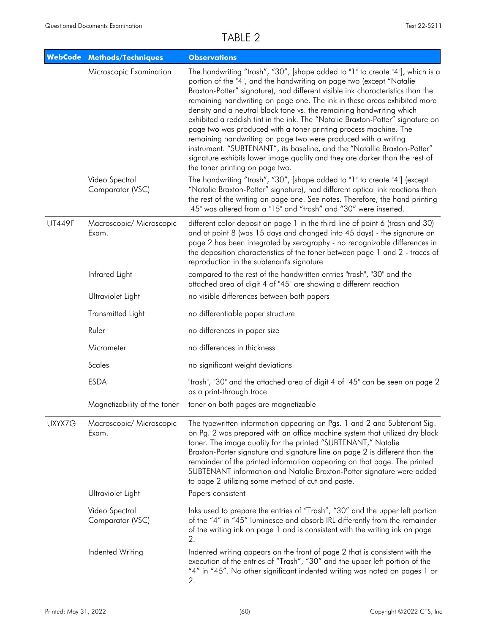|               | <b>WebCode Methods/Techniques</b>  | <b>Observations</b>                                                                                                                                                                                                                                                                                                                                                                                                                                                                                                                                                                                                                                                                                                                                                                                               |
|---------------|------------------------------------|-------------------------------------------------------------------------------------------------------------------------------------------------------------------------------------------------------------------------------------------------------------------------------------------------------------------------------------------------------------------------------------------------------------------------------------------------------------------------------------------------------------------------------------------------------------------------------------------------------------------------------------------------------------------------------------------------------------------------------------------------------------------------------------------------------------------|
|               | Microscopic Examination            | The handwriting "trash", "30", [shape added to "1" to create "4"], which is a<br>portion of the "4", and the handwriting on page two (except "Natalie<br>Braxton-Potter" signature), had different visible ink characteristics than the<br>remaining handwriting on page one. The ink in these areas exhibited more<br>density and a neutral black tone vs. the remaining handwriting which<br>exhibited a reddish tint in the ink. The "Natalie Braxton-Potter" signature on<br>page two was produced with a toner printing process machine. The<br>remaining handwriting on page two were produced with a writing<br>instrument. "SUBTENANT", its baseline, and the "Natallie Braxton-Potter"<br>signature exhibits lower image quality and they are darker than the rest of<br>the toner printing on page two. |
|               | Video Spectral<br>Comparator (VSC) | The handwriting "trash", "30", [shape added to "1" to create "4"] (except<br>"Natalie Braxton-Potter" signature), had different optical ink reactions than<br>the rest of the writing on page one. See notes. Therefore, the hand printing<br>"45" was altered from a "15" and "trash" and "30" were inserted.                                                                                                                                                                                                                                                                                                                                                                                                                                                                                                    |
| <b>UT449F</b> | Macroscopic/ Microscopic<br>Exam.  | different color deposit on page 1 in the third line of point 6 (trash and 30)<br>and at point 8 (was 15 days and changed into 45 days) - the signature on<br>page 2 has been integrated by xerography - no recognizable differences in<br>the deposition characteristics of the toner between page 1 and 2 - traces of<br>reproduction in the subtenant's signature                                                                                                                                                                                                                                                                                                                                                                                                                                               |
|               | Infrared Light                     | compared to the rest of the handwritten entries "trash", "30" and the<br>attached area of digit 4 of "45" are showing a different reaction                                                                                                                                                                                                                                                                                                                                                                                                                                                                                                                                                                                                                                                                        |
|               | Ultraviolet Light                  | no visible differences between both papers                                                                                                                                                                                                                                                                                                                                                                                                                                                                                                                                                                                                                                                                                                                                                                        |
|               | Transmitted Light                  | no differentiable paper structure                                                                                                                                                                                                                                                                                                                                                                                                                                                                                                                                                                                                                                                                                                                                                                                 |
|               | Ruler                              | no differences in paper size                                                                                                                                                                                                                                                                                                                                                                                                                                                                                                                                                                                                                                                                                                                                                                                      |
|               | Micrometer                         | no differences in thickness                                                                                                                                                                                                                                                                                                                                                                                                                                                                                                                                                                                                                                                                                                                                                                                       |
|               | Scales                             | no significant weight deviations                                                                                                                                                                                                                                                                                                                                                                                                                                                                                                                                                                                                                                                                                                                                                                                  |
|               | <b>ESDA</b>                        | "trash", "30" and the attached area of digit 4 of "45" can be seen on page 2<br>as a print-through trace                                                                                                                                                                                                                                                                                                                                                                                                                                                                                                                                                                                                                                                                                                          |
|               | Magnetizability of the toner       | toner on both pages are magnetizable                                                                                                                                                                                                                                                                                                                                                                                                                                                                                                                                                                                                                                                                                                                                                                              |
| UXYX7G        | Macroscopic/ Microscopic<br>Exam.  | The typewritten information appearing on Pgs. 1 and 2 and Subtenant Sig.<br>on Pg. 2 was prepared with an office machine system that utilized dry black<br>toner. The image quality for the printed "SUBTENANT," Natalie<br>Braxton-Porter signature and signature line on page 2 is different than the<br>remainder of the printed information appearing on that page. The printed<br>SUBTENANT information and Natalie Braxton-Potter signature were added<br>to page 2 utilizing some method of cut and paste.                                                                                                                                                                                                                                                                                                 |
|               | Ultraviolet Light                  | Papers consistent                                                                                                                                                                                                                                                                                                                                                                                                                                                                                                                                                                                                                                                                                                                                                                                                 |
|               | Video Spectral<br>Comparator (VSC) | Inks used to prepare the entries of "Trash", "30" and the upper left portion<br>of the "4" in "45" luminesce and absorb IRL differently from the remainder<br>of the writing ink on page 1 and is consistent with the writing ink on page<br>2.                                                                                                                                                                                                                                                                                                                                                                                                                                                                                                                                                                   |
|               | Indented Writing                   | Indented writing appears on the front of page 2 that is consistent with the<br>execution of the entries of "Trash", "30" and the upper left portion of the<br>"4" in "45". No other significant indented writing was noted on pages 1 or<br>2.                                                                                                                                                                                                                                                                                                                                                                                                                                                                                                                                                                    |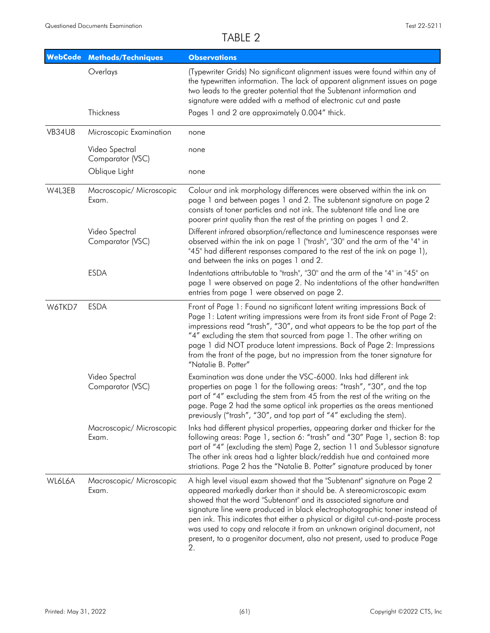| <b>WebCode</b> | <b>Methods/Techniques</b>          | <b>Observations</b>                                                                                                                                                                                                                                                                                                                                                                                                                                                                                                                                  |
|----------------|------------------------------------|------------------------------------------------------------------------------------------------------------------------------------------------------------------------------------------------------------------------------------------------------------------------------------------------------------------------------------------------------------------------------------------------------------------------------------------------------------------------------------------------------------------------------------------------------|
|                | Overlays                           | (Typewriter Grids) No significant alignment issues were found within any of<br>the typewritten information. The lack of apparent alignment issues on page<br>two leads to the greater potential that the Subtenant information and<br>signature were added with a method of electronic cut and paste                                                                                                                                                                                                                                                 |
|                | Thickness                          | Pages 1 and 2 are approximately 0.004" thick.                                                                                                                                                                                                                                                                                                                                                                                                                                                                                                        |
| <b>VB34U8</b>  | Microscopic Examination            | none                                                                                                                                                                                                                                                                                                                                                                                                                                                                                                                                                 |
|                | Video Spectral<br>Comparator (VSC) | none                                                                                                                                                                                                                                                                                                                                                                                                                                                                                                                                                 |
|                | Oblique Light                      | none                                                                                                                                                                                                                                                                                                                                                                                                                                                                                                                                                 |
| W4L3EB         | Macroscopic/ Microscopic<br>Exam.  | Colour and ink morphology differences were observed within the ink on<br>page 1 and between pages 1 and 2. The subtenant signature on page 2<br>consists of toner particles and not ink. The subtenant title and line are<br>poorer print quality than the rest of the printing on pages 1 and 2.                                                                                                                                                                                                                                                    |
|                | Video Spectral<br>Comparator (VSC) | Different infrared absorption/reflectance and luminescence responses were<br>observed within the ink on page 1 ("trash", "30" and the arm of the "4" in<br>"45" had different responses compared to the rest of the ink on page 1),<br>and between the inks on pages 1 and 2.                                                                                                                                                                                                                                                                        |
|                | <b>ESDA</b>                        | Indentations attributable to "trash", "30" and the arm of the "4" in "45" on<br>page 1 were observed on page 2. No indentations of the other handwritten<br>entries from page 1 were observed on page 2.                                                                                                                                                                                                                                                                                                                                             |
| W6TKD7         | <b>ESDA</b>                        | Front of Page 1: Found no significant latent writing impressions Back of<br>Page 1: Latent writing impressions were from its front side Front of Page 2:<br>impressions read "trash", "30", and what appears to be the top part of the<br>"4" excluding the stem that sourced from page 1. The other writing on<br>page 1 did NOT produce latent impressions. Back of Page 2: Impressions<br>from the front of the page, but no impression from the toner signature for<br>"Natalie B. Potter"                                                       |
|                | Video Spectral<br>Comparator (VSC) | Examination was done under the VSC-6000. Inks had different ink<br>properties on page 1 for the following areas: "trash", "30", and the top<br>part of "4" excluding the stem from 45 from the rest of the writing on the<br>page. Page 2 had the same optical ink properties as the areas mentioned<br>previously ("trash", "30", and top part of "4" excluding the stem).                                                                                                                                                                          |
|                | Macroscopic/ Microscopic<br>Exam.  | Inks had different physical properties, appearing darker and thicker for the<br>following areas: Page 1, section 6: "trash" and "30" Page 1, section 8: top<br>part of "4" (excluding the stem) Page 2, section 11 and Sublessor signature<br>The other ink areas had a lighter black/reddish hue and contained more<br>striations. Page 2 has the "Natalie B. Potter" signature produced by toner                                                                                                                                                   |
| WL6L6A         | Macroscopic/ Microscopic<br>Exam.  | A high level visual exam showed that the "Subtenant" signature on Page 2<br>appeared markedly darker than it should be. A stereomicroscopic exam<br>showed that the word "Subtenant" and its associated signature and<br>signature line were produced in black electrophotographic toner instead of<br>pen ink. This indicates that either a physical or digital cut-and-paste process<br>was used to copy and relocate it from an unknown original document, not<br>present, to a progenitor document, also not present, used to produce Page<br>2. |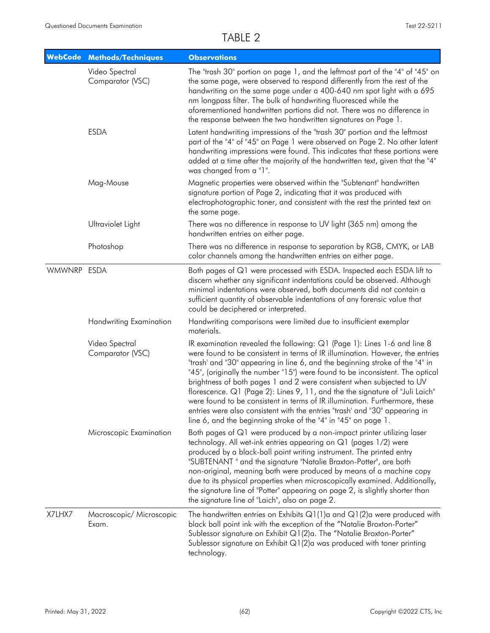| <b>WebCode</b> | <b>Methods/Techniques</b>          | <b>Observations</b>                                                                                                                                                                                                                                                                                                                                                                                                                                                                                                                                                                                                                                                                                                 |  |  |
|----------------|------------------------------------|---------------------------------------------------------------------------------------------------------------------------------------------------------------------------------------------------------------------------------------------------------------------------------------------------------------------------------------------------------------------------------------------------------------------------------------------------------------------------------------------------------------------------------------------------------------------------------------------------------------------------------------------------------------------------------------------------------------------|--|--|
|                | Video Spectral<br>Comparator (VSC) | The "trash 30" portion on page 1, and the leftmost part of the "4" of "45" on<br>the same page, were observed to respond differently from the rest of the<br>handwriting on the same page under a 400-640 nm spot light with a 695<br>nm longpass filter. The bulk of handwriting fluoresced while the<br>aforementioned handwritten portions did not. There was no difference in<br>the response between the two handwritten signatures on Page 1.                                                                                                                                                                                                                                                                 |  |  |
|                | <b>ESDA</b>                        | Latent handwriting impressions of the "trash 30" portion and the leftmost<br>part of the "4" of "45" on Page 1 were observed on Page 2. No other latent<br>handwriting impressions were found. This indicates that these portions were<br>added at a time after the majority of the handwritten text, given that the "4"<br>was changed from a "1".                                                                                                                                                                                                                                                                                                                                                                 |  |  |
|                | Mag-Mouse                          | Magnetic properties were observed within the "Subtenant" handwritten<br>signature portion of Page 2, indicating that it was produced with<br>electrophotographic toner, and consistent with the rest the printed text on<br>the same page.                                                                                                                                                                                                                                                                                                                                                                                                                                                                          |  |  |
|                | Ultraviolet Light                  | There was no difference in response to UV light (365 nm) among the<br>handwritten entries on either page.                                                                                                                                                                                                                                                                                                                                                                                                                                                                                                                                                                                                           |  |  |
|                | Photoshop                          | There was no difference in response to separation by RGB, CMYK, or LAB<br>color channels among the handwritten entries on either page.                                                                                                                                                                                                                                                                                                                                                                                                                                                                                                                                                                              |  |  |
| <b>WMWNRP</b>  | <b>ESDA</b>                        | Both pages of Q1 were processed with ESDA. Inspected each ESDA lift to<br>discern whether any significant indentations could be observed. Although<br>minimal indentations were observed, both documents did not contain a<br>sufficient quantity of observable indentations of any forensic value that<br>could be deciphered or interpreted.                                                                                                                                                                                                                                                                                                                                                                      |  |  |
|                | <b>Handwriting Examination</b>     | Handwriting comparisons were limited due to insufficient exemplar<br>materials.                                                                                                                                                                                                                                                                                                                                                                                                                                                                                                                                                                                                                                     |  |  |
|                | Video Spectral<br>Comparator (VSC) | IR examination revealed the following: Q1 (Page 1): Lines 1-6 and line 8<br>were found to be consistent in terms of IR illumination. However, the entries<br>"trash' and "30" appearing in line 6, and the beginning stroke of the "4" in<br>"45", (originally the number "15") were found to be inconsistent. The optical<br>brightness of both pages 1 and 2 were consistent when subjected to UV<br>florescence. Q1 (Page 2): Lines 9, 11, and the the signature of "Juli Laich"<br>were found to be consistent in terms of IR illumination. Furthermore, these<br>entries were also consistent with the entries "trash' and "30" appearing in<br>line 6, and the beginning stroke of the "4" in "45" on page 1. |  |  |
|                | Microscopic Examination            | Both pages of Q1 were produced by a non-impact printer utilizing laser<br>technology. All wet-ink entries appearing on Q1 (pages 1/2) were<br>produced by a black-ball point writing instrument. The printed entry<br>"SUBTENANT" and the signature "Natalie Braxton-Potter", are both<br>non-original, meaning both were produced by means of a machine copy<br>due to its physical properties when microscopically examined. Additionally,<br>the signature line of "Potter" appearing on page 2, is slightly shorter than<br>the signature line of "Laich", also on page 2.                                                                                                                                      |  |  |
| X7LHX7         | Macroscopic/ Microscopic<br>Exam.  | The handwritten entries on Exhibits $Q1(1)$ a and $Q1(2)$ a were produced with<br>black ball point ink with the exception of the "Natalie Broxton-Porter"<br>Sublessor signature on Exhibit Q1(2)a. The "Natalie Broxton-Porter"<br>Sublessor signature on Exhibit Q1(2)a was produced with toner printing<br>technology.                                                                                                                                                                                                                                                                                                                                                                                           |  |  |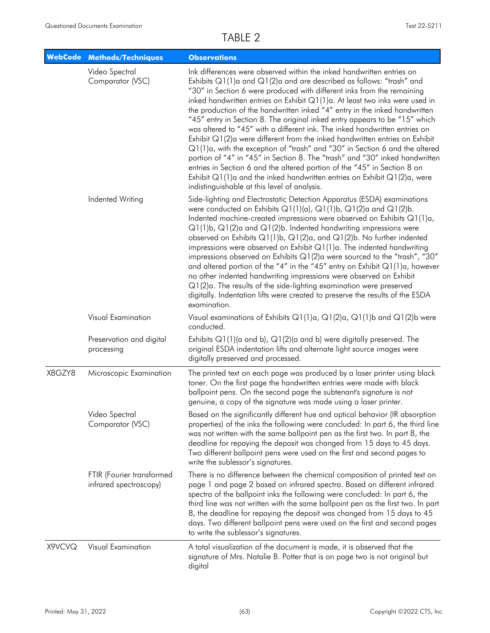| <b>WebCode</b> | <b>Methods/Techniques</b>                           | <b>Observations</b>                                                                                                                                                                                                                                                                                                                                                                                                                                                                                                                                                                                                                                                                                                                                                                                                                                                                                                                                                                                         |
|----------------|-----------------------------------------------------|-------------------------------------------------------------------------------------------------------------------------------------------------------------------------------------------------------------------------------------------------------------------------------------------------------------------------------------------------------------------------------------------------------------------------------------------------------------------------------------------------------------------------------------------------------------------------------------------------------------------------------------------------------------------------------------------------------------------------------------------------------------------------------------------------------------------------------------------------------------------------------------------------------------------------------------------------------------------------------------------------------------|
|                | Video Spectral<br>Comparator (VSC)                  | Ink differences were observed within the inked handwritten entries on<br>Exhibits Q1(1)a and Q1(2)a and are described as follows: "trash" and<br>"30" in Section 6 were produced with different inks from the remaining<br>inked handwritten entries on Exhibit Q1(1)a. At least two inks were used in<br>the production of the handwritten inked "4" entry in the inked handwritten<br>"45" entry in Section 8. The original inked entry appears to be "15" which<br>was altered to "45" with a different ink. The inked handwritten entries on<br>Exhibit Q1(2)a were different from the inked handwritten entries on Exhibit<br>Q1(1)a, with the exception of "trash" and "30" in Section 6 and the altered<br>portion of "4" in "45" in Section 8. The "trash" and "30" inked handwritten<br>entries in Section 6 and the altered portion of the "45" in Section 8 on<br>Exhibit $Q1(1)$ a and the inked handwritten entries on Exhibit $Q1(2)$ a, were<br>indistinguishable at this level of analysis. |
|                | Indented Writing                                    | Side-lighting and Electrostatic Detection Apparatus (ESDA) examinations<br>were conducted on Exhibits $Q1(1)(a)$ , $Q1(1)b$ , $Q1(2)a$ and $Q1(2)b$ .<br>Indented machine-created impressions were observed on Exhibits $Q1(1)a$ ,<br>$Q1(1)b$ , $Q1(2)a$ and $Q1(2)b$ . Indented handwriting impressions were<br>observed on Exhibits Q1(1)b, Q1(2)a, and Q1(2)b. No further indented<br>impressions were observed on Exhibit $Q1(1)a$ . The indented handwriting<br>impressions observed on Exhibits $Q1(2)$ a were sourced to the "trash", "30"<br>and altered portion of the "4" in the "45" entry on Exhibit $Q1(1)a$ , however<br>no other indented handwriting impressions were observed on Exhibit<br>Q1(2)a. The results of the side-lighting examination were preserved<br>digitally. Indentation lifts were created to preserve the results of the ESDA<br>examination.                                                                                                                          |
|                | Visual Examination                                  | Visual examinations of Exhibits Q1(1)a, Q1(2)a, Q1(1)b and Q1(2)b were<br>conducted.                                                                                                                                                                                                                                                                                                                                                                                                                                                                                                                                                                                                                                                                                                                                                                                                                                                                                                                        |
|                | Preservation and digital<br>processing              | Exhibits $Q1(1)$ (a and b), $Q1(2)$ (a and b) were digitally preserved. The<br>original ESDA indentation lifts and alternate light source images were<br>digitally preserved and processed.                                                                                                                                                                                                                                                                                                                                                                                                                                                                                                                                                                                                                                                                                                                                                                                                                 |
| X8GZY8         | Microscopic Examination                             | The printed text on each page was produced by a laser printer using black<br>toner. On the first page the handwritten entries were made with black<br>ballpoint pens. On the second page the subtenant's signature is not<br>genuine, a copy of the signature was made using a laser printer.                                                                                                                                                                                                                                                                                                                                                                                                                                                                                                                                                                                                                                                                                                               |
|                | Video Spectral<br>Comparator (VSC)                  | Based on the significantly different hue and optical behavior (IR absorption<br>properties) of the inks the following were concluded: In part 6, the third line<br>was not written with the same ballpoint pen as the first two. In part 8, the<br>deadline for repaying the deposit was changed from 15 days to 45 days.<br>Two different ballpoint pens were used on the first and second pages to<br>write the sublessor's signatures.                                                                                                                                                                                                                                                                                                                                                                                                                                                                                                                                                                   |
|                | FTIR (Fourier transformed<br>infrared spectroscopy) | There is no difference between the chemical composition of printed text on<br>page 1 and page 2 based on infrared spectra. Based on different infrared<br>spectra of the ballpoint inks the following were concluded: In part 6, the<br>third line was not written with the same ballpoint pen as the first two. In part<br>8, the deadline for repaying the deposit was changed from 15 days to 45<br>days. Two different ballpoint pens were used on the first and second pages<br>to write the sublessor's signatures.                                                                                                                                                                                                                                                                                                                                                                                                                                                                                   |
| X9VCVQ         | Visual Examination                                  | A total visualization of the document is made, it is observed that the<br>signature of Mrs. Natalie B. Potter that is on page two is not original but<br>digital                                                                                                                                                                                                                                                                                                                                                                                                                                                                                                                                                                                                                                                                                                                                                                                                                                            |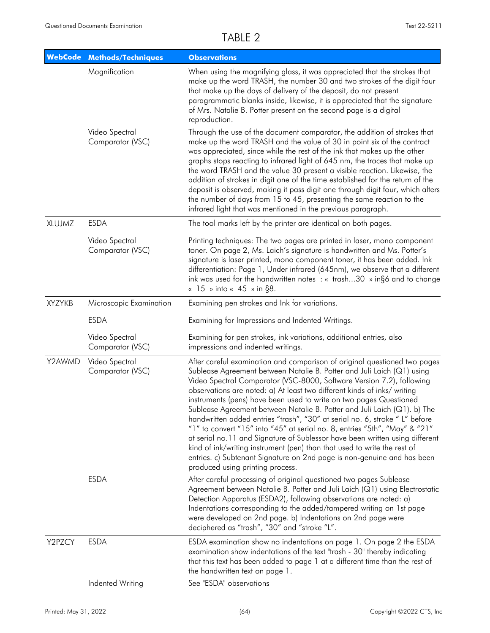|               | <b>WebCode Methods/Techniques</b>  | <b>Observations</b>                                                                                                                                                                                                                                                                                                                                                                                                                                                                                                                                                                                                                                                                                                                                                                                                                                                                               |
|---------------|------------------------------------|---------------------------------------------------------------------------------------------------------------------------------------------------------------------------------------------------------------------------------------------------------------------------------------------------------------------------------------------------------------------------------------------------------------------------------------------------------------------------------------------------------------------------------------------------------------------------------------------------------------------------------------------------------------------------------------------------------------------------------------------------------------------------------------------------------------------------------------------------------------------------------------------------|
|               | Magnification                      | When using the magnifying glass, it was appreciated that the strokes that<br>make up the word TRASH, the number 30 and two strokes of the digit four<br>that make up the days of delivery of the deposit, do not present<br>paragrammatic blanks inside, likewise, it is appreciated that the signature<br>of Mrs. Natalie B. Potter present on the second page is a digital<br>reproduction.                                                                                                                                                                                                                                                                                                                                                                                                                                                                                                     |
|               | Video Spectral<br>Comparator (VSC) | Through the use of the document comparator, the addition of strokes that<br>make up the word TRASH and the value of 30 in point six of the contract<br>was appreciated, since while the rest of the ink that makes up the other<br>graphs stops reacting to infrared light of 645 nm, the traces that make up<br>the word TRASH and the value 30 present a visible reaction. Likewise, the<br>addition of strokes in digit one of the time established for the return of the<br>deposit is observed, making it pass digit one through digit four, which alters<br>the number of days from 15 to 45, presenting the same reaction to the<br>infrared light that was mentioned in the previous paragraph.                                                                                                                                                                                           |
| XLUJMZ        | <b>ESDA</b>                        | The tool marks left by the printer are identical on both pages.                                                                                                                                                                                                                                                                                                                                                                                                                                                                                                                                                                                                                                                                                                                                                                                                                                   |
|               | Video Spectral<br>Comparator (VSC) | Printing techniques: The two pages are printed in laser, mono component<br>toner. On page 2, Ms. Laich's signature is handwritten and Ms. Potter's<br>signature is laser printed, mono component toner, it has been added. Ink<br>differentiation: Page 1, Under infrared (645nm), we observe that a different<br>ink was used for the handwritten notes $:$ $\kappa$ trash30 $\omega$ ing6 and to change<br>« 15 » into « 45 » in §8.                                                                                                                                                                                                                                                                                                                                                                                                                                                            |
| <b>XYZYKB</b> | Microscopic Examination            | Examining pen strokes and Ink for variations.                                                                                                                                                                                                                                                                                                                                                                                                                                                                                                                                                                                                                                                                                                                                                                                                                                                     |
|               | <b>ESDA</b>                        | Examining for Impressions and Indented Writings.                                                                                                                                                                                                                                                                                                                                                                                                                                                                                                                                                                                                                                                                                                                                                                                                                                                  |
|               | Video Spectral<br>Comparator (VSC) | Examining for pen strokes, ink variations, additional entries, also<br>impressions and indented writings.                                                                                                                                                                                                                                                                                                                                                                                                                                                                                                                                                                                                                                                                                                                                                                                         |
| Y2AWMD        | Video Spectral<br>Comparator (VSC) | After careful examination and comparison of original questioned two pages<br>Sublease Agreement between Natalie B. Potter and Juli Laich (Q1) using<br>Video Spectral Comparator (VSC-8000, Software Version 7.2), following<br>observations are noted: a) At least two different kinds of inks/ writing<br>instruments (pens) have been used to write on two pages Questioned<br>Sublease Agreement between Natalie B. Potter and Juli Laich (Q1). b) The<br>handwritten added entries "trash", "30" at serial no. 6, stroke "L" before<br>"1" to convert "15" into "45" at serial no. 8, entries "5th", "May" & "21"<br>at serial no.11 and Signature of Sublessor have been written using different<br>kind of ink/writing instrument (pen) than that used to write the rest of<br>entries. c) Subtenant Signature on 2nd page is non-genuine and has been<br>produced using printing process. |
|               | <b>ESDA</b>                        | After careful processing of original questioned two pages Sublease<br>Agreement between Natalie B. Potter and Juli Laich (Q1) using Electrostatic<br>Detection Apparatus (ESDA2), following observations are noted: a)<br>Indentations corresponding to the added/tampered writing on 1st page<br>were developed on 2nd page. b) Indentations on 2nd page were<br>deciphered as "trash", "30" and "stroke "L".                                                                                                                                                                                                                                                                                                                                                                                                                                                                                    |
| Y2PZCY        | <b>ESDA</b>                        | ESDA examination show no indentations on page 1. On page 2 the ESDA<br>examination show indentations of the text "trash - 30" thereby indicating<br>that this text has been added to page 1 at a different time than the rest of<br>the handwritten text on page 1.                                                                                                                                                                                                                                                                                                                                                                                                                                                                                                                                                                                                                               |
|               | Indented Writing                   | See "ESDA" observations                                                                                                                                                                                                                                                                                                                                                                                                                                                                                                                                                                                                                                                                                                                                                                                                                                                                           |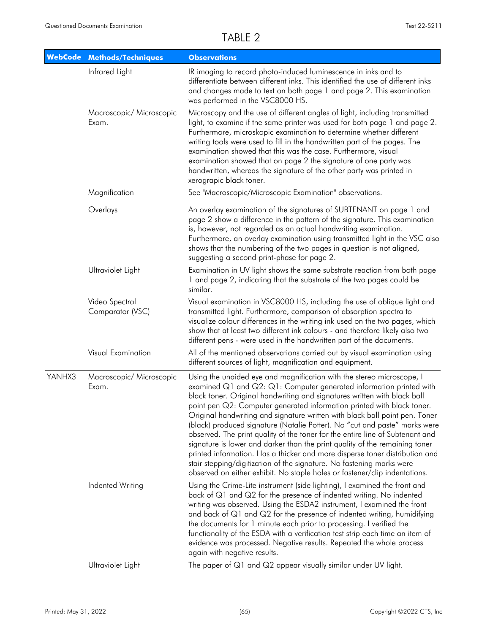| <b>WebCode</b> | <b>Methods/Techniques</b>          | <b>Observations</b>                                                                                                                                                                                                                                                                                                                                                                                                                                                                                                                                                                                                                                                                                                                                                                                                                                                   |
|----------------|------------------------------------|-----------------------------------------------------------------------------------------------------------------------------------------------------------------------------------------------------------------------------------------------------------------------------------------------------------------------------------------------------------------------------------------------------------------------------------------------------------------------------------------------------------------------------------------------------------------------------------------------------------------------------------------------------------------------------------------------------------------------------------------------------------------------------------------------------------------------------------------------------------------------|
|                | Infrared Light                     | IR imaging to record photo-induced luminescence in inks and to<br>differentiate between different inks. This identified the use of different inks<br>and changes made to text on both page 1 and page 2. This examination<br>was performed in the VSC8000 HS.                                                                                                                                                                                                                                                                                                                                                                                                                                                                                                                                                                                                         |
|                | Macroscopic/ Microscopic<br>Exam.  | Microscopy and the use of different angles of light, including transmitted<br>light, to examine if the same printer was used for both page 1 and page 2.<br>Furthermore, microskopic examination to determine whether different<br>writing tools were used to fill in the handwritten part of the pages. The<br>examination showed that this was the case. Furthermore, visual<br>examination showed that on page 2 the signature of one party was<br>handwritten, whereas the signature of the other party was printed in<br>xerograpic black toner.                                                                                                                                                                                                                                                                                                                 |
|                | Magnification                      | See "Macroscopic/Microscopic Examination" observations.                                                                                                                                                                                                                                                                                                                                                                                                                                                                                                                                                                                                                                                                                                                                                                                                               |
|                | Overlays                           | An overlay examination of the signatures of SUBTENANT on page 1 and<br>page 2 show a difference in the pattern of the signature. This examination<br>is, however, not regarded as an actual handwriting examination.<br>Furthermore, an overlay examination using transmitted light in the VSC also<br>shows that the numbering of the two pages in question is not aligned,<br>suggesting a second print-phase for page 2.                                                                                                                                                                                                                                                                                                                                                                                                                                           |
|                | Ultraviolet Light                  | Examination in UV light shows the same substrate reaction from both page<br>1 and page 2, indicating that the substrate of the two pages could be<br>similar.                                                                                                                                                                                                                                                                                                                                                                                                                                                                                                                                                                                                                                                                                                         |
|                | Video Spectral<br>Comparator (VSC) | Visual examination in VSC8000 HS, including the use of oblique light and<br>transmitted light. Furthermore, comparison of absorption spectra to<br>visualize colour differences in the writing ink used on the two pages, which<br>show that at least two different ink colours - and therefore likely also two<br>different pens - were used in the handwritten part of the documents.                                                                                                                                                                                                                                                                                                                                                                                                                                                                               |
|                | Visual Examination                 | All of the mentioned observations carried out by visual examination using<br>different sources of light, magnification and equipment.                                                                                                                                                                                                                                                                                                                                                                                                                                                                                                                                                                                                                                                                                                                                 |
| YANHX3         | Macroscopic/ Microscopic<br>Exam.  | Using the unaided eye and magnification with the stereo microscope, I<br>examined Q1 and Q2: Q1: Computer generated information printed with<br>black toner. Original handwriting and signatures written with black ball<br>point pen Q2: Computer generated information printed with black toner.<br>Original handwriting and signature written with black ball point pen. Toner<br>(black) produced signature (Natalie Potter). No "cut and paste" marks were<br>observed. The print quality of the toner for the entire line of Subtenant and<br>signature is lower and darker than the print quality of the remaining toner<br>printed information. Has a thicker and more disperse toner distribution and<br>stair stepping/digitization of the signature. No fastening marks were<br>observed on either exhibit. No staple holes or fastener/clip indentations. |
|                | Indented Writing                   | Using the Crime-Lite instrument (side lighting), I examined the front and<br>back of Q1 and Q2 for the presence of indented writing. No indented<br>writing was observed. Using the ESDA2 instrument, I examined the front<br>and back of Q1 and Q2 for the presence of indented writing, humidifying<br>the documents for 1 minute each prior to processing. I verified the<br>functionality of the ESDA with a verification test strip each time an item of<br>evidence was processed. Negative results. Repeated the whole process<br>again with negative results.                                                                                                                                                                                                                                                                                                 |
|                | Ultraviolet Light                  | The paper of Q1 and Q2 appear visually similar under UV light.                                                                                                                                                                                                                                                                                                                                                                                                                                                                                                                                                                                                                                                                                                                                                                                                        |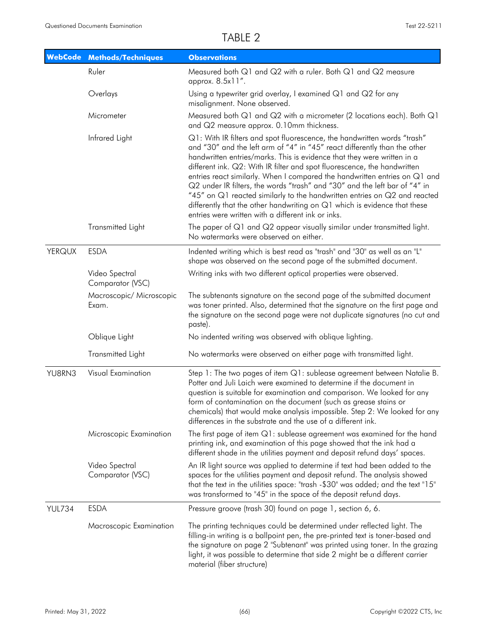|               | WebCode Methods/Techniques         | <b>Observations</b>                                                                                                                                                                                                                                                                                                                                                                                                                                                                                                                                                                                                                                                                      |
|---------------|------------------------------------|------------------------------------------------------------------------------------------------------------------------------------------------------------------------------------------------------------------------------------------------------------------------------------------------------------------------------------------------------------------------------------------------------------------------------------------------------------------------------------------------------------------------------------------------------------------------------------------------------------------------------------------------------------------------------------------|
|               | Ruler                              | Measured both Q1 and Q2 with a ruler. Both Q1 and Q2 measure<br>approx. 8.5x11".                                                                                                                                                                                                                                                                                                                                                                                                                                                                                                                                                                                                         |
|               | Overlays                           | Using a typewriter grid overlay, I examined $Q1$ and $Q2$ for any<br>misalignment. None observed.                                                                                                                                                                                                                                                                                                                                                                                                                                                                                                                                                                                        |
|               | Micrometer                         | Measured both Q1 and Q2 with a micrometer (2 locations each). Both Q1<br>and Q2 measure approx. 0.10mm thickness.                                                                                                                                                                                                                                                                                                                                                                                                                                                                                                                                                                        |
|               | Infrared Light                     | Q1: With IR filters and spot fluorescence, the handwritten words "trash"<br>and "30" and the left arm of "4" in "45" react differently than the other<br>handwritten entries/marks. This is evidence that they were written in a<br>different ink. Q2: With IR filter and spot fluorescence, the handwritten<br>entries react similarly. When I compared the handwritten entries on Q1 and<br>Q2 under IR filters, the words "trash" and "30" and the left bar of "4" in<br>"45" on Q1 reacted similarly to the handwritten entries on Q2 and reacted<br>differently that the other handwriting on Q1 which is evidence that these<br>entries were written with a different ink or inks. |
|               | Transmitted Light                  | The paper of Q1 and Q2 appear visually similar under transmitted light.<br>No watermarks were observed on either.                                                                                                                                                                                                                                                                                                                                                                                                                                                                                                                                                                        |
| <b>YERQUX</b> | <b>ESDA</b>                        | Indented writing which is best read as "trash" and "30" as well as an "L"<br>shape was observed on the second page of the submitted document.                                                                                                                                                                                                                                                                                                                                                                                                                                                                                                                                            |
|               | Video Spectral<br>Comparator (VSC) | Writing inks with two different optical properties were observed.                                                                                                                                                                                                                                                                                                                                                                                                                                                                                                                                                                                                                        |
|               | Macroscopic/ Microscopic<br>Exam.  | The subtenants signature on the second page of the submitted document<br>was toner printed. Also, determined that the signature on the first page and<br>the signature on the second page were not duplicate signatures (no cut and<br>paste).                                                                                                                                                                                                                                                                                                                                                                                                                                           |
|               | Oblique Light                      | No indented writing was observed with oblique lighting.                                                                                                                                                                                                                                                                                                                                                                                                                                                                                                                                                                                                                                  |
|               | Transmitted Light                  | No watermarks were observed on either page with transmitted light.                                                                                                                                                                                                                                                                                                                                                                                                                                                                                                                                                                                                                       |
| YU8RN3        | Visual Examination                 | Step 1: The two pages of item Q1: sublease agreement between Natalie B.<br>Potter and Juli Laich were examined to determine if the document in<br>question is suitable for examination and comparison. We looked for any<br>form of contamination on the document (such as grease stains or<br>chemicals) that would make analysis impossible. Step 2: We looked for any<br>differences in the substrate and the use of a different ink.                                                                                                                                                                                                                                                 |
|               | Microscopic Examination            | The first page of item $Q1$ : sublease agreement was examined for the hand<br>printing ink, and examination of this page showed that the ink had a<br>different shade in the utilities payment and deposit refund days' spaces.                                                                                                                                                                                                                                                                                                                                                                                                                                                          |
|               | Video Spectral<br>Comparator (VSC) | An IR light source was applied to determine if text had been added to the<br>spaces for the utilities payment and deposit refund. The analysis showed<br>that the text in the utilities space: "trash -\$30" was added; and the text "15"<br>was transformed to "45" in the space of the deposit refund days.                                                                                                                                                                                                                                                                                                                                                                            |
| <b>YUL734</b> | <b>ESDA</b>                        | Pressure groove (trash 30) found on page 1, section 6, 6.                                                                                                                                                                                                                                                                                                                                                                                                                                                                                                                                                                                                                                |
|               | Macroscopic Examination            | The printing techniques could be determined under reflected light. The<br>filling-in writing is a ballpoint pen, the pre-printed text is toner-based and<br>the signature on page 2 "Subtenant" was printed using toner. In the grazing<br>light, it was possible to determine that side 2 might be a different carrier<br>material (fiber structure)                                                                                                                                                                                                                                                                                                                                    |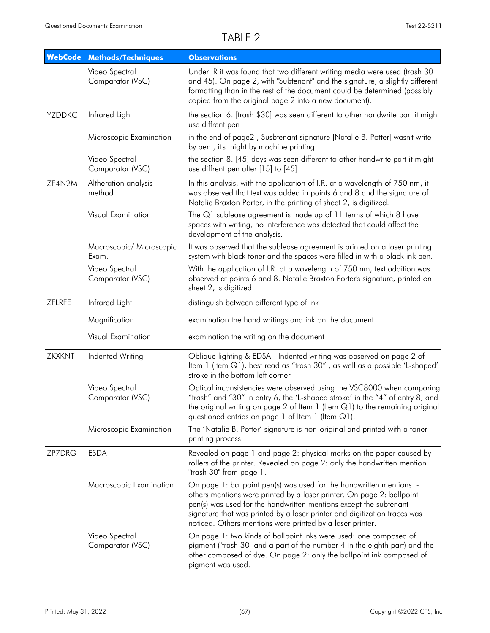| <b>WebCode</b> | <b>Methods/Techniques</b>          | <b>Observations</b>                                                                                                                                                                                                                                                                                                                                          |
|----------------|------------------------------------|--------------------------------------------------------------------------------------------------------------------------------------------------------------------------------------------------------------------------------------------------------------------------------------------------------------------------------------------------------------|
|                | Video Spectral<br>Comparator (VSC) | Under IR it was found that two different writing media were used (trash 30<br>and 45). On page 2, with "Subtenant" and the signature, a slightly different<br>formatting than in the rest of the document could be determined (possibly<br>copied from the original page 2 into a new document).                                                             |
| <b>YZDDKC</b>  | Infrared Light                     | the section 6. [trash \$30] was seen different to other handwrite part it might<br>use diffrent pen                                                                                                                                                                                                                                                          |
|                | Microscopic Examination            | in the end of page2, Susbtenant signature [Natalie B. Potter] wasn't write<br>by pen, it's might by machine printing                                                                                                                                                                                                                                         |
|                | Video Spectral<br>Comparator (VSC) | the section 8. [45] days was seen different to other handwrite part it might<br>use diffrent pen alter [15] to [45]                                                                                                                                                                                                                                          |
| ZF4N2M         | Altheration analysis<br>method     | In this analysis, with the application of I.R. at a wavelength of 750 nm, it<br>was observed that text was added in points 6 and 8 and the signature of<br>Natalie Braxton Porter, in the printing of sheet 2, is digitized.                                                                                                                                 |
|                | Visual Examination                 | The Q1 sublease agreement is made up of 11 terms of which 8 have<br>spaces with writing, no interference was detected that could affect the<br>development of the analysis.                                                                                                                                                                                  |
|                | Macroscopic/ Microscopic<br>Exam.  | It was observed that the sublease agreement is printed on a laser printing<br>system with black toner and the spaces were filled in with a black ink pen.                                                                                                                                                                                                    |
|                | Video Spectral<br>Comparator (VSC) | With the application of I.R. at a wavelength of 750 nm, text addition was<br>observed at points 6 and 8. Natalie Braxton Porter's signature, printed on<br>sheet 2, is digitized                                                                                                                                                                             |
| ZFLRFE         | Infrared Light                     | distinguish between different type of ink                                                                                                                                                                                                                                                                                                                    |
|                | Magnification                      | examination the hand writings and ink on the document                                                                                                                                                                                                                                                                                                        |
|                | Visual Examination                 | examination the writing on the document                                                                                                                                                                                                                                                                                                                      |
| <b>ZKXKNT</b>  | Indented Writing                   | Oblique lighting & EDSA - Indented writing was observed on page 2 of<br>Item 1 (Item Q1), best read as "trash 30", as well as a possible 'L-shaped'<br>stroke in the bottom left corner                                                                                                                                                                      |
|                | Video Spectral<br>Comparator (VSC) | Optical inconsistencies were observed using the VSC8000 when comparing<br>"trash" and "30" in entry 6, the 'L-shaped stroke' in the "4" of entry 8, and<br>the original writing on page 2 of Item 1 (Item Q1) to the remaining original<br>questioned entries on page 1 of Item 1 (Item Q1).                                                                 |
|                | Microscopic Examination            | The 'Natalie B. Potter' signature is non-original and printed with a toner<br>printing process                                                                                                                                                                                                                                                               |
| ZP7DRG         | <b>ESDA</b>                        | Revealed on page 1 and page 2: physical marks on the paper caused by<br>rollers of the printer. Revealed on page 2: only the handwritten mention<br>"trash 30" from page 1.                                                                                                                                                                                  |
|                | Macroscopic Examination            | On page 1: ballpoint pen(s) was used for the handwritten mentions. -<br>others mentions were printed by a laser printer. On page 2: ballpoint<br>pen(s) was used for the handwritten mentions except the subtenant<br>signature that was printed by a laser printer and digitization traces was<br>noticed. Others mentions were printed by a laser printer. |
|                | Video Spectral<br>Comparator (VSC) | On page 1: two kinds of ballpoint inks were used: one composed of<br>pigment ("trash 30" and a part of the number 4 in the eighth part) and the<br>other composed of dye. On page 2: only the ballpoint ink composed of<br>pigment was used.                                                                                                                 |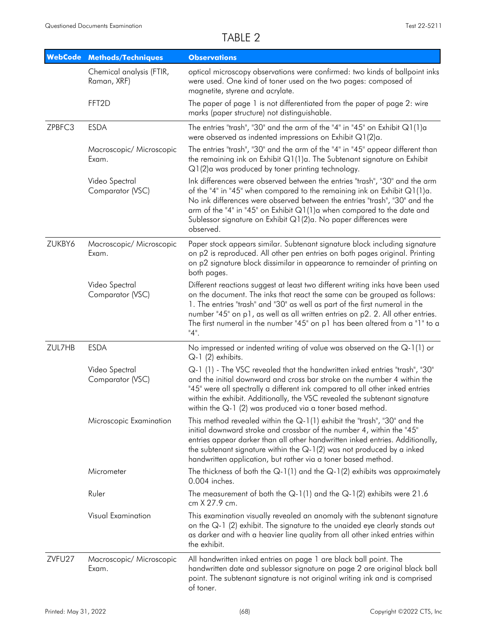| <b>WebCode</b> | <b>Methods/Techniques</b>               | <b>Observations</b>                                                                                                                                                                                                                                                                                                                                                                                                   |
|----------------|-----------------------------------------|-----------------------------------------------------------------------------------------------------------------------------------------------------------------------------------------------------------------------------------------------------------------------------------------------------------------------------------------------------------------------------------------------------------------------|
|                | Chemical analysis (FTIR,<br>Raman, XRF) | optical microscopy observations were confirmed: two kinds of ballpoint inks<br>were used. One kind of toner used on the two pages: composed of<br>magnetite, styrene and acrylate.                                                                                                                                                                                                                                    |
|                | FFT2D                                   | The paper of page 1 is not differentiated from the paper of page 2: wire<br>marks (paper structure) not distinguishable.                                                                                                                                                                                                                                                                                              |
| ZPBFC3         | <b>ESDA</b>                             | The entries "trash", "30" and the arm of the "4" in "45" on Exhibit $Q1(1)a$<br>were observed as indented impressions on Exhibit $Q1(2)a$ .                                                                                                                                                                                                                                                                           |
|                | Macroscopic/ Microscopic<br>Exam.       | The entries "trash", "30" and the arm of the "4" in "45" appear different than<br>the remaining ink on Exhibit $Q1(1)a$ . The Subtenant signature on Exhibit<br>$Q1(2)$ a was produced by toner printing technology.                                                                                                                                                                                                  |
|                | Video Spectral<br>Comparator (VSC)      | Ink differences were observed between the entries "trash", "30" and the arm<br>of the "4" in "45" when compared to the remaining ink on Exhibit $Q1(1)a$ .<br>No ink differences were observed between the entries "trash", "30" and the<br>arm of the "4" in "45" on Exhibit Q1(1)a when compared to the date and<br>Sublessor signature on Exhibit Q1(2)a. No paper differences were<br>observed.                   |
| ZUKBY6         | Macroscopic/ Microscopic<br>Exam.       | Paper stock appears similar. Subtenant signature block including signature<br>on p2 is reproduced. All other pen entries on both pages original. Printing<br>on p2 signature block dissimilar in appearance to remainder of printing on<br>both pages.                                                                                                                                                                |
|                | Video Spectral<br>Comparator (VSC)      | Different reactions suggest at least two different writing inks have been used<br>on the document. The inks that react the same can be grouped as follows:<br>1. The entries "trash" and "30" as well as part of the first numeral in the<br>number "45" on p1, as well as all written entries on p2. 2. All other entries.<br>The first numeral in the number "45" on p1 has been altered from a "1" to a<br>$"4"$ . |
| ZUL7HB         | <b>ESDA</b>                             | No impressed or indented writing of value was observed on the Q-1(1) or<br>Q-1 (2) exhibits.                                                                                                                                                                                                                                                                                                                          |
|                | Video Spectral<br>Comparator (VSC)      | Q-1 (1) - The VSC revealed that the handwritten inked entries "trash", "30"<br>and the initial downward and cross bar stroke on the number 4 within the<br>"45" were all spectrally a different ink compared to all other inked entries<br>within the exhibit. Additionally, the VSC revealed the subtenant signature<br>within the $Q-1$ (2) was produced via a toner based method.                                  |
|                | Microscopic Examination                 | This method revealed within the $Q-1(1)$ exhibit the "trash", "30" and the<br>initial downward stroke and crossbar of the number 4, within the "45"<br>entries appear darker than all other handwritten inked entries. Additionally,<br>the subtenant signature within the $Q-1(2)$ was not produced by a inked<br>handwritten application, but rather via a toner based method.                                      |
|                | Micrometer                              | The thickness of both the $Q-1(1)$ and the $Q-1(2)$ exhibits was approximately<br>0.004 inches.                                                                                                                                                                                                                                                                                                                       |
|                | Ruler                                   | The measurement of both the $Q-1(1)$ and the $Q-1(2)$ exhibits were 21.6<br>cm X 27.9 cm.                                                                                                                                                                                                                                                                                                                             |
|                | Visual Examination                      | This examination visually revealed an anomaly with the subtenant signature<br>on the Q-1 (2) exhibit. The signature to the unaided eye clearly stands out<br>as darker and with a heavier line quality from all other inked entries within<br>the exhibit.                                                                                                                                                            |
| ZVFU27         | Macroscopic/ Microscopic<br>Exam.       | All handwritten inked entries on page 1 are black ball point. The<br>handwritten date and sublessor signature on page 2 are original black ball<br>point. The subtenant signature is not original writing ink and is comprised<br>of toner.                                                                                                                                                                           |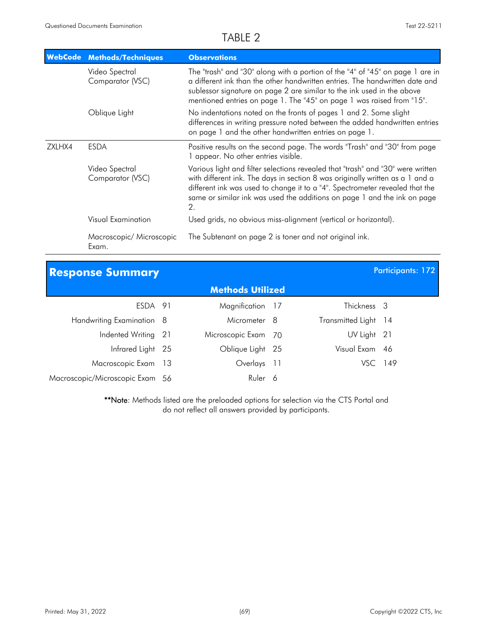|        | <b>WebCode Methods/Techniques</b>  | <b>Observations</b>                                                                                                                                                                                                                                                                                                                |
|--------|------------------------------------|------------------------------------------------------------------------------------------------------------------------------------------------------------------------------------------------------------------------------------------------------------------------------------------------------------------------------------|
|        | Video Spectral<br>Comparator (VSC) | The "trash" and "30" along with a portion of the "4" of "45" on page 1 are in<br>a different ink than the other handwritten entries. The handwritten date and<br>sublessor signature on page 2 are similar to the ink used in the above<br>mentioned entries on page 1. The "45" on page 1 was raised from "15".                   |
|        | Oblique Light                      | No indentations noted on the fronts of pages 1 and 2. Some slight<br>differences in writing pressure noted between the added handwritten entries<br>on page 1 and the other handwritten entries on page 1.                                                                                                                         |
| ZXLHX4 | <b>ESDA</b>                        | Positive results on the second page. The words "Trash" and "30" from page<br>1 appear. No other entries visible.                                                                                                                                                                                                                   |
|        | Video Spectral<br>Comparator (VSC) | Various light and filter selections revealed that "trash" and "30" were written<br>with different ink. The days in section 8 was originally written as a 1 and a<br>different ink was used to change it to a "4". Spectrometer revealed that the<br>same or similar ink was used the additions on page 1 and the ink on page<br>2. |
|        | <b>Visual Examination</b>          | Used grids, no obvious miss-alignment (vertical or horizontal).                                                                                                                                                                                                                                                                    |
|        | Macroscopic/ Microscopic<br>Exam.  | The Subtenant on page 2 is toner and not original ink.                                                                                                                                                                                                                                                                             |

| <b>Response Summary</b>         |  |                         |  |                      | <b>Participants: 172</b> |
|---------------------------------|--|-------------------------|--|----------------------|--------------------------|
|                                 |  | <b>Methods Utilized</b> |  |                      |                          |
| ESDA 91                         |  | Magnification 17        |  | Thickness 3          |                          |
| Handwriting Examination 8       |  | Micrometer 8            |  | Transmitted Light 14 |                          |
| Indented Writing 21             |  | Microscopic Exam 70     |  | UV Light 21          |                          |
| Infrared Light 25               |  | Oblique Light 25        |  | Visual Exam 46       |                          |
| Macroscopic Exam 13             |  | Overlays 11             |  | VSC 149              |                          |
| Macroscopic/Microscopic Exam 56 |  | Ruler 6                 |  |                      |                          |

\*\*Note: Methods listed are the preloaded options for selection via the CTS Portal and do not reflect all answers provided by participants.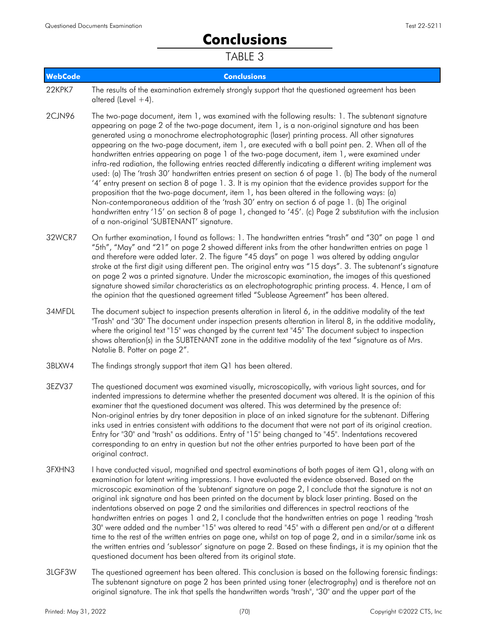# **Conclusions**

| <b>WebCode</b> | <b>Conclusions</b>                                                                                                                                                                                                                                                                                                                                                                                                                                                                                                                                                                                                                                                                                                                                                                                                                                                                                                                                                                                                                                                                                                                                                                                             |
|----------------|----------------------------------------------------------------------------------------------------------------------------------------------------------------------------------------------------------------------------------------------------------------------------------------------------------------------------------------------------------------------------------------------------------------------------------------------------------------------------------------------------------------------------------------------------------------------------------------------------------------------------------------------------------------------------------------------------------------------------------------------------------------------------------------------------------------------------------------------------------------------------------------------------------------------------------------------------------------------------------------------------------------------------------------------------------------------------------------------------------------------------------------------------------------------------------------------------------------|
| 22KPK7         | The results of the examination extremely strongly support that the questioned agreement has been<br>altered (Level $+4$ ).                                                                                                                                                                                                                                                                                                                                                                                                                                                                                                                                                                                                                                                                                                                                                                                                                                                                                                                                                                                                                                                                                     |
| 2CJN96         | The two-page document, item 1, was examined with the following results: 1. The subtenant signature<br>appearing on page 2 of the two-page document, item 1, is a non-original signature and has been<br>generated using a monochrome electrophotographic (laser) printing process. All other signatures<br>appearing on the two-page document, item 1, are executed with a ball point pen. 2. When all of the<br>handwritten entries appearing on page 1 of the two-page document, item 1, were examined under<br>infra-red radiation, the following entries reacted differently indicating a different writing implement was<br>used: (a) The 'trash 30' handwritten entries present on section 6 of page 1. (b) The body of the numeral<br>'4' entry present on section 8 of page 1.3. It is my opinion that the evidence provides support for the<br>proposition that the two-page document, item 1, has been altered in the following ways: (a)<br>Non-contemporaneous addition of the 'trash 30' entry on section 6 of page 1. (b) The original<br>handwritten entry '15' on section 8 of page 1, changed to '45'. (c) Page 2 substitution with the inclusion<br>of a non-original 'SUBTENANT' signature. |
| 32WCR7         | On further examination, I found as follows: 1. The handwritten entries "trash" and "30" on page 1 and<br>"5th", "May" and "21" on page 2 showed different inks from the other handwritten entries on page 1<br>and therefore were added later. 2. The figure "45 days" on page 1 was altered by adding angular<br>stroke at the first digit using different pen. The original entry was "15 days". 3. The subtenant's signature<br>on page 2 was a printed signature. Under the microscopic examination, the images of this questioned<br>signature showed similar characteristics as an electrophotographic printing process. 4. Hence, I am of<br>the opinion that the questioned agreement titled "Sublease Agreement" has been altered.                                                                                                                                                                                                                                                                                                                                                                                                                                                                    |
| 34MFDL         | The document subject to inspection presents alteration in literal 6, in the additive modality of the text<br>"Trash" and "30" The document under inspection presents alteration in literal 8, in the additive modality,<br>where the original text "15" was changed by the current text "45" The document subject to inspection<br>shows alteration(s) in the SUBTENANT zone in the additive modality of the text "signature as of Mrs.<br>Natalie B. Potter on page 2".                                                                                                                                                                                                                                                                                                                                                                                                                                                                                                                                                                                                                                                                                                                                       |
|                |                                                                                                                                                                                                                                                                                                                                                                                                                                                                                                                                                                                                                                                                                                                                                                                                                                                                                                                                                                                                                                                                                                                                                                                                                |

- 3BLXW4 The findings strongly support that item Q1 has been altered.
- The questioned document was examined visually, microscopically, with various light sources, and for indented impressions to determine whether the presented document was altered. It is the opinion of this examiner that the questioned document was altered. This was determined by the presence of: Non-original entries by dry toner deposition in place of an inked signature for the subtenant. Differing inks used in entries consistent with additions to the document that were not part of its original creation. Entry for "30" and "trash" as additions. Entry of "15" being changed to "45". Indentations recovered corresponding to an entry in question but not the other entries purported to have been part of the original contract. 3EZV37
- I have conducted visual, magnified and spectral examinations of both pages of item Q1, along with an examination for latent writing impressions. I have evaluated the evidence observed. Based on the microscopic examination of the 'subtenant' signature on page 2, I conclude that the signature is not an original ink signature and has been printed on the document by black laser printing. Based on the indentations observed on page 2 and the similarities and differences in spectral reactions of the handwritten entries on pages 1 and 2, I conclude that the handwritten entries on page 1 reading "trash 30" were added and the number "15" was altered to read "45" with a different pen and/or at a different time to the rest of the written entries on page one, whilst on top of page 2, and in a similar/same ink as the written entries and 'sublessor' signature on page 2. Based on these findings, it is my opinion that the questioned document has been altered from its original state. 3FXHN3
- The questioned agreement has been altered. This conclusion is based on the following forensic findings: The subtenant signature on page 2 has been printed using toner (electrography) and is therefore not an original signature. The ink that spells the handwritten words "trash", "30" and the upper part of the 3LGF3W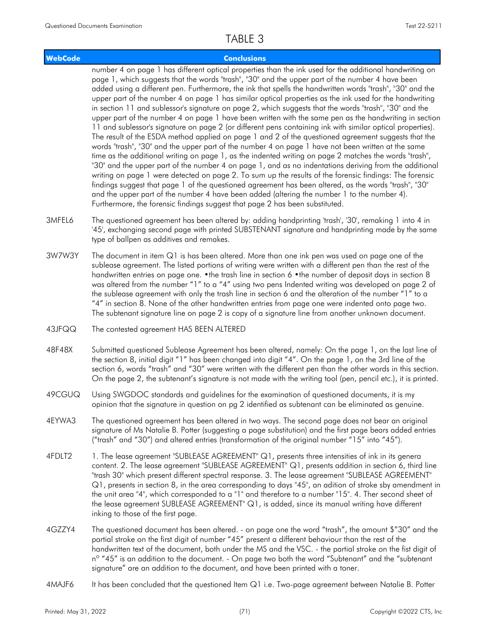#### **WebCode Conclusions**

number 4 on page 1 has different optical properties than the ink used for the additional handwriting on page 1, which suggests that the words "trash", "30" and the upper part of the number 4 have been added using a different pen. Furthermore, the ink that spells the handwritten words "trash", "30" and the upper part of the number 4 on page 1 has similar optical properties as the ink used for the handwriting in section 11 and sublessor's signature on page 2, which suggests that the words "trash", "30" and the upper part of the number 4 on page 1 have been written with the same pen as the handwriting in section 11 and sublessor's signature on page 2 (or different pens containing ink with similar optical properties). The result of the ESDA method applied on page 1 and 2 of the questioned agreement suggests that the words "trash", "30" and the upper part of the number 4 on page 1 have not been written at the same time as the additional writing on page 1, as the indented writing on page 2 matches the words "trash", "30" and the upper part of the number 4 on page 1, and as no indentations deriving from the additional writing on page 1 were detected on page 2. To sum up the results of the forensic findings: The forensic findings suggest that page 1 of the questioned agreement has been altered, as the words "trash", "30" and the upper part of the number 4 have been added (altering the number 1 to the number 4). Furthermore, the forensic findings suggest that page 2 has been substituted.

- The questioned agreement has been altered by: adding handprinting 'trash', '30', remaking 1 into 4 in '45', exchanging second page with printed SUBSTENANT signature and handprinting made by the same type of ballpen as additives and remakes. 3MFEL6
- The document in item Q1 is has been altered. More than one ink pen was used on page one of the sublease agreement. The listed portions of writing were written with a different pen than the rest of the handwritten entries on page one. •the trash line in section 6 •the number of deposit days in section 8 was altered from the number "1" to a "4" using two pens Indented writing was developed on page 2 of the sublease agreement with only the trash line in section 6 and the alteration of the number "1" to a "4" in section 8. None of the other handwritten entries from page one were indented onto page two. The subtenant signature line on page 2 is copy of a signature line from another unknown document. 3W7W3Y
- 43JFQQ The contested agreement HAS BEEN ALTERED
- Submitted questioned Sublease Agreement has been altered, namely: On the page 1, on the last line of the section 8, initial digit "1" has been changed into digit "4". On the page 1, on the 3rd line of the section 6, words "trash" and "30" were written with the different pen than the other words in this section. On the page 2, the subtenant's signature is not made with the writing tool (pen, pencil etc.), it is printed. 48F48X
- Using SWGDOC standards and guidelines for the examination of questioned documents, it is my opinion that the signature in question on pg 2 identified as subtenant can be eliminated as genuine. 49CGUQ
- The questioned agreement has been altered in two ways. The second page does not bear an original signature of Ms Natalie B. Potter (suggesting a page substitution) and the first page bears added entries ("trash" and "30") and altered entries (transformation of the original number "15" into "45"). 4EYWA3
- 1. The lease agreement "SUBLEASE AGREEMENT" Q1, presents three intensities of ink in its genera content. 2. The lease agreement "SUBLEASE AGREEMENT" Q1, presents addition in section 6, third line "trash 30" which present different spectral response. 3. The lease agreement "SUBLEASE AGREEMENT" Q1, presents in section 8, in the area corresponding to days "45", an adition of stroke sby amendment in the unit area "4", which corresponded to a "1" and therefore to a number "15". 4. Ther second sheet of the lease agreement SUBLEASE AGREEMENT" Q1, is added, since its manual writing have different inking to those of the first page. 4FDLT2
- The questioned document has been altered. on page one the word "trash", the amount \$"30" and the partial stroke on the first digit of number "45" present a different behaviour than the rest of the handwritten text of the document, both under the MS and the VSC. - the partial stroke on the fist digit of n<sup>o</sup> "45" is an addition to the document. - On page two both the word "Subtenant" and the "subtenant signature" are an addition to the document, and have been printed with a toner. 4GZZY4
- 4MAJF6 It has been concluded that the questioned Item Q1 i.e. Two-page agreement between Natalie B. Potter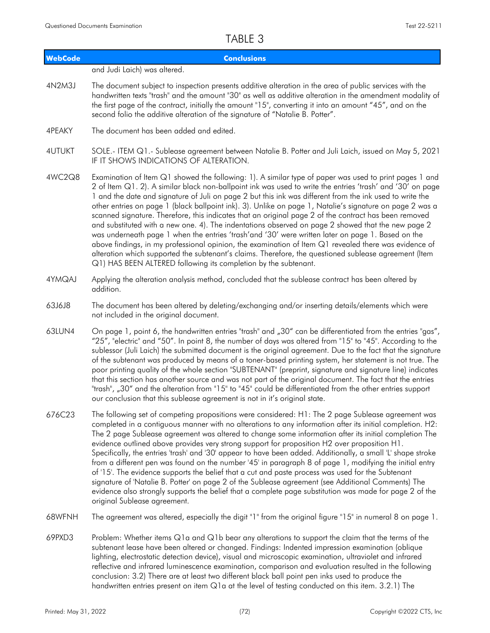| <b>WebCode</b> | <b>Conclusions</b>                                                                                                                                                                                                                                                                                                                                                                                                                                                                                                                                                                                                                                                                                                                                                                                                                                                                                                                                                                                                                                    |
|----------------|-------------------------------------------------------------------------------------------------------------------------------------------------------------------------------------------------------------------------------------------------------------------------------------------------------------------------------------------------------------------------------------------------------------------------------------------------------------------------------------------------------------------------------------------------------------------------------------------------------------------------------------------------------------------------------------------------------------------------------------------------------------------------------------------------------------------------------------------------------------------------------------------------------------------------------------------------------------------------------------------------------------------------------------------------------|
|                | and Judi Laich) was altered.                                                                                                                                                                                                                                                                                                                                                                                                                                                                                                                                                                                                                                                                                                                                                                                                                                                                                                                                                                                                                          |
| 4N2M3J         | The document subject to inspection presents additive alteration in the area of public services with the<br>handwritten texts "trash" and the amount "30" as well as additive alteration in the amendment modality of<br>the first page of the contract, initially the amount "15", converting it into an amount "45", and on the<br>second folio the additive alteration of the signature of "Natalie B. Potter".                                                                                                                                                                                                                                                                                                                                                                                                                                                                                                                                                                                                                                     |
| 4PEAKY         | The document has been added and edited.                                                                                                                                                                                                                                                                                                                                                                                                                                                                                                                                                                                                                                                                                                                                                                                                                                                                                                                                                                                                               |
| <b>4UTUKT</b>  | SOLE.- ITEM Q1.- Sublease agreement between Natalie B. Potter and Juli Laich, issued on May 5, 2021<br>IF IT SHOWS INDICATIONS OF ALTERATION.                                                                                                                                                                                                                                                                                                                                                                                                                                                                                                                                                                                                                                                                                                                                                                                                                                                                                                         |
| 4WC2Q8         | Examination of Item Q1 showed the following: 1). A similar type of paper was used to print pages 1 and<br>2 of Item Q1. 2). A similar black non-ballpoint ink was used to write the entries 'trash' and '30' on page<br>1 and the date and signature of Juli on page 2 but this ink was different from the ink used to write the<br>other entries on page 1 (black ballpoint ink). 3). Unlike on page 1, Natalie's signature on page 2 was a<br>scanned signature. Therefore, this indicates that an original page 2 of the contract has been removed<br>and substituted with a new one. 4). The indentations observed on page 2 showed that the new page 2<br>was underneath page 1 when the entries 'trash'and '30' were written later on page 1. Based on the<br>above findings, in my professional opinion, the examination of Item Q1 revealed there was evidence of<br>alteration which supported the subtenant's claims. Therefore, the questioned sublease agreement (Item<br>Q1) HAS BEEN ALTERED following its completion by the subtenant. |
| 4YMQAJ         | Applying the alteration analysis method, concluded that the sublease contract has been altered by<br>addition.                                                                                                                                                                                                                                                                                                                                                                                                                                                                                                                                                                                                                                                                                                                                                                                                                                                                                                                                        |
| 63J6J8         | The document has been altered by deleting/exchanging and/or inserting details/elements which were<br>not included in the original document.                                                                                                                                                                                                                                                                                                                                                                                                                                                                                                                                                                                                                                                                                                                                                                                                                                                                                                           |
| 63LUN4         | On page 1, point 6, the handwritten entries "trash" and "30" can be differentiated from the entries "gas",<br>"25", "electric" and "50". In point 8, the number of days was altered from "15" to "45". According to the<br>sublessor (Juli Laich) the submitted document is the original agreement. Due to the fact that the signature<br>of the subtenant was produced by means of a toner-based printing system, her statement is not true. The<br>poor printing quality of the whole section "SUBTENANT" (preprint, signature and signature line) indicates<br>that this section has another source and was not part of the original document. The fact that the entries<br>"trash", "30" and the alteration from "15" to "45" could be differentiated from the other entries support<br>our conclusion that this sublease agreement is not in it's original state.                                                                                                                                                                                |
| 676C23         | The following set of competing propositions were considered: H1: The 2 page Sublease agreement was<br>completed in a contiguous manner with no alterations to any information after its initial completion. H2:<br>The 2 page Sublease agreement was altered to change some information after its initial completion The<br>evidence outlined above provides very strong support for proposition H2 over proposition H1.<br>Specifically, the entries 'trash' and '30' appear to have been added. Additionally, a small 'L' shape stroke<br>from a different pen was found on the number '45' in paragraph 8 of page 1, modifying the initial entry<br>of '15'. The evidence supports the belief that a cut and paste process was used for the Subtenant<br>signature of 'Natalie B. Potter' on page 2 of the Sublease agreement (see Additional Comments) The<br>evidence also strongly supports the belief that a complete page substitution was made for page 2 of the<br>original Sublease agreement.                                             |
| 68WFNH         | The agreement was altered, especially the digit "1" from the original figure "15" in numeral 8 on page 1.                                                                                                                                                                                                                                                                                                                                                                                                                                                                                                                                                                                                                                                                                                                                                                                                                                                                                                                                             |
| 69PXD3         | Problem: Whether items Q1a and Q1b bear any alterations to support the claim that the terms of the<br>subtenant lease have been altered or changed. Findings: Indented impression examination (oblique<br>lighting, electrostatic detection device), visual and microscopic examination, ultraviolet and infrared<br>reflective and infrared luminescence examination, comparison and evaluation resulted in the following<br>conclusion: 3.2) There are at least two different black ball point pen inks used to produce the                                                                                                                                                                                                                                                                                                                                                                                                                                                                                                                         |

handwritten entries present on item Q1a at the level of testing conducted on this item. 3.2.1) The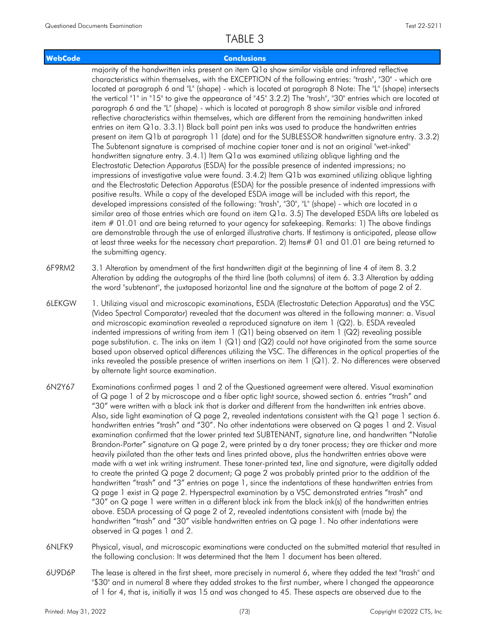### **WebCode Conclusions**

majority of the handwritten inks present on item Q1a show similar visible and infrared reflective characteristics within themselves, with the EXCEPTION of the following entries: "trash", "30" - which are located at paragraph 6 and "L" (shape) - which is located at paragraph 8 Note: The "L" (shape) intersects the vertical "1" in "15" to give the appearance of "45" 3.2.2) The "trash", "30" entries which are located at paragraph 6 and the "L" (shape) - which is located at paragraph 8 show similar visible and infrared reflective characteristics within themselves, which are different from the remaining handwritten inked entries on item Q1a. 3.3.1) Black ball point pen inks was used to produce the handwritten entries present on item Q1b at paragraph 11 (date) and for the SUBLESSOR handwritten signature entry. 3.3.2) The Subtenant signature is comprised of machine copier toner and is not an original "wet-inked" handwritten signature entry. 3.4.1) Item Q1a was examined utilizing oblique lighting and the Electrostatic Detection Apparatus (ESDA) for the possible presence of indented impressions; no impressions of investigative value were found. 3.4.2) Item Q1b was examined utilizing oblique lighting and the Electrostatic Detection Apparatus (ESDA) for the possible presence of indented impressions with positive results. While a copy of the developed ESDA image will be included with this report, the developed impressions consisted of the following: "trash", "30", "L" (shape) - which are located in a similar area of those entries which are found on item Q1a. 3.5) The developed ESDA lifts are labeled as item # 01.01 and are being returned to your agency for safekeeping. Remarks: 1) The above findings are demonstrable through the use of enlarged illustrative charts. If testimony is anticipated, please allow at least three weeks for the necessary chart preparation. 2) Items# 01 and 01.01 are being returned to the submitting agency.

3.1 Alteration by amendment of the first handwritten digit at the beginning of line 4 of item 8. 3.2 Alteration by adding the autographs of the third line (both columns) of item 6. 3.3 Alteration by adding the word "subtenant", the juxtaposed horizontal line and the signature at the bottom of page 2 of 2. 6F9RM2

- 1. Utilizing visual and microscopic examinations, ESDA (Electrostatic Detection Apparatus) and the VSC (Video Spectral Comparator) revealed that the document was altered in the following manner: a. Visual and microscopic examination revealed a reproduced signature on item 1 (Q2). b. ESDA revealed indented impressions of writing from item  $1$  (Q1) being observed on item  $1$  (Q2) revealing possible page substitution. c. The inks on item 1 (Q1) and (Q2) could not have originated from the same source based upon observed optical differences utilizing the VSC. The differences in the optical properties of the inks revealed the possible presence of written insertions on item 1 (Q1). 2. No differences were observed by alternate light source examination. 6LEKGW
- Examinations confirmed pages 1 and 2 of the Questioned agreement were altered. Visual examination of Q page 1 of 2 by microscope and a fiber optic light source, showed section 6. entries "trash" and "30" were written with a black ink that is darker and different from the handwritten ink entries above. Also, side light examination of  $Q$  page 2, revealed indentations consistent with the  $Q1$  page 1 section 6. handwritten entries "trash" and "30". No other indentations were observed on Q pages 1 and 2. Visual examination confirmed that the lower printed text SUBTENANT, signature line, and handwritten "Natalie Brandon-Porter" signature on Q page 2, were printed by a dry toner process; they are thicker and more heavily pixilated than the other texts and lines printed above, plus the handwritten entries above were made with a wet ink writing instrument. These toner-printed text, line and signature, were digitally added to create the printed Q page 2 document; Q page 2 was probably printed prior to the addition of the handwritten "trash" and "3" entries on page 1, since the indentations of these handwritten entries from Q page 1 exist in Q page 2. Hyperspectral examination by a VSC demonstrated entries "trash" and "30" on Q page 1 were written in a different black ink from the black ink(s) of the handwritten entries above. ESDA processing of Q page 2 of 2, revealed indentations consistent with (made by) the handwritten "trash" and "30" visible handwritten entries on Q page 1. No other indentations were observed in Q pages 1 and 2. 6N2Y67
- Physical, visual, and microscopic examinations were conducted on the submitted material that resulted in the following conclusion: It was determined that the Item 1 document has been altered. 6NLFK9
- The lease is altered in the first sheet, more precisely in numeral 6, where they added the text "trash" and "\$30" and in numeral 8 where they added strokes to the first number, where I changed the appearance of 1 for 4, that is, initially it was 15 and was changed to 45. These aspects are observed due to the 6U9D6P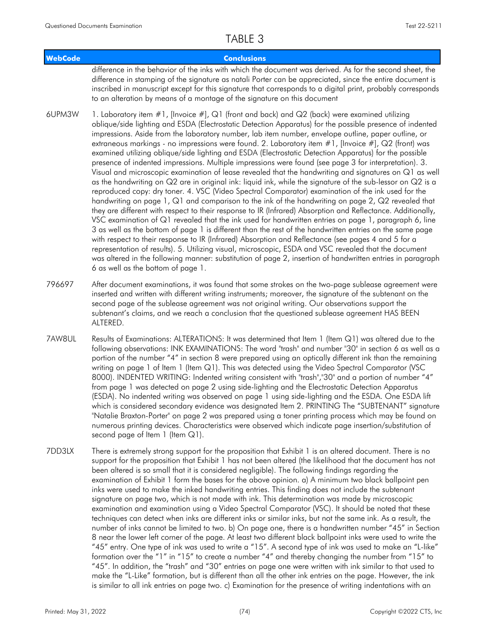| <b>WebCode</b> | <b>Conclusions</b>                                                                                                                                                                                                                                                                                                                                                                                                                                                                                                                                                                                                                                                                                                                                                                                                                                                                                                                                                                                                                                                                                                                                                                                                                                                                                                                                                                                                  |
|----------------|---------------------------------------------------------------------------------------------------------------------------------------------------------------------------------------------------------------------------------------------------------------------------------------------------------------------------------------------------------------------------------------------------------------------------------------------------------------------------------------------------------------------------------------------------------------------------------------------------------------------------------------------------------------------------------------------------------------------------------------------------------------------------------------------------------------------------------------------------------------------------------------------------------------------------------------------------------------------------------------------------------------------------------------------------------------------------------------------------------------------------------------------------------------------------------------------------------------------------------------------------------------------------------------------------------------------------------------------------------------------------------------------------------------------|
|                | difference in the behavior of the inks with which the document was derived. As for the second sheet, the<br>difference in stamping of the signature as natali Porter can be appreciated, since the entire document is<br>inscribed in manuscript except for this signature that corresponds to a digital print, probably corresponds<br>to an alteration by means of a montage of the signature on this document                                                                                                                                                                                                                                                                                                                                                                                                                                                                                                                                                                                                                                                                                                                                                                                                                                                                                                                                                                                                    |
| 6UPM3W         | 1. Laboratory item #1, [Invoice #], Q1 (front and back) and Q2 (back) were examined utilizing<br>oblique/side lighting and ESDA (Electrostatic Detection Apparatus) for the possible presence of indented<br>impressions. Aside from the laboratory number, lab item number, envelope outline, paper outline, or<br>extraneous markings - no impressions were found. 2. Laboratory item #1, [Invoice #], Q2 (front) was<br>examined utilizing oblique/side lighting and ESDA (Electrostatic Detection Apparatus) for the possible<br>presence of indented impressions. Multiple impressions were found (see page 3 for interpretation). 3.<br>Visual and microscopic examination of lease revealed that the handwriting and signatures on Q1 as well<br>as the handwriting on Q2 are in original ink: liquid ink, while the signature of the sub-lessor on Q2 is a<br>reproduced copy: dry toner. 4. VSC (Video Spectral Comparator) examination of the ink used for the<br>handwriting on page 1, Q1 and comparison to the ink of the handwriting on page 2, Q2 revealed that<br>they are different with respect to their response to IR (Infrared) Absorption and Reflectance. Additionally,<br>VSC examination of Q1 revealed that the ink used for handwritten entries on page 1, paragraph 6, line<br>3 as well as the bottom of page 1 is different than the rest of the handwritten entries on the same page |

with respect to their response to IR (Infrared) Absorption and Reflectance (see pages 4 and 5 for a representation of results). 5. Utilizing visual, microscopic, ESDA and VSC revealed that the document was altered in the following manner: substitution of page 2, insertion of handwritten entries in paragraph 6 as well as the bottom of page 1.

- After document examinations, it was found that some strokes on the two-page sublease agreement were inserted and written with different writing instruments; moreover, the signature of the subtenant on the second page of the sublease agreement was not original writing. Our observations support the subtenant's claims, and we reach a conclusion that the questioned sublease agreement HAS BEEN ALTERED. 796697
- Results of Examinations: ALTERATIONS: It was determined that Item 1 (Item Q1) was altered due to the following observations: INK EXAMINATIONS: The word "trash" and number "30" in section 6 as well as a portion of the number "4" in section 8 were prepared using an optically different ink than the remaining writing on page 1 of Item 1 (Item Q1). This was detected using the Video Spectral Comparator (VSC 8000). INDENTED WRITING: Indented writing consistent with "trash","30" and a portion of number "4" from page 1 was detected on page 2 using side-lighting and the Electrostatic Detection Apparatus (ESDA). No indented writing was observed on page 1 using side-lighting and the ESDA. One ESDA lift which is considered secondary evidence was designated Item 2. PRINTING The "SUBTENANT" signature "Natalie Braxton-Porter" on page 2 was prepared using a toner printing process which may be found on numerous printing devices. Characteristics were observed which indicate page insertion/substitution of second page of Item 1 (Item Q1). 7AW8UL
- There is extremely strong support for the proposition that Exhibit 1 is an altered document. There is no support for the proposition that Exhibit 1 has not been altered (the likelihood that the document has not been altered is so small that it is considered negligible). The following findings regarding the examination of Exhibit 1 form the bases for the above opinion. a) A minimum two black ballpoint pen inks were used to make the inked handwriting entries. This finding does not include the subtenant signature on page two, which is not made with ink. This determination was made by microscopic examination and examination using a Video Spectral Comparator (VSC). It should be noted that these techniques can detect when inks are different inks or similar inks, but not the same ink. As a result, the number of inks cannot be limited to two. b) On page one, there is a handwritten number "45" in Section 8 near the lower left corner of the page. At least two different black ballpoint inks were used to write the "45" entry. One type of ink was used to write a "15". A second type of ink was used to make an "L-like" formation over the "1" in "15" to create a number "4" and thereby changing the number from "15" to "45". In addition, the "trash" and "30" entries on page one were written with ink similar to that used to make the "L-Like" formation, but is different than all the other ink entries on the page. However, the ink is similar to all ink entries on page two. c) Examination for the presence of writing indentations with an 7DD3LX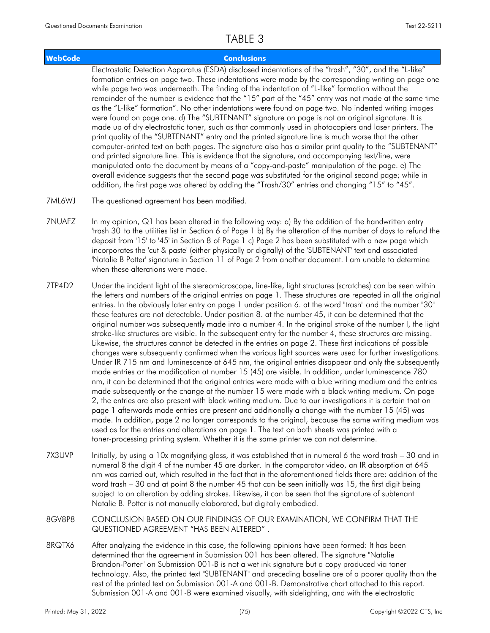### **WebCode Conclusions**

Electrostatic Detection Apparatus (ESDA) disclosed indentations of the "trash", "30", and the "L-like" formation entries on page two. These indentations were made by the corresponding writing on page one while page two was underneath. The finding of the indentation of "L-like" formation without the remainder of the number is evidence that the "15" part of the "45" entry was not made at the same time as the "L-like" formation". No other indentations were found on page two. No indented writing images were found on page one. d) The "SUBTENANT" signature on page is not an original signature. It is made up of dry electrostatic toner, such as that commonly used in photocopiers and laser printers. The print quality of the "SUBTENANT" entry and the printed signature line is much worse that the other computer-printed text on both pages. The signature also has a similar print quality to the "SUBTENANT" and printed signature line. This is evidence that the signature, and accompanying text/line, were manipulated onto the document by means of a "copy-and-paste" manipulation of the page. e) The overall evidence suggests that the second page was substituted for the original second page; while in addition, the first page was altered by adding the "Trash/30" entries and changing "15" to "45".

- 7ML6WJ The questioned agreement has been modified.
- In my opinion, Q1 has been altered in the following way: a) By the addition of the handwritten entry 'trash 30' to the utilities list in Section 6 of Page 1 b) By the alteration of the number of days to refund the deposit from '15' to '45' in Section 8 of Page 1 c) Page 2 has been substituted with a new page which incorporates the 'cut & paste' (either physically or digitally) of the 'SUBTENANT' text and associated 'Natalie B Potter' signature in Section 11 of Page 2 from another document. I am unable to determine when these alterations were made. 7NUAFZ
- Under the incident light of the stereomicroscope, line-like, light structures (scratches) can be seen within the letters and numbers of the original entries on page 1. These structures are repeated in all the original entries. In the obviously later entry on page 1 under position 6. at the word "trash" and the number "30" these features are not detectable. Under position 8. at the number 45, it can be determined that the original number was subsequently made into a number 4. In the original stroke of the number I, the light stroke-like structures are visible. In the subsequent entry for the number 4, these structures are missing. Likewise, the structures cannot be detected in the entries on page 2. These first indications of possible changes were subsequently confirmed when the various light sources were used for further investigations. Under IR 715 nm and luminescence at 645 nm, the original entries disappear and only the subsequently made entries or the modification at number 15 (45) are visible. In addition, under luminescence 780 nm, it can be determined that the original entries were made with a blue writing medium and the entries made subsequently or the change at the number 15 were made with a black writing medium. On page 2, the entries are also present with black writing medium. Due to our investigations it is certain that on page 1 afterwards made entries are present and additionally a change with the number 15 (45) was made. In addition, page 2 no longer corresponds to the original, because the same writing medium was used as for the entries and alterations on page 1. The text on both sheets was printed with a toner-processing printing system. Whether it is the same printer we can not determine. 7TP4D2
- Initially, by using a 10x magnifying glass, it was established that in numeral 6 the word trash 30 and in numeral 8 the digit 4 of the number 45 are darker. In the comparator video, an IR absorption at 645 nm was carried out, which resulted in the fact that in the aforementioned fields there are: addition of the word trash – 30 and at point 8 the number 45 that can be seen initially was 15, the first digit being subject to an alteration by adding strokes. Likewise, it can be seen that the signature of subtenant Natalie B. Potter is not manually elaborated, but digitally embodied. 7X3UVP
- CONCLUSION BASED ON OUR FINDINGS OF OUR EXAMINATION, WE CONFIRM THAT THE QUESTIONED AGREEMENT "HAS BEEN ALTERED" . 8GV8P8
- After analyzing the evidence in this case, the following opinions have been formed: It has been determined that the agreement in Submission 001 has been altered. The signature "Natalie Brandon-Porter" on Submission 001-B is not a wet ink signature but a copy produced via toner technology. Also, the printed text "SUBTENANT" and preceding baseline are of a poorer quality than the rest of the printed text on Submission 001-A and 001-B. Demonstrative chart attached to this report. Submission 001-A and 001-B were examined visually, with sidelighting, and with the electrostatic 8RQTX6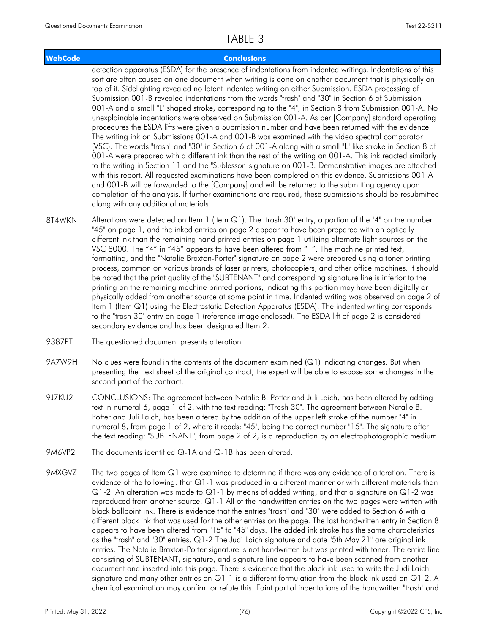### **WebCode Conclusions**

detection apparatus (ESDA) for the presence of indentations from indented writings. Indentations of this sort are often caused on one document when writing is done on another document that is physically on top of it. Sidelighting revealed no latent indented writing on either Submission. ESDA processing of Submission 001-B revealed indentations from the words "trash" and "30" in Section 6 of Submission 001-A and a small "L" shaped stroke, corresponding to the "4", in Section 8 from Submission 001-A. No unexplainable indentations were observed on Submission 001-A. As per [Company] standard operating procedures the ESDA lifts were given a Submission number and have been returned with the evidence. The writing ink on Submissions 001-A and 001-B was examined with the video spectral comparator (VSC). The words "trash" and "30" in Section 6 of 001-A along with a small "L" like stroke in Section 8 of 001-A were prepared with a different ink than the rest of the writing on 001-A. This ink reacted similarly to the writing in Section 11 and the "Sublessor" signature on 001-B. Demonstrative images are attached with this report. All requested examinations have been completed on this evidence. Submissions 001-A and 001-B will be forwarded to the [Company] and will be returned to the submitting agency upon completion of the analysis. If further examinations are required, these submissions should be resubmitted along with any additional materials.

- Alterations were detected on Item 1 (Item Q1). The "trash 30" entry, a portion of the "4" on the number "45" on page 1, and the inked entries on page 2 appear to have been prepared with an optically different ink than the remaining hand printed entries on page 1 utilizing alternate light sources on the VSC 8000. The "4" in "45" appears to have been altered from "1". The machine printed text, formatting, and the "Natalie Braxton-Porter" signature on page 2 were prepared using a toner printing process, common on various brands of laser printers, photocopiers, and other office machines. It should be noted that the print quality of the "SUBTENANT" and corresponding signature line is inferior to the printing on the remaining machine printed portions, indicating this portion may have been digitally or physically added from another source at some point in time. Indented writing was observed on page 2 of Item 1 (Item Q1) using the Electrostatic Detection Apparatus (ESDA). The indented writing corresponds to the "trash 30" entry on page 1 (reference image enclosed). The ESDA lift of page 2 is considered secondary evidence and has been designated Item 2. 8T4WKN
- 9387PT The questioned document presents alteration
- No clues were found in the contents of the document examined  $(Q1)$  indicating changes. But when presenting the next sheet of the original contract, the expert will be able to expose some changes in the second part of the contract. 9A7W9H
- CONCLUSIONS: The agreement between Natalie B. Potter and Juli Laich, has been altered by adding text in numeral 6, page 1 of 2, with the text reading: "Trash 30". The agreement between Natalie B. Potter and Juli Laich, has been altered by the addition of the upper left stroke of the number "4" in numeral 8, from page 1 of 2, where it reads: "45", being the correct number "15". The signature after the text reading: "SUBTENANT", from page 2 of 2, is a reproduction by an electrophotographic medium. 9J7KU2
- 9M6VP2 The documents identified Q-1A and Q-1B has been altered.
- The two pages of Item Q1 were examined to determine if there was any evidence of alteration. There is evidence of the following: that Q1-1 was produced in a different manner or with different materials than Q1-2. An alteration was made to Q1-1 by means of added writing, and that a signature on Q1-2 was reproduced from another source. Q1-1 All of the handwritten entries on the two pages were written with black ballpoint ink. There is evidence that the entries "trash" and "30" were added to Section 6 with a different black ink that was used for the other entries on the page. The last handwritten entry in Section 8 appears to have been altered from "15" to "45" days. The added ink stroke has the same characteristics as the "trash" and "30" entries. Q1-2 The Judi Laich signature and date "5th May 21" are original ink entries. The Natalie Braxton-Porter signature is not handwritten but was printed with toner. The entire line consisting of SUBTENANT, signature, and signature line appears to have been scanned from another document and inserted into this page. There is evidence that the black ink used to write the Judi Laich signature and many other entries on Q1-1 is a different formulation from the black ink used on Q1-2. A chemical examination may confirm or refute this. Faint partial indentations of the handwritten "trash" and 9MXGVZ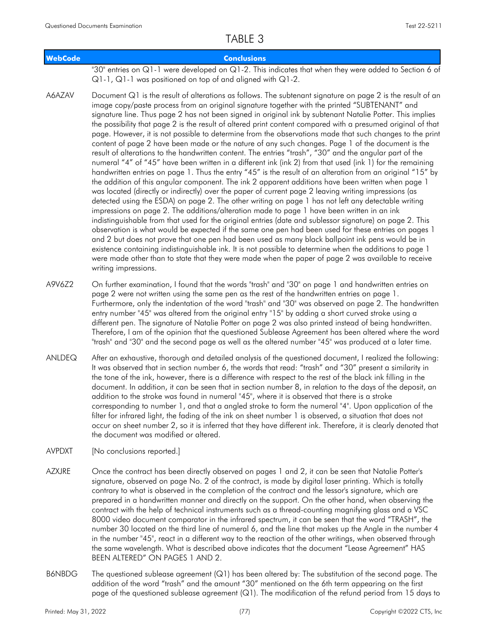| <b>WebCode</b> | <b>Conclusions</b>                                                                                                                                                                                                                                                                                                                                                                                                                                                                                                                                                                                                                                                                                                                                                                                                                                                                                                                                                                                                                                                                                                                                                                                                                                                                                                                                                                                                                                                                                                                                                                                                                                                                                                                                                                                                                                                                                                                                                                     |
|----------------|----------------------------------------------------------------------------------------------------------------------------------------------------------------------------------------------------------------------------------------------------------------------------------------------------------------------------------------------------------------------------------------------------------------------------------------------------------------------------------------------------------------------------------------------------------------------------------------------------------------------------------------------------------------------------------------------------------------------------------------------------------------------------------------------------------------------------------------------------------------------------------------------------------------------------------------------------------------------------------------------------------------------------------------------------------------------------------------------------------------------------------------------------------------------------------------------------------------------------------------------------------------------------------------------------------------------------------------------------------------------------------------------------------------------------------------------------------------------------------------------------------------------------------------------------------------------------------------------------------------------------------------------------------------------------------------------------------------------------------------------------------------------------------------------------------------------------------------------------------------------------------------------------------------------------------------------------------------------------------------|
|                | "30" entries on Q1-1 were developed on Q1-2. This indicates that when they were added to Section 6 of<br>$Q1-1$ , $Q1-1$ was positioned on top of and aligned with $Q1-2$ .                                                                                                                                                                                                                                                                                                                                                                                                                                                                                                                                                                                                                                                                                                                                                                                                                                                                                                                                                                                                                                                                                                                                                                                                                                                                                                                                                                                                                                                                                                                                                                                                                                                                                                                                                                                                            |
| A6AZAV         | Document Q1 is the result of alterations as follows. The subtenant signature on page 2 is the result of an<br>image copy/paste process from an original signature together with the printed "SUBTENANT" and<br>signature line. Thus page 2 has not been signed in original ink by subtenant Natalie Potter. This implies<br>the possibility that page 2 is the result of altered print content compared with a presumed original of that<br>page. However, it is not possible to determine from the observations made that such changes to the print<br>content of page 2 have been made or the nature of any such changes. Page 1 of the document is the<br>result of alterations to the handwritten content. The entries "trash", "30" and the angular part of the<br>numeral "4" of "45" have been written in a different ink (ink 2) from that used (ink 1) for the remaining<br>handwritten entries on page 1. Thus the entry "45" is the result of an alteration from an original "15" by<br>the addition of this angular component. The ink 2 apparent additions have been written when page 1<br>was located (directly or indirectly) over the paper of current page 2 leaving writing impressions (as<br>detected using the ESDA) on page 2. The other writing on page 1 has not left any detectable writing<br>impressions on page 2. The additions/alteration made to page 1 have been written in an ink<br>indistinguishable from that used for the original entries (date and sublessor signature) on page 2. This<br>observation is what would be expected if the same one pen had been used for these entries on pages 1<br>and 2 but does not prove that one pen had been used as many black ballpoint ink pens would be in<br>existence containing indistinguishable ink. It is not possible to determine when the additions to page 1<br>were made other than to state that they were made when the paper of page 2 was available to receive<br>writing impressions. |
| A9V6Z2         | On further examination, I found that the words "trash" and "30" on page 1 and handwritten entries on<br>page 2 were not written using the same pen as the rest of the handwritten entries on page 1.<br>Furthermore, only the indentation of the word "trash" and "30" was observed on page 2. The handwritten<br>entry number "45" was altered from the original entry "15" by adding a short curved stroke using a<br>different pen. The signature of Natalie Potter on page 2 was also printed instead of being handwritten.<br>Therefore, I am of the opinion that the questioned Sublease Agreement has been altered where the word<br>"trash" and "30" and the second page as well as the altered number "45" was produced at a later time.                                                                                                                                                                                                                                                                                                                                                                                                                                                                                                                                                                                                                                                                                                                                                                                                                                                                                                                                                                                                                                                                                                                                                                                                                                      |
| ANLDEQ         | After an exhaustive, thorough and detailed analysis of the questioned document, I realized the following:<br>It was observed that in section number 6, the words that read: "trash" and "30" present a similarity in<br>the tone of the ink, however, there is a difference with respect to the rest of the black ink filling in the<br>document. In addition, it can be seen that in section number 8, in relation to the days of the deposit, an<br>addition to the stroke was found in numeral "45", where it is observed that there is a stroke<br>corresponding to number 1, and that a angled stroke to form the numeral "4". Upon application of the<br>filter for infrared light, the fading of the ink on sheet number 1 is observed, a situation that does not<br>occur on sheet number 2, so it is inferred that they have different ink. Therefore, it is clearly denoted that                                                                                                                                                                                                                                                                                                                                                                                                                                                                                                                                                                                                                                                                                                                                                                                                                                                                                                                                                                                                                                                                                             |

AVPDXT [No conclusions reported.]

the document was modified or altered.

- Once the contract has been directly observed on pages 1 and 2, it can be seen that Natalie Potter's signature, observed on page No. 2 of the contract, is made by digital laser printing. Which is totally contrary to what is observed in the completion of the contract and the lessor's signature, which are prepared in a handwritten manner and directly on the support. On the other hand, when observing the contract with the help of technical instruments such as a thread-counting magnifying glass and a VSC 8000 video document comparator in the infrared spectrum, it can be seen that the word "TRASH", the number 30 located on the third line of numeral 6, and the line that makes up the Angle in the number 4 in the number "45", react in a different way to the reaction of the other writings, when observed through the same wavelength. What is described above indicates that the document "Lease Agreement" HAS BEEN ALTERED" ON PAGES 1 AND 2. AZXJRE
- The questioned sublease agreement (Q1) has been altered by: The substitution of the second page. The addition of the word "trash" and the amount "30" mentioned on the 6th term appearing on the first page of the questioned sublease agreement (Q1). The modification of the refund period from 15 days to B6NBDG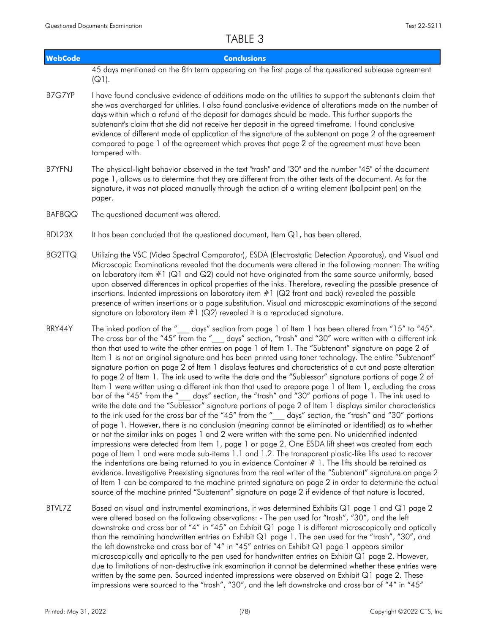| <b>WebCode</b> | <b>Conclusions</b>                                                                                                                                                                                                                                                                                                                                                                                                                                                                                                                                                                                                                                                                                                                                                                                                                                                                                                                                                                                                                                                                                                                                                                                                                                                                                                                                                                                                                                                                                                                                                                                                                                                                                                                                                                                                                                                                                                                                                            |
|----------------|-------------------------------------------------------------------------------------------------------------------------------------------------------------------------------------------------------------------------------------------------------------------------------------------------------------------------------------------------------------------------------------------------------------------------------------------------------------------------------------------------------------------------------------------------------------------------------------------------------------------------------------------------------------------------------------------------------------------------------------------------------------------------------------------------------------------------------------------------------------------------------------------------------------------------------------------------------------------------------------------------------------------------------------------------------------------------------------------------------------------------------------------------------------------------------------------------------------------------------------------------------------------------------------------------------------------------------------------------------------------------------------------------------------------------------------------------------------------------------------------------------------------------------------------------------------------------------------------------------------------------------------------------------------------------------------------------------------------------------------------------------------------------------------------------------------------------------------------------------------------------------------------------------------------------------------------------------------------------------|
|                | 45 days mentioned on the 8th term appearing on the first page of the questioned sublease agreement                                                                                                                                                                                                                                                                                                                                                                                                                                                                                                                                                                                                                                                                                                                                                                                                                                                                                                                                                                                                                                                                                                                                                                                                                                                                                                                                                                                                                                                                                                                                                                                                                                                                                                                                                                                                                                                                            |
|                | $(Q1)$ .                                                                                                                                                                                                                                                                                                                                                                                                                                                                                                                                                                                                                                                                                                                                                                                                                                                                                                                                                                                                                                                                                                                                                                                                                                                                                                                                                                                                                                                                                                                                                                                                                                                                                                                                                                                                                                                                                                                                                                      |
| B7G7YP         | I have found conclusive evidence of additions made on the utilities to support the subtenant's claim that<br>she was overcharged for utilities. I also found conclusive evidence of alterations made on the number of<br>days within which a refund of the deposit for damages should be made. This further supports the<br>subtenant's claim that she did not receive her deposit in the agreed timeframe. I found conclusive<br>evidence of different mode of application of the signature of the subtenant on page 2 of the agreement<br>compared to page 1 of the agreement which proves that page 2 of the agreement must have been<br>tampered with.                                                                                                                                                                                                                                                                                                                                                                                                                                                                                                                                                                                                                                                                                                                                                                                                                                                                                                                                                                                                                                                                                                                                                                                                                                                                                                                    |
| <b>B7YFNJ</b>  | The physical-light behavior observed in the text "trash" and "30" and the number "45" of the document<br>page 1, allows us to determine that they are different from the other texts of the document. As for the<br>signature, it was not placed manually through the action of a writing element (ballpoint pen) on the<br>paper.                                                                                                                                                                                                                                                                                                                                                                                                                                                                                                                                                                                                                                                                                                                                                                                                                                                                                                                                                                                                                                                                                                                                                                                                                                                                                                                                                                                                                                                                                                                                                                                                                                            |
| BAF8QQ         | The questioned document was altered.                                                                                                                                                                                                                                                                                                                                                                                                                                                                                                                                                                                                                                                                                                                                                                                                                                                                                                                                                                                                                                                                                                                                                                                                                                                                                                                                                                                                                                                                                                                                                                                                                                                                                                                                                                                                                                                                                                                                          |
| BDL23X         | It has been concluded that the questioned document, Item Q1, has been altered.                                                                                                                                                                                                                                                                                                                                                                                                                                                                                                                                                                                                                                                                                                                                                                                                                                                                                                                                                                                                                                                                                                                                                                                                                                                                                                                                                                                                                                                                                                                                                                                                                                                                                                                                                                                                                                                                                                |
| <b>BG2TTQ</b>  | Utilizing the VSC (Video Spectral Comparator), ESDA (Electrostatic Detection Apparatus), and Visual and<br>Microscopic Examinations revealed that the documents were altered in the following manner: The writing<br>on laboratory item $\#1$ ( $\mathsf{Q}1$ and $\mathsf{Q}2$ ) could not have originated from the same source uniformly, based<br>upon observed differences in optical properties of the inks. Therefore, revealing the possible presence of<br>insertions. Indented impressions on laboratory item $#1$ ( $Q2$ front and back) revealed the possible<br>presence of written insertions or a page substitution. Visual and microscopic examinations of the second<br>signature on laboratory item $#1$ ( $Q2$ ) revealed it is a reproduced signature.                                                                                                                                                                                                                                                                                                                                                                                                                                                                                                                                                                                                                                                                                                                                                                                                                                                                                                                                                                                                                                                                                                                                                                                                     |
| BRY44Y         | The inked portion of the " days" section from page 1 of Item 1 has been altered from "15" to "45".<br>The cross bar of the "45" from the " days" section, "trash" and "30" were written with a different ink<br>than that used to write the other entries on page 1 of Item 1. The "Subtenant" signature on page 2 of<br>ltem 1 is not an original signature and has been printed using toner technology. The entire "Subtenant"<br>signature portion on page 2 of Item 1 displays features and characteristics of a cut and paste alteration<br>to page 2 of Item 1. The ink used to write the date and the "Sublessor" signature portions of page 2 of<br>Item 1 were written using a different ink than that used to prepare page 1 of Item 1, excluding the cross<br>bar of the "45" from the " days" section, the "trash" and "30" portions of page 1. The ink used to<br>write the date and the "Sublessor" signature portions of page 2 of Item 1 displays similar characteristics<br>to the ink used for the cross bar of the "45" from the "__ days" section, the "trash" and "30" portions<br>of page 1. However, there is no conclusion (meaning cannot be eliminated or identified) as to whether<br>or not the similar inks on pages 1 and 2 were written with the same pen. No unidentified indented<br>impressions were detected from Item 1, page 1 or page 2. One ESDA lift sheet was created from each<br>page of Item 1 and were made sub-items 1.1 and 1.2. The transparent plastic-like lifts used to recover<br>the indentations are being returned to you in evidence Container $# 1$ . The lifts should be retained as<br>evidence. Investigative Preexisting signatures from the real writer of the "Subtenant" signature on page 2<br>of Item 1 can be compared to the machine printed signature on page 2 in order to determine the actual<br>source of the machine printed "Subtenant" signature on page 2 if evidence of that nature is located. |
| BTVL7Z         | Based on visual and instrumental examinations, it was determined Exhibits Q1 page 1 and Q1 page 2<br>were altered based on the following observations: - The pen used for "trash", "30", and the left<br>downstroke and cross bar of "4" in "45" on Exhibit Q1 page 1 is different microscopically and optically<br>than the remaining handwritten entries on Exhibit Q1 page 1. The pen used for the "trash", "30", and<br>the left downstroke and cross bar of "4" in "45" entries on Exhibit Q1 page 1 appears similar<br>microscopically and optically to the pen used for handwritten entries on Exhibit Q1 page 2. However,<br>due to limitations of non-destructive ink examination it cannot be determined whether these entries were<br>written by the same pen. Sourced indented impressions were observed on Exhibit Q1 page 2. These<br>impressions were sourced to the "trash", "30", and the left downstroke and cross bar of "4" in "45"                                                                                                                                                                                                                                                                                                                                                                                                                                                                                                                                                                                                                                                                                                                                                                                                                                                                                                                                                                                                                       |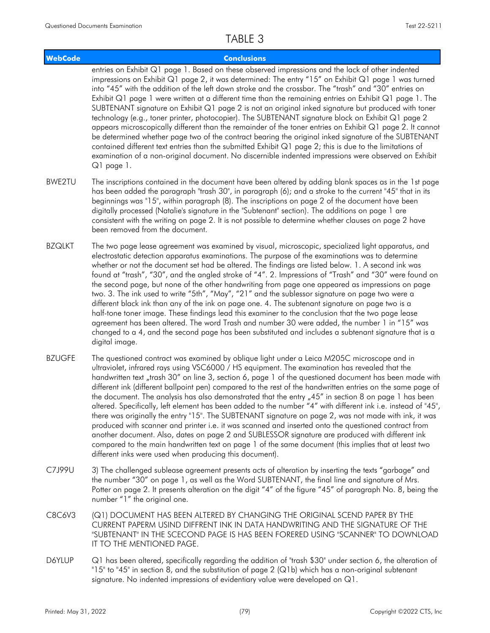### **WebCode Conclusions** entries on Exhibit Q1 page 1. Based on these observed impressions and the lack of other indented impressions on Exhibit Q1 page 2, it was determined: The entry "15" on Exhibit Q1 page 1 was turned into "45" with the addition of the left down stroke and the crossbar. The "trash" and "30" entries on Exhibit Q1 page 1 were written at a different time than the remaining entries on Exhibit Q1 page 1. The SUBTENANT signature on Exhibit Q1 page 2 is not an original inked signature but produced with toner technology (e.g., toner printer, photocopier). The SUBTENANT signature block on Exhibit Q1 page 2 appears microscopically different than the remainder of the toner entries on Exhibit Q1 page 2. It cannot be determined whether page two of the contract bearing the original inked signature of the SUBTENANT contained different text entries than the submitted Exhibit Q1 page 2; this is due to the limitations of examination of a non-original document. No discernible indented impressions were observed on Exhibit Q1 page 1. The inscriptions contained in the document have been altered by adding blank spaces as in the 1st page has been added the paragraph "trash 30", in paragraph (6); and a stroke to the current "45" that in its BWE2TU

- beginnings was "15", within paragraph (8). The inscriptions on page 2 of the document have been digitally processed (Natalie's signature in the "Subtenant" section). The additions on page 1 are consistent with the writing on page 2. It is not possible to determine whether clauses on page 2 have been removed from the document.
- The two page lease agreement was examined by visual, microscopic, specialized light apparatus, and electrostatic detection apparatus examinations. The purpose of the examinations was to determine whether or not the document set had be altered. The findings are listed below. 1. A second ink was found at "trash", "30", and the angled stroke of "4". 2. Impressions of "Trash" and "30" were found on the second page, but none of the other handwriting from page one appeared as impressions on page two. 3. The ink used to write "5th", "May", "21" and the sublessor signature on page two were a different black ink than any of the ink on page one. 4. The subtenant signature on page two is a half-tone toner image. These findings lead this examiner to the conclusion that the two page lease agreement has been altered. The word Trash and number 30 were added, the number 1 in "15" was changed to a 4, and the second page has been substituted and includes a subtenant signature that is a digital image. BZQLKT
- The questioned contract was examined by oblique light under a Leica M205C microscope and in ultraviolet, infrared rays using VSC6000 / HS equipment. The examination has revealed that the handwritten text "trash 30" on line 3, section 6, page 1 of the questioned document has been made with different ink (different ballpoint pen) compared to the rest of the handwritten entries on the same page of the document. The analysis has also demonstrated that the entry  $.45$ " in section 8 on page 1 has been altered. Specifically, left element has been added to the number "4" with different ink i.e. instead of "45", there was originally the entry "15". The SUBTENANT signature on page 2, was not made with ink, it was produced with scanner and printer i.e. it was scanned and inserted onto the questioned contract from another document. Also, dates on page 2 and SUBLESSOR signature are produced with different ink compared to the main handwritten text on page 1 of the same document (this implies that at least two different inks were used when producing this document). BZUGFE
- 3) The challenged sublease agreement presents acts of alteration by inserting the texts "garbage" and the number "30" on page 1, as well as the Word SUBTENANT, the final line and signature of Mrs. Potter on page 2. It presents alteration on the digit "4" of the figure "45" of paragraph No. 8, being the number "1" the original one. C7J99U
- (Q1) DOCUMENT HAS BEEN ALTERED BY CHANGING THE ORIGINAL SCEND PAPER BY THE CURRENT PAPERM USIND DIFFRENT INK IN DATA HANDWRITING AND THE SIGNATURE OF THE "SUBTENANT" IN THE SCECOND PAGE IS HAS BEEN FORERED USING "SCANNER" TO DOWNLOAD IT TO THE MENTIONED PAGE. C8C6V3
- Q1 has been altered, specifically regarding the addition of "trash \$30" under section 6, the alteration of "15" to "45" in section 8, and the substitution of page 2 (Q1b) which has a non-original subtenant signature. No indented impressions of evidentiary value were developed on Q1. **D6YLUP**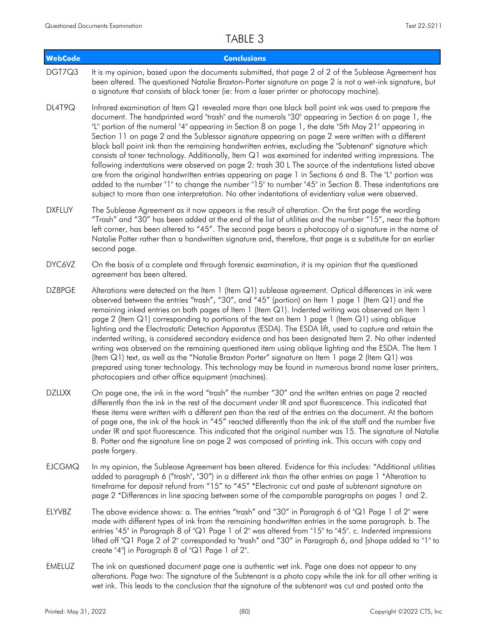| <b>WebCode</b> | <b>Conclusions</b>                                                                                                                                                                                                                                                                                                                                                                                                                                                                                                                                                                                                                                                                                                                                                                                                                                                                                                                                                                                                                                                            |
|----------------|-------------------------------------------------------------------------------------------------------------------------------------------------------------------------------------------------------------------------------------------------------------------------------------------------------------------------------------------------------------------------------------------------------------------------------------------------------------------------------------------------------------------------------------------------------------------------------------------------------------------------------------------------------------------------------------------------------------------------------------------------------------------------------------------------------------------------------------------------------------------------------------------------------------------------------------------------------------------------------------------------------------------------------------------------------------------------------|
| DGT7Q3         | It is my opinion, based upon the documents submitted, that page 2 of 2 of the Sublease Agreement has<br>been altered. The questioned Natalie Braxton-Porter signature on page 2 is not a wet-ink signature, but<br>a signature that consists of black toner (ie: from a laser printer or photocopy machine).                                                                                                                                                                                                                                                                                                                                                                                                                                                                                                                                                                                                                                                                                                                                                                  |
| DL4T9Q         | Infrared examination of Item Q1 revealed more than one black ball point ink was used to prepare the<br>document. The handprinted word "trash" and the numerals "30" appearing in Section 6 on page 1, the<br>"L" portion of the numeral "4" appearing in Section 8 on page 1, the date "5th May 21" appearing in<br>Section 11 on page 2 and the Sublessor signature appearing on page 2 were written with a different<br>black ball point ink than the remaining handwritten entries, excluding the "Subtenant" signature which<br>consists of toner technology. Additionally, Item Q1 was examined for indented writing impressions. The<br>following indentations were observed on page 2: trash 30 L The source of the indentations listed above<br>are from the original handwritten entries appearing on page 1 in Sections 6 and 8. The "L" portion was<br>added to the number "1" to change the number "15" to number "45" in Section 8. These indentations are<br>subject to more than one interpretation. No other indentations of evidentiary value were observed. |
| <b>DXFLUY</b>  | The Sublease Agreement as it now appears is the result of alteration. On the first page the wording<br>"Trash" and "30" has been added at the end of the list of utilities and the number "15", near the bottom<br>left corner, has been altered to "45". The second page bears a photocopy of a signature in the name of<br>Natalie Potter rather than a handwritten signature and, therefore, that page is a substitute for an earlier<br>second page.                                                                                                                                                                                                                                                                                                                                                                                                                                                                                                                                                                                                                      |
| DYC6VZ         | On the basis of a complete and through forensic examination, it is my opinion that the questioned<br>agreement has been altered.                                                                                                                                                                                                                                                                                                                                                                                                                                                                                                                                                                                                                                                                                                                                                                                                                                                                                                                                              |
| DZ8PGE         | Alterations were detected on the Item 1 (Item Q1) sublease agreement. Optical differences in ink were<br>observed between the entries "trash", "30", and "45" (portion) on Item 1 page 1 (Item Q1) and the<br>remaining inked entries on both pages of Item 1 (Item Q1). Indented writing was observed on Item 1<br>page 2 (Item Q1) corresponding to portions of the text on Item 1 page 1 (Item Q1) using oblique<br>lighting and the Electrostatic Detection Apparatus (ESDA). The ESDA lift, used to capture and retain the<br>indented writing, is considered secondary evidence and has been designated Item 2. No other indented<br>writing was observed on the remaining questioned item using oblique lighting and the ESDA. The Item 1<br>(Item Q1) text, as well as the "Natalie Braxton Porter" signature on Item 1 page 2 (Item Q1) was<br>prepared using toner technology. This technology may be found in numerous brand name laser printers,<br>photocopiers and other office equipment (machines).                                                           |
| <b>DZLLXX</b>  | On page one, the ink in the word "trash" the number "30" and the written entries on page 2 reacted<br>differently than the ink in the rest of the document under IR and spot fluorescence. This indicated that<br>these items were written with a different pen than the rest of the entries on the document. At the bottom<br>of page one, the ink of the hook in "45" reacted differently than the ink of the staff and the number five<br>under IR and spot fluorescence. This indicated that the original number was 15. The signature of Natalie<br>B. Potter and the signature line on page 2 was composed of printing ink. This occurs with copy and<br>paste forgery.                                                                                                                                                                                                                                                                                                                                                                                                 |
| <b>EJCGMQ</b>  | In my opinion, the Sublease Agreement has been altered. Evidence for this includes: *Additional utilities<br>added to paragraph 6 ("trash", "30") in a different ink than the other entries on page 1 *Alteration to<br>timeframe for deposit refund from "15" to "45" *Electronic cut and paste of subtenant signature on<br>page 2 *Differences in line spacing between some of the comparable paragraphs on pages 1 and 2.                                                                                                                                                                                                                                                                                                                                                                                                                                                                                                                                                                                                                                                 |
| ELYVBZ         | The above evidence shows: a. The entries "trash" and "30" in Paragraph 6 of "Q1 Page 1 of 2" were<br>made with different types of ink from the remaining handwritten entries in the same paragraph. b. The<br>entries "45" in Paragraph 8 of "Q1 Page 1 of 2" was altered from "15" to "45". c. Indented impressions<br>lifted off "Q1 Page 2 of 2" corresponded to "trash" and "30" in Paragraph 6, and [shape added to "1" to<br>create "4"] in Paragraph 8 of "Q1 Page 1 of 2".                                                                                                                                                                                                                                                                                                                                                                                                                                                                                                                                                                                            |
| <b>EMELUZ</b>  | The ink on questioned document page one is authentic wet ink. Page one does not appear to any<br>alterations. Page two: The signature of the Subtenant is a photo copy while the ink for all other writing is                                                                                                                                                                                                                                                                                                                                                                                                                                                                                                                                                                                                                                                                                                                                                                                                                                                                 |

wet ink. This leads to the conclusion that the signature of the subtenant was cut and pasted onto the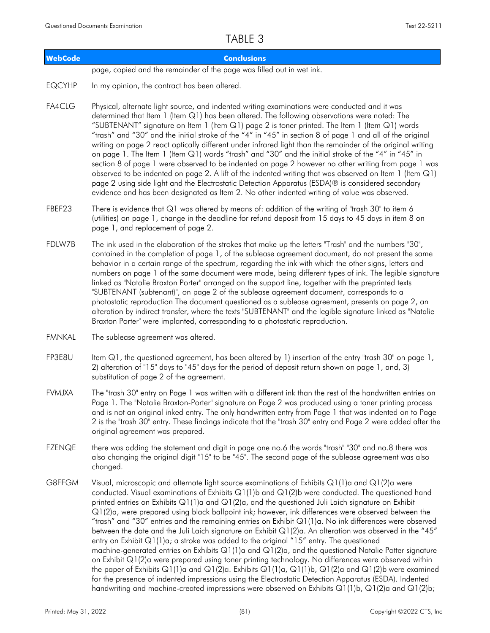| <b>WebCode</b> | <b>Conclusions</b>                                                                                                                                                                                                                                                                                                                                                                                                                                                                                                                                                                                                                                                                                                                                                                                                                                                                                                                                                                                                                                                                                                                                                                                                                                                    |
|----------------|-----------------------------------------------------------------------------------------------------------------------------------------------------------------------------------------------------------------------------------------------------------------------------------------------------------------------------------------------------------------------------------------------------------------------------------------------------------------------------------------------------------------------------------------------------------------------------------------------------------------------------------------------------------------------------------------------------------------------------------------------------------------------------------------------------------------------------------------------------------------------------------------------------------------------------------------------------------------------------------------------------------------------------------------------------------------------------------------------------------------------------------------------------------------------------------------------------------------------------------------------------------------------|
|                | page, copied and the remainder of the page was filled out in wet ink.                                                                                                                                                                                                                                                                                                                                                                                                                                                                                                                                                                                                                                                                                                                                                                                                                                                                                                                                                                                                                                                                                                                                                                                                 |
| <b>EQCYHP</b>  | In my opinion, the contract has been altered.                                                                                                                                                                                                                                                                                                                                                                                                                                                                                                                                                                                                                                                                                                                                                                                                                                                                                                                                                                                                                                                                                                                                                                                                                         |
| <b>FA4CLG</b>  | Physical, alternate light source, and indented writing examinations were conducted and it was<br>determined that Item 1 (Item Q1) has been altered. The following observations were noted: The<br>"SUBTENANT" signature on Item 1 (Item Q1) page 2 is toner printed. The Item 1 (Item Q1) words<br>"trash" and "30" and the initial stroke of the "4" in "45" in section 8 of page 1 and all of the original<br>writing on page 2 react optically different under infrared light than the remainder of the original writing<br>on page 1. The Item 1 (Item Q1) words "trash" and "30" and the initial stroke of the "4" in "45" in<br>section 8 of page 1 were observed to be indented on page 2 however no other writing from page 1 was<br>observed to be indented on page 2. A lift of the indented writing that was observed on Item 1 (Item Q1)<br>page 2 using side light and the Electrostatic Detection Apparatus (ESDA)® is considered secondary<br>evidence and has been designated as Item 2. No other indented writing of value was observed.                                                                                                                                                                                                             |
| FBEF23         | There is evidence that Q1 was altered by means of: addition of the writing of "trash 30" to item 6<br>(utilities) on page 1, change in the deadline for refund deposit from 15 days to 45 days in item 8 on<br>page 1, and replacement of page 2.                                                                                                                                                                                                                                                                                                                                                                                                                                                                                                                                                                                                                                                                                                                                                                                                                                                                                                                                                                                                                     |
| FDLW7B         | The ink used in the elaboration of the strokes that make up the letters "Trash" and the numbers "30",<br>contained in the completion of page 1, of the sublease agreement document, do not present the same<br>behavior in a certain range of the spectrum, regarding the ink with which the other signs, letters and<br>numbers on page 1 of the same document were made, being different types of ink. The legible signature<br>linked as "Natalie Braxton Porter" arranged on the support line, together with the preprinted texts<br>"SUBTENANT (subtenant)", on page 2 of the sublease agreement document, corresponds to a<br>photostatic reproduction The document questioned as a sublease agreement, presents on page 2, an<br>alteration by indirect transfer, where the texts "SUBTENANT" and the legible signature linked as "Natalie<br>Braxton Porter" were implanted, corresponding to a photostatic reproduction.                                                                                                                                                                                                                                                                                                                                     |
| <b>FMNKAL</b>  | The sublease agreement was altered.                                                                                                                                                                                                                                                                                                                                                                                                                                                                                                                                                                                                                                                                                                                                                                                                                                                                                                                                                                                                                                                                                                                                                                                                                                   |
| FP3E8U         | Item Q1, the questioned agreement, has been altered by 1) insertion of the entry "trash 30" on page 1,<br>2) alteration of "15" days to "45" days for the period of deposit return shown on page 1, and, 3)<br>substitution of page 2 of the agreement.                                                                                                                                                                                                                                                                                                                                                                                                                                                                                                                                                                                                                                                                                                                                                                                                                                                                                                                                                                                                               |
| <b>FVMJXA</b>  | The "trash 30" entry on Page 1 was written with a different ink than the rest of the handwritten entries on<br>Page 1. The "Natalie Braxton-Porter" signature on Page 2 was produced using a toner printing process<br>and is not an original inked entry. The only handwritten entry from Page 1 that was indented on to Page<br>2 is the "trash 30" entry. These findings indicate that the "trash 30" entry and Page 2 were added after the<br>original agreement was prepared.                                                                                                                                                                                                                                                                                                                                                                                                                                                                                                                                                                                                                                                                                                                                                                                    |
| <b>FZENQE</b>  | there was adding the statement and digit in page one no.6 the words "trash" "30" and no.8 there was<br>also changing the original digit "15" to be "45". The second page of the sublease agreement was also<br>changed.                                                                                                                                                                                                                                                                                                                                                                                                                                                                                                                                                                                                                                                                                                                                                                                                                                                                                                                                                                                                                                               |
| G8FFGM         | Visual, microscopic and alternate light source examinations of Exhibits Q1(1)a and Q1(2)a were<br>conducted. Visual examinations of Exhibits Q1(1)b and Q1(2)b were conducted. The questioned hand<br>printed entries on Exhibits $Q1(1)$ a and $Q1(2)$ a, and the questioned Juli Laich signature on Exhibit<br>Q1(2)a, were prepared using black ballpoint ink; however, ink differences were observed between the<br>"trash" and "30" entries and the remaining entries on Exhibit Q1(1)a. No ink differences were observed<br>between the date and the Juli Laich signature on Exhibit Q1(2)a. An alteration was observed in the "45"<br>entry on Exhibit Q1(1)a; a stroke was added to the original "15" entry. The questioned<br>machine-generated entries on Exhibits Q1(1)a and Q1(2)a, and the questioned Natalie Potter signature<br>on Exhibit Q1(2)a were prepared using toner printing technology. No differences were observed within<br>the paper of Exhibits Q1(1)a and Q1(2)a. Exhibits Q1(1)a, Q1(1)b, Q1(2)a and Q1(2)b were examined<br>for the presence of indented impressions using the Electrostatic Detection Apparatus (ESDA). Indented<br>handwriting and machine-created impressions were observed on Exhibits Q1(1)b, Q1(2)a and Q1(2)b; |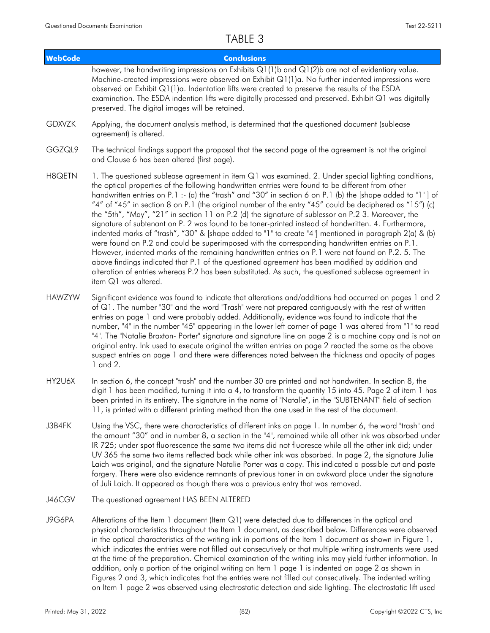| <b>WebCode</b> | <b>Conclusions</b>                                                                                                                                                                                                                                                                                                                                                                                                                                                                                                                                                                                                                                                                                                                                                                                                                                                                                                                                                                                                                                                                                                                                                                                   |
|----------------|------------------------------------------------------------------------------------------------------------------------------------------------------------------------------------------------------------------------------------------------------------------------------------------------------------------------------------------------------------------------------------------------------------------------------------------------------------------------------------------------------------------------------------------------------------------------------------------------------------------------------------------------------------------------------------------------------------------------------------------------------------------------------------------------------------------------------------------------------------------------------------------------------------------------------------------------------------------------------------------------------------------------------------------------------------------------------------------------------------------------------------------------------------------------------------------------------|
|                | however, the handwriting impressions on Exhibits Q1(1)b and Q1(2)b are not of evidentiary value.<br>Machine-created impressions were observed on Exhibit Q1(1)a. No further indented impressions were<br>observed on Exhibit $Q1(1)a$ . Indentation lifts were created to preserve the results of the ESDA<br>examination. The ESDA indention lifts were digitally processed and preserved. Exhibit Q1 was digitally<br>preserved. The digital images will be retained.                                                                                                                                                                                                                                                                                                                                                                                                                                                                                                                                                                                                                                                                                                                              |
| <b>GDXVZK</b>  | Applying, the document analysis method, is determined that the questioned document (sublease<br>agreement) is altered.                                                                                                                                                                                                                                                                                                                                                                                                                                                                                                                                                                                                                                                                                                                                                                                                                                                                                                                                                                                                                                                                               |
| GGZQL9         | The technical findings support the proposal that the second page of the agreement is not the original<br>and Clause 6 has been altered (first page).                                                                                                                                                                                                                                                                                                                                                                                                                                                                                                                                                                                                                                                                                                                                                                                                                                                                                                                                                                                                                                                 |
| H8QETN         | 1. The questioned sublease agreement in item Q1 was examined. 2. Under special lighting conditions,<br>the optical properties of the following handwritten entries were found to be different from other<br>handwritten entries on P.1 :- (a) the "trash" and "30" in section 6 on P.1 (b) the [shape added to "1"] of<br>"4" of "45" in section 8 on P.1 (the original number of the entry "45" could be deciphered as "15") (c)<br>the "5th", "May", "21" in section 11 on P.2 (d) the signature of sublessor on P.2 3. Moreover, the<br>signature of subtenant on P. 2 was found to be toner-printed instead of handwritten. 4. Furthermore,<br>indented marks of "trash", "30" & [shape added to "1" to create "4"] mentioned in paragraph 2(a) & (b)<br>were found on P.2 and could be superimposed with the corresponding handwritten entries on P.1.<br>However, indented marks of the remaining handwritten entries on P.1 were not found on P.2. 5. The<br>above findings indicated that P.1 of the questioned agreement has been modified by addition and<br>alteration of entries whereas P.2 has been substituted. As such, the questioned sublease agreement in<br>item Q1 was altered. |
| <b>HAWZYW</b>  | Significant evidence was found to indicate that alterations and/additions had occurred on pages 1 and 2<br>of Q1. The number "30" and the word "Trash" were not prepared contiguously with the rest of written<br>entries on page 1 and were probably added. Additionally, evidence was found to indicate that the<br>number, "4" in the number "45" appearing in the lower left corner of page 1 was altered from "1" to read<br>"4". The "Natalie Braxton- Porter" signature and signature line on page 2 is a machine copy and is not an<br>original entry. Ink used to execute original the written entries on page 2 reacted the same as the above<br>suspect entries on page 1 and there were differences noted between the thickness and opacity of pages<br>1 and 2.                                                                                                                                                                                                                                                                                                                                                                                                                         |
| HY2U6X         | In section 6, the concept "trash" and the number 30 are printed and not handwriten. In section 8, the<br>digit 1 has been modified, turning it into a 4, to transform the quantity 15 into 45. Page 2 of item 1 has<br>been printed in its entirety. The signature in the name of "Natalie", in the "SUBTENANT" field of section<br>11, is printed with a different printing method than the one used in the rest of the document.                                                                                                                                                                                                                                                                                                                                                                                                                                                                                                                                                                                                                                                                                                                                                                   |
| J3B4FK         | Using the VSC, there were characteristics of different inks on page 1. In number 6, the word "trash" and<br>the amount "30" and in number 8, a section in the "4", remained while all other ink was absorbed under<br>IR 725; under spot fluorescence the same two items did not fluoresce while all the other ink did; under<br>UV 365 the same two items reflected back while other ink was absorbed. In page 2, the signature Julie<br>Laich was original, and the signature Natalie Porter was a copy. This indicated a possible cut and paste<br>forgery. There were also evidence remnants of previous toner in an awkward place under the signature<br>of Juli Laich. It appeared as though there was a previous entry that was removed.                                                                                                                                                                                                                                                                                                                                                                                                                                                      |
| J46CGV         | The questioned agreement HAS BEEN ALTERED                                                                                                                                                                                                                                                                                                                                                                                                                                                                                                                                                                                                                                                                                                                                                                                                                                                                                                                                                                                                                                                                                                                                                            |
| J9G6PA         | Alterations of the Item 1 document (Item Q1) were detected due to differences in the optical and<br>physical characteristics throughout the Item 1 document, as described below. Differences were observed<br>in the optical characteristics of the writing ink in portions of the Item 1 document as shown in Figure 1,<br>which indicates the entries were not filled out consecutively or that multiple writing instruments were used<br>at the time of the preparation. Chemical examination of the writing inks may yield further information. In<br>addition, only a portion of the original writing on Item 1 page 1 is indented on page 2 as shown in<br>Figures 2 and 3, which indicates that the entries were not filled out consecutively. The indented writing<br>on Item 1 page 2 was observed using electrostatic detection and side lighting. The electrostatic lift used                                                                                                                                                                                                                                                                                                             |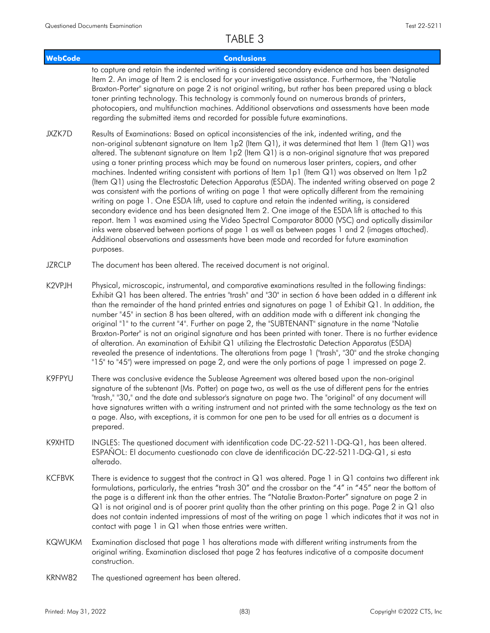| <b>WebCode</b> | <b>Conclusions</b>                                                                                                                                                                                                                                                                                                                                                                                                                                                                                                                                                                                                                                                                                                                                                                                                                                                                                                                                                                                                                                                                                                                                                                                                                                                          |
|----------------|-----------------------------------------------------------------------------------------------------------------------------------------------------------------------------------------------------------------------------------------------------------------------------------------------------------------------------------------------------------------------------------------------------------------------------------------------------------------------------------------------------------------------------------------------------------------------------------------------------------------------------------------------------------------------------------------------------------------------------------------------------------------------------------------------------------------------------------------------------------------------------------------------------------------------------------------------------------------------------------------------------------------------------------------------------------------------------------------------------------------------------------------------------------------------------------------------------------------------------------------------------------------------------|
|                | to capture and retain the indented writing is considered secondary evidence and has been designated<br>Item 2. An image of Item 2 is enclosed for your investigative assistance. Furthermore, the "Natalie<br>Braxton-Porter" signature on page 2 is not original writing, but rather has been prepared using a black<br>toner printing technology. This technology is commonly found on numerous brands of printers,<br>photocopiers, and multifunction machines. Additional observations and assessments have been made<br>regarding the submitted items and recorded for possible future examinations.                                                                                                                                                                                                                                                                                                                                                                                                                                                                                                                                                                                                                                                                   |
| JXZK7D         | Results of Examinations: Based on optical inconsistencies of the ink, indented writing, and the<br>non-original subtenant signature on Item 1p2 (Item Q1), it was determined that Item 1 (Item Q1) was<br>altered. The subtenant signature on Item 1p2 (Item Q1) is a non-original signature that was prepared<br>using a toner printing process which may be found on numerous laser printers, copiers, and other<br>machines. Indented writing consistent with portions of Item 1p1 (Item Q1) was observed on Item 1p2<br>(Item Q1) using the Electrostatic Detection Apparatus (ESDA). The indented writing observed on page 2<br>was consistent with the portions of writing on page 1 that were optically different from the remaining<br>writing on page 1. One ESDA lift, used to capture and retain the indented writing, is considered<br>secondary evidence and has been designated Item 2. One image of the ESDA lift is attached to this<br>report. Item 1 was examined using the Video Spectral Comparator 8000 (VSC) and optically dissimilar<br>inks were observed between portions of page 1 as well as between pages 1 and 2 (images attached).<br>Additional observations and assessments have been made and recorded for future examination<br>purposes. |
| <b>JZRCLP</b>  | The document has been altered. The received document is not original.                                                                                                                                                                                                                                                                                                                                                                                                                                                                                                                                                                                                                                                                                                                                                                                                                                                                                                                                                                                                                                                                                                                                                                                                       |
| K2VPJH         | Physical, microscopic, instrumental, and comparative examinations resulted in the following findings:<br>Exhibit Q1 has been altered. The entries "trash" and "30" in section 6 have been added in a different ink<br>than the remainder of the hand printed entries and signatures on page 1 of Exhibit Q1. In addition, the<br>number "45" in section 8 has been altered, with an addition made with a different ink changing the<br>original "1" to the current "4". Further on page 2, the "SUBTENANT" signature in the name "Natalie<br>Braxton-Porter" is not an original signature and has been printed with toner. There is no further evidence<br>of alteration. An examination of Exhibit Q1 utilizing the Electrostatic Detection Apparatus (ESDA)<br>revealed the presence of indentations. The alterations from page 1 ("trash", "30" and the stroke changing<br>"15" to "45") were impressed on page 2, and were the only portions of page 1 impressed on page 2.                                                                                                                                                                                                                                                                                             |
| K9FPYU         | There was conclusive evidence the Sublease Agreement was altered based upon the non-original<br>signature of the subtenant (Ms. Potter) on page two, as well as the use of different pens for the entries<br>"trash," "30," and the date and sublessor's signature on page two. The "original" of any document will<br>have signatures written with a writing instrument and not printed with the same technology as the text on<br>a page. Also, with exceptions, it is common for one pen to be used for all entries as a document is<br>prepared.                                                                                                                                                                                                                                                                                                                                                                                                                                                                                                                                                                                                                                                                                                                        |
| K9XHTD         | INGLES: The questioned document with identification code DC-22-5211-DQ-Q1, has been altered.<br>ESPANOL: El documento cuestionado con clave de identificación DC-22-5211-DQ-Q1, si esta<br>alterado.                                                                                                                                                                                                                                                                                                                                                                                                                                                                                                                                                                                                                                                                                                                                                                                                                                                                                                                                                                                                                                                                        |
| <b>KCFBVK</b>  | There is evidence to suggest that the contract in Q1 was altered. Page 1 in Q1 contains two different ink<br>formulations, particularly, the entries "trash 30" and the crossbar on the "4" in "45" near the bottom of<br>the page is a different ink than the other entries. The "Natalie Braxton-Porter" signature on page 2 in<br>Q1 is not original and is of poorer print quality than the other printing on this page. Page 2 in Q1 also<br>does not contain indented impressions of most of the writing on page 1 which indicates that it was not in<br>contact with page 1 in Q1 when those entries were written.                                                                                                                                                                                                                                                                                                                                                                                                                                                                                                                                                                                                                                                   |
| <b>KQWUKM</b>  | Examination disclosed that page 1 has alterations made with different writing instruments from the<br>original writing. Examination disclosed that page 2 has features indicative of a composite document<br>construction.                                                                                                                                                                                                                                                                                                                                                                                                                                                                                                                                                                                                                                                                                                                                                                                                                                                                                                                                                                                                                                                  |
| KRNW82         | The questioned agreement has been altered.                                                                                                                                                                                                                                                                                                                                                                                                                                                                                                                                                                                                                                                                                                                                                                                                                                                                                                                                                                                                                                                                                                                                                                                                                                  |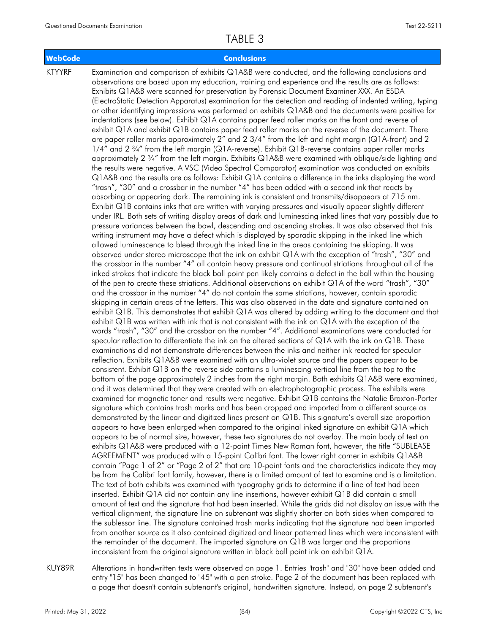### **WebCode Conclusions**

KTYYRF

Examination and comparison of exhibits Q1A&B were conducted, and the following conclusions and observations are based upon my education, training and experience and the results are as follows: Exhibits Q1A&B were scanned for preservation by Forensic Document Examiner XXX. An ESDA (ElectroStatic Detection Apparatus) examination for the detection and reading of indented writing, typing or other identifying impressions was performed on exhibits Q1A&B and the documents were positive for indentations (see below). Exhibit Q1A contains paper feed roller marks on the front and reverse of exhibit Q1A and exhibit Q1B contains paper feed roller marks on the reverse of the document. There are paper roller marks approximately 2" and 2 3/4" from the left and right margin (Q1A-front) and 2 1/4" and 2 ¾" from the left margin (Q1A-reverse). Exhibit Q1B-reverse contains paper roller marks approximately 2 ¾" from the left margin. Exhibits Q1A&B were examined with oblique/side lighting and the results were negative. A VSC (Video Spectral Comparator) examination was conducted on exhibits Q1A&B and the results are as follows: Exhibit Q1A contains a difference in the inks displaying the word "trash", "30" and a crossbar in the number "4" has been added with a second ink that reacts by absorbing or appearing dark. The remaining ink is consistent and transmits/disappears at 715 nm. Exhibit Q1B contains inks that are written with varying pressures and visually appear slightly different under IRL. Both sets of writing display areas of dark and luminescing inked lines that vary possibly due to pressure variances between the bowl, descending and ascending strokes. It was also observed that this writing instrument may have a defect which is displayed by sporadic skipping in the inked line which allowed luminescence to bleed through the inked line in the areas containing the skipping. It was observed under stereo microscope that the ink on exhibit Q1A with the exception of "trash", "30" and the crossbar in the number "4" all contain heavy pressure and continual striations throughout all of the inked strokes that indicate the black ball point pen likely contains a defect in the ball within the housing of the pen to create these striations. Additional observations on exhibit Q1A of the word "trash", "30" and the crossbar in the number "4" do not contain the same striations, however, contain sporadic skipping in certain areas of the letters. This was also observed in the date and signature contained on exhibit Q1B. This demonstrates that exhibit Q1A was altered by adding writing to the document and that exhibit Q1B was written with ink that is not consistent with the ink on Q1A with the exception of the words "trash", "30" and the crossbar on the number "4". Additional examinations were conducted for specular reflection to differentiate the ink on the altered sections of Q1A with the ink on Q1B. These examinations did not demonstrate differences between the inks and neither ink reacted for specular reflection. Exhibits Q1A&B were examined with an ultra-violet source and the papers appear to be consistent. Exhibit Q1B on the reverse side contains a luminescing vertical line from the top to the bottom of the page approximately 2 inches from the right margin. Both exhibits Q1A&B were examined, and it was determined that they were created with an electrophotographic process. The exhibits were examined for magnetic toner and results were negative. Exhibit Q1B contains the Natalie Braxton-Porter signature which contains trash marks and has been cropped and imported from a different source as demonstrated by the linear and digitized lines present on Q1B. This signature's overall size proportion appears to have been enlarged when compared to the original inked signature on exhibit Q1A which appears to be of normal size, however, these two signatures do not overlay. The main body of text on exhibits Q1A&B were produced with a 12-point Times New Roman font, however, the title "SUBLEASE AGREEMENT" was produced with a 15-point Calibri font. The lower right corner in exhibits Q1A&B contain "Page 1 of 2" or "Page 2 of 2" that are 10-point fonts and the characteristics indicate they may be from the Calibri font family, however, there is a limited amount of text to examine and is a limitation. The text of both exhibits was examined with typography grids to determine if a line of text had been inserted. Exhibit Q1A did not contain any line insertions, however exhibit Q1B did contain a small amount of text and the signature that had been inserted. While the grids did not display an issue with the vertical alignment, the signature line on subtenant was slightly shorter on both sides when compared to the sublessor line. The signature contained trash marks indicating that the signature had been imported from another source as it also contained digitized and linear patterned lines which were inconsistent with the remainder of the document. The imported signature on Q1B was larger and the proportions inconsistent from the original signature written in black ball point ink on exhibit Q1A.

Alterations in handwritten texts were observed on page 1. Entries "trash" and "30" have been added and entry "15" has been changed to "45" with a pen stroke. Page 2 of the document has been replaced with a page that doesn't contain subtenant's original, handwritten signature. Instead, on page 2 subtenant's KUY89R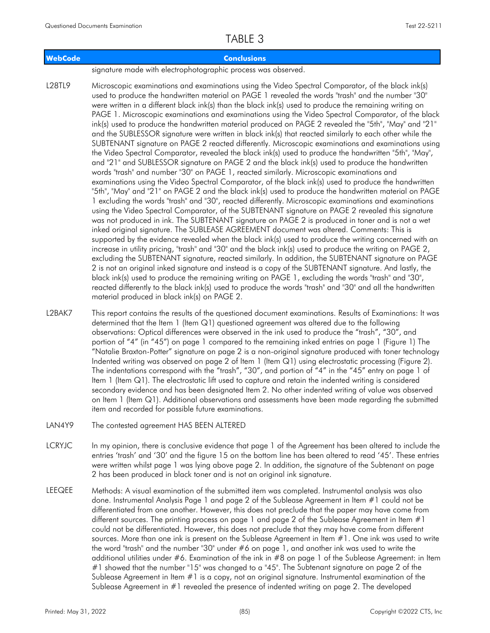| <b>WebCode</b> | <b>Conclusions</b>                                                                                                                                                                                                                                                                                                                                                                                                                                                                                                                                                                                                                                                                                                                                                                                                                                                                                                                                                                                                                                                                                                                                                                                                                                                                                                                                                                                                                                                                                                                                                                                                                                                                                                                                                                                                                                                                                                                                                                                                                                                                                                                                                                                                                                                                                                                                                                                        |
|----------------|-----------------------------------------------------------------------------------------------------------------------------------------------------------------------------------------------------------------------------------------------------------------------------------------------------------------------------------------------------------------------------------------------------------------------------------------------------------------------------------------------------------------------------------------------------------------------------------------------------------------------------------------------------------------------------------------------------------------------------------------------------------------------------------------------------------------------------------------------------------------------------------------------------------------------------------------------------------------------------------------------------------------------------------------------------------------------------------------------------------------------------------------------------------------------------------------------------------------------------------------------------------------------------------------------------------------------------------------------------------------------------------------------------------------------------------------------------------------------------------------------------------------------------------------------------------------------------------------------------------------------------------------------------------------------------------------------------------------------------------------------------------------------------------------------------------------------------------------------------------------------------------------------------------------------------------------------------------------------------------------------------------------------------------------------------------------------------------------------------------------------------------------------------------------------------------------------------------------------------------------------------------------------------------------------------------------------------------------------------------------------------------------------------------|
|                | signature made with electrophotographic process was observed.                                                                                                                                                                                                                                                                                                                                                                                                                                                                                                                                                                                                                                                                                                                                                                                                                                                                                                                                                                                                                                                                                                                                                                                                                                                                                                                                                                                                                                                                                                                                                                                                                                                                                                                                                                                                                                                                                                                                                                                                                                                                                                                                                                                                                                                                                                                                             |
| L28TL9         | Microscopic examinations and examinations using the Video Spectral Comparator, of the black ink(s)<br>used to produce the handwritten material on PAGE 1 revealed the words "trash" and the number "30"<br>were written in a different black ink(s) than the black ink(s) used to produce the remaining writing on<br>PAGE 1. Microscopic examinations and examinations using the Video Spectral Comparator, of the black<br>ink(s) used to produce the handwritten material produced on PAGE 2 revealed the "5th", "May" and "21"<br>and the SUBLESSOR signature were written in black ink(s) that reacted similarly to each other while the<br>SUBTENANT signature on PAGE 2 reacted differently. Microscopic examinations and examinations using<br>the Video Spectral Comparator, revealed the black ink(s) used to produce the handwritten "5th", "May",<br>and "21" and SUBLESSOR signature on PAGE 2 and the black ink(s) used to produce the handwritten<br>words "trash" and number "30" on PAGE 1, reacted similarly. Microscopic examinations and<br>examinations using the Video Spectral Comparator, of the black ink(s) used to produce the handwritten<br>"5th", "May" and "21" on PAGE 2 and the black ink(s) used to produce the handwritten material on PAGE<br>1 excluding the words "trash" and "30", reacted differently. Microscopic examinations and examinations<br>using the Video Spectral Comparator, of the SUBTENANT signature on PAGE 2 revealed this signature<br>was not produced in ink. The SUBTENANT signature on PAGE 2 is produced in toner and is not a wet<br>inked original signature. The SUBLEASE AGREEMENT document was altered. Comments: This is<br>supported by the evidence revealed when the black ink(s) used to produce the writing concerned with an<br>increase in utility pricing, "trash" and "30" and the black ink(s) used to produce the writing on PAGE 2,<br>excluding the SUBTENANT signature, reacted similarly. In addition, the SUBTENANT signature on PAGE<br>2 is not an original inked signature and instead is a copy of the SUBTENANT signature. And lastly, the<br>black ink(s) used to produce the remaining writing on PAGE 1, excluding the words "trash" and "30",<br>reacted differently to the black ink(s) used to produce the words "trash" and "30" and all the handwritten<br>material produced in black ink(s) on PAGE 2. |

This report contains the results of the questioned document examinations. Results of Examinations: It was determined that the Item 1 (Item Q1) questioned agreement was altered due to the following observations: Optical differences were observed in the ink used to produce the "trash", "30", and portion of "4" (in "45") on page 1 compared to the remaining inked entries on page 1 (Figure 1) The "Natalie Braxton-Potter" signature on page 2 is a non-original signature produced with toner technology Indented writing was observed on page 2 of Item 1 (Item Q1) using electrostatic processing (Figure 2). The indentations correspond with the "trash", "30", and portion of "4" in the "45" entry on page 1 of Item 1 (Item Q1). The electrostatic lift used to capture and retain the indented writing is considered secondary evidence and has been designated Item 2. No other indented writing of value was observed on Item 1 (Item Q1). Additional observations and assessments have been made regarding the submitted item and recorded for possible future examinations. L2BAK7

- LAN4Y9 The contested agreement HAS BEEN ALTERED
- In my opinion, there is conclusive evidence that page 1 of the Agreement has been altered to include the entries 'trash' and '30' and the figure 15 on the bottom line has been altered to read '45'. These entries were written whilst page 1 was lying above page 2. In addition, the signature of the Subtenant on page 2 has been produced in black toner and is not an original ink signature. LCRYJC
- Methods: A visual examination of the submitted item was completed. Instrumental analysis was also done. Instrumental Analysis Page 1 and page 2 of the Sublease Agreement in Item #1 could not be differentiated from one another. However, this does not preclude that the paper may have come from different sources. The printing process on page 1 and page 2 of the Sublease Agreement in Item  $#1$ could not be differentiated. However, this does not preclude that they may have come from different sources. More than one ink is present on the Sublease Agreement in Item #1. One ink was used to write the word "trash" and the number "30" under #6 on page 1, and another ink was used to write the additional utilities under #6. Examination of the ink in #8 on page 1 of the Sublease Agreement: in Item #1 showed that the number "15" was changed to a "45". The Subtenant signature on page 2 of the Sublease Agreement in Item #1 is a copy, not an original signature. Instrumental examination of the Sublease Agreement in #1 revealed the presence of indented writing on page 2. The developed **LEEQEE**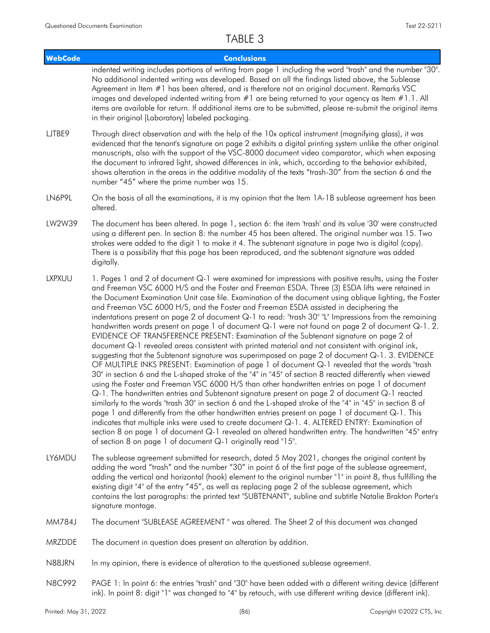| <b>WebCode</b> | <b>Conclusions</b>                                                                                                                                                                                                                                                                                                                                                                                                                                                                                                                                                                                                                                                                                                                                                                                                                                                                                                                                                                                                                                                                                                                                                                                                                                                                                                                                                                                                                                                                                                                                                                                                                                                                                                                                                                                                                           |
|----------------|----------------------------------------------------------------------------------------------------------------------------------------------------------------------------------------------------------------------------------------------------------------------------------------------------------------------------------------------------------------------------------------------------------------------------------------------------------------------------------------------------------------------------------------------------------------------------------------------------------------------------------------------------------------------------------------------------------------------------------------------------------------------------------------------------------------------------------------------------------------------------------------------------------------------------------------------------------------------------------------------------------------------------------------------------------------------------------------------------------------------------------------------------------------------------------------------------------------------------------------------------------------------------------------------------------------------------------------------------------------------------------------------------------------------------------------------------------------------------------------------------------------------------------------------------------------------------------------------------------------------------------------------------------------------------------------------------------------------------------------------------------------------------------------------------------------------------------------------|
|                | indented writing includes portions of writing from page 1 including the word "trash" and the number "30".<br>No additional indented writing was developed. Based on all the findings listed above, the Sublease<br>Agreement in Item #1 has been altered, and is therefore not an original document. Remarks VSC<br>images and developed indented writing from #1 are being returned to your agency as Item #1.1. All<br>items are available for return. If additional items are to be submitted, please re-submit the original items<br>in their original [Laboratory] labeled packaging.                                                                                                                                                                                                                                                                                                                                                                                                                                                                                                                                                                                                                                                                                                                                                                                                                                                                                                                                                                                                                                                                                                                                                                                                                                                   |
| LJTBE9         | Through direct observation and with the help of the 10x optical instrument (magnifying glass), it was<br>evidenced that the tenant's signature on page 2 exhibits a digital printing system unlike the other original<br>manuscripts, also with the support of the VSC-8000 document video comparator, which when exposing<br>the document to infrared light, showed differences in ink, which, according to the behavior exhibited,<br>shows alteration in the areas in the additive modality of the texts "trash-30" from the section 6 and the<br>number "45" where the prime number was 15.                                                                                                                                                                                                                                                                                                                                                                                                                                                                                                                                                                                                                                                                                                                                                                                                                                                                                                                                                                                                                                                                                                                                                                                                                                              |
| LN6P9L         | On the basis of all the examinations, it is my opinion that the Item 1A-1B sublease agreement has been<br>altered.                                                                                                                                                                                                                                                                                                                                                                                                                                                                                                                                                                                                                                                                                                                                                                                                                                                                                                                                                                                                                                                                                                                                                                                                                                                                                                                                                                                                                                                                                                                                                                                                                                                                                                                           |
| LW2W39         | The document has been altered. In page 1, section 6: the item 'trash' and its value '30' were constructed<br>using a different pen. In section 8: the number 45 has been altered. The original number was 15. Two<br>strokes were added to the digit 1 to make it 4. The subtenant signature in page two is digital (copy).<br>There is a possibility that this page has been reproduced, and the subtenant signature was added<br>digitally.                                                                                                                                                                                                                                                                                                                                                                                                                                                                                                                                                                                                                                                                                                                                                                                                                                                                                                                                                                                                                                                                                                                                                                                                                                                                                                                                                                                                |
| <b>LXPXUU</b>  | 1. Pages 1 and 2 of document Q-1 were examined for impressions with positive results, using the Foster<br>and Freeman VSC 6000 H/S and the Foster and Freeman ESDA. Three (3) ESDA lifts were retained in<br>the Document Examination Unit case file. Examination of the document using oblique lighting, the Foster<br>and Freeman VSC 6000 H/S, and the Foster and Freeman ESDA assisted in deciphering the<br>indentations present on page 2 of document Q-1 to read: "trash 30" "L" Impressions from the remaining<br>handwritten words present on page 1 of document Q-1 were not found on page 2 of document Q-1. 2.<br>EVIDENCE OF TRANSFERENCE PRESENT: Examination of the Subtenant signature on page 2 of<br>document Q-1 revealed areas consistent with printed material and not consistent with original ink,<br>suggesting that the Subtenant signature was superimposed on page 2 of document Q-1. 3. EVIDENCE<br>OF MULTIPLE INKS PRESENT: Examination of page 1 of document Q-1 revealed that the words "trash<br>30" in section 6 and the L-shaped stroke of the "4" in "45" of section 8 reacted differently when viewed<br>using the Foster and Freeman VSC 6000 H/S than other handwritten entries on page 1 of document<br>Q-1. The handwritten entries and Subtenant signature present on page 2 of document Q-1 reacted<br>similarly to the words "trash 30" in section 6 and the L-shaped stroke of the "4" in "45" in section 8 of<br>page 1 and differently from the other handwritten entries present on page 1 of document Q-1. This<br>indicates that multiple inks were used to create document Q-1. 4. ALTERED ENTRY: Examination of<br>section 8 on page 1 of document Q-1 revealed an altered handwritten entry. The handwritten "45" entry<br>of section 8 on page 1 of document Q-1 originally read "15". |
| LY6MDU         | The sublease agreement submitted for research, dated 5 May 2021, changes the original content by<br>adding the word "trash" and the number "30" in point 6 of the first page of the sublease agreement,<br>adding the vertical and horizontal (hook) element to the original number "1" in point 8, thus fulfilling the<br>existing digit "4" of the entry "45", as well as replacing page 2 of the sublease agreement, which<br>contains the last paragraphs: the printed text "SUBTENANT", subline and subtitle Natalie Brakton Porter's<br>signature montage.                                                                                                                                                                                                                                                                                                                                                                                                                                                                                                                                                                                                                                                                                                                                                                                                                                                                                                                                                                                                                                                                                                                                                                                                                                                                             |

- MM784J The document "SUBLEASE AGREEMENT " was altered. The Sheet 2 of this document was changed
- MRZDDE The document in question does present an alteration by addition.
- N88JRN In my opinion, there is evidence of alteration to the questioned sublease agreement.
- PAGE 1: In point 6: the entries "trash" and "30" have been added with a different writing device (different ink). In point 8: digit "1" was changed to "4" by retouch, with use different writing device (different ink). N8C992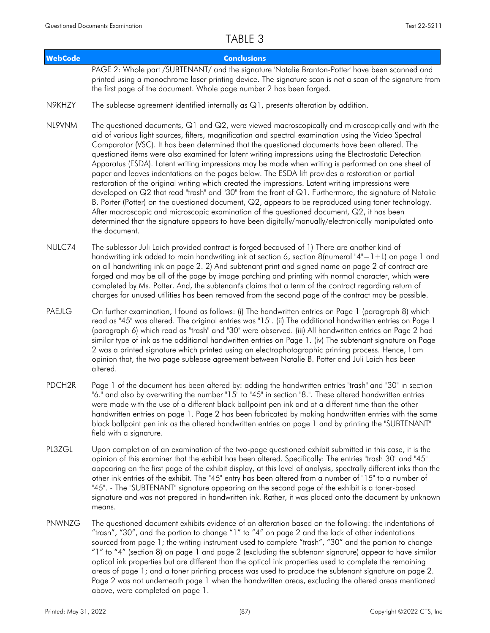| <b>WebCode</b>     | <b>Conclusions</b>                                                                                                                                                                                                                                                                                                                                                                                                                                                                                                                                                                                                                                                                                                                                                                                                                                                                                                                                                                                                                                                                                                                                                            |
|--------------------|-------------------------------------------------------------------------------------------------------------------------------------------------------------------------------------------------------------------------------------------------------------------------------------------------------------------------------------------------------------------------------------------------------------------------------------------------------------------------------------------------------------------------------------------------------------------------------------------------------------------------------------------------------------------------------------------------------------------------------------------------------------------------------------------------------------------------------------------------------------------------------------------------------------------------------------------------------------------------------------------------------------------------------------------------------------------------------------------------------------------------------------------------------------------------------|
|                    | PAGE 2: Whole part /SUBTENANT/ and the signature 'Natalie Branton-Potter' have been scanned and<br>printed using a monochrome laser printing device. The signature scan is not a scan of the signature from<br>the first page of the document. Whole page number 2 has been forged.                                                                                                                                                                                                                                                                                                                                                                                                                                                                                                                                                                                                                                                                                                                                                                                                                                                                                           |
| N9KHZY             | The sublease agreement identified internally as $Q1$ , presents alteration by addition.                                                                                                                                                                                                                                                                                                                                                                                                                                                                                                                                                                                                                                                                                                                                                                                                                                                                                                                                                                                                                                                                                       |
| NL9VNM             | The questioned documents, Q1 and Q2, were viewed macroscopically and microscopically and with the<br>aid of various light sources, filters, magnification and spectral examination using the Video Spectral<br>Comparator (VSC). It has been determined that the questioned documents have been altered. The<br>questioned items were also examined for latent writing impressions using the Electrostatic Detection<br>Apparatus (ESDA). Latent writing impressions may be made when writing is performed on one sheet of<br>paper and leaves indentations on the pages below. The ESDA lift provides a restoration or partial<br>restoration of the original writing which created the impressions. Latent writing impressions were<br>developed on Q2 that read "trash" and "30" from the front of Q1. Furthermore, the signature of Natalie<br>B. Porter (Potter) on the questioned document, Q2, appears to be reproduced using toner technology.<br>After macroscopic and microscopic examination of the questioned document, Q2, it has been<br>determined that the signature appears to have been digitally/manually/electronically manipulated onto<br>the document. |
| NULC74             | The sublessor Juli Laich provided contract is forged becaused of 1) There are another kind of<br>handwriting ink added to main handwriting ink at section 6, section 8(numeral "4"=1+L) on page 1 and<br>on all handwriting ink on page 2. 2) And subtenant print and signed name on page 2 of contract are<br>forged and may be all of the page by image patching and printing with normal character, which were<br>completed by Ms. Potter. And, the subtenant's claims that a term of the contract regarding return of<br>charges for unused utilities has been removed from the second page of the contract may be possible.                                                                                                                                                                                                                                                                                                                                                                                                                                                                                                                                              |
| PAEJLG             | On further examination, I found as follows: (i) The handwritten entries on Page 1 (paragraph 8) which<br>read as "45" was altered. The original entries was "15". (ii) The additional handwritten entries on Page 1<br>(paragraph 6) which read as "trash" and "30" were observed. (iii) All handwritten entries on Page 2 had<br>similar type of ink as the additional handwritten entries on Page 1. (iv) The subtenant signature on Page<br>2 was a printed signature which printed using an electrophotographic printing process. Hence, I am<br>opinion that, the two page sublease agreement between Natalie B. Potter and Juli Laich has been<br>altered.                                                                                                                                                                                                                                                                                                                                                                                                                                                                                                              |
| PDCH <sub>2R</sub> | Page 1 of the document has been altered by: adding the handwritten entries "trash" and "30" in section<br>"6." and also by overwriting the number "15" to "45" in section "8.". These altered handwritten entries<br>were made with the use of a different black ballpoint pen ink and at a different time than the other<br>handwritten entries on page 1. Page 2 has been fabricated by making handwritten entries with the same<br>black ballpoint pen ink as the altered handwritten entries on page 1 and by printing the "SUBTENANT"<br>field with a signature.                                                                                                                                                                                                                                                                                                                                                                                                                                                                                                                                                                                                         |
| PL3ZGL             | Upon completion of an examination of the two-page questioned exhibit submitted in this case, it is the<br>opinion of this examiner that the exhibit has been altered. Specifically: The entries "trash 30" and "45"<br>appearing on the first page of the exhibit display, at this level of analysis, spectrally different inks than the<br>other ink entries of the exhibit. The "45" entry has been altered from a number of "15" to a number of<br>"45". - The "SUBTENANT" signature appearing on the second page of the exhibit is a toner-based<br>signature and was not prepared in handwritten ink. Rather, it was placed onto the document by unknown<br>means.                                                                                                                                                                                                                                                                                                                                                                                                                                                                                                       |
| PNWNZG             | The questioned document exhibits evidence of an alteration based on the following: the indentations of<br>"trash", "30", and the portion to change "1" to "4" on page 2 and the lack of other indentations<br>sourced from page 1; the writing instrument used to complete "trash", "30" and the portion to change<br>"1" to "4" (section 8) on page 1 and page 2 (excluding the subtenant signature) appear to have similar<br>optical ink properties but are different than the optical ink properties used to complete the remaining<br>areas of page 1; and a toner printing process was used to produce the subtenant signature on page 2.<br>Page 2 was not underneath page 1 when the handwritten areas, excluding the altered areas mentioned<br>above, were completed on page 1.                                                                                                                                                                                                                                                                                                                                                                                     |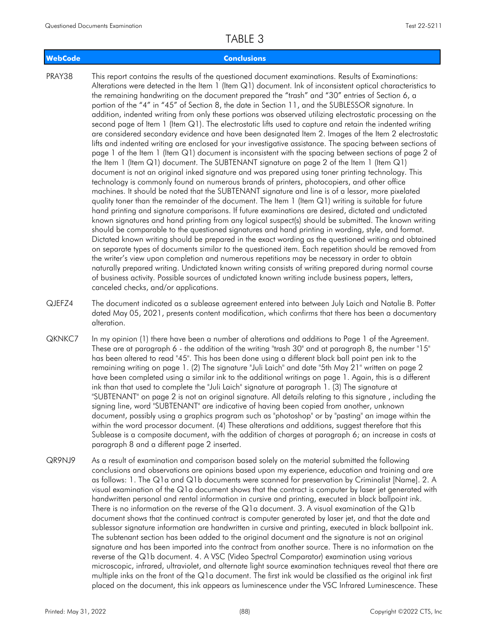### **WebCode Conclusions**

- This report contains the results of the questioned document examinations. Results of Examinations: Alterations were detected in the Item 1 (Item Q1) document. Ink of inconsistent optical characteristics to the remaining handwriting on the document prepared the "trash" and "30" entries of Section 6, a portion of the "4" in "45" of Section 8, the date in Section 11, and the SUBLESSOR signature. In addition, indented writing from only these portions was observed utilizing electrostatic processing on the second page of Item 1 (Item Q1). The electrostatic lifts used to capture and retain the indented writing are considered secondary evidence and have been designated Item 2. Images of the Item 2 electrostatic lifts and indented writing are enclosed for your investigative assistance. The spacing between sections of page 1 of the Item 1 (Item Q1) document is inconsistent with the spacing between sections of page 2 of the Item 1 (Item Q1) document. The SUBTENANT signature on page 2 of the Item 1 (Item Q1) document is not an original inked signature and was prepared using toner printing technology. This technology is commonly found on numerous brands of printers, photocopiers, and other office machines. It should be noted that the SUBTENANT signature and line is of a lessor, more pixelated quality toner than the remainder of the document. The Item 1 (Item Q1) writing is suitable for future hand printing and signature comparisons. If future examinations are desired, dictated and undictated known signatures and hand printing from any logical suspect(s) should be submitted. The known writing should be comparable to the questioned signatures and hand printing in wording, style, and format. Dictated known writing should be prepared in the exact wording as the questioned writing and obtained on separate types of documents similar to the questioned item. Each repetition should be removed from the writer's view upon completion and numerous repetitions may be necessary in order to obtain naturally prepared writing. Undictated known writing consists of writing prepared during normal course of business activity. Possible sources of undictated known writing include business papers, letters, canceled checks, and/or applications. PRAY38
- The document indicated as a sublease agreement entered into between July Laich and Natalie B. Potter dated May 05, 2021, presents content modification, which confirms that there has been a documentary alteration. QJEFZ4
- In my opinion (1) there have been a number of alterations and additions to Page 1 of the Agreement. These are at paragraph 6 - the addition of the writing "trash 30" and at paragraph 8, the number "15" has been altered to read "45". This has been done using a different black ball point pen ink to the remaining writing on page 1. (2) The signature "Juli Laich" and date "5th May 21" written on page 2 have been completed using a similar ink to the additional writings on page 1. Again, this is a different ink than that used to complete the "Juli Laich" signature at paragraph 1. (3) The signature at "SUBTENANT" on page 2 is not an original signature. All details relating to this signature , including the signing line, word "SUBTENANT" are indicative of having been copied from another, unknown document, possibly using a graphics program such as "photoshop" or by "pasting" an image within the within the word processor document. (4) These alterations and additions, suggest therefore that this Sublease is a composite document, with the addition of charges at paragraph 6; an increase in costs at paragraph 8 and a different page 2 inserted. QKNKC7
- As a result of examination and comparison based solely on the material submitted the following conclusions and observations are opinions based upon my experience, education and training and are as follows: 1. The Q1a and Q1b documents were scanned for preservation by Criminalist [Name]. 2. A visual examination of the Q1a document shows that the contract is computer by laser jet generated with handwritten personal and rental information in cursive and printing, executed in black ballpoint ink. There is no information on the reverse of the Q1a document. 3. A visual examination of the Q1b document shows that the continued contract is computer generated by laser jet, and that the date and sublessor signature information are handwritten in cursive and printing, executed in black ballpoint ink. The subtenant section has been added to the original document and the signature is not an original signature and has been imported into the contract from another source. There is no information on the reverse of the Q1b document. 4. A VSC (Video Spectral Comparator) examination using various microscopic, infrared, ultraviolet, and alternate light source examination techniques reveal that there are multiple inks on the front of the Q1a document. The first ink would be classified as the original ink first placed on the document, this ink appears as luminescence under the VSC Infrared Luminescence. These QR9NJ9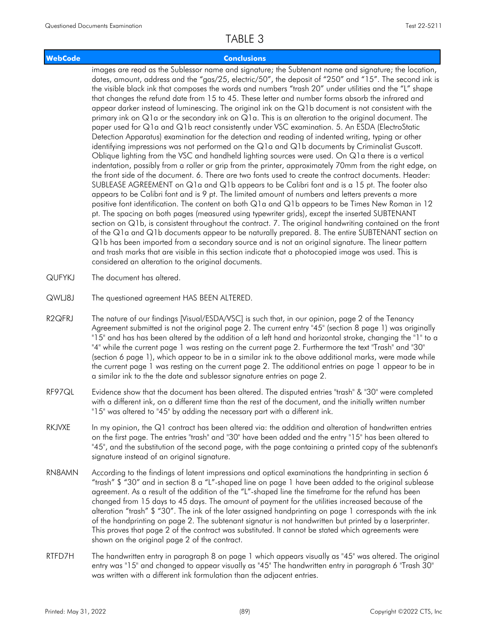### **WebCode Conclusions**

images are read as the Sublessor name and signature; the Subtenant name and signature; the location, dates, amount, address and the "gas/25, electric/50", the deposit of "250" and "15". The second ink is the visible black ink that composes the words and numbers "trash 20" under utilities and the "L" shape that changes the refund date from 15 to 45. These letter and number forms absorb the infrared and appear darker instead of luminescing. The original ink on the Q1b document is not consistent with the primary ink on Q1a or the secondary ink on Q1a. This is an alteration to the original document. The paper used for Q1a and Q1b react consistently under VSC examination. 5. An ESDA (ElectroStatic Detection Apparatus) examination for the detection and reading of indented writing, typing or other identifying impressions was not performed on the Q1a and Q1b documents by Criminalist Guscott. Oblique lighting from the VSC and handheld lighting sources were used. On Q1a there is a vertical indentation, possibly from a roller or grip from the printer, approximately 70mm from the right edge, on the front side of the document. 6. There are two fonts used to create the contract documents. Header: SUBLEASE AGREEMENT on Q1a and Q1b appears to be Calibri font and is a 15 pt. The footer also appears to be Calibri font and is 9 pt. The limited amount of numbers and letters prevents a more positive font identification. The content on both Q1a and Q1b appears to be Times New Roman in 12 pt. The spacing on both pages (measured using typewriter grids), except the inserted SUBTENANT section on Q1b, is consistent throughout the contract. 7. The original handwriting contained on the front of the Q1a and Q1b documents appear to be naturally prepared. 8. The entire SUBTENANT section on Q1b has been imported from a secondary source and is not an original signature. The linear pattern and trash marks that are visible in this section indicate that a photocopied image was used. This is considered an alteration to the original documents.

- QUFYKJ The document has altered.
- QWLJ8J The questioned agreement HAS BEEN ALTERED.
- The nature of our findings [Visual/ESDA/VSC] is such that, in our opinion, page 2 of the Tenancy Agreement submitted is not the original page 2. The current entry "45" (section 8 page 1) was originally "15" and has has been altered by the addition of a left hand and horizontal stroke, changing the "1" to a "4" while the current page 1 was resting on the current page 2. Furthermore the text "Trash" and "30" (section 6 page 1), which appear to be in a similar ink to the above additional marks, were made while the current page 1 was resting on the current page 2. The additional entries on page 1 appear to be in a similar ink to the the date and sublessor signature entries on page 2. R2QFRJ
- Evidence show that the document has been altered. The disputed entries "trash" & "30" were completed with a different ink, on a different time than the rest of the document, and the initially written number "15" was altered to "45" by adding the necessary part with a different ink. RF97QL
- In my opinion, the Q1 contract has been altered via: the addition and alteration of handwritten entries on the first page. The entries "trash" and "30" have been added and the entry "15" has been altered to "45", and the substitution of the second page, with the page containing a printed copy of the subtenant's signature instead of an original signature. RKJVXE
- According to the findings of latent impressions and optical examinations the handprinting in section 6 "trash" \$ "30" and in section 8 a "L"-shaped line on page 1 have been added to the original sublease agreement. As a result of the addition of the "L"-shaped line the timeframe for the refund has been changed from 15 days to 45 days. The amount of payment for the utilities increased because of the alteration "trash" \$ "30". The ink of the later assigned handprinting on page 1 corresponds with the ink of the handprinting on page 2. The subtenant signatur is not handwritten but printed by a laserprinter. This proves that page 2 of the contract was substituted. It cannot be stated which agreements were shown on the original page 2 of the contract. RN8AMN
- The handwritten entry in paragraph 8 on page 1 which appears visually as "45" was altered. The original entry was "15" and changed to appear visually as "45" The handwritten entry in paragraph 6 "Trash 30" was written with a different ink formulation than the adjacent entries. RTFD7H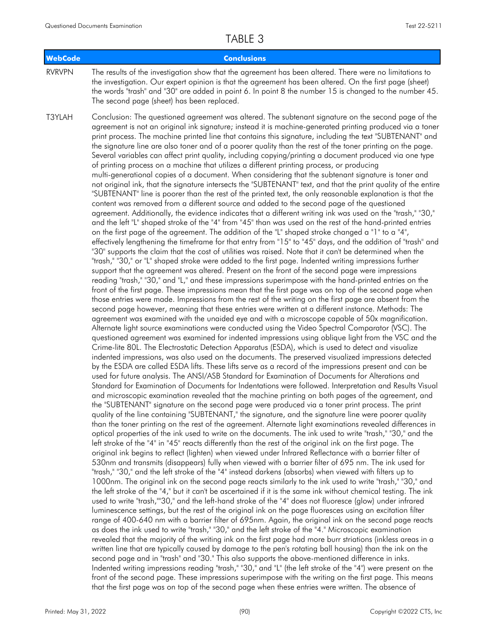| WebCode       | <b>Conclusions</b>                                                                                                                                                                                                                                                                                                                                                                                                                                                                                                                                                                                                                                                                                                                                                                                                                                                                                                                                                                                                                                                                                                                                                                                                                                                                                                                                                                                                                                                                                                                                                                                                                                                                                                                                                                                                                                                                                                                                                                                                                                                                                                                                                                                                                                                                                                                                                                                                                                                                                                                                                                                                                                                                                                                                                                                                                                                                                                                                                                                                                                                                                                                                                                                                                                                                                                                                                                                                                                                                                                                                                                                                                                                                                                                                                                                                                                                                                                                                                                                                                                                                                                                                                                                                                                                                                                                                                                                                                                                                                                                                                                                                                                                                                                      |
|---------------|-------------------------------------------------------------------------------------------------------------------------------------------------------------------------------------------------------------------------------------------------------------------------------------------------------------------------------------------------------------------------------------------------------------------------------------------------------------------------------------------------------------------------------------------------------------------------------------------------------------------------------------------------------------------------------------------------------------------------------------------------------------------------------------------------------------------------------------------------------------------------------------------------------------------------------------------------------------------------------------------------------------------------------------------------------------------------------------------------------------------------------------------------------------------------------------------------------------------------------------------------------------------------------------------------------------------------------------------------------------------------------------------------------------------------------------------------------------------------------------------------------------------------------------------------------------------------------------------------------------------------------------------------------------------------------------------------------------------------------------------------------------------------------------------------------------------------------------------------------------------------------------------------------------------------------------------------------------------------------------------------------------------------------------------------------------------------------------------------------------------------------------------------------------------------------------------------------------------------------------------------------------------------------------------------------------------------------------------------------------------------------------------------------------------------------------------------------------------------------------------------------------------------------------------------------------------------------------------------------------------------------------------------------------------------------------------------------------------------------------------------------------------------------------------------------------------------------------------------------------------------------------------------------------------------------------------------------------------------------------------------------------------------------------------------------------------------------------------------------------------------------------------------------------------------------------------------------------------------------------------------------------------------------------------------------------------------------------------------------------------------------------------------------------------------------------------------------------------------------------------------------------------------------------------------------------------------------------------------------------------------------------------------------------------------------------------------------------------------------------------------------------------------------------------------------------------------------------------------------------------------------------------------------------------------------------------------------------------------------------------------------------------------------------------------------------------------------------------------------------------------------------------------------------------------------------------------------------------------------------------------------------------------------------------------------------------------------------------------------------------------------------------------------------------------------------------------------------------------------------------------------------------------------------------------------------------------------------------------------------------------------------------------------------------------------------------------------------------------|
| <b>RVRVPN</b> | The results of the investigation show that the agreement has been altered. There were no limitations to<br>the investigation. Our expert opinion is that the agreement has been altered. On the first page (sheet)<br>the words "trash" and "30" are added in point 6. In point 8 the number 15 is changed to the number 45.<br>The second page (sheet) has been replaced.                                                                                                                                                                                                                                                                                                                                                                                                                                                                                                                                                                                                                                                                                                                                                                                                                                                                                                                                                                                                                                                                                                                                                                                                                                                                                                                                                                                                                                                                                                                                                                                                                                                                                                                                                                                                                                                                                                                                                                                                                                                                                                                                                                                                                                                                                                                                                                                                                                                                                                                                                                                                                                                                                                                                                                                                                                                                                                                                                                                                                                                                                                                                                                                                                                                                                                                                                                                                                                                                                                                                                                                                                                                                                                                                                                                                                                                                                                                                                                                                                                                                                                                                                                                                                                                                                                                                              |
| T3YLAH        | Conclusion: The questioned agreement was altered. The subtenant signature on the second page of the<br>agreement is not an original ink signature; instead it is machine-generated printing produced via a toner<br>print process. The machine printed line that contains this signature, including the text "SUBTENANT" and<br>the signature line are also toner and of a poorer quality than the rest of the toner printing on the page.<br>Several variables can affect print quality, including copying/printing a document produced via one type<br>of printing process on a machine that utilizes a different printing process, or producing<br>multi-generational copies of a document. When considering that the subtenant signature is toner and<br>not original ink, that the signature intersects the "SUBTENANT" text, and that the print quality of the entire<br>"SUBTENANT" line is poorer than the rest of the printed text, the only reasonable explanation is that the<br>content was removed from a different source and added to the second page of the questioned<br>agreement. Additionally, the evidence indicates that a different writing ink was used on the "trash," "30,"<br>and the left "L" shaped stroke of the "4" from "45" than was used on the rest of the hand-printed entries<br>on the first page of the agreement. The addition of the "L" shaped stroke changed a "1" to a "4",<br>effectively lengthening the timeframe for that entry from "15" to "45" days, and the addition of "trash" and<br>"30" supports the claim that the cost of utilities was raised. Note that it can't be determined when the<br>"trash," "30," or "L" shaped stroke were added to the first page. Indented writing impressions further<br>support that the agreement was altered. Present on the front of the second page were impressions<br>reading "trash," "30," and "L," and these impressions superimpose with the hand-printed entries on the<br>front of the first page. These impressions mean that the first page was on top of the second page when<br>those entries were made. Impressions from the rest of the writing on the first page are absent from the<br>second page however, meaning that these entries were written at a different instance. Methods: The<br>agreement was examined with the unaided eye and with a microscope capable of 50x magnification.<br>Alternate light source examinations were conducted using the Video Spectral Comparator (VSC). The<br>questioned agreement was examined for indented impressions using oblique light from the VSC and the<br>Crime-lite 80L. The Electrostatic Detection Apparatus (ESDA), which is used to detect and visualize<br>indented impressions, was also used on the documents. The preserved visualized impressions detected<br>by the ESDA are called ESDA lifts. These lifts serve as a record of the impressions present and can be<br>used for future analysis. The ANSI/ASB Standard for Examination of Documents for Alterations and<br>Standard for Examination of Documents for Indentations were followed. Interpretation and Results Visual<br>and microscopic examination revealed that the machine printing on both pages of the agreement, and<br>the "SUBTENANT" signature on the second page were produced via a toner print process. The print<br>quality of the line containing "SUBTENANT," the signature, and the signature line were poorer quality<br>than the toner printing on the rest of the agreement. Alternate light examinations revealed differences in<br>optical properties of the ink used to write on the documents. The ink used to write "trash," "30," and the<br>left stroke of the "4" in "45" reacts differently than the rest of the original ink on the first page. The<br>original ink begins to reflect (lighten) when viewed under Infrared Reflectance with a barrier filter of<br>530nm and transmits (disappears) fully when viewed with a barrier filter of 695 nm. The ink used for<br>"trash," "30," and the left stroke of the "4" instead darkens (absorbs) when viewed with filters up to<br>1000nm. The original ink on the second page reacts similarly to the ink used to write "trash," "30," and<br>the left stroke of the "4," but it can't be ascertained if it is the same ink without chemical testing. The ink<br>used to write "trash,""30," and the left-hand stroke of the "4" does not fluoresce (glow) under infrared<br>luminescence settings, but the rest of the original ink on the page fluoresces using an excitation filter<br>range of 400-640 nm with a barrier filter of 695nm. Again, the original ink on the second page reacts |
|               | as does the ink used to write "trash," "30," and the left stroke of the "4." Microscopic examination<br>revealed that the majority of the writing ink on the first page had more burr striations (inkless areas in a<br>written line that are typically caused by damage to the pen's rotating ball housing) than the ink on the<br>second page and in "trash" and "30." This also supports the above-mentioned difference in inks.                                                                                                                                                                                                                                                                                                                                                                                                                                                                                                                                                                                                                                                                                                                                                                                                                                                                                                                                                                                                                                                                                                                                                                                                                                                                                                                                                                                                                                                                                                                                                                                                                                                                                                                                                                                                                                                                                                                                                                                                                                                                                                                                                                                                                                                                                                                                                                                                                                                                                                                                                                                                                                                                                                                                                                                                                                                                                                                                                                                                                                                                                                                                                                                                                                                                                                                                                                                                                                                                                                                                                                                                                                                                                                                                                                                                                                                                                                                                                                                                                                                                                                                                                                                                                                                                                     |
|               | Indented writing impressions reading "trash," "30," and "L" (the left stroke of the "4") were present on the<br>front of the second page. These impressions superimpose with the writing on the first page. This means<br>that the first page was on top of the second page when these entries were written. The absence of                                                                                                                                                                                                                                                                                                                                                                                                                                                                                                                                                                                                                                                                                                                                                                                                                                                                                                                                                                                                                                                                                                                                                                                                                                                                                                                                                                                                                                                                                                                                                                                                                                                                                                                                                                                                                                                                                                                                                                                                                                                                                                                                                                                                                                                                                                                                                                                                                                                                                                                                                                                                                                                                                                                                                                                                                                                                                                                                                                                                                                                                                                                                                                                                                                                                                                                                                                                                                                                                                                                                                                                                                                                                                                                                                                                                                                                                                                                                                                                                                                                                                                                                                                                                                                                                                                                                                                                             |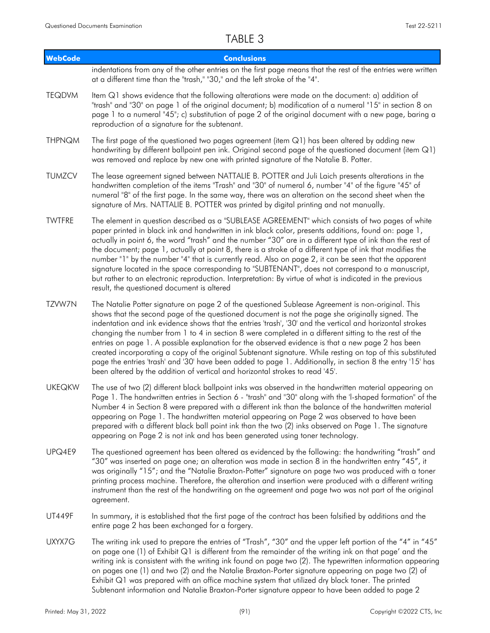| <b>WebCode</b> | <b>Conclusions</b>                                                                                                                                                                                                                                                                                                                                                                                                                                                                                                                                                                                                                                                                                                                                                                                                                            |
|----------------|-----------------------------------------------------------------------------------------------------------------------------------------------------------------------------------------------------------------------------------------------------------------------------------------------------------------------------------------------------------------------------------------------------------------------------------------------------------------------------------------------------------------------------------------------------------------------------------------------------------------------------------------------------------------------------------------------------------------------------------------------------------------------------------------------------------------------------------------------|
|                | indentations from any of the other entries on the first page means that the rest of the entries were written<br>at a different time than the "trash," "30," and the left stroke of the "4".                                                                                                                                                                                                                                                                                                                                                                                                                                                                                                                                                                                                                                                   |
| <b>TEQDVM</b>  | Item Q1 shows evidence that the following alterations were made on the document: a) addition of<br>"trash" and "30" on page 1 of the original document; b) modification of a numeral "15" in section 8 on<br>page 1 to a numeral "45"; c) substitution of page 2 of the original document with a new page, baring a<br>reproduction of a signature for the subtenant.                                                                                                                                                                                                                                                                                                                                                                                                                                                                         |
| <b>THPNQM</b>  | The first page of the questioned two pages agreement (item Q1) has been altered by adding new<br>handwriting by different ballpoint pen ink. Original second page of the questioned document (item Q1)<br>was removed and replace by new one with printed signature of the Natalie B. Potter.                                                                                                                                                                                                                                                                                                                                                                                                                                                                                                                                                 |
| <b>TUMZCV</b>  | The lease agreement signed between NATTALIE B. POTTER and Juli Laich presents alterations in the<br>handwritten completion of the items "Trash" and "30" of numeral 6, number "4" of the figure "45" of<br>numeral "8" of the first page. In the same way, there was an alteration on the second sheet when the<br>signature of Mrs. NATTALIE B. POTTER was printed by digital printing and not manually.                                                                                                                                                                                                                                                                                                                                                                                                                                     |
| <b>TWTFRE</b>  | The element in question described as a "SUBLEASE AGREEMENT" which consists of two pages of white<br>paper printed in black ink and handwritten in ink black color, presents additions, found on: page 1,<br>actually in point 6, the word "trash" and the number "30" are in a different type of ink than the rest of<br>the document; page 1, actually at point 8, there is a stroke of a different type of ink that modifies the<br>number "1" by the number "4" that is currently read. Also on page 2, it can be seen that the apparent<br>signature located in the space corresponding to "SUBTENANT", does not correspond to a manuscript,<br>but rather to an electronic reproduction. Interpretation: By virtue of what is indicated in the previous<br>result, the questioned document is altered                                    |
| TZVW7N         | The Natalie Potter signature on page 2 of the questioned Sublease Agreement is non-original. This<br>shows that the second page of the questioned document is not the page she originally signed. The<br>indentation and ink evidence shows that the entries 'trash', '30' and the vertical and horizontal strokes<br>changing the number from 1 to 4 in section 8 were completed in a different sitting to the rest of the<br>entries on page 1. A possible explanation for the observed evidence is that a new page 2 has been<br>created incorporating a copy of the original Subtenant signature. While resting on top of this substituted<br>page the entries 'trash' and '30' have been added to page 1. Additionally, in section 8 the entry '15' has<br>been altered by the addition of vertical and horizontal strokes to read '45'. |
| <b>UKEQKW</b>  | The use of two (2) different black ballpoint inks was observed in the handwritten material appearing on<br>Page 1. The handwritten entries in Section 6 - "trash" and "30" along with the 'l-shaped formation" of the<br>Number 4 in Section 8 were prepared with a different ink than the balance of the handwritten material<br>appearing on Page 1. The handwritten material appearing on Page 2 was observed to have been<br>prepared with a different black ball point ink than the two (2) inks observed on Page 1. The signature<br>appearing on Page 2 is not ink and has been generated using toner technology.                                                                                                                                                                                                                      |
| UPQ4E9         | The questioned agreement has been altered as evidenced by the following: the handwriting "trash" and<br>"30" was inserted on page one; an alteration was made in section 8 in the handwritten entry "45", it<br>was originally "15"; and the "Natalie Braxton-Potter" signature on page two was produced with a toner<br>printing process machine. Therefore, the alteration and insertion were produced with a different writing<br>instrument than the rest of the handwriting on the agreement and page two was not part of the original<br>agreement.                                                                                                                                                                                                                                                                                     |
| <b>UT449F</b>  | In summary, it is established that the first page of the contract has been falsified by additions and the<br>entire page 2 has been exchanged for a forgery.                                                                                                                                                                                                                                                                                                                                                                                                                                                                                                                                                                                                                                                                                  |
| UXYX7G         | The writing ink used to prepare the entries of "Trash", "30" and the upper left portion of the "4" in "45"<br>on page one (1) of Exhibit $Q1$ is different from the remainder of the writing ink on that page' and the<br>writing ink is consistent with the writing ink found on page two (2). The typewritten information appearing<br>on pages one (1) and two (2) and the Natalie Braxton-Porter signature appearing on page two (2) of<br>Exhibit Q1 was prepared with an office machine system that utilized dry black toner. The printed<br>Subtenant information and Natalie Braxton-Porter signature appear to have been added to page 2                                                                                                                                                                                             |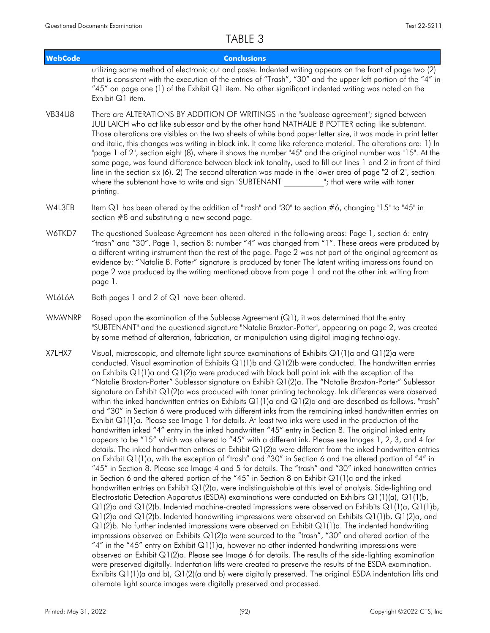| <b>WebCode</b> | <b>Conclusions</b>                                                                                                                                                                                                                                                                                                                                                                                                                                                                                                                                                                                                                                                                                                                                                                                                                                                                                                                                                                                                                                                                                                                                                                                                                                                                                                                                                                                                                                                                                                                                                                                                                                                                                                                                                                                                                                                                                                                                                                                                                                                                                                                                                                                                                                                                                                                                                                                                                                                                                                                                                                                                                                                                                                                             |  |
|----------------|------------------------------------------------------------------------------------------------------------------------------------------------------------------------------------------------------------------------------------------------------------------------------------------------------------------------------------------------------------------------------------------------------------------------------------------------------------------------------------------------------------------------------------------------------------------------------------------------------------------------------------------------------------------------------------------------------------------------------------------------------------------------------------------------------------------------------------------------------------------------------------------------------------------------------------------------------------------------------------------------------------------------------------------------------------------------------------------------------------------------------------------------------------------------------------------------------------------------------------------------------------------------------------------------------------------------------------------------------------------------------------------------------------------------------------------------------------------------------------------------------------------------------------------------------------------------------------------------------------------------------------------------------------------------------------------------------------------------------------------------------------------------------------------------------------------------------------------------------------------------------------------------------------------------------------------------------------------------------------------------------------------------------------------------------------------------------------------------------------------------------------------------------------------------------------------------------------------------------------------------------------------------------------------------------------------------------------------------------------------------------------------------------------------------------------------------------------------------------------------------------------------------------------------------------------------------------------------------------------------------------------------------------------------------------------------------------------------------------------------------|--|
|                | utilizing some method of electronic cut and paste. Indented writing appears on the front of page two (2)<br>that is consistent with the execution of the entries of "Trash", "30" and the upper left portion of the "4" in<br>"45" on page one (1) of the Exhibit Q1 item. No other significant indented writing was noted on the<br>Exhibit Q1 item.                                                                                                                                                                                                                                                                                                                                                                                                                                                                                                                                                                                                                                                                                                                                                                                                                                                                                                                                                                                                                                                                                                                                                                                                                                                                                                                                                                                                                                                                                                                                                                                                                                                                                                                                                                                                                                                                                                                                                                                                                                                                                                                                                                                                                                                                                                                                                                                          |  |
| <b>VB34U8</b>  | There are ALTERATIONS BY ADDITION OF WRITINGS in the "sublease agreement"; signed between<br>JULI LAICH who act like sublessor and by the other hand NATHALIE B POTTER acting like subtenant.<br>Those alterations are visibles on the two sheets of white bond paper letter size, it was made in print letter<br>and italic, this changes was writing in black ink. It come like reference material. The alterations are: 1) In<br>"page 1 of 2", section eight (8), where it shows the number "45" and the original number was "15". At the<br>same page, was found difference between black ink tonality, used to fill out lines 1 and 2 in front of third<br>line in the section six (6). 2) The second alteration was made in the lower area of page "2 of $2$ ", section<br>where the subtenant have to write and sign "SUBTENANT<br>"; that were write with toner<br>printing.                                                                                                                                                                                                                                                                                                                                                                                                                                                                                                                                                                                                                                                                                                                                                                                                                                                                                                                                                                                                                                                                                                                                                                                                                                                                                                                                                                                                                                                                                                                                                                                                                                                                                                                                                                                                                                                          |  |
| W4L3EB         | Item Q1 has been altered by the addition of "trash" and "30" to section #6, changing "15" to "45" in<br>section #8 and substituting a new second page.                                                                                                                                                                                                                                                                                                                                                                                                                                                                                                                                                                                                                                                                                                                                                                                                                                                                                                                                                                                                                                                                                                                                                                                                                                                                                                                                                                                                                                                                                                                                                                                                                                                                                                                                                                                                                                                                                                                                                                                                                                                                                                                                                                                                                                                                                                                                                                                                                                                                                                                                                                                         |  |
| W6TKD7         | The questioned Sublease Agreement has been altered in the following areas: Page 1, section 6: entry<br>"trash" and "30". Page 1, section 8: number "4" was changed from "1". These areas were produced by<br>a different writing instrument than the rest of the page. Page 2 was not part of the original agreement as<br>evidence by: "Natalie B. Potter" signature is produced by toner The latent writing impressions found on<br>page 2 was produced by the writing mentioned above from page 1 and not the other ink writing from<br>page 1.                                                                                                                                                                                                                                                                                                                                                                                                                                                                                                                                                                                                                                                                                                                                                                                                                                                                                                                                                                                                                                                                                                                                                                                                                                                                                                                                                                                                                                                                                                                                                                                                                                                                                                                                                                                                                                                                                                                                                                                                                                                                                                                                                                                             |  |
| WL6L6A         | Both pages 1 and 2 of Q1 have been altered.                                                                                                                                                                                                                                                                                                                                                                                                                                                                                                                                                                                                                                                                                                                                                                                                                                                                                                                                                                                                                                                                                                                                                                                                                                                                                                                                                                                                                                                                                                                                                                                                                                                                                                                                                                                                                                                                                                                                                                                                                                                                                                                                                                                                                                                                                                                                                                                                                                                                                                                                                                                                                                                                                                    |  |
| <b>WMWNRP</b>  | Based upon the examination of the Sublease Agreement $(Q1)$ , it was determined that the entry<br>"SUBTENANT" and the questioned signature "Natalie Braxton-Potter", appearing on page 2, was created<br>by some method of alteration, fabrication, or manipulation using digital imaging technology.                                                                                                                                                                                                                                                                                                                                                                                                                                                                                                                                                                                                                                                                                                                                                                                                                                                                                                                                                                                                                                                                                                                                                                                                                                                                                                                                                                                                                                                                                                                                                                                                                                                                                                                                                                                                                                                                                                                                                                                                                                                                                                                                                                                                                                                                                                                                                                                                                                          |  |
| X7LHX7         | Visual, microscopic, and alternate light source examinations of Exhibits $Q1(1)$ a and $Q1(2)$ a were<br>conducted. Visual examination of Exhibits $Q1(1)$ b and $Q1(2)$ b were conducted. The handwritten entries<br>on Exhibits $Q1(1)$ a and $Q1(2)$ a were produced with black ball point ink with the exception of the<br>"Natalie Broxton-Porter" Sublessor signature on Exhibit Q1(2)a. The "Natalie Broxton-Porter" Sublessor<br>signature on Exhibit Q1(2)a was produced with toner printing technology. Ink differences were observed<br>within the inked handwritten entries on Exhibits $Q1(1)$ a and $Q1(2)$ a and are described as follows. "trash"<br>and "30" in Section 6 were produced with different inks from the remaining inked handwritten entries on<br>Exhibit $Q1(1)a$ . Please see Image 1 for details. At least two inks were used in the production of the<br>handwritten inked "4" entry in the inked handwritten "45" entry in Section 8. The original inked entry<br>appears to be "15" which was altered to "45" with a different ink. Please see Images 1, 2, 3, and 4 for<br>details. The inked handwritten entries on Exhibit Q1(2)a were different from the inked handwritten entries<br>on Exhibit Q1(1)a, with the exception of "trash" and "30" in Section 6 and the altered portion of "4" in<br>"45" in Section 8. Please see Image 4 and 5 for details. The "trash" and "30" inked handwritten entries<br>in Section 6 and the altered portion of the "45" in Section 8 on Exhibit Q1(1)a and the inked<br>handwritten entries on Exhibit Q1(2)a, were indistinguishable at this level of analysis. Side-lighting and<br>Electrostatic Detection Apparatus (ESDA) examinations were conducted on Exhibits $Q1(1)(a)$ , $Q1(1)b$ ,<br>$Q1(2)$ a and $Q1(2)$ b. Indented machine-created impressions were observed on Exhibits $Q1(1)a$ , $Q1(1)b$ ,<br>Q1(2)a and Q1(2)b. Indented handwriting impressions were observed on Exhibits Q1(1)b, Q1(2)a, and<br>$Q1(2)$ b. No further indented impressions were observed on Exhibit $Q1(1)a$ . The indented handwriting<br>impressions observed on Exhibits $Q1(2)$ a were sourced to the "trash", "30" and altered portion of the<br>"4" in the "45" entry on Exhibit Q1(1)a, however no other indented handwriting impressions were<br>observed on Exhibit Q1(2)a. Please see Image 6 for details. The results of the side-lighting examination<br>were preserved digitally. Indentation lifts were created to preserve the results of the ESDA examination.<br>Exhibits $Q1(1)(a$ and b), $Q1(2)(a$ and b) were digitally preserved. The original ESDA indentation lifts and<br>alternate light source images were digitally preserved and processed. |  |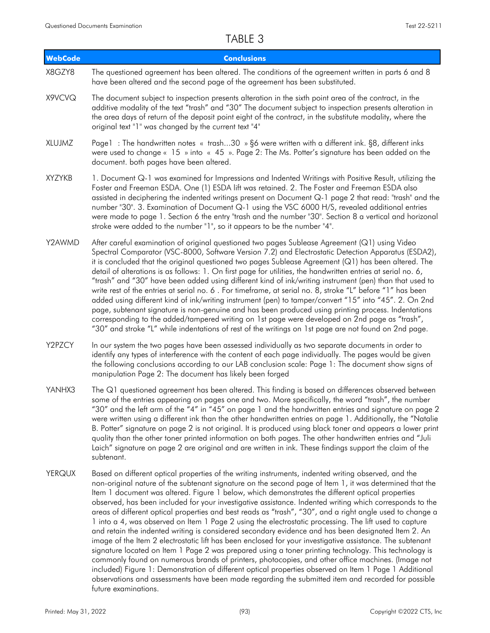| <b>WebCode</b> | <b>Conclusions</b>                                                                                                                                                                                                                                                                                                                                                                                                                                                                                                                                                                                                                                                                                                                                                                                                                                                                                                                                                                                                                                                                                                                                                                                                                                                                                       |
|----------------|----------------------------------------------------------------------------------------------------------------------------------------------------------------------------------------------------------------------------------------------------------------------------------------------------------------------------------------------------------------------------------------------------------------------------------------------------------------------------------------------------------------------------------------------------------------------------------------------------------------------------------------------------------------------------------------------------------------------------------------------------------------------------------------------------------------------------------------------------------------------------------------------------------------------------------------------------------------------------------------------------------------------------------------------------------------------------------------------------------------------------------------------------------------------------------------------------------------------------------------------------------------------------------------------------------|
| X8GZY8         | The questioned agreement has been altered. The conditions of the agreement written in parts 6 and 8<br>have been altered and the second page of the agreement has been substituted.                                                                                                                                                                                                                                                                                                                                                                                                                                                                                                                                                                                                                                                                                                                                                                                                                                                                                                                                                                                                                                                                                                                      |
| X9VCVQ         | The document subject to inspection presents alteration in the sixth point area of the contract, in the<br>additive modality of the text "trash" and "30" The document subject to inspection presents alteration in<br>the area days of return of the deposit point eight of the contract, in the substitute modality, where the<br>original text "1" was changed by the current text "4"                                                                                                                                                                                                                                                                                                                                                                                                                                                                                                                                                                                                                                                                                                                                                                                                                                                                                                                 |
| XLUJMZ         | Page1 : The handwritten notes « trash30 » §6 were written with a different ink. §8, different inks<br>were used to change « 15 » into « 45 ». Page 2: The Ms. Potter's signature has been added on the<br>document. both pages have been altered.                                                                                                                                                                                                                                                                                                                                                                                                                                                                                                                                                                                                                                                                                                                                                                                                                                                                                                                                                                                                                                                        |
| <b>XYZYKB</b>  | 1. Document Q-1 was examined for Impressions and Indented Writings with Positive Result, utilizing the<br>Foster and Freeman ESDA. One (1) ESDA lift was retained. 2. The Foster and Freeman ESDA also<br>assisted in deciphering the indented writings present on Document Q-1 page 2 that read: "trash" and the<br>number "30". 3. Examination of Document Q-1 using the VSC 6000 H/S, revealed additional entries<br>were made to page 1. Section 6 the entry "trash and the number "30". Section 8 a vertical and horizonal<br>stroke were added to the number "1", so it appears to be the number "4".                                                                                                                                                                                                                                                                                                                                                                                                                                                                                                                                                                                                                                                                                              |
| Y2AWMD         | After careful examination of original questioned two pages Sublease Agreement (Q1) using Video<br>Spectral Comparator (VSC-8000, Software Version 7.2) and Electrostatic Detection Apparatus (ESDA2),<br>it is concluded that the original questioned two pages Sublease Agreement (Q1) has been altered. The<br>detail of alterations is as follows: 1. On first page for utilities, the handwritten entries at serial no. 6,<br>"trash" and "30" have been added using different kind of ink/writing instrument (pen) than that used to<br>write rest of the entries at serial no. 6. For timeframe, at serial no. 8, stroke "L" before "1" has been<br>added using different kind of ink/writing instrument (pen) to tamper/convert "15" into "45". 2. On 2nd<br>page, subtenant signature is non-genuine and has been produced using printing process. Indentations<br>corresponding to the added/tampered writing on 1st page were developed on 2nd page as "trash",<br>"30" and stroke "L" while indentations of rest of the writings on 1st page are not found on 2nd page.                                                                                                                                                                                                                       |
| Y2PZCY         | In our system the two pages have been assessed individually as two separate documents in order to<br>identify any types of interference with the content of each page individually. The pages would be given<br>the following conclusions according to our LAB conclusion scale: Page 1: The document show signs of<br>manipulation Page 2: The document has likely been forged                                                                                                                                                                                                                                                                                                                                                                                                                                                                                                                                                                                                                                                                                                                                                                                                                                                                                                                          |
| YANHX3         | The Q1 questioned agreement has been altered. This finding is based on differences observed between<br>some of the entries appearing on pages one and two. More specifically, the word "trash", the number<br>"30" and the left arm of the "4" in "45" on page 1 and the handwritten entries and signature on page 2<br>were written using a different ink than the other handwritten entries on page 1. Additionally, the "Natalie"<br>B. Potter" signature on page 2 is not original. It is produced using black toner and appears a lower print<br>quality than the other toner printed information on both pages. The other handwritten entries and "Juli<br>Laich" signature on page 2 are original and are written in ink. These findings support the claim of the<br>subtenant.                                                                                                                                                                                                                                                                                                                                                                                                                                                                                                                   |
| <b>YERQUX</b>  | Based on different optical properties of the writing instruments, indented writing observed, and the<br>non-original nature of the subtenant signature on the second page of Item 1, it was determined that the<br>Item 1 document was altered. Figure 1 below, which demonstrates the different optical properties<br>observed, has been included for your investigative assistance. Indented writing which corresponds to the<br>areas of different optical properties and best reads as "trash", "30", and a right angle used to change a<br>1 into a 4, was observed on Item 1 Page 2 using the electrostatic processing. The lift used to capture<br>and retain the indented writing is considered secondary evidence and has been designated Item 2. An<br>image of the Item 2 electrostatic lift has been enclosed for your investigative assistance. The subtenant<br>signature located on Item 1 Page 2 was prepared using a toner printing technology. This technology is<br>commonly found on numerous brands of printers, photocopies, and other office machines. (Image not<br>included) Figure 1: Demonstration of different optical properties observed on Item 1 Page 1 Additional<br>observations and assessments have been made regarding the submitted item and recorded for possible |

future examinations.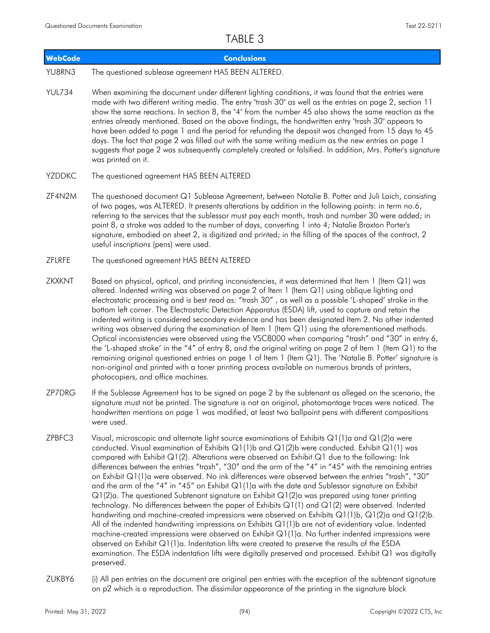| UADLL J        |                                                                                                                                                                                                                                                                                                                                                                                                                                                                                                                                                                                                                                                                                                                                                                                                                                                                                                                                                                                                                                                                                                                       |  |  |
|----------------|-----------------------------------------------------------------------------------------------------------------------------------------------------------------------------------------------------------------------------------------------------------------------------------------------------------------------------------------------------------------------------------------------------------------------------------------------------------------------------------------------------------------------------------------------------------------------------------------------------------------------------------------------------------------------------------------------------------------------------------------------------------------------------------------------------------------------------------------------------------------------------------------------------------------------------------------------------------------------------------------------------------------------------------------------------------------------------------------------------------------------|--|--|
| <b>WebCode</b> | <b>Conclusions</b>                                                                                                                                                                                                                                                                                                                                                                                                                                                                                                                                                                                                                                                                                                                                                                                                                                                                                                                                                                                                                                                                                                    |  |  |
| YU8RN3         | The questioned sublease agreement HAS BEEN ALTERED.                                                                                                                                                                                                                                                                                                                                                                                                                                                                                                                                                                                                                                                                                                                                                                                                                                                                                                                                                                                                                                                                   |  |  |
| <b>YUL734</b>  | When examining the document under different lighting conditions, it was found that the entries were<br>made with two different writing media. The entry "trash 30" as well as the entries on page 2, section 11<br>show the same reactions. In section 8, the "4" from the number 45 also shows the same reaction as the<br>entries already mentioned. Based on the above findings, the handwritten entry "trash 30" appears to<br>have been added to page 1 and the period for refunding the deposit was changed from 15 days to 45<br>days. The fact that page 2 was filled out with the same writing medium as the new entries on page 1<br>suggests that page 2 was subsequently completely created or falsified. In addition, Mrs. Potter's signature<br>was printed on it.                                                                                                                                                                                                                                                                                                                                      |  |  |
| YZDDKC         | The questioned agreement HAS BEEN ALTERED                                                                                                                                                                                                                                                                                                                                                                                                                                                                                                                                                                                                                                                                                                                                                                                                                                                                                                                                                                                                                                                                             |  |  |
| ZF4N2M         | The questioned document Q1 Sublease Agreement, between Natalie B. Potter and Juli Laich, consisting<br>of two pages, was ALTERED. It presents alterations by addition in the following points: in term no.6,<br>referring to the services that the sublessor must pay each month, trash and number 30 were added; in<br>point 8, a stroke was added to the number of days, converting 1 into 4; Natalie Braxton Porter's<br>signature, embodied on sheet 2, is digitized and printed; in the filling of the spaces of the contract, 2<br>useful inscriptions (pens) were used.                                                                                                                                                                                                                                                                                                                                                                                                                                                                                                                                        |  |  |
| ZFLRFE         | The questioned agreement HAS BEEN ALTERED                                                                                                                                                                                                                                                                                                                                                                                                                                                                                                                                                                                                                                                                                                                                                                                                                                                                                                                                                                                                                                                                             |  |  |
| ZKXKNT         | Based on physical, optical, and printing inconsistencies, it was determined that Item 1 (Item Q1) was<br>altered. Indented writing was observed on page 2 of Item 1 (Item Q1) using oblique lighting and<br>electrostatic processing and is best read as: "trash 30", as well as a possible 'L-shaped' stroke in the<br>bottom left corner. The Electrostatic Detection Apparatus (ESDA) lift, used to capture and retain the<br>indented writing is considered secondary evidence and has been designated Item 2. No other indented<br>writing was observed during the examination of Item 1 (Item Q1) using the aforementioned methods.<br>Optical inconsistencies were observed using the VSC8000 when comparing "trash" and "30" in entry 6,<br>the 'L-shaped stroke' in the "4" of entry 8, and the original writing on page 2 of Item 1 (Item Q1) to the<br>remaining original questioned entries on page 1 of Item 1 (Item Q1). The 'Natalie B. Potter' signature is<br>non-original and printed with a toner printing process available on numerous brands of printers,<br>photocopiers, and office machines. |  |  |
| ZP7DRG         | If the Sublease Agreement has to be signed on page 2 by the subtenant as alleged on the scenario, the<br>signature must not be printed. The signature is not an original, photomontage traces were noticed. The<br>handwritten mentions on page 1 was modified, at least two ballpoint pens with different compositions<br>were used.                                                                                                                                                                                                                                                                                                                                                                                                                                                                                                                                                                                                                                                                                                                                                                                 |  |  |
| 700500         | $\mathcal{L}$ $\mathcal{L}$ $\mathcal{L}$ $\mathcal{L}$ $\mathcal{L}$ $\mathcal{L}$ $\mathcal{L}$ $\mathcal{L}$ $\mathcal{L}$ $\mathcal{L}$ $\mathcal{L}$ $\mathcal{L}$ $\mathcal{L}$ $\mathcal{L}$ $\mathcal{L}$ $\mathcal{L}$ $\mathcal{L}$ $\mathcal{L}$ $\mathcal{L}$ $\mathcal{L}$ $\mathcal{L}$ $\mathcal{L}$ $\mathcal{L}$ $\mathcal{L}$ $\mathcal{$<br>$\mathcal{N}$ , and the contract of the contract of the contract of the contract of the contract of the contract of the contract of the contract of the contract of the contract of the contract of the contract of the contract o                                                                                                                                                                                                                                                                                                                                                                                                                                                                                                                     |  |  |

- Visual, microscopic and alternate light source examinations of Exhibits Q1(1)a and Q1(2)a were conducted. Visual examination of Exhibits Q1(1)b and Q1(2)b were conducted. Exhibit Q1(1) was compared with Exhibit Q1(2). Alterations were observed on Exhibit Q1 due to the following: Ink differences between the entries "trash", "30" and the arm of the "4" in "45" with the remaining entries on Exhibit Q1(1)a were observed. No ink differences were observed between the entries "trash", "30" and the arm of the "4" in "45" on Exhibit Q1(1)a with the date and Sublessor signature on Exhibit Q1(2)a. The questioned Subtenant signature on Exhibit Q1(2)a was prepared using toner printing technology. No differences between the paper of Exhibits Q1(1) and Q1(2) were observed. Indented handwriting and machine-created impressions were observed on Exhibits Q1(1)b, Q1(2)a and Q1(2)b. All of the indented handwriting impressions on Exhibits Q1(1)b are not of evidentiary value. Indented machine-created impressions were observed on Exhibit Q1(1)a. No further indented impressions were observed on Exhibit Q1(1)a. Indentation lifts were created to preserve the results of the ESDA examination. The ESDA indentation lifts were digitally preserved and processed. Exhibit Q1 was digitally preserved. ZPBFC3
- (i) All pen entries on the document are original pen entries with the exception of the subtenant signature on p2 which is a reproduction. The dissimilar appearance of the printing in the signature block ZUKBY6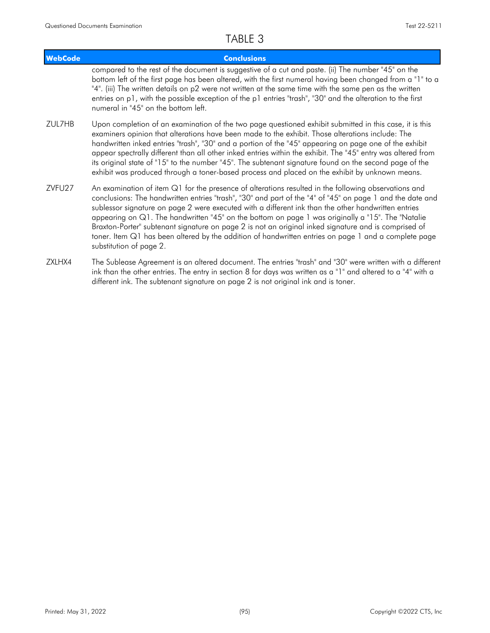| <b>WebCode</b>     | <b>Conclusions</b>                                                                                                                                                                                                                                                                                                                                                                                                                                                                                                                                                                                                                                                         |
|--------------------|----------------------------------------------------------------------------------------------------------------------------------------------------------------------------------------------------------------------------------------------------------------------------------------------------------------------------------------------------------------------------------------------------------------------------------------------------------------------------------------------------------------------------------------------------------------------------------------------------------------------------------------------------------------------------|
|                    | compared to the rest of the document is suggestive of a cut and paste. (ii) The number "45" on the<br>bottom left of the first page has been altered, with the first numeral having been changed from a "1" to a<br>"4". (iii) The written details on p2 were not written at the same time with the same pen as the written<br>entries on p1, with the possible exception of the p1 entries "trash", "30" and the alteration to the first<br>numeral in "45" on the bottom left.                                                                                                                                                                                           |
| ZUL7HB             | Upon completion of an examination of the two page questioned exhibit submitted in this case, it is this<br>examiners opinion that alterations have been made to the exhibit. Those alterations include: The<br>handwritten inked entries "trash", "30" and a portion of the "45" appearing on page one of the exhibit<br>appear spectrally different than all other inked entries within the exhibit. The "45" entry was altered from<br>its original state of "15" to the number "45". The subtenant signature found on the second page of the<br>exhibit was produced through a toner-based process and placed on the exhibit by unknown means.                          |
| ZVFU <sub>27</sub> | An examination of item $Q1$ for the presence of alterations resulted in the following observations and<br>conclusions: The handwritten entries "trash", "30" and part of the "4" of "45" on page 1 and the date and<br>sublessor signature on page 2 were executed with a different ink than the other handwritten entries<br>appearing on Q1. The handwritten "45" on the bottom on page 1 was originally a "15". The "Natalie<br>Braxton-Porter" subtenant signature on page 2 is not an original inked signature and is comprised of<br>toner. Item Q1 has been altered by the addition of handwritten entries on page 1 and a complete page<br>substitution of page 2. |

The Sublease Agreement is an altered document. The entries "trash" and "30" were written with a different ink than the other entries. The entry in section 8 for days was written as a "1" and altered to a "4" with a different ink. The subtenant signature on page 2 is not original ink and is toner. ZXLHX4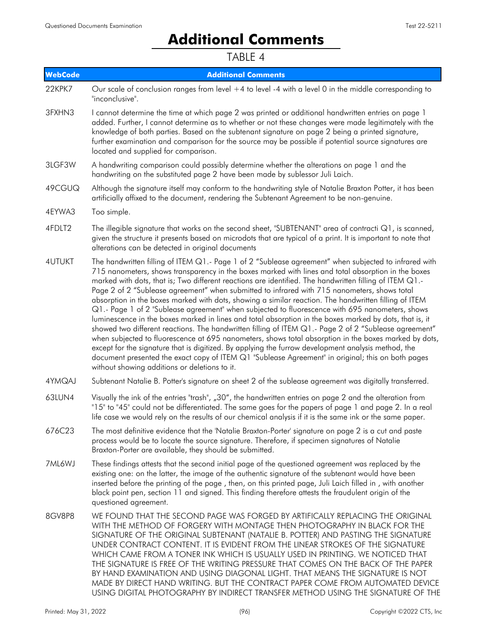# **Additional Comments**

| <b>WebCode</b> | <b>Additional Comments</b>                                                                                                                                                                                                                                                                                                                                                                                                                                                                                                                                                                                                                                                                                                                                                                                                                                                                                                                                                                                                                                                                                                                                                                                                    |
|----------------|-------------------------------------------------------------------------------------------------------------------------------------------------------------------------------------------------------------------------------------------------------------------------------------------------------------------------------------------------------------------------------------------------------------------------------------------------------------------------------------------------------------------------------------------------------------------------------------------------------------------------------------------------------------------------------------------------------------------------------------------------------------------------------------------------------------------------------------------------------------------------------------------------------------------------------------------------------------------------------------------------------------------------------------------------------------------------------------------------------------------------------------------------------------------------------------------------------------------------------|
| 22KPK7         | Our scale of conclusion ranges from level $+4$ to level -4 with a level 0 in the middle corresponding to<br>"inconclusive".                                                                                                                                                                                                                                                                                                                                                                                                                                                                                                                                                                                                                                                                                                                                                                                                                                                                                                                                                                                                                                                                                                   |
| 3FXHN3         | I cannot determine the time at which page 2 was printed or additional handwritten entries on page 1<br>added. Further, I cannot determine as to whether or not these changes were made legitimately with the<br>knowledge of both parties. Based on the subtenant signature on page 2 being a printed signature,<br>further examination and comparison for the source may be possible if potential source signatures are<br>located and supplied for comparison.                                                                                                                                                                                                                                                                                                                                                                                                                                                                                                                                                                                                                                                                                                                                                              |
| 3LGF3W         | A handwriting comparison could possibly determine whether the alterations on page 1 and the<br>handwriting on the substituted page 2 have been made by sublessor Juli Laich.                                                                                                                                                                                                                                                                                                                                                                                                                                                                                                                                                                                                                                                                                                                                                                                                                                                                                                                                                                                                                                                  |
| 49CGUQ         | Although the signature itself may conform to the handwriting style of Natalie Braxton Potter, it has been<br>artificially affixed to the document, rendering the Subtenant Agreement to be non-genuine.                                                                                                                                                                                                                                                                                                                                                                                                                                                                                                                                                                                                                                                                                                                                                                                                                                                                                                                                                                                                                       |
| 4EYWA3         | Too simple.                                                                                                                                                                                                                                                                                                                                                                                                                                                                                                                                                                                                                                                                                                                                                                                                                                                                                                                                                                                                                                                                                                                                                                                                                   |
| 4FDLT2         | The illegible signature that works on the second sheet, "SUBTENANT" area of contracti $Q1$ , is scanned,<br>given the structure it presents based on microdots that are typical of a print. It is important to note that<br>alterations can be detected in original documents                                                                                                                                                                                                                                                                                                                                                                                                                                                                                                                                                                                                                                                                                                                                                                                                                                                                                                                                                 |
| 4UTUKT         | The handwritten filling of ITEM Q1.- Page 1 of 2 "Sublease agreement" when subjected to infrared with<br>715 nanometers, shows transparency in the boxes marked with lines and total absorption in the boxes<br>marked with dots, that is; Two different reactions are identified. The handwritten filling of ITEM Q1.-<br>Page 2 of 2 "Sublease agreement" when submitted to infrared with 715 nanometers, shows total<br>absorption in the boxes marked with dots, showing a similar reaction. The handwritten filling of ITEM<br>Q1.- Page 1 of 2 "Sublease agreement" when subjected to fluorescence with 695 nanometers, shows<br>luminescence in the boxes marked in lines and total absorption in the boxes marked by dots, that is, it<br>showed two different reactions. The handwritten filling of ITEM Q1.- Page 2 of 2 "Sublease agreement"<br>when subjected to fluorescence at 695 nanometers, shows total absorption in the boxes marked by dots,<br>except for the signature that is digitized. By applying the furrow development analysis method, the<br>document presented the exact copy of ITEM Q1 "Sublease Agreement" in original; this on both pages<br>without showing additions or deletions to it. |
| 4YMQAJ         | Subtenant Natalie B. Potter's signature on sheet 2 of the sublease agreement was digitally transferred.                                                                                                                                                                                                                                                                                                                                                                                                                                                                                                                                                                                                                                                                                                                                                                                                                                                                                                                                                                                                                                                                                                                       |
| 63LUN4         | Visually the ink of the entries "trash", "30", the handwritten entries on page 2 and the alteration from<br>"15" to "45" could not be differentiated. The same goes for the papers of page 1 and page 2. In a real<br>life case we would rely on the results of our chemical analysis if it is the same ink or the same paper.                                                                                                                                                                                                                                                                                                                                                                                                                                                                                                                                                                                                                                                                                                                                                                                                                                                                                                |
| 676C23         | The most definitive evidence that the 'Natalie Braxton-Porter' signature on page 2 is a cut and paste<br>process would be to locate the source signature. Therefore, if specimen signatures of Natalie<br>Braxton-Porter are available, they should be submitted.                                                                                                                                                                                                                                                                                                                                                                                                                                                                                                                                                                                                                                                                                                                                                                                                                                                                                                                                                             |
| 7ML6WJ         | These findings attests that the second initial page of the questioned agreement was replaced by the<br>existing one: on the latter, the image of the authentic signature of the subtenant would have been<br>inserted before the printing of the page, then, on this printed page, Juli Laich filled in, with another<br>black point pen, section 11 and signed. This finding therefore attests the fraudulent origin of the<br>questioned agreement.                                                                                                                                                                                                                                                                                                                                                                                                                                                                                                                                                                                                                                                                                                                                                                         |
| 8GV8P8         | WE FOUND THAT THE SECOND PAGE WAS FORGED BY ARTIFICALLY REPLACING THE ORIGINAL<br>WITH THE METHOD OF FORGERY WITH MONTAGE THEN PHOTOGRAPHY IN BLACK FOR THE<br>SIGNATURE OF THE ORIGINAL SUBTENANT (NATALIE B. POTTER) AND PASTING THE SIGNATURE<br>UNDER CONTRACT CONTENT. IT IS EVIDENT FROM THE LINEAR STROKES OF THE SIGNATURE<br>WHICH CAME FROM A TONER INK WHICH IS USUALLY USED IN PRINTING. WE NOTICED THAT<br>THE SIGNATURE IS FREE OF THE WRITING PRESSURE THAT COMES ON THE BACK OF THE PAPER<br>BY HAND EXAMINATION AND USING DIAGONAL LIGHT. THAT MEANS THE SIGNATURE IS NOT<br>MADE BY DIRECT HAND WRITING. BUT THE CONTRACT PAPER COME FROM AUTOMATED DEVICE<br>USING DIGITAL PHOTOGRAPHY BY INDIRECT TRANSFER METHOD USING THE SIGNATURE OF THE                                                                                                                                                                                                                                                                                                                                                                                                                                                              |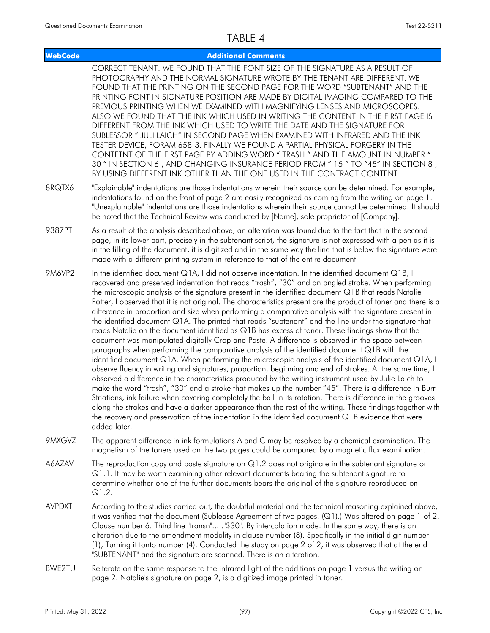| <b>WebCode</b> | <b>Additional Comments</b>                                                                                                                                                                                                                                                                                                                                                                                                                                                                                                                                                                                                                                                                                                                                                                                                                                                                                                                                                                                                                                                                                                                                                                                                                                                                                                                                                                                                                                                                                                                                                                                                                                                                                                                            |
|----------------|-------------------------------------------------------------------------------------------------------------------------------------------------------------------------------------------------------------------------------------------------------------------------------------------------------------------------------------------------------------------------------------------------------------------------------------------------------------------------------------------------------------------------------------------------------------------------------------------------------------------------------------------------------------------------------------------------------------------------------------------------------------------------------------------------------------------------------------------------------------------------------------------------------------------------------------------------------------------------------------------------------------------------------------------------------------------------------------------------------------------------------------------------------------------------------------------------------------------------------------------------------------------------------------------------------------------------------------------------------------------------------------------------------------------------------------------------------------------------------------------------------------------------------------------------------------------------------------------------------------------------------------------------------------------------------------------------------------------------------------------------------|
|                | CORRECT TENANT. WE FOUND THAT THE FONT SIZE OF THE SIGNATURE AS A RESULT OF<br>PHOTOGRAPHY AND THE NORMAL SIGNATURE WROTE BY THE TENANT ARE DIFFERENT. WE<br>FOUND THAT THE PRINTING ON THE SECOND PAGE FOR THE WORD "SUBTENANT" AND THE<br>PRINTING FONT IN SIGNATURE POSITION ARE MADE BY DIGITAL IMAGING COMPARED TO THE<br>PREVIOUS PRINTING WHEN WE EXAMINED WITH MAGNIFYING LENSES AND MICROSCOPES.<br>ALSO WE FOUND THAT THE INK WHICH USED IN WRITING THE CONTENT IN THE FIRST PAGE IS<br>DIFFERENT FROM THE INK WHICH USED TO WRITE THE DATE AND THE SIGNATURE FOR<br>SUBLESSOR " JULI LAICH" IN SECOND PAGE WHEN EXAMINED WITH INFRARED AND THE INK<br>TESTER DEVICE, FORAM 658-3. FINALLY WE FOUND A PARTIAL PHYSICAL FORGERY IN THE<br>CONTETNT OF THE FIRST PAGE BY ADDING WORD " TRASH " AND THE AMOUNT IN NUMBER "<br>30 " IN SECTION 6, AND CHANGING INSURANCE PERIOD FROM "15 " TO "45" IN SECTION 8,<br>BY USING DIFFERENT INK OTHER THAN THE ONE USED IN THE CONTRACT CONTENT.                                                                                                                                                                                                                                                                                                                                                                                                                                                                                                                                                                                                                                                                                                                                                     |
| 8RQTX6         | "Explainable" indentations are those indentations wherein their source can be determined. For example,<br>indentations found on the front of page 2 are easily recognized as coming from the writing on page 1.<br>"Unexplainable" indentations are those indentations wherein their source cannot be determined. It should<br>be noted that the Technical Review was conducted by [Name], sole proprietor of [Company].                                                                                                                                                                                                                                                                                                                                                                                                                                                                                                                                                                                                                                                                                                                                                                                                                                                                                                                                                                                                                                                                                                                                                                                                                                                                                                                              |
| 9387PT         | As a result of the analysis described above, an alteration was found due to the fact that in the second<br>page, in its lower part, precisely in the subtenant script, the signature is not expressed with a pen as it is<br>in the filling of the document, it is digitized and in the same way the line that is below the signature were<br>made with a different printing system in reference to that of the entire document                                                                                                                                                                                                                                                                                                                                                                                                                                                                                                                                                                                                                                                                                                                                                                                                                                                                                                                                                                                                                                                                                                                                                                                                                                                                                                                       |
| <b>9M6VP2</b>  | In the identified document Q1A, I did not observe indentation. In the identified document Q1B, I<br>recovered and preserved indentation that reads "trash", "30" and an angled stroke. When performing<br>the microscopic analysis of the signature present in the identified document Q1B that reads Natalie<br>Potter, I observed that it is not original. The characteristics present are the product of toner and there is a<br>difference in proportion and size when performing a comparative analysis with the signature present in<br>the identified document Q1A. The printed that reads "subtenant" and the line under the signature that<br>reads Natalie on the document identified as Q1B has excess of toner. These findings show that the<br>document was manipulated digitally Crop and Paste. A difference is observed in the space between<br>paragraphs when performing the comparative analysis of the identified document Q1B with the<br>identified document Q1A. When performing the microscopic analysis of the identified document Q1A, I<br>observe fluency in writing and signatures, proportion, beginning and end of strokes. At the same time, I<br>observed a difference in the characteristics produced by the writing instrument used by Julie Laich to<br>make the word "trash", "30" and a stroke that makes up the number "45". There is a difference in Burr<br>Striations, ink failure when covering completely the ball in its rotation. There is difference in the grooves<br>along the strokes and have a darker appearance than the rest of the writing. These findings together with<br>the recovery and preservation of the indentation in the identified document Q1B evidence that were<br>added later. |
| 9MXGVZ         | The apparent difference in ink formulations A and C may be resolved by a chemical examination. The<br>magnetism of the toners used on the two pages could be compared by a magnetic flux examination.                                                                                                                                                                                                                                                                                                                                                                                                                                                                                                                                                                                                                                                                                                                                                                                                                                                                                                                                                                                                                                                                                                                                                                                                                                                                                                                                                                                                                                                                                                                                                 |
| A6AZAV         | The reproduction copy and paste signature on $Q1.2$ does not originate in the subtenant signature on<br>Q1.1. It may be worth examining other relevant documents bearing the subtenant signature to<br>determine whether one of the further documents bears the original of the signature reproduced on<br>$Q1.2$ .                                                                                                                                                                                                                                                                                                                                                                                                                                                                                                                                                                                                                                                                                                                                                                                                                                                                                                                                                                                                                                                                                                                                                                                                                                                                                                                                                                                                                                   |
| <b>AVPDXT</b>  | According to the studies carried out, the doubtful material and the technical reasoning explained above,<br>it was verified that the document (Sublease Agreement of two pages. (Q1).) Was altered on page 1 of 2.<br>Clause number 6. Third line "transn""\$30". By intercalation mode. In the same way, there is an<br>alteration due to the amendment modality in clause number (8). Specifically in the initial digit number<br>(1), Turning it tonto number (4). Conducted the study on page 2 of 2, it was observed that at the end<br>"SUBTENANT" and the signature are scanned. There is an alteration.                                                                                                                                                                                                                                                                                                                                                                                                                                                                                                                                                                                                                                                                                                                                                                                                                                                                                                                                                                                                                                                                                                                                       |
| BWE2TU         | Reiterate on the same response to the infrared light of the additions on page 1 versus the writing on<br>page 2. Natalie's signature on page 2, is a digitized image printed in toner.                                                                                                                                                                                                                                                                                                                                                                                                                                                                                                                                                                                                                                                                                                                                                                                                                                                                                                                                                                                                                                                                                                                                                                                                                                                                                                                                                                                                                                                                                                                                                                |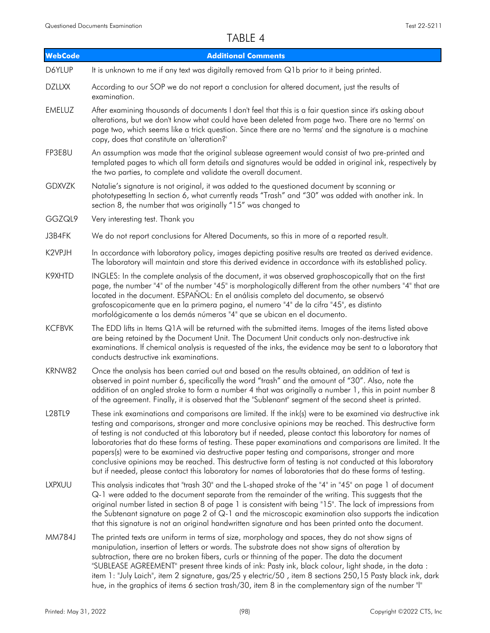| <b>WebCode</b> | <b>Additional Comments</b>                                                                                                                                                                                                                                                                                                                                                                                                                                                                                                                                                                                                                                                                                                                                           |
|----------------|----------------------------------------------------------------------------------------------------------------------------------------------------------------------------------------------------------------------------------------------------------------------------------------------------------------------------------------------------------------------------------------------------------------------------------------------------------------------------------------------------------------------------------------------------------------------------------------------------------------------------------------------------------------------------------------------------------------------------------------------------------------------|
| D6YLUP         | It is unknown to me if any text was digitally removed from Q1b prior to it being printed.                                                                                                                                                                                                                                                                                                                                                                                                                                                                                                                                                                                                                                                                            |
| <b>DZLLXX</b>  | According to our SOP we do not report a conclusion for altered document, just the results of<br>examination.                                                                                                                                                                                                                                                                                                                                                                                                                                                                                                                                                                                                                                                         |
| <b>EMELUZ</b>  | After examining thousands of documents I don't feel that this is a fair question since it's asking about<br>alterations, but we don't know what could have been deleted from page two. There are no 'terms' on<br>page two, which seems like a trick question. Since there are no 'terms' and the signature is a machine<br>copy, does that constitute an 'alteration?'                                                                                                                                                                                                                                                                                                                                                                                              |
| FP3E8U         | An assumption was made that the original sublease agreement would consist of two pre-printed and<br>templated pages to which all form details and signatures would be added in original ink, respectively by<br>the two parties, to complete and validate the overall document.                                                                                                                                                                                                                                                                                                                                                                                                                                                                                      |
| <b>GDXVZK</b>  | Natalie's signature is not original, it was added to the questioned document by scanning or<br>phototypesetting In section 6, what currently reads "Trash" and "30" was added with another ink. In<br>section 8, the number that was originally "15" was changed to                                                                                                                                                                                                                                                                                                                                                                                                                                                                                                  |
| GGZQL9         | Very interesting test. Thank you                                                                                                                                                                                                                                                                                                                                                                                                                                                                                                                                                                                                                                                                                                                                     |
| J3B4FK         | We do not report conclusions for Altered Documents, so this in more of a reported result.                                                                                                                                                                                                                                                                                                                                                                                                                                                                                                                                                                                                                                                                            |
| K2VPJH         | In accordance with laboratory policy, images depicting positive results are treated as derived evidence.<br>The laboratory will maintain and store this derived evidence in accordance with its established policy.                                                                                                                                                                                                                                                                                                                                                                                                                                                                                                                                                  |
| K9XHTD         | INGLES: In the complete analysis of the document, it was observed graphoscopically that on the first<br>page, the number "4" of the number "45" is morphologically different from the other numbers "4" that are<br>located in the document. ESPAÑOL: En el análisis completo del documento, se observó<br>grafoscopicamente que en la primera pagina, el numero "4" de la cifra "45", es distinto<br>morfológicamente a los demás números "4" que se ubican en el documento.                                                                                                                                                                                                                                                                                        |
| <b>KCFBVK</b>  | The EDD lifts in Items Q1A will be returned with the submitted items. Images of the items listed above<br>are being retained by the Document Unit. The Document Unit conducts only non-destructive ink<br>examinations. If chemical analysis is requested of the inks, the evidence may be sent to a laboratory that<br>conducts destructive ink examinations.                                                                                                                                                                                                                                                                                                                                                                                                       |
| KRNW82         | Once the analysis has been carried out and based on the results obtained, an addition of text is<br>observed in point number 6, specifically the word "trash" and the amount of "30". Also, note the<br>addition of an angled stroke to form a number 4 that was originally a number 1, this in point number 8<br>of the agreement. Finally, it is observed that the "Sublenant" segment of the second sheet is printed.                                                                                                                                                                                                                                                                                                                                             |
| L28TL9         | These ink examinations and comparisons are limited. If the ink(s) were to be examined via destructive ink<br>testing and comparisons, stronger and more conclusive opinions may be reached. This destructive form<br>of testing is not conducted at this laboratory but if needed, please contact this laboratory for names of<br>laboratories that do these forms of testing. These paper examinations and comparisons are limited. It the<br>papers(s) were to be examined via destructive paper testing and comparisons, stronger and more<br>conclusive opinions may be reached. This destructive form of testing is not conducted at this laboratory<br>but if needed, please contact this laboratory for names of laboratories that do these forms of testing. |
| <b>LXPXUU</b>  | This analysis indicates that "trash 30" and the L-shaped stroke of the "4" in "45" on page 1 of document<br>Q-1 were added to the document separate from the remainder of the writing. This suggests that the<br>original number listed in section 8 of page 1 is consistent with being "15". The lack of impressions from<br>the Subtenant signature on page 2 of $Q-1$ and the microscopic examination also supports the indication<br>that this signature is not an original handwritten signature and has been printed onto the document.                                                                                                                                                                                                                        |
| MM784J         | The printed texts are uniform in terms of size, morphology and spaces, they do not show signs of<br>manipulation, insertion of letters or words. The substrate does not show signs of alteration by<br>subtraction, there are no broken fibers, curls or thinning of the paper. The data the document<br>"SUBLEASE AGREEMENT" present three kinds of ink: Pasty ink, black colour, light shade, in the data:<br>item 1: "July Laich", item 2 signature, gas/25 y electric/50, item 8 sections 250,15 Pasty black ink, dark<br>hue, in the graphics of items 6 section trash/30, item 8 in the complementary sign of the number "I"                                                                                                                                   |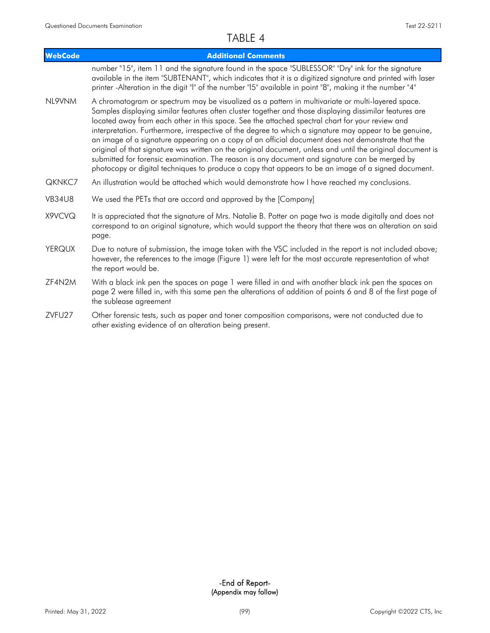| WebCode       | <b>Additional Comments</b>                                                                                                                                                                                                                                                                                                                                                                                                                                                                                                                                                                                                                                                                                                                                                                                                                           |
|---------------|------------------------------------------------------------------------------------------------------------------------------------------------------------------------------------------------------------------------------------------------------------------------------------------------------------------------------------------------------------------------------------------------------------------------------------------------------------------------------------------------------------------------------------------------------------------------------------------------------------------------------------------------------------------------------------------------------------------------------------------------------------------------------------------------------------------------------------------------------|
|               | number "15", item 11 and the signature found in the space "SUBLESSOR" "Dry" ink for the signature<br>available in the item "SUBTENANT", which indicates that it is a digitized signature and printed with laser<br>printer -Alteration in the digit "I" of the number "I5" available in point "8", making it the number "4"                                                                                                                                                                                                                                                                                                                                                                                                                                                                                                                          |
| NL9VNM        | A chromatogram or spectrum may be visualized as a pattern in multivariate or multi-layered space.<br>Samples displaying similar features often cluster together and those displaying dissimilar features are<br>located away from each other in this space. See the attached spectral chart for your review and<br>interpretation. Furthermore, irrespective of the degree to which a signature may appear to be genuine,<br>an image of a signature appearing on a copy of an official document does not demonstrate that the<br>original of that signature was written on the original document, unless and until the original document is<br>submitted for forensic examination. The reason is any document and signature can be merged by<br>photocopy or digital techniques to produce a copy that appears to be an image of a signed document. |
| QKNKC7        | An illustration would be attached which would demonstrate how I have reached my conclusions.                                                                                                                                                                                                                                                                                                                                                                                                                                                                                                                                                                                                                                                                                                                                                         |
| <b>VB34U8</b> | We used the PETs that are accord and approved by the [Company]                                                                                                                                                                                                                                                                                                                                                                                                                                                                                                                                                                                                                                                                                                                                                                                       |
| X9VCVQ        | It is appreciated that the signature of Mrs. Natalie B. Potter on page two is made digitally and does not<br>correspond to an original signature, which would support the theory that there was an alteration on said<br>page.                                                                                                                                                                                                                                                                                                                                                                                                                                                                                                                                                                                                                       |
| <b>YERQUX</b> | Due to nature of submission, the image taken with the VSC included in the report is not included above;<br>however, the references to the image (Figure 1) were left for the most accurate representation of what<br>the report would be.                                                                                                                                                                                                                                                                                                                                                                                                                                                                                                                                                                                                            |
| ZF4N2M        | With a black ink pen the spaces on page 1 were filled in and with another black ink pen the spaces on<br>page 2 were filled in, with this same pen the alterations of addition of points 6 and 8 of the first page of<br>the sublease agreement                                                                                                                                                                                                                                                                                                                                                                                                                                                                                                                                                                                                      |
| ZVFU27        | Other forensic tests, such as paper and toner composition comparisons, were not conducted due to<br>other existing evidence of an alteration being present.                                                                                                                                                                                                                                                                                                                                                                                                                                                                                                                                                                                                                                                                                          |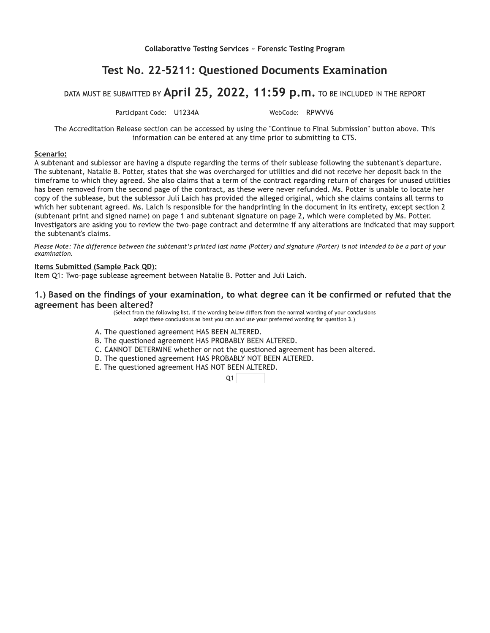### Test No. 22-5211: Questioned Documents Examination

Collaborative Testing Services - Forensic Testing Program<br>
Test No. 22-5211: Questioned Documents Examination<br>
DATA MUST BE SUBMITTED BY  $\text{April } 25, 2022, 11:59 \text{ p.m.}$  TO BE INCLUDED IN THE REPORT<br>
Participant Code: U1234 The Accreditation Release section can be accessed by using the "Continue to Final Submission" button above. This information can be entered at any time prior to submitting to CTS.

### Scenario:

Collaborative Testing Services ~ Forensic Testing Progra<br>
Test No. 22-5211: Questioned Documents Exactions<br>
BE SUBMITTED BY April 25, 2022, 11:59 p.m. TO BE<br>
Participant Code: U1234A WebCode: RPWVV6<br>
Attion Release section A subtenant and sublessor are having a dispute regarding the terms of their sublease following the subtenant's departure. The subtenant, Natalie B. Potter, states that she was overcharged for utilities and did not receive her deposit back in the timeframe to which they agreed. She also claims that a term of the contract regarding return of charges for unused utilities has been removed from the second page of the contract, as these were never refunded. Ms. Potter is unable to locate her copy of the sublease, but the sublessor Juli Laich has provided the alleged original, which she claims contains all terms to which her subtenant agreed. Ms. Laich is responsible for the handprinting in the document in its entirety, except section 2 (subtenant print and signed name) on page 1 and subtenant signature on page 2, which were completed by Ms. Potter. Investigators are asking you to review the two-page contract and determine if any alterations are indicated that may support the subtenant's claims.

Please Note: The difference between the subtenant's printed last name (Potter) and signature (Porter) is not intended to be a part of your examination.

### Items Submitted (Sample Pack QD):

Item Q1: Two-page sublease agreement between Natalie B. Potter and Juli Laich.

# 1.) Based on the findings of your examination, to what degree can it be confirmed or refuted that the agreement has been altered?

(Select from the following list. If the wording below differs from the normal wording of your conclusions adapt these conclusions as best you can and use your preferred wording for question 3.)

- A. The questioned agreement HAS BEEN ALTERED.
- B. The questioned agreement HAS PROBABLY BEEN ALTERED.
- C. CANNOT DETERMINE whether or not the questioned agreement has been altered.
- D. The questioned agreement HAS PROBABLY NOT BEEN ALTERED.
- E. The questioned agreement HAS NOT BEEN ALTERED.

 $Q1$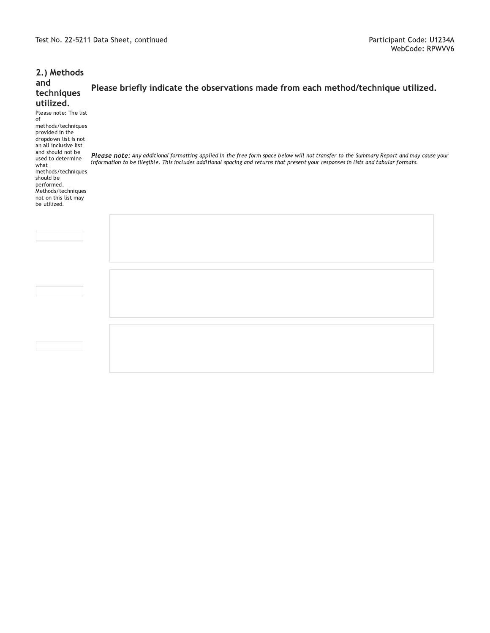|                                                                                                                                                                                                                                                         | Test No. 22-5211 Data Sheet, continued                                                                                                                                                                                                                                        | Participant Code: U1234/<br>WebCode: RPWVV |
|---------------------------------------------------------------------------------------------------------------------------------------------------------------------------------------------------------------------------------------------------------|-------------------------------------------------------------------------------------------------------------------------------------------------------------------------------------------------------------------------------------------------------------------------------|--------------------------------------------|
| 2.) Methods<br>and<br>techniques<br>utilized.<br>Please note: The list<br>of                                                                                                                                                                            | Please briefly indicate the observations made from each method/technique utilized.                                                                                                                                                                                            |                                            |
| methods/techniques<br>provided in the<br>dropdown list is not<br>an all inclusive list<br>and should not be<br>used to determine<br>what<br>methods/techniques<br>should be<br>performed.<br>Methods/techniques<br>not on this list may<br>be utilized. | Please note: Any additional formatting applied in the free form space below will not transfer to the Summary Report and may cause your<br>information to be illegible. This includes additional spacing and returns that present your responses in lists and tabular formats. |                                            |
|                                                                                                                                                                                                                                                         |                                                                                                                                                                                                                                                                               |                                            |
|                                                                                                                                                                                                                                                         |                                                                                                                                                                                                                                                                               |                                            |
|                                                                                                                                                                                                                                                         |                                                                                                                                                                                                                                                                               |                                            |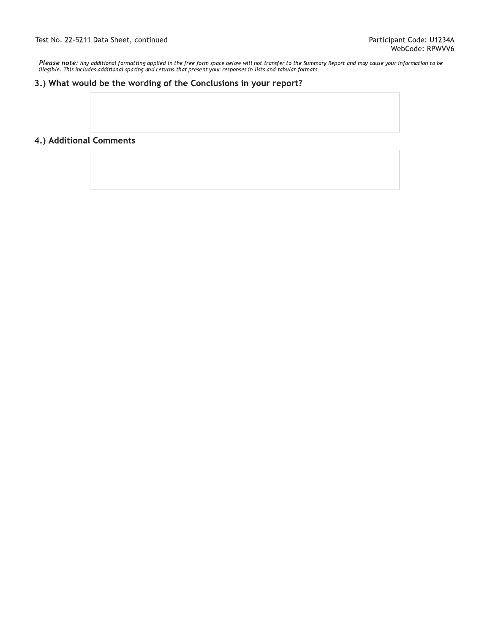Test No. 22-5211 Data Sheet, continued<br>
Please note: Any additional formatting applied in the free form space below will not transfer to the Summary Report and may cause your information to be<br>
illegible. This includes add illegible. This includes additional spacing and returns that present your responses in lists and tabular formats.

### 3.) What would be the wording of the Conclusions in your report?

### 4.) Additional Comments